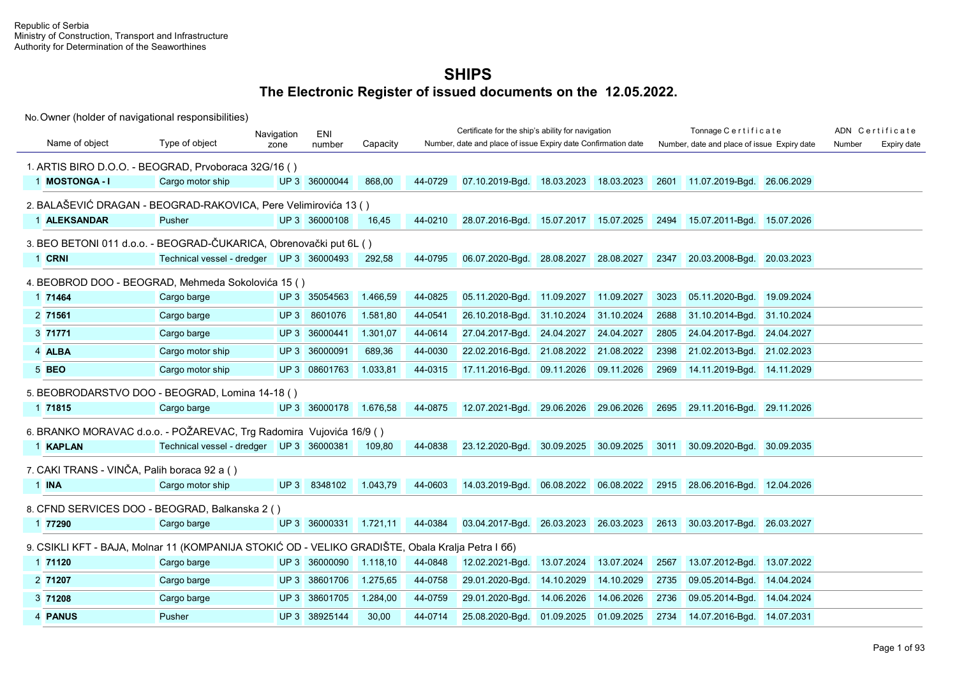|                                                                                                  |                                          | Navigation | ENI                    |          |         | Certificate for the ship's ability for navigation             |            |            |      | Tonnage Certificate                         |            |        | ADN Certificate |
|--------------------------------------------------------------------------------------------------|------------------------------------------|------------|------------------------|----------|---------|---------------------------------------------------------------|------------|------------|------|---------------------------------------------|------------|--------|-----------------|
| Name of object                                                                                   | Type of object                           | zone       | number                 | Capacity |         | Number, date and place of issue Expiry date Confirmation date |            |            |      | Number, date and place of issue Expiry date |            | Number | Expiry date     |
| 1. ARTIS BIRO D.O.O. - BEOGRAD, Prvoboraca 32G/16 ()                                             |                                          |            |                        |          |         |                                                               |            |            |      |                                             |            |        |                 |
| 1 MOSTONGA-I                                                                                     | Cargo motor ship                         |            | UP 3 36000044          | 868,00   | 44-0729 | 07.10.2019-Bgd.                                               | 18.03.2023 | 18.03.2023 | 2601 | 11.07.2019-Bgd.                             | 26.06.2029 |        |                 |
| 2. BALAŠEVIĆ DRAGAN - BEOGRAD-RAKOVICA, Pere Velimirovića 13 ()                                  |                                          |            |                        |          |         |                                                               |            |            |      |                                             |            |        |                 |
| 1 ALEKSANDAR                                                                                     | <b>Pusher</b>                            |            | UP 3 36000108          | 16.45    | 44-0210 | 28.07.2016-Bgd. 15.07.2017 15.07.2025                         |            |            |      | 2494 15.07.2011-Bgd. 15.07.2026             |            |        |                 |
| 3. BEO BETONI 011 d.o.o. - BEOGRAD-ČUKARICA, Obrenovački put 6L ()                               |                                          |            |                        |          |         |                                                               |            |            |      |                                             |            |        |                 |
| 1 CRNI                                                                                           | Technical vessel - dredger UP 3 36000493 |            |                        | 292,58   | 44-0795 | 06.07.2020-Bgd. 28.08.2027 28.08.2027                         |            |            | 2347 | 20.03.2008-Bgd. 20.03.2023                  |            |        |                 |
| 4. BEOBROD DOO - BEOGRAD, Mehmeda Sokolovića 15 ()                                               |                                          |            |                        |          |         |                                                               |            |            |      |                                             |            |        |                 |
| 1 71464                                                                                          | Cargo barge                              |            | UP 3 35054563          | 1.466,59 | 44-0825 | 05.11.2020-Bgd. 11.09.2027                                    |            | 11.09.2027 | 3023 | 05.11.2020-Bgd. 19.09.2024                  |            |        |                 |
| 2 71561                                                                                          | Cargo barge                              | UP3        | 8601076                | 1.581,80 | 44-0541 | 26.10.2018-Bgd.                                               | 31.10.2024 | 31.10.2024 | 2688 | 31.10.2014-Bgd.                             | 31.10.2024 |        |                 |
| 3 71771                                                                                          | Cargo barge                              |            | UP 3 36000441          | 1.301,07 | 44-0614 | 27.04.2017-Bgd. 24.04.2027                                    |            | 24.04.2027 | 2805 | 24.04.2017-Bgd. 24.04.2027                  |            |        |                 |
| 4 ALBA                                                                                           | Cargo motor ship                         | UP3        | 36000091               | 689,36   | 44-0030 | 22.02.2016-Bgd.                                               | 21.08.2022 | 21.08.2022 | 2398 | 21.02.2013-Bgd.                             | 21.02.2023 |        |                 |
| 5 BEO                                                                                            | Cargo motor ship                         |            | UP 3 08601763          | 1.033,81 | 44-0315 | 17.11.2016-Bgd.                                               | 09.11.2026 | 09.11.2026 | 2969 | 14.11.2019-Bgd. 14.11.2029                  |            |        |                 |
| 5. BEOBRODARSTVO DOO - BEOGRAD, Lomina 14-18 ()                                                  |                                          |            |                        |          |         |                                                               |            |            |      |                                             |            |        |                 |
| 1 71815                                                                                          | Cargo barge                              |            | UP 3 36000178 1.676,58 |          | 44-0875 | 12.07.2021-Bgd. 29.06.2026 29.06.2026                         |            |            |      | 2695 29.11.2016-Bgd. 29.11.2026             |            |        |                 |
| 6. BRANKO MORAVAC d.o.o. - POŽAREVAC, Trg Radomira Vujovića 16/9 ()                              |                                          |            |                        |          |         |                                                               |            |            |      |                                             |            |        |                 |
| 1 KAPLAN                                                                                         | Technical vessel - dredger UP 3 36000381 |            |                        | 109,80   | 44-0838 | 23.12.2020-Bgd. 30.09.2025 30.09.2025                         |            |            |      | 3011 30.09.2020-Bgd. 30.09.2035             |            |        |                 |
| 7. CAKI TRANS - VINČA, Palih boraca 92 a ()                                                      |                                          |            |                        |          |         |                                                               |            |            |      |                                             |            |        |                 |
| 1 INA                                                                                            | Cargo motor ship                         |            | UP 3 8348102           | 1.043,79 | 44-0603 | 14.03.2019-Bgd. 06.08.2022 06.08.2022                         |            |            |      | 2915 28.06.2016-Bgd. 12.04.2026             |            |        |                 |
| 8. CFND SERVICES DOO - BEOGRAD, Balkanska 2 ()                                                   |                                          |            |                        |          |         |                                                               |            |            |      |                                             |            |        |                 |
| 1 77290                                                                                          | Cargo barge                              |            | UP 3 36000331          | 1.721,11 | 44-0384 | 03.04.2017-Bgd. 26.03.2023 26.03.2023                         |            |            |      | 2613 30.03.2017-Bgd. 26.03.2027             |            |        |                 |
| 9. CSIKLI KFT - BAJA, Molnar 11 (KOMPANIJA STOKIĆ OD - VELIKO GRADIŠTE, Obala Kralja Petra I 66) |                                          |            |                        |          |         |                                                               |            |            |      |                                             |            |        |                 |
| 1 71120                                                                                          | Cargo barge                              |            | UP 3 36000090          | 1.118,10 | 44-0848 | 12.02.2021-Bgd.                                               | 13.07.2024 | 13.07.2024 | 2567 | 13.07.2012-Bgd.                             | 13.07.2022 |        |                 |
| 2 71207                                                                                          | Cargo barge                              |            | UP 3 38601706          | 1.275,65 | 44-0758 | 29.01.2020-Bgd.                                               | 14.10.2029 | 14.10.2029 | 2735 | 09.05.2014-Bgd.                             | 14.04.2024 |        |                 |
| 3 71208                                                                                          | Cargo barge                              |            | UP 3 38601705          | 1.284,00 | 44-0759 | 29.01.2020-Bgd.                                               | 14.06.2026 | 14.06.2026 | 2736 | 09.05.2014-Bgd. 14.04.2024                  |            |        |                 |
| 4 PANUS                                                                                          | Pusher                                   |            | UP 3 38925144          | 30,00    | 44-0714 | 25.08.2020-Bgd.                                               | 01.09.2025 | 01.09.2025 | 2734 | 14.07.2016-Bgd. 14.07.2031                  |            |        |                 |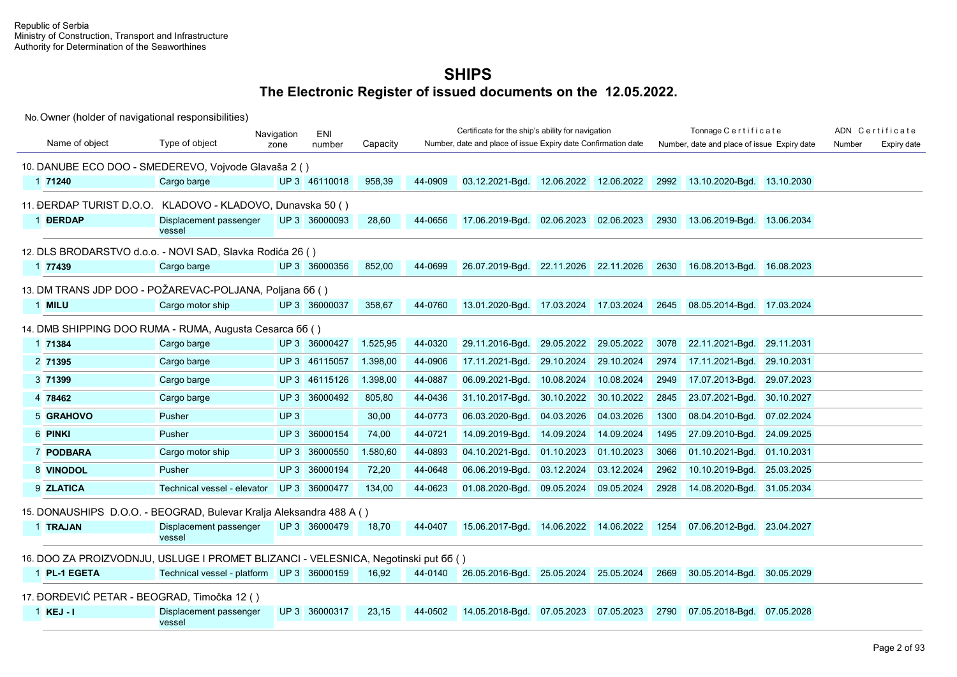|                                                                                    |                                           | Navigation      | <b>ENI</b>    |          |         | Certificate for the ship's ability for navigation             |            |            |      | Tonnage Certificate                         |            |        | ADN Certificate |
|------------------------------------------------------------------------------------|-------------------------------------------|-----------------|---------------|----------|---------|---------------------------------------------------------------|------------|------------|------|---------------------------------------------|------------|--------|-----------------|
| Name of object                                                                     | Type of object                            | zone            | number        | Capacity |         | Number, date and place of issue Expiry date Confirmation date |            |            |      | Number, date and place of issue Expiry date |            | Number | Expiry date     |
| 10. DANUBE ECO DOO - SMEDEREVO, Vojvode Glavaša 2 ()                               |                                           |                 |               |          |         |                                                               |            |            |      |                                             |            |        |                 |
| 1 71240                                                                            | Cargo barge                               |                 | UP 3 46110018 | 958,39   | 44-0909 | 03.12.2021-Bgd. 12.06.2022 12.06.2022                         |            |            | 2992 | 13.10.2020-Bgd. 13.10.2030                  |            |        |                 |
| 11. ĐERDAP TURIST D.O.O. KLADOVO - KLADOVO, Dunavska 50 ()                         |                                           |                 |               |          |         |                                                               |            |            |      |                                             |            |        |                 |
| 1 <b>DERDAP</b>                                                                    | Displacement passenger<br>vessel          |                 | UP 3 36000093 | 28,60    | 44-0656 | 17.06.2019-Bgd.                                               | 02.06.2023 | 02.06.2023 | 2930 | 13.06.2019-Bgd. 13.06.2034                  |            |        |                 |
| 12. DLS BRODARSTVO d.o.o. - NOVI SAD. Slavka Rodića 26 ()                          |                                           |                 |               |          |         |                                                               |            |            |      |                                             |            |        |                 |
| 1 77439                                                                            | Cargo barge                               |                 | UP 3 36000356 | 852,00   | 44-0699 | 26.07.2019-Bgd. 22.11.2026 22.11.2026                         |            |            | 2630 | 16.08.2013-Bgd. 16.08.2023                  |            |        |                 |
| 13. DM TRANS JDP DOO - POŽAREVAC-POLJANA, Poljana 66 ()                            |                                           |                 |               |          |         |                                                               |            |            |      |                                             |            |        |                 |
| 1 MILU                                                                             | Cargo motor ship                          |                 | UP 3 36000037 | 358,67   | 44-0760 | 13.01.2020-Bgd.                                               | 17.03.2024 | 17.03.2024 | 2645 | 08.05.2014-Bgd.                             | 17.03.2024 |        |                 |
| 14. DMB SHIPPING DOO RUMA - RUMA, Augusta Cesarca 66 ()                            |                                           |                 |               |          |         |                                                               |            |            |      |                                             |            |        |                 |
| 1 71384                                                                            | Cargo barge                               |                 | UP 3 36000427 | 1.525,95 | 44-0320 | 29.11.2016-Bgd.                                               | 29.05.2022 | 29.05.2022 | 3078 | 22.11.2021-Bgd.                             | 29.11.2031 |        |                 |
| 2 71395                                                                            | Cargo barge                               |                 | UP 3 46115057 | 1.398,00 | 44-0906 | 17.11.2021-Bgd.                                               | 29.10.2024 | 29.10.2024 | 2974 | 17.11.2021-Bgd.                             | 29.10.2031 |        |                 |
| 3 71399                                                                            | Cargo barge                               | UP <sub>3</sub> | 46115126      | 1.398,00 | 44-0887 | 06.09.2021-Bqd.                                               | 10.08.2024 | 10.08.2024 | 2949 | 17.07.2013-Bgd.                             | 29.07.2023 |        |                 |
| 4 78462                                                                            | Cargo barge                               |                 | UP 3 36000492 | 805,80   | 44-0436 | 31.10.2017-Bgd.                                               | 30.10.2022 | 30.10.2022 | 2845 | 23.07.2021-Bgd.                             | 30.10.2027 |        |                 |
| 5 GRAHOVO                                                                          | Pusher                                    | UP <sub>3</sub> |               | 30,00    | 44-0773 | 06.03.2020-Bqd.                                               | 04.03.2026 | 04.03.2026 | 1300 | 08.04.2010-Bqd.                             | 07.02.2024 |        |                 |
| 6 PINKI                                                                            | Pusher                                    | UP3             | 36000154      | 74,00    | 44-0721 | 14.09.2019-Bgd.                                               | 14.09.2024 | 14.09.2024 | 1495 | 27.09.2010-Bgd.                             | 24.09.2025 |        |                 |
| 7 PODBARA                                                                          | Cargo motor ship                          | UP3             | 36000550      | 1.580,60 | 44-0893 | 04.10.2021-Bqd.                                               | 01.10.2023 | 01.10.2023 | 3066 | 01.10.2021-Bqd.                             | 01.10.2031 |        |                 |
| 8 VINODOL                                                                          | Pusher                                    |                 | UP 3 36000194 | 72,20    | 44-0648 | 06.06.2019-Bqd.                                               | 03.12.2024 | 03.12.2024 | 2962 | 10.10.2019-Bgd.                             | 25.03.2025 |        |                 |
| 9 ZLATICA                                                                          | Technical vessel - elevator               |                 | UP 3 36000477 | 134,00   | 44-0623 | 01.08.2020-Bgd.                                               | 09.05.2024 | 09.05.2024 | 2928 | 14.08.2020-Bgd.                             | 31.05.2034 |        |                 |
| 15. DONAUSHIPS D.O.O. - BEOGRAD, Bulevar Kralja Aleksandra 488 A ()                |                                           |                 |               |          |         |                                                               |            |            |      |                                             |            |        |                 |
| 1 TRAJAN                                                                           | Displacement passenger<br>vessel          |                 | UP 3 36000479 | 18,70    | 44-0407 | 15.06.2017-Bgd. 14.06.2022 14.06.2022                         |            |            | 1254 | 07.06.2012-Bgd. 23.04.2027                  |            |        |                 |
| 16. DOO ZA PROIZVODNJU, USLUGE I PROMET BLIZANCI - VELESNICA, Negotinski put 66 () |                                           |                 |               |          |         |                                                               |            |            |      |                                             |            |        |                 |
| 1 PL-1 EGETA                                                                       | Technical vessel - platform UP 3 36000159 |                 |               | 16,92    | 44-0140 | 26.05.2016-Bgd.                                               | 25.05.2024 | 25.05.2024 | 2669 | 30.05.2014-Bgd.                             | 30.05.2029 |        |                 |
| 17. ĐORĐEVIĆ PETAR - BEOGRAD, Timočka 12 ()                                        |                                           |                 |               |          |         |                                                               |            |            |      |                                             |            |        |                 |
| $1$ KEJ - I                                                                        | Displacement passenger<br>vessel          |                 | UP 3 36000317 | 23,15    | 44-0502 | 14.05.2018-Bgd.                                               | 07.05.2023 | 07.05.2023 | 2790 | 07.05.2018-Bgd.                             | 07.05.2028 |        |                 |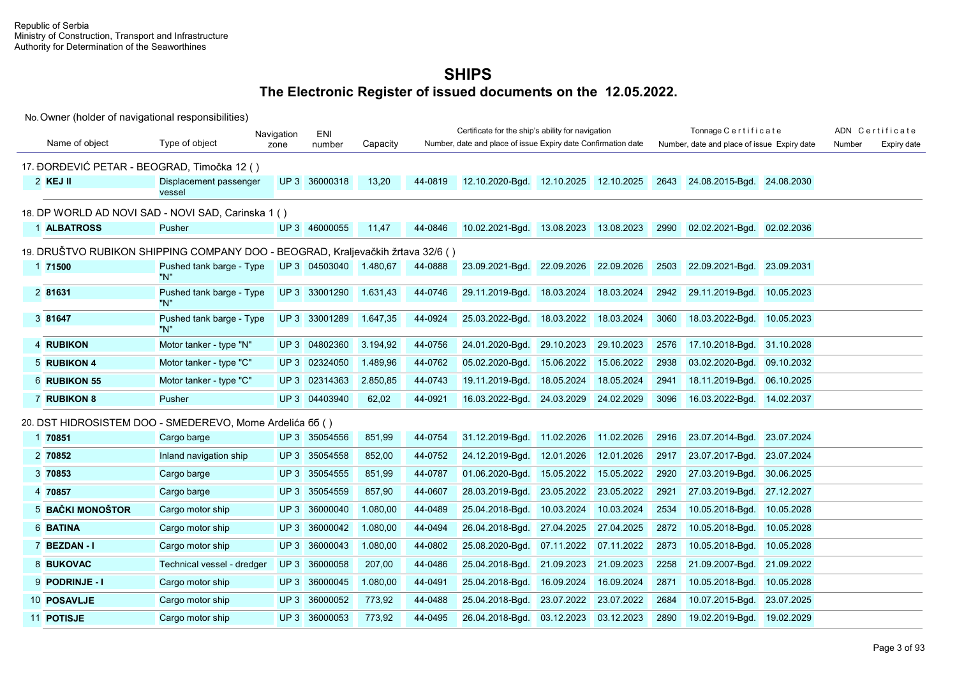|                                             |                                                                                 | Navigation      | ENI           |          |         | Certificate for the ship's ability for navigation             |            |            |      | Tonnage Certificate                         |            |        | ADN Certificate |
|---------------------------------------------|---------------------------------------------------------------------------------|-----------------|---------------|----------|---------|---------------------------------------------------------------|------------|------------|------|---------------------------------------------|------------|--------|-----------------|
| Name of object                              | Type of object                                                                  | zone            | number        | Capacity |         | Number, date and place of issue Expiry date Confirmation date |            |            |      | Number, date and place of issue Expiry date |            | Number | Expiry date     |
| 17. ĐORĐEVIĆ PETAR - BEOGRAD, Timočka 12 () |                                                                                 |                 |               |          |         |                                                               |            |            |      |                                             |            |        |                 |
| $2$ KEJ II                                  | Displacement passenger<br>vessel                                                |                 | UP 3 36000318 | 13,20    | 44-0819 | 12.10.2020-Bgd.                                               | 12.10.2025 | 12.10.2025 | 2643 | 24.08.2015-Bgd.                             | 24.08.2030 |        |                 |
|                                             | 18. DP WORLD AD NOVI SAD - NOVI SAD, Carinska 1 ()                              |                 |               |          |         |                                                               |            |            |      |                                             |            |        |                 |
| 1 ALBATROSS                                 | Pusher                                                                          |                 | UP 3 46000055 | 11,47    | 44-0846 | 10.02.2021-Bgd.                                               | 13.08.2023 | 13.08.2023 | 2990 | 02.02.2021-Bgd.                             | 02.02.2036 |        |                 |
|                                             | 19. DRUŠTVO RUBIKON SHIPPING COMPANY DOO - BEOGRAD, Kraljevačkih žrtava 32/6 () |                 |               |          |         |                                                               |            |            |      |                                             |            |        |                 |
| 1 71500                                     | Pushed tank barge - Type<br>"N"                                                 |                 | UP 3 04503040 | 1.480,67 | 44-0888 | 23.09.2021-Bgd. 22.09.2026                                    |            | 22.09.2026 | 2503 | 22.09.2021-Bgd.                             | 23.09.2031 |        |                 |
| 2 81631                                     | Pushed tank barge - Type<br>"N"                                                 |                 | UP 3 33001290 | 1.631,43 | 44-0746 | 29.11.2019-Bgd.                                               | 18.03.2024 | 18.03.2024 | 2942 | 29.11.2019-Bgd.                             | 10.05.2023 |        |                 |
| 3 81647                                     | Pushed tank barge - Type<br>"N"                                                 |                 | UP 3 33001289 | 1.647,35 | 44-0924 | 25.03.2022-Bqd.                                               | 18.03.2022 | 18.03.2024 | 3060 | 18.03.2022-Bgd.                             | 10.05.2023 |        |                 |
| 4 RUBIKON                                   | Motor tanker - type "N"                                                         | UP3             | 04802360      | 3.194,92 | 44-0756 | 24.01.2020-Bgd.                                               | 29.10.2023 | 29.10.2023 | 2576 | 17.10.2018-Bgd.                             | 31.10.2028 |        |                 |
| 5 RUBIKON 4                                 | Motor tanker - type "C"                                                         |                 | UP 3 02324050 | 1.489,96 | 44-0762 | 05.02.2020-Bgd.                                               | 15.06.2022 | 15.06.2022 | 2938 | 03.02.2020-Bgd.                             | 09.10.2032 |        |                 |
| 6 RUBIKON 55                                | Motor tanker - type "C"                                                         |                 | UP 3 02314363 | 2.850,85 | 44-0743 | 19.11.2019-Bgd.                                               | 18.05.2024 | 18.05.2024 | 2941 | 18.11.2019-Bqd.                             | 06.10.2025 |        |                 |
| <b>7 RUBIKON 8</b>                          | Pusher                                                                          |                 | UP 3 04403940 | 62,02    | 44-0921 | 16.03.2022-Bgd. 24.03.2029                                    |            | 24.02.2029 | 3096 | 16.03.2022-Bgd. 14.02.2037                  |            |        |                 |
|                                             | 20. DST HIDROSISTEM DOO - SMEDEREVO, Mome Ardelića 66 ()                        |                 |               |          |         |                                                               |            |            |      |                                             |            |        |                 |
| 1 70851                                     | Cargo barge                                                                     |                 | UP 3 35054556 | 851,99   | 44-0754 | 31.12.2019-Bgd.                                               | 11.02.2026 | 11.02.2026 | 2916 | 23.07.2014-Bgd.                             | 23.07.2024 |        |                 |
| 2 70852                                     | Inland navigation ship                                                          |                 | UP 3 35054558 | 852,00   | 44-0752 | 24.12.2019-Bgd.                                               | 12.01.2026 | 12.01.2026 | 2917 | 23.07.2017-Bgd.                             | 23.07.2024 |        |                 |
| 3 70853                                     | Cargo barge                                                                     | UP3             | 35054555      | 851,99   | 44-0787 | 01.06.2020-Bgd.                                               | 15.05.2022 | 15.05.2022 | 2920 | 27.03.2019-Bgd.                             | 30.06.2025 |        |                 |
| 4 70857                                     | Cargo barge                                                                     |                 | UP 3 35054559 | 857,90   | 44-0607 | 28.03.2019-Bgd.                                               | 23.05.2022 | 23.05.2022 | 2921 | 27.03.2019-Bgd.                             | 27.12.2027 |        |                 |
| 5 BAČKI MONOŠTOR                            | Cargo motor ship                                                                | UP <sub>3</sub> | 36000040      | 1.080,00 | 44-0489 | 25.04.2018-Bgd.                                               | 10.03.2024 | 10.03.2024 | 2534 | 10.05.2018-Bgd.                             | 10.05.2028 |        |                 |
| 6 BATINA                                    | Cargo motor ship                                                                | UP3             | 36000042      | 1.080,00 | 44-0494 | 26.04.2018-Bgd.                                               | 27.04.2025 | 27.04.2025 | 2872 | 10.05.2018-Bgd.                             | 10.05.2028 |        |                 |
| 7 BEZDAN-I                                  | Cargo motor ship                                                                | UP3             | 36000043      | 1.080,00 | 44-0802 | 25.08.2020-Bgd.                                               | 07.11.2022 | 07.11.2022 | 2873 | 10.05.2018-Bqd.                             | 10.05.2028 |        |                 |
| 8 BUKOVAC                                   | Technical vessel - dredger                                                      |                 | UP 3 36000058 | 207.00   | 44-0486 | 25.04.2018-Bgd.                                               | 21.09.2023 | 21.09.2023 | 2258 | 21.09.2007-Bgd.                             | 21.09.2022 |        |                 |
| 9 PODRINJE - I                              | Cargo motor ship                                                                | UP3             | 36000045      | 1.080,00 | 44-0491 | 25.04.2018-Bgd.                                               | 16.09.2024 | 16.09.2024 | 2871 | 10.05.2018-Bgd.                             | 10.05.2028 |        |                 |
| 10 POSAVLJE                                 | Cargo motor ship                                                                | UP3             | 36000052      | 773,92   | 44-0488 | 25.04.2018-Bgd.                                               | 23.07.2022 | 23.07.2022 | 2684 | 10.07.2015-Bgd.                             | 23.07.2025 |        |                 |
| 11 POTISJE                                  | Cargo motor ship                                                                |                 | UP 3 36000053 | 773,92   | 44-0495 | 26.04.2018-Bgd.                                               | 03.12.2023 | 03.12.2023 | 2890 | 19.02.2019-Bgd.                             | 19.02.2029 |        |                 |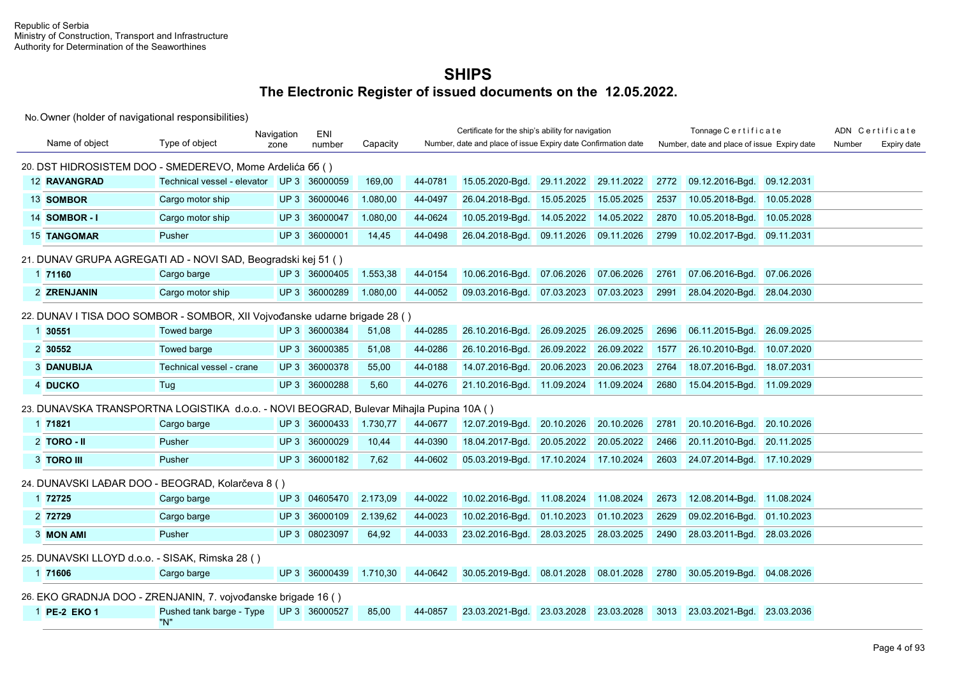|                                                 |                                                                                         | Navigation | ENI           |          |         | Certificate for the ship's ability for navigation             |            |            |      | Tonnage Certificate                         |            |        | ADN Certificate |
|-------------------------------------------------|-----------------------------------------------------------------------------------------|------------|---------------|----------|---------|---------------------------------------------------------------|------------|------------|------|---------------------------------------------|------------|--------|-----------------|
| Name of object                                  | Type of object                                                                          | zone       | number        | Capacity |         | Number, date and place of issue Expiry date Confirmation date |            |            |      | Number, date and place of issue Expiry date |            | Number | Expiry date     |
|                                                 | 20. DST HIDROSISTEM DOO - SMEDEREVO, Mome Ardelića 66 ()                                |            |               |          |         |                                                               |            |            |      |                                             |            |        |                 |
| <b>12 RAVANGRAD</b>                             | Technical vessel - elevator                                                             |            | UP 3 36000059 | 169,00   | 44-0781 | 15.05.2020-Bgd.                                               | 29.11.2022 | 29.11.2022 | 2772 | 09.12.2016-Bgd.                             | 09.12.2031 |        |                 |
| 13 SOMBOR                                       | Cargo motor ship                                                                        |            | UP 3 36000046 | 1.080,00 | 44-0497 | 26.04.2018-Bgd.                                               | 15.05.2025 | 15.05.2025 | 2537 | 10.05.2018-Bgd.                             | 10.05.2028 |        |                 |
| 14 SOMBOR-I                                     | Cargo motor ship                                                                        | UP3        | 36000047      | 1.080,00 | 44-0624 | 10.05.2019-Bgd.                                               | 14.05.2022 | 14.05.2022 | 2870 | 10.05.2018-Bgd.                             | 10.05.2028 |        |                 |
| <b>15 TANGOMAR</b>                              | Pusher                                                                                  |            | UP 3 36000001 | 14,45    | 44-0498 | 26.04.2018-Bgd.                                               | 09.11.2026 | 09.11.2026 | 2799 | 10.02.2017-Bgd.                             | 09.11.2031 |        |                 |
|                                                 | 21. DUNAV GRUPA AGREGATI AD - NOVI SAD, Beogradski kej 51 ()                            |            |               |          |         |                                                               |            |            |      |                                             |            |        |                 |
| 1 71160                                         | Cargo barge                                                                             |            | UP 3 36000405 | 1.553,38 | 44-0154 | 10.06.2016-Bgd.                                               | 07.06.2026 | 07.06.2026 | 2761 | 07.06.2016-Bgd.                             | 07.06.2026 |        |                 |
| 2 ZRENJANIN                                     | Cargo motor ship                                                                        |            | UP 3 36000289 | 1.080,00 | 44-0052 | 09.03.2016-Bgd.                                               | 07.03.2023 | 07.03.2023 | 2991 | 28.04.2020-Bgd.                             | 28.04.2030 |        |                 |
|                                                 | 22. DUNAV I TISA DOO SOMBOR - SOMBOR, XII Vojvođanske udarne brigade 28 ()              |            |               |          |         |                                                               |            |            |      |                                             |            |        |                 |
| 1 30551                                         | <b>Towed barge</b>                                                                      |            | UP 3 36000384 | 51,08    | 44-0285 | 26.10.2016-Bgd.                                               | 26.09.2025 | 26.09.2025 | 2696 | 06.11.2015-Bgd.                             | 26.09.2025 |        |                 |
| 2 30552                                         | Towed barge                                                                             |            | UP 3 36000385 | 51,08    | 44-0286 | 26.10.2016-Bgd.                                               | 26.09.2022 | 26.09.2022 | 1577 | 26.10.2010-Bqd.                             | 10.07.2020 |        |                 |
| <b>3 DANUBIJA</b>                               | Technical vessel - crane                                                                |            | UP 3 36000378 | 55,00    | 44-0188 | 14.07.2016-Bgd.                                               | 20.06.2023 | 20.06.2023 | 2764 | 18.07.2016-Bgd.                             | 18.07.2031 |        |                 |
| 4 DUCKO                                         | Tug                                                                                     |            | UP 3 36000288 | 5,60     | 44-0276 | 21.10.2016-Bgd. 11.09.2024                                    |            | 11.09.2024 | 2680 | 15.04.2015-Bgd. 11.09.2029                  |            |        |                 |
|                                                 | 23. DUNAVSKA TRANSPORTNA LOGISTIKA d.o.o. - NOVI BEOGRAD, Bulevar Mihajla Pupina 10A () |            |               |          |         |                                                               |            |            |      |                                             |            |        |                 |
| 1 71821                                         | Cargo barge                                                                             |            | UP 3 36000433 | 1.730,77 | 44-0677 | 12.07.2019-Bgd.                                               | 20.10.2026 | 20.10.2026 | 2781 | 20.10.2016-Bgd.                             | 20.10.2026 |        |                 |
| $2$ TORO - II                                   | Pusher                                                                                  |            | UP 3 36000029 | 10,44    | 44-0390 | 18.04.2017-Bgd.                                               | 20.05.2022 | 20.05.2022 | 2466 | 20.11.2010-Bgd.                             | 20.11.2025 |        |                 |
| 3 TORO III                                      | Pusher                                                                                  |            | UP 3 36000182 | 7,62     | 44-0602 | 05.03.2019-Bgd.                                               | 17.10.2024 | 17.10.2024 | 2603 | 24.07.2014-Bgd. 17.10.2029                  |            |        |                 |
|                                                 | 24. DUNAVSKI LAĐAR DOO - BEOGRAD, Kolarčeva 8 ()                                        |            |               |          |         |                                                               |            |            |      |                                             |            |        |                 |
| 1 72725                                         | Cargo barge                                                                             |            | UP 3 04605470 | 2.173,09 | 44-0022 | 10.02.2016-Bgd.                                               | 11.08.2024 | 11.08.2024 | 2673 | 12.08.2014-Bgd.                             | 11.08.2024 |        |                 |
| 2 72729                                         | Cargo barge                                                                             |            | UP 3 36000109 | 2.139,62 | 44-0023 | 10.02.2016-Bgd.                                               | 01.10.2023 | 01.10.2023 | 2629 | 09.02.2016-Bgd.                             | 01.10.2023 |        |                 |
| 3 MON AMI                                       | Pusher                                                                                  |            | UP 3 08023097 | 64,92    | 44-0033 | 23.02.2016-Bgd. 28.03.2025                                    |            | 28.03.2025 | 2490 | 28.03.2011-Bgd.                             | 28.03.2026 |        |                 |
| 25. DUNAVSKI LLOYD d.o.o. - SISAK, Rimska 28 () |                                                                                         |            |               |          |         |                                                               |            |            |      |                                             |            |        |                 |
| 1 71606                                         | Cargo barge                                                                             |            | UP 3 36000439 | 1.710,30 | 44-0642 | 30.05.2019-Bqd. 08.01.2028                                    |            | 08.01.2028 | 2780 | 30.05.2019-Bgd.                             | 04.08.2026 |        |                 |
|                                                 | 26. EKO GRADNJA DOO - ZRENJANIN, 7. vojvođanske brigade 16 ()                           |            |               |          |         |                                                               |            |            |      |                                             |            |        |                 |
| 1 PE-2 EKO 1                                    | Pushed tank barge - Type UP 3 36000527<br>"N"                                           |            |               | 85,00    | 44-0857 | 23.03.2021-Bgd.                                               | 23.03.2028 | 23.03.2028 | 3013 | 23.03.2021-Bgd.                             | 23.03.2036 |        |                 |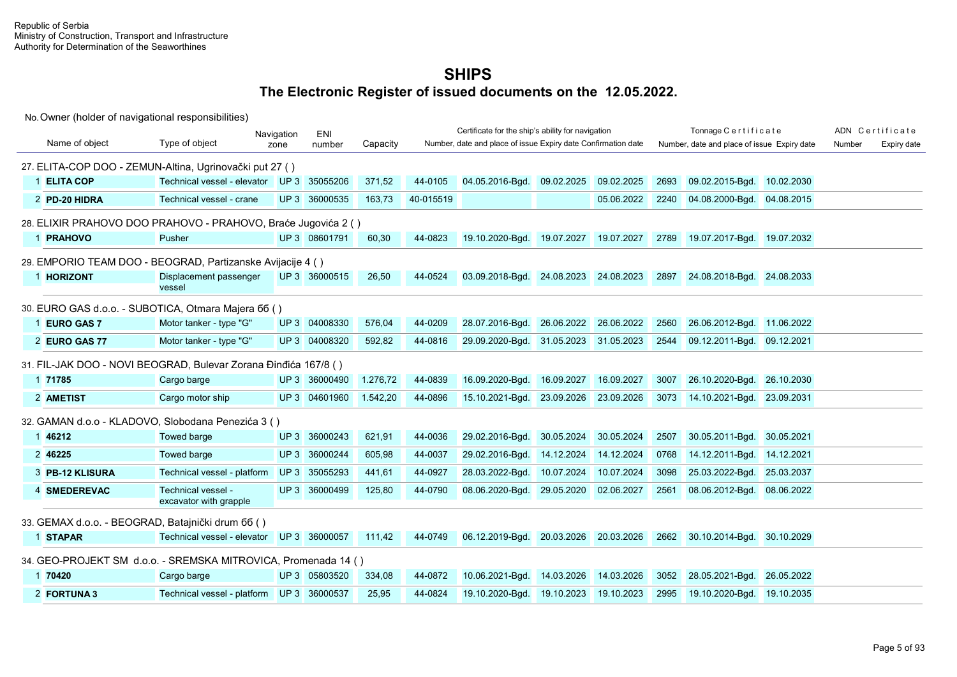|                                                   |                                                                 | Navigation | ENI           |          |           | Certificate for the ship's ability for navigation             |            |            |      | Tonnage Certificate                         |            |        | ADN Certificate |
|---------------------------------------------------|-----------------------------------------------------------------|------------|---------------|----------|-----------|---------------------------------------------------------------|------------|------------|------|---------------------------------------------|------------|--------|-----------------|
| Name of object                                    | Type of object                                                  | zone       | number        | Capacity |           | Number, date and place of issue Expiry date Confirmation date |            |            |      | Number, date and place of issue Expiry date |            | Number | Expiry date     |
|                                                   | 27. ELITA-COP DOO - ZEMUN-Altina, Ugrinovački put 27 ()         |            |               |          |           |                                                               |            |            |      |                                             |            |        |                 |
| 1 ELITA COP                                       | Technical vessel - elevator UP 3 35055206                       |            |               | 371,52   | 44-0105   | 04.05.2016-Bgd.                                               | 09.02.2025 | 09.02.2025 | 2693 | 09.02.2015-Bgd.                             | 10.02.2030 |        |                 |
| 2 PD-20 HIDRA                                     | Technical vessel - crane                                        |            | UP 3 36000535 | 163,73   | 40-015519 |                                                               |            | 05.06.2022 | 2240 | 04.08.2000-Bgd. 04.08.2015                  |            |        |                 |
|                                                   | 28. ELIXIR PRAHOVO DOO PRAHOVO - PRAHOVO, Braće Jugovića 2 ()   |            |               |          |           |                                                               |            |            |      |                                             |            |        |                 |
| 1 PRAHOVO                                         | Pusher                                                          |            | UP 3 08601791 | 60,30    | 44-0823   | 19.10.2020-Bgd. 19.07.2027                                    |            | 19.07.2027 | 2789 | 19.07.2017-Bgd. 19.07.2032                  |            |        |                 |
|                                                   | 29. EMPORIO TEAM DOO - BEOGRAD, Partizanske Avijacije 4 ()      |            |               |          |           |                                                               |            |            |      |                                             |            |        |                 |
| 1 HORIZONT                                        | Displacement passenger<br>vessel                                |            | UP 3 36000515 | 26,50    | 44-0524   | 03.09.2018-Bgd. 24.08.2023 24.08.2023                         |            |            | 2897 | 24.08.2018-Bgd. 24.08.2033                  |            |        |                 |
|                                                   | 30. EURO GAS d.o.o. - SUBOTICA, Otmara Majera 66 ()             |            |               |          |           |                                                               |            |            |      |                                             |            |        |                 |
| 1 EURO GAS 7                                      | Motor tanker - type "G"                                         |            | UP 3 04008330 | 576,04   | 44-0209   | 28.07.2016-Bgd.                                               | 26.06.2022 | 26.06.2022 | 2560 | 26.06.2012-Bgd. 11.06.2022                  |            |        |                 |
| 2 EURO GAS 77                                     | Motor tanker - type "G"                                         |            | UP 3 04008320 | 592,82   | 44-0816   | 29.09.2020-Bgd.                                               | 31.05.2023 | 31.05.2023 | 2544 | 09.12.2011-Bgd. 09.12.2021                  |            |        |                 |
|                                                   | 31. FIL-JAK DOO - NOVI BEOGRAD, Bulevar Zorana Đinđića 167/8 () |            |               |          |           |                                                               |            |            |      |                                             |            |        |                 |
| 1 71785                                           | Cargo barge                                                     |            | UP 3 36000490 | 1.276,72 | 44-0839   | 16.09.2020-Bgd.                                               | 16.09.2027 | 16.09.2027 | 3007 | 26.10.2020-Bgd. 26.10.2030                  |            |        |                 |
| 2 AMETIST                                         | Cargo motor ship                                                |            | UP 3 04601960 | 1.542,20 | 44-0896   | 15.10.2021-Bgd.                                               | 23.09.2026 | 23.09.2026 | 3073 | 14.10.2021-Bgd. 23.09.2031                  |            |        |                 |
|                                                   | 32. GAMAN d.o.o - KLADOVO, Slobodana Penezića 3 ()              |            |               |          |           |                                                               |            |            |      |                                             |            |        |                 |
| 1 46212                                           | <b>Towed barge</b>                                              |            | UP 3 36000243 | 621,91   | 44-0036   | 29.02.2016-Bgd.                                               | 30.05.2024 | 30.05.2024 | 2507 | 30.05.2011-Bgd.                             | 30.05.2021 |        |                 |
| 2 46225                                           | <b>Towed barge</b>                                              |            | UP 3 36000244 | 605,98   | 44-0037   | 29.02.2016-Bgd.                                               | 14.12.2024 | 14.12.2024 | 0768 | 14.12.2011-Bgd.                             | 14.12.2021 |        |                 |
| 3 PB-12 KLISURA                                   | Technical vessel - platform                                     |            | UP 3 35055293 | 441.61   | 44-0927   | 28.03.2022-Bgd.                                               | 10.07.2024 | 10.07.2024 | 3098 | 25.03.2022-Bgd.                             | 25.03.2037 |        |                 |
| 4 SMEDEREVAC                                      | Technical vessel -<br>excavator with grapple                    |            | UP 3 36000499 | 125,80   | 44-0790   | 08.06.2020-Bgd. 29.05.2020                                    |            | 02.06.2027 | 2561 | 08.06.2012-Bgd. 08.06.2022                  |            |        |                 |
| 33. GEMAX d.o.o. - BEOGRAD, Batajnički drum 66 () |                                                                 |            |               |          |           |                                                               |            |            |      |                                             |            |        |                 |
| 1 STAPAR                                          | Technical vessel - elevator UP 3 36000057                       |            |               | 111.42   | 44-0749   | 06.12.2019-Bgd. 20.03.2026                                    |            | 20.03.2026 | 2662 | 30.10.2014-Bad. 30.10.2029                  |            |        |                 |
|                                                   | 34. GEO-PROJEKT SM d.o.o. - SREMSKA MITROVICA, Promenada 14 ()  |            |               |          |           |                                                               |            |            |      |                                             |            |        |                 |
| 1 70420                                           | Cargo barge                                                     |            | UP 3 05803520 | 334,08   | 44-0872   | 10.06.2021-Bgd.                                               | 14.03.2026 | 14.03.2026 | 3052 | 28.05.2021-Bgd.                             | 26.05.2022 |        |                 |
| 2 FORTUNA 3                                       | Technical vessel - platform UP 3 36000537                       |            |               | 25,95    | 44-0824   | 19.10.2020-Bgd. 19.10.2023                                    |            | 19.10.2023 | 2995 | 19.10.2020-Bgd. 19.10.2035                  |            |        |                 |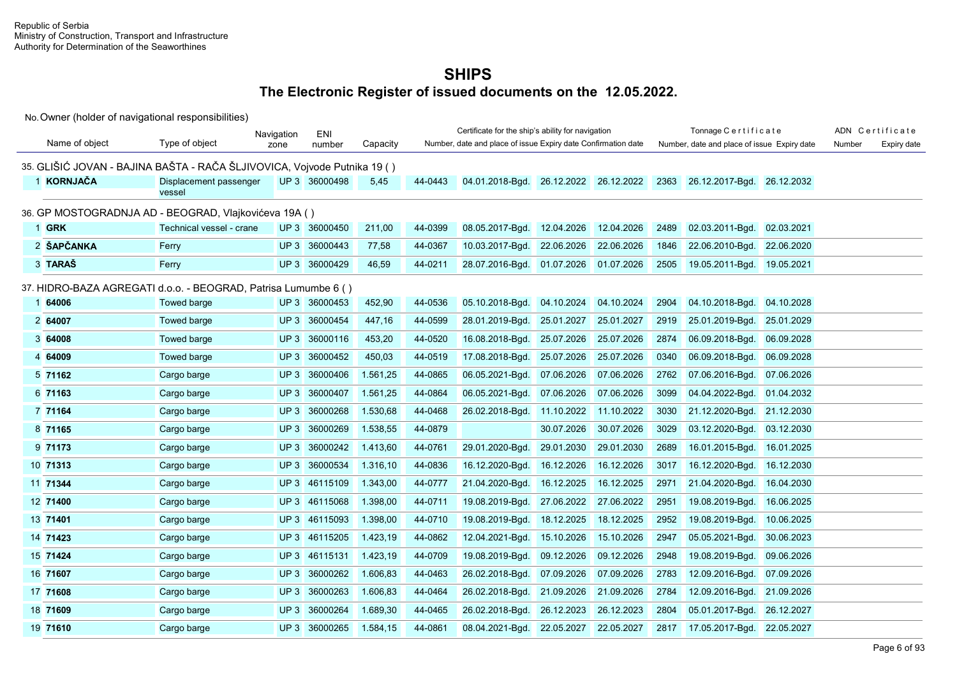|                |                                                                          | Navigation      | ENI           |          |         | Certificate for the ship's ability for navigation             |            |                       |      | Tonnage Certificate                         |            |        | ADN Certificate |
|----------------|--------------------------------------------------------------------------|-----------------|---------------|----------|---------|---------------------------------------------------------------|------------|-----------------------|------|---------------------------------------------|------------|--------|-----------------|
| Name of object | Type of object                                                           | zone            | number        | Capacity |         | Number, date and place of issue Expiry date Confirmation date |            |                       |      | Number, date and place of issue Expiry date |            | Number | Expiry date     |
|                | 35. GLIŠIĆ JOVAN - BAJINA BAŠTA - RAČA ŠLJIVOVICA, Vojvode Putnika 19 () |                 |               |          |         |                                                               |            |                       |      |                                             |            |        |                 |
| 1 KORNJAČA     | Displacement passenger<br>vessel                                         |                 | UP 3 36000498 | 5,45     | 44-0443 | 04.01.2018-Bgd.                                               |            | 26.12.2022 26.12.2022 | 2363 | 26.12.2017-Bgd. 26.12.2032                  |            |        |                 |
|                | 36. GP MOSTOGRADNJA AD - BEOGRAD, Vlajkovićeva 19A ()                    |                 |               |          |         |                                                               |            |                       |      |                                             |            |        |                 |
| 1 GRK          | Technical vessel - crane                                                 |                 | UP 3 36000450 | 211,00   | 44-0399 | 08.05.2017-Bqd.                                               | 12.04.2026 | 12.04.2026            | 2489 | 02.03.2011-Bgd.                             | 02.03.2021 |        |                 |
| 2 ŠAPČANKA     | Ferry                                                                    | UP3             | 36000443      | 77,58    | 44-0367 | 10.03.2017-Bqd.                                               | 22.06.2026 | 22.06.2026            | 1846 | 22.06.2010-Bgd.                             | 22.06.2020 |        |                 |
| 3 TARAŠ        | Ferry                                                                    |                 | UP 3 36000429 | 46,59    | 44-0211 | 28.07.2016-Bgd.                                               | 01.07.2026 | 01.07.2026            | 2505 | 19.05.2011-Bgd. 19.05.2021                  |            |        |                 |
|                | 37. HIDRO-BAZA AGREGATI d.o.o. - BEOGRAD, Patrisa Lumumbe 6 ()           |                 |               |          |         |                                                               |            |                       |      |                                             |            |        |                 |
| 1 64006        | <b>Towed barge</b>                                                       | UP3             | 36000453      | 452,90   | 44-0536 | 05.10.2018-Bgd.                                               | 04.10.2024 | 04.10.2024            | 2904 | 04.10.2018-Bgd. 04.10.2028                  |            |        |                 |
| 2 64007        | Towed barge                                                              | UP <sub>3</sub> | 36000454      | 447,16   | 44-0599 | 28.01.2019-Bgd.                                               | 25.01.2027 | 25.01.2027            | 2919 | 25.01.2019-Bgd.                             | 25.01.2029 |        |                 |
| 3 64008        | <b>Towed barge</b>                                                       | UP <sub>3</sub> | 36000116      | 453,20   | 44-0520 | 16.08.2018-Bgd.                                               | 25.07.2026 | 25.07.2026            | 2874 | 06.09.2018-Bgd.                             | 06.09.2028 |        |                 |
| 4 64009        | <b>Towed barge</b>                                                       | UP3             | 36000452      | 450,03   | 44-0519 | 17.08.2018-Bgd.                                               | 25.07.2026 | 25.07.2026            | 0340 | 06.09.2018-Bqd.                             | 06.09.2028 |        |                 |
| 5 71162        | Cargo barge                                                              | UP <sub>3</sub> | 36000406      | 1.561,25 | 44-0865 | 06.05.2021-Bqd.                                               | 07.06.2026 | 07.06.2026            | 2762 | 07.06.2016-Bgd. 07.06.2026                  |            |        |                 |
| 6 71163        | Cargo barge                                                              | UP <sub>3</sub> | 36000407      | 1.561,25 | 44-0864 | 06.05.2021-Bgd.                                               | 07.06.2026 | 07.06.2026            | 3099 | 04.04.2022-Bgd. 01.04.2032                  |            |        |                 |
| 7 71164        | Cargo barge                                                              | UP <sub>3</sub> | 36000268      | 1.530,68 | 44-0468 | 26.02.2018-Bqd.                                               | 11.10.2022 | 11.10.2022            | 3030 | 21.12.2020-Bgd.                             | 21.12.2030 |        |                 |
| 8 71165        | Cargo barge                                                              | UP <sub>3</sub> | 36000269      | 1.538,55 | 44-0879 |                                                               | 30.07.2026 | 30.07.2026            | 3029 | 03.12.2020-Bgd. 03.12.2030                  |            |        |                 |
| 9 71173        | Cargo barge                                                              | UP3             | 36000242      | 1.413,60 | 44-0761 | 29.01.2020-Bgd.                                               | 29.01.2030 | 29.01.2030            | 2689 | 16.01.2015-Bgd. 16.01.2025                  |            |        |                 |
| 10 71313       | Cargo barge                                                              | UP <sub>3</sub> | 36000534      | 1.316,10 | 44-0836 | 16.12.2020-Bgd.                                               | 16.12.2026 | 16.12.2026            | 3017 | 16.12.2020-Bgd.                             | 16.12.2030 |        |                 |
| 11 71344       | Cargo barge                                                              | UP <sub>3</sub> | 46115109      | 1.343,00 | 44-0777 | 21.04.2020-Bgd.                                               | 16.12.2025 | 16.12.2025            | 2971 | 21.04.2020-Bgd.                             | 16.04.2030 |        |                 |
| 12 71400       | Cargo barge                                                              | UP <sub>3</sub> | 46115068      | 1.398,00 | 44-0711 | 19.08.2019-Bqd.                                               | 27.06.2022 | 27.06.2022            | 2951 | 19.08.2019-Bgd.                             | 16.06.2025 |        |                 |
| 13 71401       | Cargo barge                                                              | UP <sub>3</sub> | 46115093      | 1.398,00 | 44-0710 | 19.08.2019-Bgd.                                               | 18.12.2025 | 18.12.2025            | 2952 | 19.08.2019-Bgd.                             | 10.06.2025 |        |                 |
| 14 71423       | Cargo barge                                                              | UP <sub>3</sub> | 46115205      | 1.423,19 | 44-0862 | 12.04.2021-Bgd.                                               | 15.10.2026 | 15.10.2026            | 2947 | 05.05.2021-Bgd. 30.06.2023                  |            |        |                 |
| 15 71424       | Cargo barge                                                              | UP <sub>3</sub> | 46115131      | 1.423,19 | 44-0709 | 19.08.2019-Bqd.                                               | 09.12.2026 | 09.12.2026            | 2948 | 19.08.2019-Bgd.                             | 09.06.2026 |        |                 |
| 16 71607       | Cargo barge                                                              | UP <sub>3</sub> | 36000262      | 1.606,83 | 44-0463 | 26.02.2018-Bgd.                                               | 07.09.2026 | 07.09.2026            | 2783 | 12.09.2016-Bgd. 07.09.2026                  |            |        |                 |
| 17 71608       | Cargo barge                                                              | UP <sub>3</sub> | 36000263      | 1.606,83 | 44-0464 | 26.02.2018-Bgd.                                               | 21.09.2026 | 21.09.2026            | 2784 | 12.09.2016-Bgd. 21.09.2026                  |            |        |                 |
| 18 71609       | Cargo barge                                                              | UP <sub>3</sub> | 36000264      | 1.689,30 | 44-0465 | 26.02.2018-Bgd.                                               | 26.12.2023 | 26.12.2023            | 2804 | 05.01.2017-Bgd.                             | 26.12.2027 |        |                 |
| 19 71610       | Cargo barge                                                              | UP3             | 36000265      | 1.584,15 | 44-0861 | 08.04.2021-Bgd.                                               | 22.05.2027 | 22.05.2027            | 2817 | 17.05.2017-Bgd. 22.05.2027                  |            |        |                 |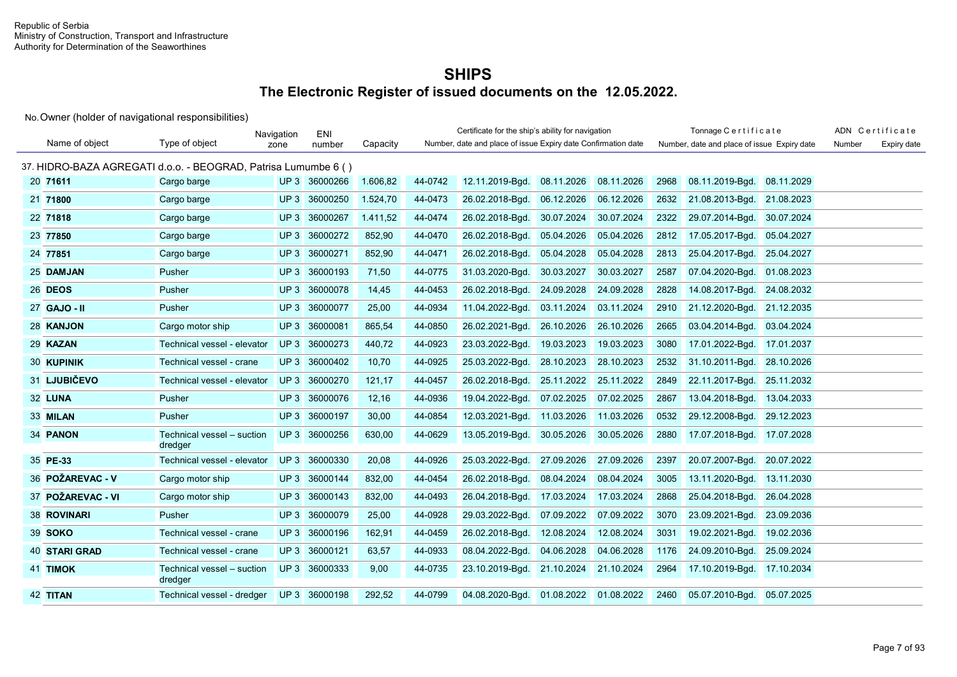|                      |                                                                | Navigation      | ENI           |          |         | Certificate for the ship's ability for navigation             |            |            |      | Tonnage Certificate                         |            |        | ADN Certificate |
|----------------------|----------------------------------------------------------------|-----------------|---------------|----------|---------|---------------------------------------------------------------|------------|------------|------|---------------------------------------------|------------|--------|-----------------|
| Name of object       | Type of object                                                 | zone            | number        | Capacity |         | Number, date and place of issue Expiry date Confirmation date |            |            |      | Number, date and place of issue Expiry date |            | Number | Expiry date     |
|                      | 37. HIDRO-BAZA AGREGATI d.o.o. - BEOGRAD, Patrisa Lumumbe 6 () |                 |               |          |         |                                                               |            |            |      |                                             |            |        |                 |
| 20 71611             | Cargo barge                                                    |                 | UP 3 36000266 | 1.606,82 | 44-0742 | 12.11.2019-Bgd.                                               | 08.11.2026 | 08.11.2026 | 2968 | 08.11.2019-Bqd.                             | 08.11.2029 |        |                 |
| 21 71800             | Cargo barge                                                    |                 | UP 3 36000250 | 1.524,70 | 44-0473 | 26.02.2018-Bgd.                                               | 06.12.2026 | 06.12.2026 | 2632 | 21.08.2013-Bgd.                             | 21.08.2023 |        |                 |
| 22 71818             | Cargo barge                                                    | UP <sub>3</sub> | 36000267      | 1.411,52 | 44-0474 | 26.02.2018-Bgd.                                               | 30.07.2024 | 30.07.2024 | 2322 | 29.07.2014-Bgd.                             | 30.07.2024 |        |                 |
| 23 77850             | Cargo barge                                                    |                 | UP 3 36000272 | 852,90   | 44-0470 | 26.02.2018-Bgd.                                               | 05.04.2026 | 05.04.2026 | 2812 | 17.05.2017-Bgd.                             | 05.04.2027 |        |                 |
| 24 77851             | Cargo barge                                                    | UP3             | 36000271      | 852,90   | 44-0471 | 26.02.2018-Bgd.                                               | 05.04.2028 | 05.04.2028 | 2813 | 25.04.2017-Bgd.                             | 25.04.2027 |        |                 |
| 25 DAMJAN            | Pusher                                                         | UP3             | 36000193      | 71,50    | 44-0775 | 31.03.2020-Bgd.                                               | 30.03.2027 | 30.03.2027 | 2587 | 07.04.2020-Bgd.                             | 01.08.2023 |        |                 |
| 26 DEOS              | Pusher                                                         |                 | UP 3 36000078 | 14,45    | 44-0453 | 26.02.2018-Bgd.                                               | 24.09.2028 | 24.09.2028 | 2828 | 14.08.2017-Bgd.                             | 24.08.2032 |        |                 |
| 27 GAJO - II         | Pusher                                                         | UP3             | 36000077      | 25,00    | 44-0934 | 11.04.2022-Bgd.                                               | 03.11.2024 | 03.11.2024 | 2910 | 21.12.2020-Bqd.                             | 21.12.2035 |        |                 |
| 28 KANJON            | Cargo motor ship                                               |                 | UP 3 36000081 | 865,54   | 44-0850 | 26.02.2021-Bgd.                                               | 26.10.2026 | 26.10.2026 | 2665 | 03.04.2014-Bgd.                             | 03.04.2024 |        |                 |
| 29 KAZAN             | Technical vessel - elevator                                    | UP <sub>3</sub> | 36000273      | 440,72   | 44-0923 | 23.03.2022-Bgd.                                               | 19.03.2023 | 19.03.2023 | 3080 | 17.01.2022-Bgd.                             | 17.01.2037 |        |                 |
| <b>30 KUPINIK</b>    | Technical vessel - crane                                       |                 | UP 3 36000402 | 10,70    | 44-0925 | 25.03.2022-Bgd.                                               | 28.10.2023 | 28.10.2023 | 2532 | 31.10.2011-Bgd.                             | 28.10.2026 |        |                 |
| 31 LJUBIČEVO         | Technical vessel - elevator                                    | UP3             | 36000270      | 121,17   | 44-0457 | 26.02.2018-Bgd.                                               | 25.11.2022 | 25.11.2022 | 2849 | 22.11.2017-Bgd.                             | 25.11.2032 |        |                 |
| 32 LUNA              | Pusher                                                         |                 | UP 3 36000076 | 12,16    | 44-0936 | 19.04.2022-Bgd.                                               | 07.02.2025 | 07.02.2025 | 2867 | 13.04.2018-Bgd.                             | 13.04.2033 |        |                 |
| 33 MILAN             | Pusher                                                         |                 | UP 3 36000197 | 30,00    | 44-0854 | 12.03.2021-Bgd.                                               | 11.03.2026 | 11.03.2026 | 0532 | 29.12.2008-Bqd.                             | 29.12.2023 |        |                 |
| 34 PANON             | Technical vessel - suction<br>dredger                          |                 | UP 3 36000256 | 630,00   | 44-0629 | 13.05.2019-Bgd.                                               | 30.05.2026 | 30.05.2026 | 2880 | 17.07.2018-Bgd. 17.07.2028                  |            |        |                 |
| 35 PE-33             | Technical vessel - elevator                                    | UP3             | 36000330      | 20,08    | 44-0926 | 25.03.2022-Bgd.                                               | 27.09.2026 | 27.09.2026 | 2397 | 20.07.2007-Bgd.                             | 20.07.2022 |        |                 |
| 36 POŽAREVAC - V     | Cargo motor ship                                               |                 | UP 3 36000144 | 832,00   | 44-0454 | 26.02.2018-Bgd.                                               | 08.04.2024 | 08.04.2024 | 3005 | 13.11.2020-Bgd.                             | 13.11.2030 |        |                 |
| 37 POŽAREVAC - VI    | Cargo motor ship                                               | UP3             | 36000143      | 832,00   | 44-0493 | 26.04.2018-Bgd.                                               | 17.03.2024 | 17.03.2024 | 2868 | 25.04.2018-Bgd.                             | 26.04.2028 |        |                 |
| 38 ROVINARI          | Pusher                                                         |                 | UP 3 36000079 | 25,00    | 44-0928 | 29.03.2022-Bgd.                                               | 07.09.2022 | 07.09.2022 | 3070 | 23.09.2021-Bgd.                             | 23.09.2036 |        |                 |
| 39 SOKO              | Technical vessel - crane                                       | UP3             | 36000196      | 162,91   | 44-0459 | 26.02.2018-Bgd.                                               | 12.08.2024 | 12.08.2024 | 3031 | 19.02.2021-Bgd.                             | 19.02.2036 |        |                 |
| <b>40 STARI GRAD</b> | Technical vessel - crane                                       |                 | UP 3 36000121 | 63,57    | 44-0933 | 08.04.2022-Bgd.                                               | 04.06.2028 | 04.06.2028 | 1176 | 24.09.2010-Bgd.                             | 25.09.2024 |        |                 |
| 41 TIMOK             | Technical vessel - suction<br>dredger                          |                 | UP 3 36000333 | 9,00     | 44-0735 | 23.10.2019-Bgd.                                               | 21.10.2024 | 21.10.2024 | 2964 | 17.10.2019-Bgd. 17.10.2034                  |            |        |                 |
| 42 TITAN             | Technical vessel - dredger                                     |                 | UP 3 36000198 | 292,52   | 44-0799 | 04.08.2020-Bad.                                               | 01.08.2022 | 01.08.2022 | 2460 | 05.07.2010-Bad.                             | 05.07.2025 |        |                 |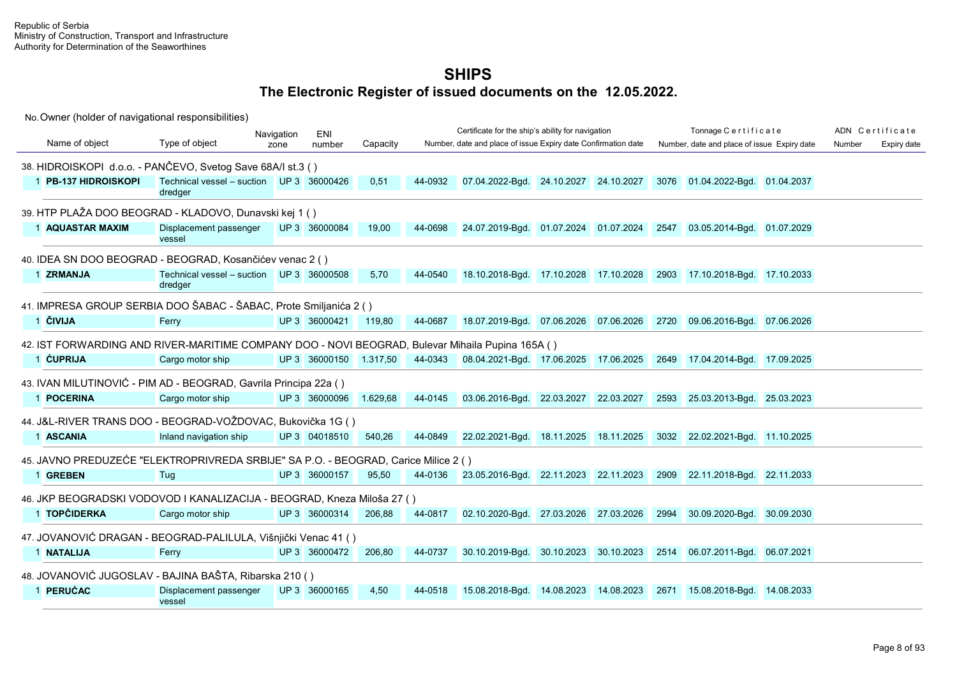|                                                                                                  |                                                     | Navigation | ENI                    |          |         | Certificate for the ship's ability for navigation             |                       |      | Tonnage Certificate                                                   |        | ADN Certificate |
|--------------------------------------------------------------------------------------------------|-----------------------------------------------------|------------|------------------------|----------|---------|---------------------------------------------------------------|-----------------------|------|-----------------------------------------------------------------------|--------|-----------------|
| Name of object                                                                                   | Type of object                                      | zone       | number                 | Capacity |         | Number, date and place of issue Expiry date Confirmation date |                       |      | Number, date and place of issue Expiry date                           | Number | Expiry date     |
| 38. HIDROISKOPI d.o.o. - PANČEVO, Svetog Save 68A/I st.3 ()                                      |                                                     |            |                        |          |         |                                                               |                       |      |                                                                       |        |                 |
| 1 PB-137 HIDROISKOPI                                                                             | Technical vessel - suction UP 3 36000426<br>dredger |            |                        | 0,51     | 44-0932 | 07.04.2022-Bgd. 24.10.2027 24.10.2027                         |                       | 3076 | 01.04.2022-Bgd. 01.04.2037                                            |        |                 |
| 39. HTP PLAŽA DOO BEOGRAD - KLADOVO, Dunavski kej 1 ()                                           |                                                     |            |                        |          |         |                                                               |                       |      |                                                                       |        |                 |
| 1 AQUASTAR MAXIM                                                                                 | Displacement passenger<br>vessel                    |            | UP 3 36000084          | 19,00    | 44-0698 | 24.07.2019-Bgd. 01.07.2024 01.07.2024                         |                       | 2547 | 03.05.2014-Bgd. 01.07.2029                                            |        |                 |
| 40. IDEA SN DOO BEOGRAD - BEOGRAD, Kosančićev venac 2 ()                                         |                                                     |            |                        |          |         |                                                               |                       |      |                                                                       |        |                 |
| 1 ZRMANJA                                                                                        | Technical vessel - suction UP 3 36000508<br>dredger |            |                        | 5,70     | 44-0540 | 18.10.2018-Bgd. 17.10.2028 17.10.2028                         |                       | 2903 | 17.10.2018-Bgd. 17.10.2033                                            |        |                 |
| 41. IMPRESA GROUP SERBIA DOO ŠABAC - ŠABAC, Prote Smiljanića 2 ()                                |                                                     |            |                        |          |         |                                                               |                       |      |                                                                       |        |                 |
| 1 ČIVIJA                                                                                         | Ferry                                               |            | UP 3 36000421          | 119.80   | 44-0687 | 18.07.2019-Bgd. 07.06.2026 07.06.2026                         |                       |      | 2720 09.06.2016-Bgd. 07.06.2026                                       |        |                 |
| 42. IST FORWARDING AND RIVER-MARITIME COMPANY DOO - NOVI BEOGRAD, Bulevar Mihaila Pupina 165A () |                                                     |            |                        |          |         |                                                               |                       |      |                                                                       |        |                 |
| 1 CUPRIJA                                                                                        | Cargo motor ship                                    |            | UP 3 36000150 1.317,50 |          | 44-0343 | 08.04.2021-Bgd. 17.06.2025 17.06.2025                         |                       |      | 2649 17.04.2014-Bgd. 17.09.2025                                       |        |                 |
| 43. IVAN MILUTINOVIĆ - PIM AD - BEOGRAD, Gavrila Principa 22a ()                                 |                                                     |            |                        |          |         |                                                               |                       |      |                                                                       |        |                 |
| 1 POCERINA                                                                                       | Cargo motor ship                                    |            | UP 3 36000096 1.629,68 |          | 44-0145 | 03.06.2016-Bgd. 22.03.2027 22.03.2027                         |                       |      | 2593 25.03.2013-Bgd. 25.03.2023                                       |        |                 |
| 44. J&L-RIVER TRANS DOO - BEOGRAD-VOŽDOVAC, Bukovička 1G ()                                      |                                                     |            |                        |          |         |                                                               |                       |      |                                                                       |        |                 |
| 1 ASCANIA                                                                                        | Inland navigation ship                              |            | UP 3 04018510          | 540.26   | 44-0849 | 22.02.2021-Bad. 18.11.2025 18.11.2025                         |                       |      | 3032 22.02.2021-Bgd. 11.10.2025                                       |        |                 |
| 45. JAVNO PREDUZEĆE "ELEKTROPRIVREDA SRBIJE" SA P.O. - BEOGRAD, Carice Milice 2 ()               |                                                     |            |                        |          |         |                                                               |                       |      |                                                                       |        |                 |
| 1 GREBEN                                                                                         | Tug                                                 |            | UP 3 36000157          | 95,50    | 44-0136 |                                                               |                       |      | 23.05.2016-Bgd. 22.11.2023 22.11.2023 2909 22.11.2018-Bgd. 22.11.2033 |        |                 |
| 46. JKP BEOGRADSKI VODOVOD I KANALIZACIJA - BEOGRAD, Kneza Miloša 27 ()                          |                                                     |            |                        |          |         |                                                               |                       |      |                                                                       |        |                 |
| 1 TOPČIDERKA                                                                                     | Cargo motor ship                                    |            | UP 3 36000314          | 206,88   | 44-0817 | 02.10.2020-Bgd. 27.03.2026 27.03.2026                         |                       |      | 2994 30.09.2020-Bgd. 30.09.2030                                       |        |                 |
| 47. JOVANOVIĆ DRAGAN - BEOGRAD-PALILULA, Višnjički Venac 41 ()                                   |                                                     |            |                        |          |         |                                                               |                       |      |                                                                       |        |                 |
| 1 NATALIJA                                                                                       | Ferry                                               |            | UP 3 36000472          | 206,80   | 44-0737 | 30.10.2019-Bgd. 30.10.2023 30.10.2023                         |                       |      | 2514 06.07.2011-Bgd. 06.07.2021                                       |        |                 |
| 48. JOVANOVIĆ JUGOSLAV - BAJINA BAŠTA, Ribarska 210 ()                                           |                                                     |            |                        |          |         |                                                               |                       |      |                                                                       |        |                 |
| 1 PERUĆAC                                                                                        | Displacement passenger<br>vessel                    |            | UP 3 36000165          | 4,50     | 44-0518 | 15.08.2018-Bgd.                                               | 14.08.2023 14.08.2023 |      | 2671 15.08.2018-Bgd. 14.08.2033                                       |        |                 |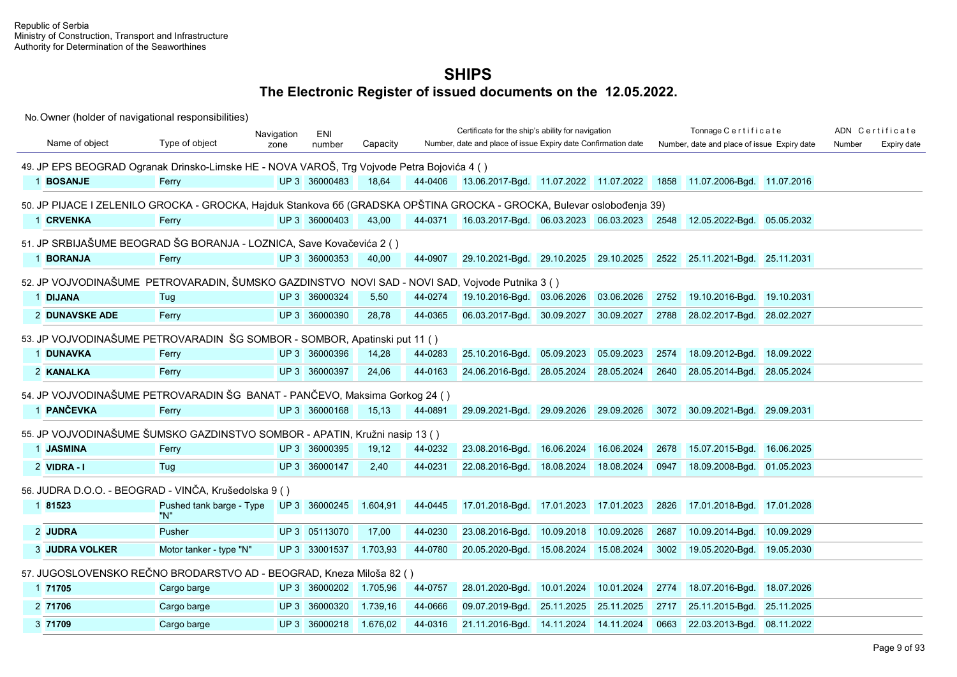|                                                                                                                        |                          | Navigation | <b>ENI</b>    |          |         | Certificate for the ship's ability for navigation             |                       |            |      | Tonnage Certificate                                                   |            |        | ADN Certificate |
|------------------------------------------------------------------------------------------------------------------------|--------------------------|------------|---------------|----------|---------|---------------------------------------------------------------|-----------------------|------------|------|-----------------------------------------------------------------------|------------|--------|-----------------|
| Name of object                                                                                                         | Type of object           | zone       | number        | Capacity |         | Number, date and place of issue Expiry date Confirmation date |                       |            |      | Number, date and place of issue Expiry date                           |            | Number | Expiry date     |
| 49. JP EPS BEOGRAD Ogranak Drinsko-Limske HE - NOVA VAROŠ, Trg Vojvode Petra Bojovića 4 ()                             |                          |            |               |          |         |                                                               |                       |            |      |                                                                       |            |        |                 |
| 1 BOSANJE                                                                                                              | Ferry                    |            | UP 3 36000483 | 18,64    | 44-0406 | 13.06.2017-Bgd. 11.07.2022 11.07.2022                         |                       |            |      | 1858 11.07.2006-Bgd. 11.07.2016                                       |            |        |                 |
|                                                                                                                        |                          |            |               |          |         |                                                               |                       |            |      |                                                                       |            |        |                 |
| 50. JP PIJACE I ZELENILO GROCKA - GROCKA, Hajduk Stankova 66 (GRADSKA OPŠTINA GROCKA - GROCKA, Bulevar oslobođenja 39) |                          |            |               |          |         |                                                               |                       |            |      |                                                                       |            |        |                 |
| 1 CRVENKA                                                                                                              | Ferry                    |            | UP 3 36000403 | 43,00    | 44-0371 |                                                               |                       |            |      | 16.03.2017-Bgd. 06.03.2023 06.03.2023 2548 12.05.2022-Bgd. 05.05.2032 |            |        |                 |
| 51. JP SRBIJAŠUME BEOGRAD ŠG BORANJA - LOZNICA, Save Kovačevića 2 ()                                                   |                          |            |               |          |         |                                                               |                       |            |      |                                                                       |            |        |                 |
| 1 BORANJA                                                                                                              | Ferry                    |            | UP 3 36000353 | 40,00    | 44-0907 | 29.10.2021-Bgd. 29.10.2025 29.10.2025                         |                       |            |      | 2522 25.11.2021-Bgd. 25.11.2031                                       |            |        |                 |
| 52. JP VOJVODINAŠUME PETROVARADIN, ŠUMSKO GAZDINSTVO NOVI SAD - NOVI SAD, Vojvode Putnika 3 ()                         |                          |            |               |          |         |                                                               |                       |            |      |                                                                       |            |        |                 |
| 1 DIJANA                                                                                                               | Tug                      |            | UP 3 36000324 | 5,50     | 44-0274 | 19.10.2016-Bgd. 03.06.2026                                    |                       | 03.06.2026 | 2752 | 19.10.2016-Bgd. 19.10.2031                                            |            |        |                 |
| 2 DUNAVSKE ADE                                                                                                         | Ferry                    |            | UP 3 36000390 | 28,78    | 44-0365 | 06.03.2017-Bqd. 30.09.2027                                    |                       | 30.09.2027 | 2788 | 28.02.2017-Bgd. 28.02.2027                                            |            |        |                 |
|                                                                                                                        |                          |            |               |          |         |                                                               |                       |            |      |                                                                       |            |        |                 |
| 53. JP VOJVODINAŠUME PETROVARADIN ŠG SOMBOR - SOMBOR, Apatinski put 11 ()                                              |                          |            |               |          |         |                                                               |                       |            |      |                                                                       |            |        |                 |
| 1 DUNAVKA                                                                                                              | Ferry                    |            | UP 3 36000396 | 14,28    | 44-0283 | 25.10.2016-Bgd.                                               | 05.09.2023            | 05.09.2023 | 2574 | 18.09.2012-Bgd. 18.09.2022                                            |            |        |                 |
| 2 KANALKA                                                                                                              | Ferry                    |            | UP 3 36000397 | 24,06    | 44-0163 | 24.06.2016-Bgd.                                               | 28.05.2024            | 28.05.2024 | 2640 | 28.05.2014-Bgd. 28.05.2024                                            |            |        |                 |
| 54. JP VOJVODINAŠUME PETROVARADIN ŠG BANAT - PANČEVO, Maksima Gorkog 24 ()                                             |                          |            |               |          |         |                                                               |                       |            |      |                                                                       |            |        |                 |
| 1 PANČEVKA                                                                                                             | Ferry                    |            | UP 3 36000168 | 15,13    | 44-0891 | 29.09.2021-Bgd. 29.09.2026 29.09.2026                         |                       |            |      | 3072 30.09.2021-Bgd. 29.09.2031                                       |            |        |                 |
| 55. JP VOJVODINAŠUME ŠUMSKO GAZDINSTVO SOMBOR - APATIN, Kružni nasip 13 ()                                             |                          |            |               |          |         |                                                               |                       |            |      |                                                                       |            |        |                 |
| 1 JASMINA                                                                                                              | Ferry                    |            | UP 3 36000395 | 19,12    | 44-0232 | 23.08.2016-Bgd.                                               | 16.06.2024            | 16.06.2024 | 2678 | 15.07.2015-Bgd. 16.06.2025                                            |            |        |                 |
|                                                                                                                        |                          |            |               |          |         |                                                               |                       |            |      |                                                                       |            |        |                 |
| 2 VIDRA-I                                                                                                              | Tug                      |            | UP 3 36000147 | 2,40     | 44-0231 | 22.08.2016-Bgd.                                               | 18.08.2024            | 18.08.2024 | 0947 | 18.09.2008-Bgd. 01.05.2023                                            |            |        |                 |
| 56. JUDRA D.O.O. - BEOGRAD - VINČA, Krušedolska 9 ()                                                                   |                          |            |               |          |         |                                                               |                       |            |      |                                                                       |            |        |                 |
| 1 81523                                                                                                                | Pushed tank barge - Type |            | UP 3 36000245 | 1.604,91 | 44-0445 | 17.01.2018-Bgd.                                               | 17.01.2023 17.01.2023 |            | 2826 | 17.01.2018-Bgd. 17.01.2028                                            |            |        |                 |
|                                                                                                                        | "N"                      |            |               |          |         |                                                               |                       |            |      |                                                                       |            |        |                 |
| 2 JUDRA                                                                                                                | Pusher                   |            | UP 3 05113070 | 17,00    | 44-0230 | 23.08.2016-Bgd.                                               | 10.09.2018            | 10.09.2026 | 2687 | 10.09.2014-Bgd.                                                       | 10.09.2029 |        |                 |
| <b>3 JUDRA VOLKER</b>                                                                                                  | Motor tanker - type "N"  |            | UP 3 33001537 | 1.703.93 | 44-0780 | 20.05.2020-Bgd.                                               | 15.08.2024            | 15.08.2024 | 3002 | 19.05.2020-Bgd. 19.05.2030                                            |            |        |                 |
| 57. JUGOSLOVENSKO REČNO BRODARSTVO AD - BEOGRAD, Kneza Miloša 82 ()                                                    |                          |            |               |          |         |                                                               |                       |            |      |                                                                       |            |        |                 |
| 1 71705                                                                                                                | Cargo barge              |            | UP 3 36000202 | 1.705,96 | 44-0757 | 28.01.2020-Bgd.                                               | 10.01.2024            | 10.01.2024 | 2774 | 18.07.2016-Bgd.                                                       | 18.07.2026 |        |                 |
| 2 71706                                                                                                                | Cargo barge              |            | UP 3 36000320 | 1.739,16 | 44-0666 | 09.07.2019-Bgd.                                               | 25.11.2025            | 25.11.2025 | 2717 | 25.11.2015-Bgd. 25.11.2025                                            |            |        |                 |
| 3 71709                                                                                                                | Cargo barge              |            | UP 3 36000218 | 1.676,02 | 44-0316 | 21.11.2016-Bgd.                                               | 14.11.2024            | 14.11.2024 | 0663 | 22.03.2013-Bgd. 08.11.2022                                            |            |        |                 |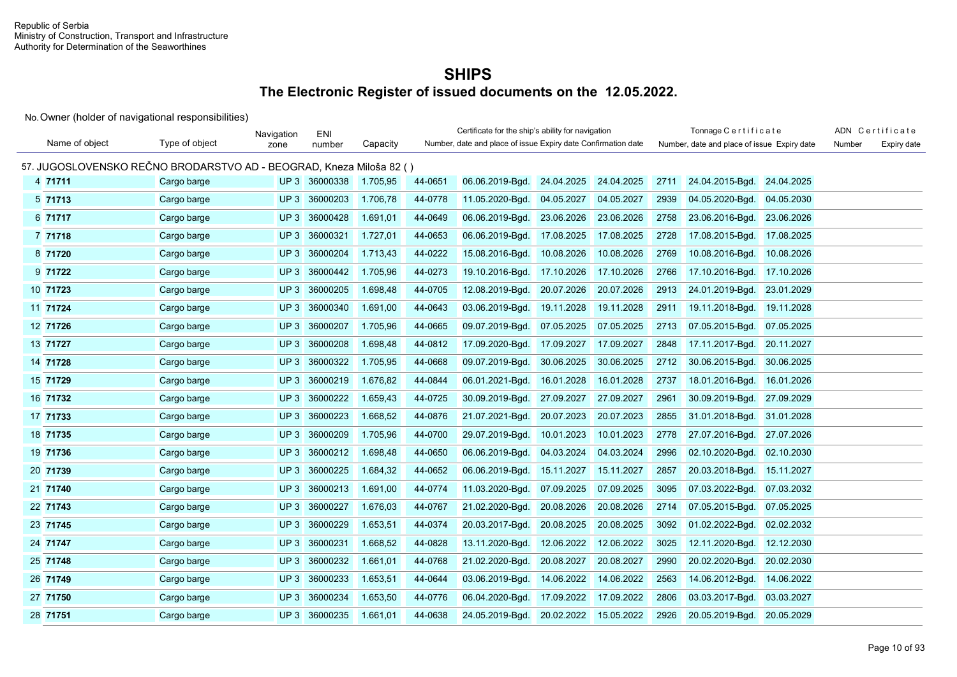|                |                                                                     | Navigation | ENI      |          |         | Certificate for the ship's ability for navigation             |            |            |      | Tonnage Certificate                         |            |        | ADN Certificate |
|----------------|---------------------------------------------------------------------|------------|----------|----------|---------|---------------------------------------------------------------|------------|------------|------|---------------------------------------------|------------|--------|-----------------|
| Name of object | Type of object                                                      | zone       | number   | Capacity |         | Number, date and place of issue Expiry date Confirmation date |            |            |      | Number, date and place of issue Expiry date |            | Number | Expiry date     |
|                | 57. JUGOSLOVENSKO REČNO BRODARSTVO AD - BEOGRAD, Kneza Miloša 82 () |            |          |          |         |                                                               |            |            |      |                                             |            |        |                 |
| 4 71711        | Cargo barge                                                         | UP3        | 36000338 | 1.705,95 | 44-0651 | 06.06.2019-Bqd.                                               | 24.04.2025 | 24.04.2025 | 2711 | 24.04.2015-Bgd.                             | 24.04.2025 |        |                 |
| 5 71713        | Cargo barge                                                         | UP3        | 36000203 | 1.706,78 | 44-0778 | 11.05.2020-Bgd.                                               | 04.05.2027 | 04.05.2027 | 2939 | 04.05.2020-Bgd.                             | 04.05.2030 |        |                 |
| 6 71717        | Cargo barge                                                         | UP3        | 36000428 | 1.691,01 | 44-0649 | 06.06.2019-Bgd.                                               | 23.06.2026 | 23.06.2026 | 2758 | 23.06.2016-Bgd.                             | 23.06.2026 |        |                 |
| 7 71718        | Cargo barge                                                         | UP3        | 36000321 | 1.727,01 | 44-0653 | 06.06.2019-Bgd.                                               | 17.08.2025 | 17.08.2025 | 2728 | 17.08.2015-Bgd.                             | 17.08.2025 |        |                 |
| 8 71720        | Cargo barge                                                         | UP3        | 36000204 | 1.713,43 | 44-0222 | 15.08.2016-Bgd.                                               | 10.08.2026 | 10.08.2026 | 2769 | 10.08.2016-Bgd.                             | 10.08.2026 |        |                 |
| 9 71722        | Cargo barge                                                         | UP3        | 36000442 | 1.705,96 | 44-0273 | 19.10.2016-Bgd.                                               | 17.10.2026 | 17.10.2026 | 2766 | 17.10.2016-Bgd.                             | 17.10.2026 |        |                 |
| 10 71723       | Cargo barge                                                         | UP3        | 36000205 | 1.698,48 | 44-0705 | 12.08.2019-Bgd.                                               | 20.07.2026 | 20.07.2026 | 2913 | 24.01.2019-Bgd.                             | 23.01.2029 |        |                 |
| 11 71724       | Cargo barge                                                         | UP3        | 36000340 | 1.691,00 | 44-0643 | 03.06.2019-Bgd.                                               | 19.11.2028 | 19.11.2028 | 2911 | 19.11.2018-Bgd.                             | 19.11.2028 |        |                 |
| 12 71726       | Cargo barge                                                         | UP3        | 36000207 | 1.705,96 | 44-0665 | 09.07.2019-Bgd.                                               | 07.05.2025 | 07.05.2025 | 2713 | 07.05.2015-Bgd.                             | 07.05.2025 |        |                 |
| 13 71727       | Cargo barge                                                         | UP3        | 36000208 | 1.698,48 | 44-0812 | 17.09.2020-Bgd.                                               | 17.09.2027 | 17.09.2027 | 2848 | 17.11.2017-Bgd.                             | 20.11.2027 |        |                 |
| 14 71728       | Cargo barge                                                         | UP3        | 36000322 | 1.705,95 | 44-0668 | 09.07.2019-Bgd.                                               | 30.06.2025 | 30.06.2025 | 2712 | 30.06.2015-Bgd.                             | 30.06.2025 |        |                 |
| 15 71729       | Cargo barge                                                         | UP3        | 36000219 | 1.676,82 | 44-0844 | 06.01.2021-Bgd.                                               | 16.01.2028 | 16.01.2028 | 2737 | 18.01.2016-Bgd.                             | 16.01.2026 |        |                 |
| 16 71732       | Cargo barge                                                         | UP3        | 36000222 | 1.659,43 | 44-0725 | 30.09.2019-Bgd.                                               | 27.09.2027 | 27.09.2027 | 2961 | 30.09.2019-Bgd.                             | 27.09.2029 |        |                 |
| 17 71733       | Cargo barge                                                         | UP3        | 36000223 | 1.668,52 | 44-0876 | 21.07.2021-Bgd.                                               | 20.07.2023 | 20.07.2023 | 2855 | 31.01.2018-Bqd.                             | 31.01.2028 |        |                 |
| 18 71735       | Cargo barge                                                         | UP3        | 36000209 | 1.705,96 | 44-0700 | 29.07.2019-Bgd.                                               | 10.01.2023 | 10.01.2023 | 2778 | 27.07.2016-Bgd.                             | 27.07.2026 |        |                 |
| 19 71736       | Cargo barge                                                         | UP3        | 36000212 | 1.698,48 | 44-0650 | 06.06.2019-Bgd.                                               | 04.03.2024 | 04.03.2024 | 2996 | 02.10.2020-Bgd.                             | 02.10.2030 |        |                 |
| 20 71739       | Cargo barge                                                         | UP3        | 36000225 | 1.684,32 | 44-0652 | 06.06.2019-Bgd.                                               | 15.11.2027 | 15.11.2027 | 2857 | 20.03.2018-Bgd.                             | 15.11.2027 |        |                 |
| 21 71740       | Cargo barge                                                         | UP3        | 36000213 | 1.691,00 | 44-0774 | 11.03.2020-Bgd.                                               | 07.09.2025 | 07.09.2025 | 3095 | 07.03.2022-Bgd.                             | 07.03.2032 |        |                 |
| 22 71743       | Cargo barge                                                         | UP3        | 36000227 | 1.676,03 | 44-0767 | 21.02.2020-Bgd.                                               | 20.08.2026 | 20.08.2026 | 2714 | 07.05.2015-Bgd.                             | 07.05.2025 |        |                 |
| 23 71745       | Cargo barge                                                         | UP3        | 36000229 | 1.653,51 | 44-0374 | 20.03.2017-Bgd.                                               | 20.08.2025 | 20.08.2025 | 3092 | 01.02.2022-Bgd.                             | 02.02.2032 |        |                 |
| 24 71747       | Cargo barge                                                         | UP3        | 36000231 | 1.668,52 | 44-0828 | 13.11.2020-Bgd.                                               | 12.06.2022 | 12.06.2022 | 3025 | 12.11.2020-Bgd.                             | 12.12.2030 |        |                 |
| 25 71748       | Cargo barge                                                         | UP3        | 36000232 | 1.661,01 | 44-0768 | 21.02.2020-Bgd.                                               | 20.08.2027 | 20.08.2027 | 2990 | 20.02.2020-Bgd.                             | 20.02.2030 |        |                 |
| 26 71749       | Cargo barge                                                         | UP3        | 36000233 | 1.653,51 | 44-0644 | 03.06.2019-Bgd.                                               | 14.06.2022 | 14.06.2022 | 2563 | 14.06.2012-Bgd.                             | 14.06.2022 |        |                 |
| 27 71750       | Cargo barge                                                         | UP3        | 36000234 | 1.653,50 | 44-0776 | 06.04.2020-Bgd.                                               | 17.09.2022 | 17.09.2022 | 2806 | 03.03.2017-Bgd.                             | 03.03.2027 |        |                 |
| 28 71751       | Cargo barge                                                         | UP3        | 36000235 | 1.661,01 | 44-0638 | 24.05.2019-Bgd.                                               | 20.02.2022 | 15.05.2022 | 2926 | 20.05.2019-Bgd.                             | 20.05.2029 |        |                 |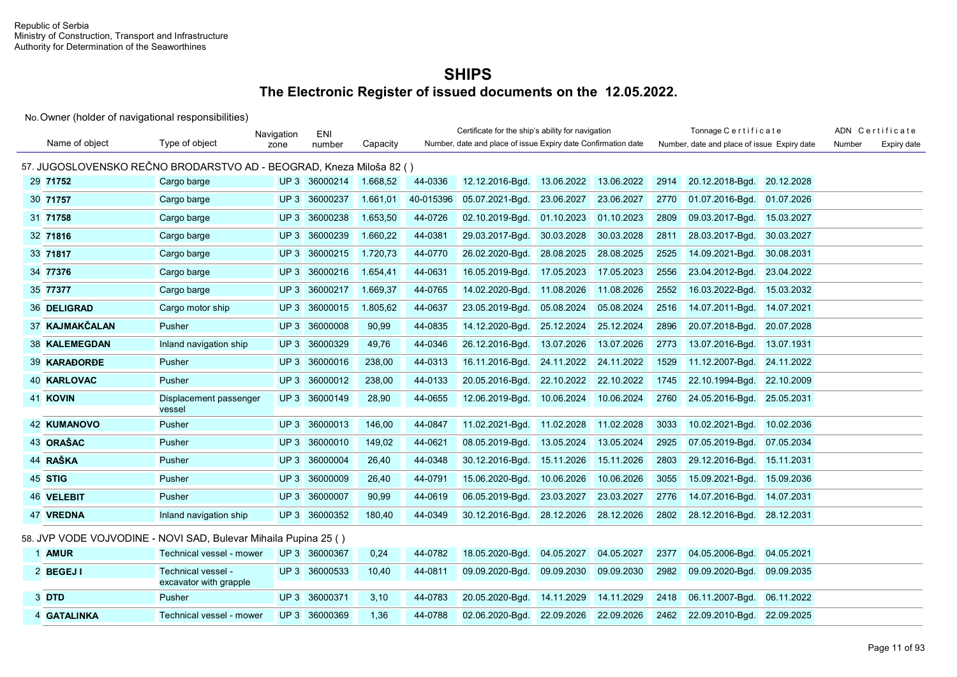|                                                                     |                                              | Navigation      | ENI           |          | Certificate for the ship's ability for navigation<br>Number, date and place of issue Expiry date Confirmation date |                 |            |            |      | Tonnage Certificate                         |            |        | ADN Certificate |
|---------------------------------------------------------------------|----------------------------------------------|-----------------|---------------|----------|--------------------------------------------------------------------------------------------------------------------|-----------------|------------|------------|------|---------------------------------------------|------------|--------|-----------------|
| Name of object                                                      | Type of object                               | zone            | number        | Capacity |                                                                                                                    |                 |            |            |      | Number, date and place of issue Expiry date |            | Number | Expiry date     |
| 57. JUGOSLOVENSKO REČNO BRODARSTVO AD - BEOGRAD, Kneza Miloša 82 () |                                              |                 |               |          |                                                                                                                    |                 |            |            |      |                                             |            |        |                 |
| 29 71752                                                            | Cargo barge                                  |                 | UP 3 36000214 | 1.668,52 | 44-0336                                                                                                            | 12.12.2016-Bgd. | 13.06.2022 | 13.06.2022 | 2914 | 20.12.2018-Bgd.                             | 20.12.2028 |        |                 |
| 30 71757                                                            | Cargo barge                                  | UP3             | 36000237      | 1.661,01 | 40-015396                                                                                                          | 05.07.2021-Bgd. | 23.06.2027 | 23.06.2027 | 2770 | 01.07.2016-Bgd.                             | 01.07.2026 |        |                 |
| 31 71758                                                            | Cargo barge                                  | UP <sub>3</sub> | 36000238      | 1.653,50 | 44-0726                                                                                                            | 02.10.2019-Bgd. | 01.10.2023 | 01.10.2023 | 2809 | 09.03.2017-Bgd.                             | 15.03.2027 |        |                 |
| 32 71816                                                            | Cargo barge                                  | UP <sub>3</sub> | 36000239      | 1.660,22 | 44-0381                                                                                                            | 29.03.2017-Bqd. | 30.03.2028 | 30.03.2028 | 2811 | 28.03.2017-Bqd.                             | 30.03.2027 |        |                 |
| 33 71817                                                            | Cargo barge                                  | UP3             | 36000215      | 1.720,73 | 44-0770                                                                                                            | 26.02.2020-Bgd. | 28.08.2025 | 28.08.2025 | 2525 | 14.09.2021-Bgd.                             | 30.08.2031 |        |                 |
| 34 77376                                                            | Cargo barge                                  | UP3             | 36000216      | 1.654,41 | 44-0631                                                                                                            | 16.05.2019-Bgd. | 17.05.2023 | 17.05.2023 | 2556 | 23.04.2012-Bgd.                             | 23.04.2022 |        |                 |
| 35 77377                                                            | Cargo barge                                  | UP3             | 36000217      | 1.669,37 | 44-0765                                                                                                            | 14.02.2020-Bgd. | 11.08.2026 | 11.08.2026 | 2552 | 16.03.2022-Bgd.                             | 15.03.2032 |        |                 |
| 36 DELIGRAD                                                         | Cargo motor ship                             | UP3             | 36000015      | 1.805,62 | 44-0637                                                                                                            | 23.05.2019-Bgd. | 05.08.2024 | 05.08.2024 | 2516 | 14.07.2011-Bgd.                             | 14.07.2021 |        |                 |
| 37 KAJMAKČALAN                                                      | Pusher                                       | UP3             | 36000008      | 90,99    | 44-0835                                                                                                            | 14.12.2020-Bgd. | 25.12.2024 | 25.12.2024 | 2896 | 20.07.2018-Bgd.                             | 20.07.2028 |        |                 |
| <b>38 KALEMEGDAN</b>                                                | Inland navigation ship                       | UP3             | 36000329      | 49.76    | 44-0346                                                                                                            | 26.12.2016-Bgd. | 13.07.2026 | 13.07.2026 | 2773 | 13.07.2016-Bgd.                             | 13.07.1931 |        |                 |
| 39 KARAĐORĐE                                                        | Pusher                                       | UP3             | 36000016      | 238,00   | 44-0313                                                                                                            | 16.11.2016-Bgd. | 24.11.2022 | 24.11.2022 | 1529 | 11.12.2007-Bgd.                             | 24.11.2022 |        |                 |
| 40 KARLOVAC                                                         | Pusher                                       | UP3             | 36000012      | 238,00   | 44-0133                                                                                                            | 20.05.2016-Bgd. | 22.10.2022 | 22.10.2022 | 1745 | 22.10.1994-Bgd.                             | 22.10.2009 |        |                 |
| 41 KOVIN                                                            | Displacement passenger<br>vessel             | UP3             | 36000149      | 28,90    | 44-0655                                                                                                            | 12.06.2019-Bgd. | 10.06.2024 | 10.06.2024 | 2760 | 24.05.2016-Bgd.                             | 25.05.2031 |        |                 |
| <b>42 KUMANOVO</b>                                                  | Pusher                                       | UP3             | 36000013      | 146,00   | 44-0847                                                                                                            | 11.02.2021-Bgd. | 11.02.2028 | 11.02.2028 | 3033 | 10.02.2021-Bgd.                             | 10.02.2036 |        |                 |
| 43 ORAŠAC                                                           | Pusher                                       | UP3             | 36000010      | 149,02   | 44-0621                                                                                                            | 08.05.2019-Bgd. | 13.05.2024 | 13.05.2024 | 2925 | 07.05.2019-Bgd.                             | 07.05.2034 |        |                 |
| 44 RAŠKA                                                            | Pusher                                       | UP3             | 36000004      | 26,40    | 44-0348                                                                                                            | 30.12.2016-Bgd. | 15.11.2026 | 15.11.2026 | 2803 | 29.12.2016-Bgd.                             | 15.11.2031 |        |                 |
| 45 STIG                                                             | Pusher                                       | UP3             | 36000009      | 26,40    | 44-0791                                                                                                            | 15.06.2020-Bgd. | 10.06.2026 | 10.06.2026 | 3055 | 15.09.2021-Bgd.                             | 15.09.2036 |        |                 |
| <b>46 VELEBIT</b>                                                   | Pusher                                       |                 | UP 3 36000007 | 90,99    | 44-0619                                                                                                            | 06.05.2019-Bqd. | 23.03.2027 | 23.03.2027 | 2776 | 14.07.2016-Bgd.                             | 14.07.2031 |        |                 |
| 47 VREDNA                                                           | Inland navigation ship                       |                 | UP 3 36000352 | 180,40   | 44-0349                                                                                                            | 30.12.2016-Bgd. | 28.12.2026 | 28.12.2026 | 2802 | 28.12.2016-Bgd.                             | 28.12.2031 |        |                 |
| 58. JVP VODE VOJVODINE - NOVI SAD, Bulevar Mihaila Pupina 25 ()     |                                              |                 |               |          |                                                                                                                    |                 |            |            |      |                                             |            |        |                 |
| 1 AMUR                                                              | Technical vessel - mower                     |                 | UP 3 36000367 | 0,24     | 44-0782                                                                                                            | 18.05.2020-Bgd. | 04.05.2027 | 04.05.2027 | 2377 | 04.05.2006-Bgd.                             | 04.05.2021 |        |                 |
| 2 BEGEJI                                                            | Technical vessel -<br>excavator with grapple |                 | UP 3 36000533 | 10,40    | 44-0811                                                                                                            | 09.09.2020-Bqd. | 09.09.2030 | 09.09.2030 | 2982 | 09.09.2020-Bgd.                             | 09.09.2035 |        |                 |
| 3 DTD                                                               | Pusher                                       | UP3             | 36000371      | 3,10     | 44-0783                                                                                                            | 20.05.2020-Bgd. | 14.11.2029 | 14.11.2029 | 2418 | 06.11.2007-Bgd.                             | 06.11.2022 |        |                 |
| 4 GATALINKA                                                         | Technical vessel - mower                     |                 | UP 3 36000369 | 1,36     | 44-0788                                                                                                            | 02.06.2020-Bgd. | 22.09.2026 | 22.09.2026 | 2462 | 22.09.2010-Bgd.                             | 22.09.2025 |        |                 |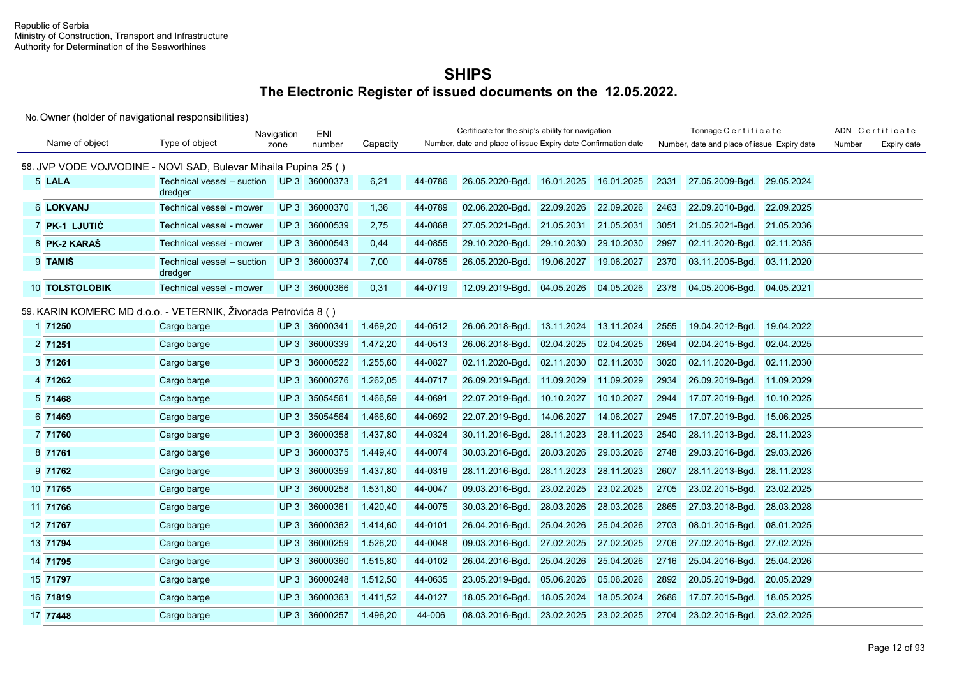|                                                                 |                                       | Navigation      | ENI           |          |         | Certificate for the ship's ability for navigation             |            |            |      | Tonnage Certificate                         |            |        | ADN Certificate |
|-----------------------------------------------------------------|---------------------------------------|-----------------|---------------|----------|---------|---------------------------------------------------------------|------------|------------|------|---------------------------------------------|------------|--------|-----------------|
| Name of object                                                  | Type of object                        | zone            | number        | Capacity |         | Number, date and place of issue Expiry date Confirmation date |            |            |      | Number, date and place of issue Expiry date |            | Number | Expiry date     |
| 58. JVP VODE VOJVODINE - NOVI SAD, Bulevar Mihaila Pupina 25 () |                                       |                 |               |          |         |                                                               |            |            |      |                                             |            |        |                 |
| 5 LALA                                                          | Technical vessel - suction<br>dredger |                 | UP 3 36000373 | 6,21     | 44-0786 | 26.05.2020-Bgd.                                               | 16.01.2025 | 16.01.2025 | 2331 | 27.05.2009-Bgd.                             | 29.05.2024 |        |                 |
| 6 LOKVANJ                                                       | Technical vessel - mower              |                 | UP 3 36000370 | 1,36     | 44-0789 | 02.06.2020-Bgd.                                               | 22.09.2026 | 22.09.2026 | 2463 | 22.09.2010-Bgd.                             | 22.09.2025 |        |                 |
| 7 PK-1 LJUTIĆ                                                   | Technical vessel - mower              |                 | UP 3 36000539 | 2,75     | 44-0868 | 27.05.2021-Bgd.                                               | 21.05.2031 | 21.05.2031 | 3051 | 21.05.2021-Bgd.                             | 21.05.2036 |        |                 |
| 8 PK-2 KARAŠ                                                    | Technical vessel - mower              |                 | UP 3 36000543 | 0.44     | 44-0855 | 29.10.2020-Bqd.                                               | 29.10.2030 | 29.10.2030 | 2997 | 02.11.2020-Bgd.                             | 02.11.2035 |        |                 |
| 9 TAMIŠ                                                         | Technical vessel - suction<br>dredger |                 | UP 3 36000374 | 7,00     | 44-0785 | 26.05.2020-Bgd.                                               | 19.06.2027 | 19.06.2027 | 2370 | 03.11.2005-Bgd.                             | 03.11.2020 |        |                 |
| <b>10 TOLSTOLOBIK</b>                                           | Technical vessel - mower              |                 | UP 3 36000366 | 0,31     | 44-0719 | 12.09.2019-Bgd.                                               | 04.05.2026 | 04.05.2026 | 2378 | 04.05.2006-Bgd.                             | 04.05.2021 |        |                 |
| 59. KARIN KOMERC MD d.o.o. - VETERNIK, Živorada Petrovića 8 ()  |                                       |                 |               |          |         |                                                               |            |            |      |                                             |            |        |                 |
| 1 71250                                                         | Cargo barge                           |                 | UP 3 36000341 | 1.469,20 | 44-0512 | 26.06.2018-Bgd.                                               | 13.11.2024 | 13.11.2024 | 2555 | 19.04.2012-Bgd.                             | 19.04.2022 |        |                 |
| 2 71251                                                         | Cargo barge                           | UP3             | 36000339      | 1.472,20 | 44-0513 | 26.06.2018-Bqd.                                               | 02.04.2025 | 02.04.2025 | 2694 | 02.04.2015-Bqd.                             | 02.04.2025 |        |                 |
| 3 71261                                                         | Cargo barge                           | UP3             | 36000522      | 1.255,60 | 44-0827 | 02.11.2020-Bqd.                                               | 02.11.2030 | 02.11.2030 | 3020 | 02.11.2020-Bgd.                             | 02.11.2030 |        |                 |
| 4 71262                                                         | Cargo barge                           | UP3             | 36000276      | 1.262,05 | 44-0717 | 26.09.2019-Bgd.                                               | 11.09.2029 | 11.09.2029 | 2934 | 26.09.2019-Bgd.                             | 11.09.2029 |        |                 |
| 5 71468                                                         | Cargo barge                           | UP3             | 35054561      | 1.466,59 | 44-0691 | 22.07.2019-Bgd.                                               | 10.10.2027 | 10.10.2027 | 2944 | 17.07.2019-Bgd.                             | 10.10.2025 |        |                 |
| 6 71469                                                         | Cargo barge                           | UP3             | 35054564      | 1.466,60 | 44-0692 | 22.07.2019-Bgd.                                               | 14.06.2027 | 14.06.2027 | 2945 | 17.07.2019-Bgd.                             | 15.06.2025 |        |                 |
| 7 71760                                                         | Cargo barge                           | UP3             | 36000358      | 1.437,80 | 44-0324 | 30.11.2016-Bgd.                                               | 28.11.2023 | 28.11.2023 | 2540 | 28.11.2013-Bgd.                             | 28.11.2023 |        |                 |
| 8 71761                                                         | Cargo barge                           | UP3             | 36000375      | 1.449,40 | 44-0074 | 30.03.2016-Bgd.                                               | 28.03.2026 | 29.03.2026 | 2748 | 29.03.2016-Bgd.                             | 29.03.2026 |        |                 |
| 9 71762                                                         | Cargo barge                           | UP3             | 36000359      | 1.437,80 | 44-0319 | 28.11.2016-Bgd.                                               | 28.11.2023 | 28.11.2023 | 2607 | 28.11.2013-Bgd.                             | 28.11.2023 |        |                 |
| 10 71765                                                        | Cargo barge                           | UP3             | 36000258      | 1.531,80 | 44-0047 | 09.03.2016-Bgd.                                               | 23.02.2025 | 23.02.2025 | 2705 | 23.02.2015-Bgd.                             | 23.02.2025 |        |                 |
| 11 71766                                                        | Cargo barge                           | UP3             | 36000361      | 1.420,40 | 44-0075 | 30.03.2016-Bgd.                                               | 28.03.2026 | 28.03.2026 | 2865 | 27.03.2018-Bgd.                             | 28.03.2028 |        |                 |
| 12 71767                                                        | Cargo barge                           | UP3             | 36000362      | 1.414,60 | 44-0101 | 26.04.2016-Bgd.                                               | 25.04.2026 | 25.04.2026 | 2703 | 08.01.2015-Bqd.                             | 08.01.2025 |        |                 |
| 13 71794                                                        | Cargo barge                           | UP3             | 36000259      | 1.526,20 | 44-0048 | 09.03.2016-Bgd.                                               | 27.02.2025 | 27.02.2025 | 2706 | 27.02.2015-Bqd.                             | 27.02.2025 |        |                 |
| 14 71795                                                        | Cargo barge                           | UP <sub>3</sub> | 36000360      | 1.515,80 | 44-0102 | 26.04.2016-Bgd.                                               | 25.04.2026 | 25.04.2026 | 2716 | 25.04.2016-Bgd.                             | 25.04.2026 |        |                 |
| 15 71797                                                        | Cargo barge                           | UP3             | 36000248      | 1.512,50 | 44-0635 | 23.05.2019-Bgd.                                               | 05.06.2026 | 05.06.2026 | 2892 | 20.05.2019-Bgd.                             | 20.05.2029 |        |                 |
| 16 71819                                                        | Cargo barge                           | UP3             | 36000363      | 1.411,52 | 44-0127 | 18.05.2016-Bgd.                                               | 18.05.2024 | 18.05.2024 | 2686 | 17.07.2015-Bgd.                             | 18.05.2025 |        |                 |
| 17 77448                                                        | Cargo barge                           |                 | UP 3 36000257 | 1.496,20 | 44-006  | 08.03.2016-Bgd.                                               | 23.02.2025 | 23.02.2025 | 2704 | 23.02.2015-Bgd.                             | 23.02.2025 |        |                 |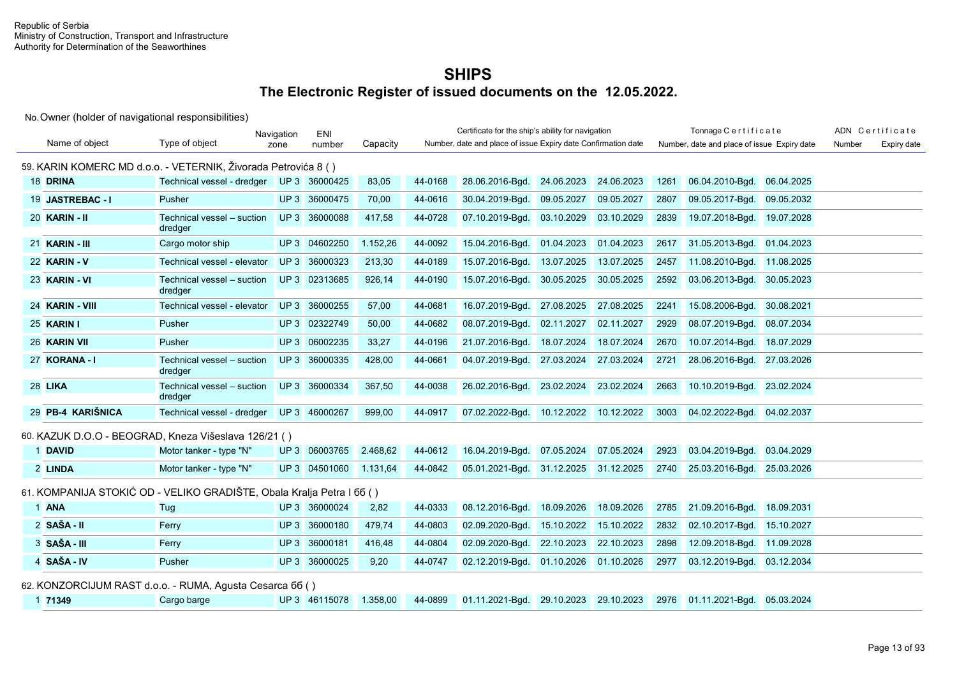|                   |                                                                       | Navigation | ENI           |          |         | Certificate for the ship's ability for navigation             |            |            |      | Tonnage Certificate                         |            |        | ADN Certificate |
|-------------------|-----------------------------------------------------------------------|------------|---------------|----------|---------|---------------------------------------------------------------|------------|------------|------|---------------------------------------------|------------|--------|-----------------|
| Name of object    | Type of object                                                        | zone       | number        | Capacity |         | Number, date and place of issue Expiry date Confirmation date |            |            |      | Number, date and place of issue Expiry date |            | Number | Expiry date     |
|                   | 59. KARIN KOMERC MD d.o.o. - VETERNIK, Živorada Petrovića 8 ()        |            |               |          |         |                                                               |            |            |      |                                             |            |        |                 |
| 18 DRINA          | Technical vessel - dredger UP 3 36000425                              |            |               | 83,05    | 44-0168 | 28.06.2016-Bgd.                                               | 24.06.2023 | 24.06.2023 | 1261 | 06.04.2010-Bgd.                             | 06.04.2025 |        |                 |
| 19 JASTREBAC - I  | Pusher                                                                |            | UP 3 36000475 | 70.00    | 44-0616 | 30.04.2019-Bqd.                                               | 09.05.2027 | 09.05.2027 | 2807 | 09.05.2017-Bgd.                             | 09.05.2032 |        |                 |
| 20 KARIN - II     | Technical vessel - suction<br>dredger                                 |            | UP 3 36000088 | 417,58   | 44-0728 | 07.10.2019-Bgd.                                               | 03.10.2029 | 03.10.2029 | 2839 | 19.07.2018-Bgd. 19.07.2028                  |            |        |                 |
| 21 KARIN - III    | Cargo motor ship                                                      |            | UP 3 04602250 | 1.152,26 | 44-0092 | 15.04.2016-Bgd.                                               | 01.04.2023 | 01.04.2023 |      | 2617 31.05.2013-Bgd. 01.04.2023             |            |        |                 |
| 22 KARIN - V      | Technical vessel - elevator                                           |            | UP 3 36000323 | 213,30   | 44-0189 | 15.07.2016-Bgd.                                               | 13.07.2025 | 13.07.2025 | 2457 | 11.08.2010-Bgd. 11.08.2025                  |            |        |                 |
| 23 KARIN - VI     | Technical vessel - suction<br>dredger                                 |            | UP 3 02313685 | 926,14   | 44-0190 | 15.07.2016-Bgd.                                               | 30.05.2025 | 30.05.2025 | 2592 | 03.06.2013-Bgd. 30.05.2023                  |            |        |                 |
| 24 KARIN - VIII   | Technical vessel - elevator                                           |            | UP 3 36000255 | 57,00    | 44-0681 | 16.07.2019-Bgd.                                               | 27.08.2025 | 27.08.2025 | 2241 | 15.08.2006-Bgd.                             | 30.08.2021 |        |                 |
| 25 KARIN I        | Pusher                                                                |            | UP 3 02322749 | 50,00    | 44-0682 | 08.07.2019-Bqd.                                               | 02.11.2027 | 02.11.2027 | 2929 | 08.07.2019-Bgd.                             | 08.07.2034 |        |                 |
| 26 KARIN VII      | Pusher                                                                |            | UP 3 06002235 | 33,27    | 44-0196 | 21.07.2016-Bgd.                                               | 18.07.2024 | 18.07.2024 | 2670 | 10.07.2014-Bgd.                             | 18.07.2029 |        |                 |
| 27 KORANA - I     | Technical vessel - suction<br>dredger                                 |            | UP 3 36000335 | 428,00   | 44-0661 | 04.07.2019-Bgd.                                               | 27.03.2024 | 27.03.2024 | 2721 | 28.06.2016-Bgd. 27.03.2026                  |            |        |                 |
| 28 LIKA           | Technical vessel – suction<br>dredger                                 |            | UP 3 36000334 | 367,50   | 44-0038 | 26.02.2016-Bgd.                                               | 23.02.2024 | 23.02.2024 | 2663 | 10.10.2019-Bgd. 23.02.2024                  |            |        |                 |
| 29 PB-4 KARIŠNICA | Technical vessel - dredger UP 3 46000267                              |            |               | 999,00   | 44-0917 | 07.02.2022-Bqd.                                               | 10.12.2022 | 10.12.2022 | 3003 | 04.02.2022-Bgd. 04.02.2037                  |            |        |                 |
|                   | 60. KAZUK D.O.O - BEOGRAD, Kneza Višeslava 126/21 ()                  |            |               |          |         |                                                               |            |            |      |                                             |            |        |                 |
| 1 DAVID           | Motor tanker - type "N"                                               |            | UP 3 06003765 | 2.468,62 | 44-0612 | 16.04.2019-Bgd.                                               | 07.05.2024 | 07.05.2024 | 2923 | 03.04.2019-Bgd.                             | 03.04.2029 |        |                 |
| 2 LINDA           | Motor tanker - type "N"                                               |            | UP 3 04501060 | 1.131,64 | 44-0842 | 05.01.2021-Bqd. 31.12.2025 31.12.2025                         |            |            | 2740 | 25.03.2016-Bgd. 25.03.2026                  |            |        |                 |
|                   | 61. KOMPANIJA STOKIĆ OD - VELIKO GRADIŠTE, Obala Kralja Petra I 66 () |            |               |          |         |                                                               |            |            |      |                                             |            |        |                 |
| 1 ANA             | Tug                                                                   |            | UP 3 36000024 | 2,82     | 44-0333 | 08.12.2016-Bgd.                                               | 18.09.2026 | 18.09.2026 | 2785 | 21.09.2016-Bgd. 18.09.2031                  |            |        |                 |
| 2 SAŠA - II       | Ferry                                                                 |            | UP 3 36000180 | 479,74   | 44-0803 | 02.09.2020-Bgd.                                               | 15.10.2022 | 15.10.2022 | 2832 | 02.10.2017-Bgd. 15.10.2027                  |            |        |                 |
| 3 SAŠA - III      | Ferry                                                                 |            | UP 3 36000181 | 416,48   | 44-0804 | 02.09.2020-Bgd.                                               | 22.10.2023 | 22.10.2023 | 2898 | 12.09.2018-Bgd. 11.09.2028                  |            |        |                 |
| 4 SAŠA - IV       | Pusher                                                                |            | UP 3 36000025 | 9,20     | 44-0747 | 02.12.2019-Bgd.                                               | 01.10.2026 | 01.10.2026 | 2977 | 03.12.2019-Bgd. 03.12.2034                  |            |        |                 |
|                   | 62. KONZORCIJUM RAST d.o.o. - RUMA, Agusta Cesarca 66 ()              |            |               |          |         |                                                               |            |            |      |                                             |            |        |                 |
| 1 71349           | Cargo barge                                                           |            | UP 3 46115078 | 1.358,00 | 44-0899 | 01.11.2021-Bgd. 29.10.2023 29.10.2023                         |            |            |      | 2976 01.11.2021-Bgd. 05.03.2024             |            |        |                 |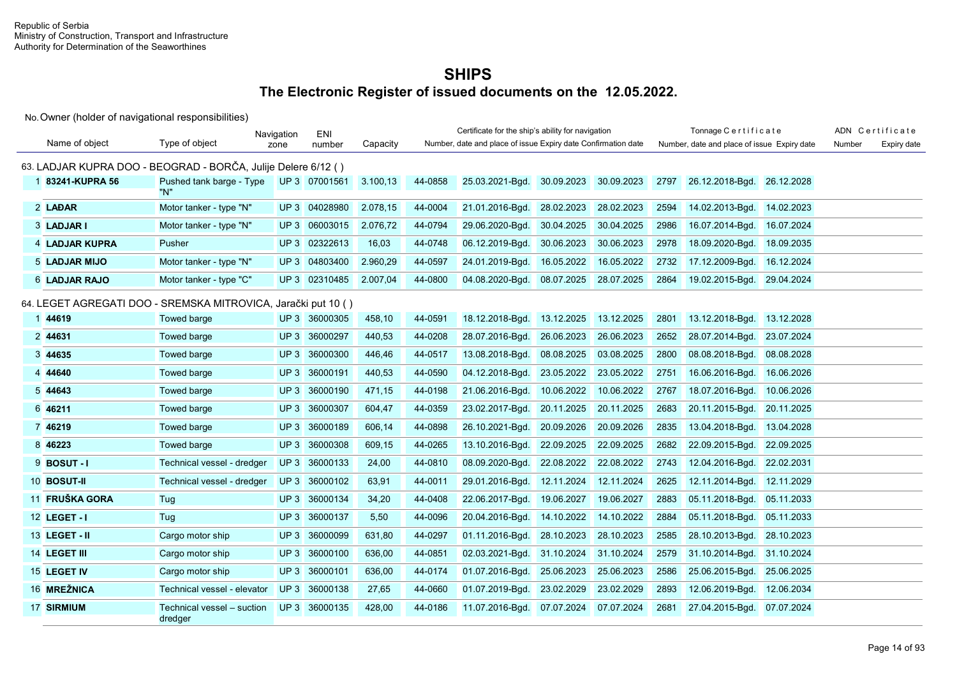|                      |                                                               | Navigation      | ENI           |          |         | Certificate for the ship's ability for navigation             |            |            |      | Tonnage Certificate                         |            |        | ADN Certificate |
|----------------------|---------------------------------------------------------------|-----------------|---------------|----------|---------|---------------------------------------------------------------|------------|------------|------|---------------------------------------------|------------|--------|-----------------|
| Name of object       | Type of object                                                | zone            | number        | Capacity |         | Number, date and place of issue Expiry date Confirmation date |            |            |      | Number, date and place of issue Expiry date |            | Number | Expiry date     |
|                      | 63. LADJAR KUPRA DOO - BEOGRAD - BORČA, Julije Delere 6/12 () |                 |               |          |         |                                                               |            |            |      |                                             |            |        |                 |
| 183241-KUPRA 56      | Pushed tank barge - Type<br>"N"                               |                 | UP 3 07001561 | 3.100,13 | 44-0858 | 25.03.2021-Bgd.                                               | 30.09.2023 | 30.09.2023 | 2797 | 26.12.2018-Bgd.                             | 26.12.2028 |        |                 |
| 2 LAĐAR              | Motor tanker - type "N"                                       |                 | UP 3 04028980 | 2.078,15 | 44-0004 | 21.01.2016-Bgd.                                               | 28.02.2023 | 28.02.2023 | 2594 | 14.02.2013-Bgd.                             | 14.02.2023 |        |                 |
| 3 LADJAR I           | Motor tanker - type "N"                                       |                 | UP 3 06003015 | 2.076,72 | 44-0794 | 29.06.2020-Bgd.                                               | 30.04.2025 | 30.04.2025 | 2986 | 16.07.2014-Bgd.                             | 16.07.2024 |        |                 |
| 4 LADJAR KUPRA       | Pusher                                                        | UP3             | 02322613      | 16,03    | 44-0748 | 06.12.2019-Bgd.                                               | 30.06.2023 | 30.06.2023 | 2978 | 18.09.2020-Bgd.                             | 18.09.2035 |        |                 |
| 5 LADJAR MIJO        | Motor tanker - type "N"                                       | UP3             | 04803400      | 2.960,29 | 44-0597 | 24.01.2019-Bgd.                                               | 16.05.2022 | 16.05.2022 | 2732 | 17.12.2009-Bgd.                             | 16.12.2024 |        |                 |
| <b>6 LADJAR RAJO</b> | Motor tanker - type "C"                                       |                 | UP 3 02310485 | 2.007,04 | 44-0800 | 04.08.2020-Bgd.                                               | 08.07.2025 | 28.07.2025 | 2864 | 19.02.2015-Bgd.                             | 29.04.2024 |        |                 |
|                      | 64. LEGET AGREGATI DOO - SREMSKA MITROVICA, Jarački put 10 () |                 |               |          |         |                                                               |            |            |      |                                             |            |        |                 |
| 1 44619              | Towed barge                                                   |                 | UP 3 36000305 | 458,10   | 44-0591 | 18.12.2018-Bgd.                                               | 13.12.2025 | 13.12.2025 | 2801 | 13.12.2018-Bgd.                             | 13.12.2028 |        |                 |
| 2 44631              | <b>Towed barge</b>                                            | UP3             | 36000297      | 440,53   | 44-0208 | 28.07.2016-Bgd.                                               | 26.06.2023 | 26.06.2023 | 2652 | 28.07.2014-Bgd.                             | 23.07.2024 |        |                 |
| 3 44635              | <b>Towed barge</b>                                            | UP <sub>3</sub> | 36000300      | 446,46   | 44-0517 | 13.08.2018-Bgd.                                               | 08.08.2025 | 03.08.2025 | 2800 | 08.08.2018-Bgd.                             | 08.08.2028 |        |                 |
| 4 44640              | Towed barge                                                   | UP3             | 36000191      | 440,53   | 44-0590 | 04.12.2018-Bgd.                                               | 23.05.2022 | 23.05.2022 | 2751 | 16.06.2016-Bgd.                             | 16.06.2026 |        |                 |
| 5 44643              | <b>Towed barge</b>                                            | UP3             | 36000190      | 471.15   | 44-0198 | 21.06.2016-Bgd.                                               | 10.06.2022 | 10.06.2022 | 2767 | 18.07.2016-Bgd.                             | 10.06.2026 |        |                 |
| 6 46211              | <b>Towed barge</b>                                            | UP3             | 36000307      | 604.47   | 44-0359 | 23.02.2017-Bqd.                                               | 20.11.2025 | 20.11.2025 | 2683 | 20.11.2015-Bgd.                             | 20.11.2025 |        |                 |
| 7 46219              | Towed barge                                                   | UP3             | 36000189      | 606,14   | 44-0898 | 26.10.2021-Bgd.                                               | 20.09.2026 | 20.09.2026 | 2835 | 13.04.2018-Bgd.                             | 13.04.2028 |        |                 |
| 8 46223              | <b>Towed barge</b>                                            | UP3             | 36000308      | 609,15   | 44-0265 | 13.10.2016-Bgd.                                               | 22.09.2025 | 22.09.2025 | 2682 | 22.09.2015-Bgd.                             | 22.09.2025 |        |                 |
| 9 <b>BOSUT-1</b>     | Technical vessel - dredger                                    | UP3             | 36000133      | 24,00    | 44-0810 | 08.09.2020-Bqd.                                               | 22.08.2022 | 22.08.2022 | 2743 | 12.04.2016-Bgd.                             | 22.02.2031 |        |                 |
| 10 BOSUT-II          | Technical vessel - dredger                                    | UP3             | 36000102      | 63,91    | 44-0011 | 29.01.2016-Bgd.                                               | 12.11.2024 | 12.11.2024 | 2625 | 12.11.2014-Bgd.                             | 12.11.2029 |        |                 |
| 11 FRUŠKA GORA       | Tug                                                           | UP3             | 36000134      | 34,20    | 44-0408 | 22.06.2017-Bgd.                                               | 19.06.2027 | 19.06.2027 | 2883 | 05.11.2018-Bqd.                             | 05.11.2033 |        |                 |
| 12 LEGET - I         | Tug                                                           | UP3             | 36000137      | 5,50     | 44-0096 | 20.04.2016-Bgd.                                               | 14.10.2022 | 14.10.2022 | 2884 | 05.11.2018-Bgd.                             | 05.11.2033 |        |                 |
| 13 LEGET - II        | Cargo motor ship                                              | UP <sub>3</sub> | 36000099      | 631.80   | 44-0297 | 01.11.2016-Bgd.                                               | 28.10.2023 | 28.10.2023 | 2585 | 28.10.2013-Bgd.                             | 28.10.2023 |        |                 |
| 14 LEGET III         | Cargo motor ship                                              | UP3             | 36000100      | 636,00   | 44-0851 | 02.03.2021-Bgd.                                               | 31.10.2024 | 31.10.2024 | 2579 | 31.10.2014-Bgd.                             | 31.10.2024 |        |                 |
| 15 LEGET IV          | Cargo motor ship                                              | UP3             | 36000101      | 636,00   | 44-0174 | 01.07.2016-Bgd.                                               | 25.06.2023 | 25.06.2023 | 2586 | 25.06.2015-Bgd.                             | 25.06.2025 |        |                 |
| 16 MREŽNICA          | Technical vessel - elevator                                   | UP3             | 36000138      | 27,65    | 44-0660 | 01.07.2019-Bgd.                                               | 23.02.2029 | 23.02.2029 | 2893 | 12.06.2019-Bgd.                             | 12.06.2034 |        |                 |
| <b>17 SIRMIUM</b>    | Technical vessel – suction<br>dredger                         |                 | UP 3 36000135 | 428,00   | 44-0186 | 11.07.2016-Bgd.                                               | 07.07.2024 | 07.07.2024 | 2681 | 27.04.2015-Bgd.                             | 07.07.2024 |        |                 |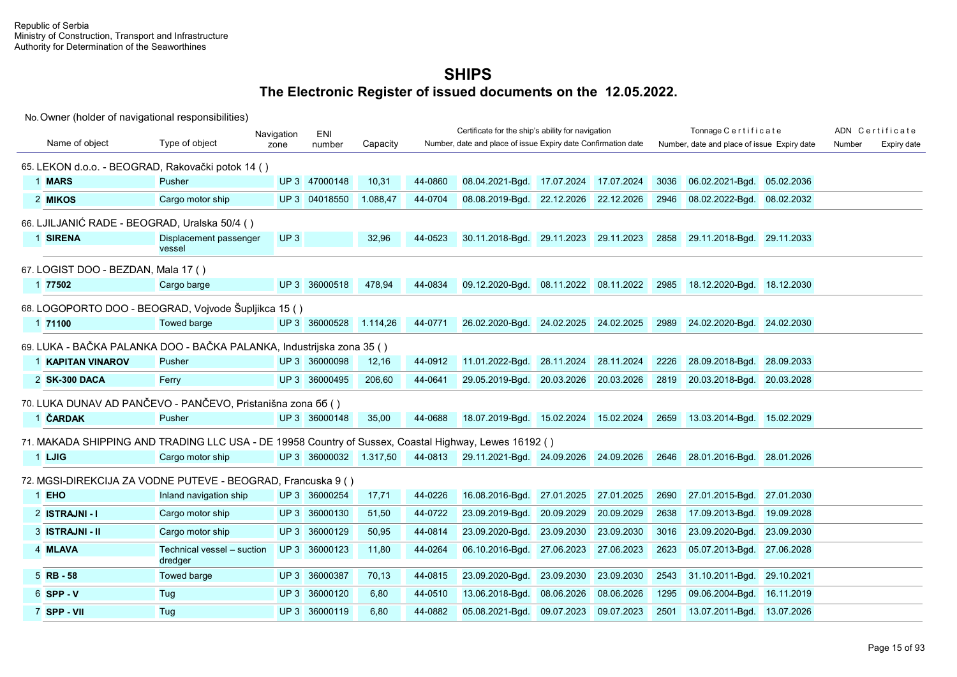|                                     |                                                                                                       | Navigation | ENI                    |          |         | Certificate for the ship's ability for navigation             |                       |                       |      | Tonnage Certificate                         |            |        | ADN Certificate |
|-------------------------------------|-------------------------------------------------------------------------------------------------------|------------|------------------------|----------|---------|---------------------------------------------------------------|-----------------------|-----------------------|------|---------------------------------------------|------------|--------|-----------------|
| Name of object                      | Type of object                                                                                        | zone       | number                 | Capacity |         | Number, date and place of issue Expiry date Confirmation date |                       |                       |      | Number, date and place of issue Expiry date |            | Number | Expiry date     |
|                                     | 65. LEKON d.o.o. - BEOGRAD, Rakovački potok 14 ()                                                     |            |                        |          |         |                                                               |                       |                       |      |                                             |            |        |                 |
| 1 MARS                              | <b>Pusher</b>                                                                                         |            | UP 3 47000148          | 10,31    | 44-0860 | 08.04.2021-Bgd.                                               | 17.07.2024            | 17.07.2024            | 3036 | 06.02.2021-Bgd. 05.02.2036                  |            |        |                 |
| 2 MIKOS                             | Cargo motor ship                                                                                      |            | UP 3 04018550          | 1.088.47 | 44-0704 | 08.08.2019-Bgd.                                               | 22.12.2026 22.12.2026 |                       | 2946 | 08.02.2022-Bgd. 08.02.2032                  |            |        |                 |
|                                     | 66. LJILJANIĆ RADE - BEOGRAD, Uralska 50/4 ()                                                         |            |                        |          |         |                                                               |                       |                       |      |                                             |            |        |                 |
| 1 SIRENA                            | Displacement passenger<br>vessel                                                                      | UP3        |                        | 32,96    | 44-0523 | 30.11.2018-Bgd.                                               | 29.11.2023 29.11.2023 |                       | 2858 | 29.11.2018-Bgd. 29.11.2033                  |            |        |                 |
| 67. LOGIST DOO - BEZDAN, Mala 17 () |                                                                                                       |            |                        |          |         |                                                               |                       |                       |      |                                             |            |        |                 |
| 1 77502                             | Cargo barge                                                                                           |            | UP 3 36000518          | 478,94   | 44-0834 | 09.12.2020-Bgd.                                               | 08.11.2022 08.11.2022 |                       | 2985 | 18.12.2020-Bgd. 18.12.2030                  |            |        |                 |
|                                     | 68. LOGOPORTO DOO - BEOGRAD, Vojvode Šupljikca 15 ()                                                  |            |                        |          |         |                                                               |                       |                       |      |                                             |            |        |                 |
| 1 71100                             | Towed barge                                                                                           |            | UP 3 36000528          | 1.114,26 | 44-0771 | 26.02.2020-Bgd. 24.02.2025 24.02.2025                         |                       |                       | 2989 | 24.02.2020-Bgd. 24.02.2030                  |            |        |                 |
|                                     | 69. LUKA - BAČKA PALANKA DOO - BAČKA PALANKA, Industrijska zona 35 ()                                 |            |                        |          |         |                                                               |                       |                       |      |                                             |            |        |                 |
| 1 KAPITAN VINAROV                   | Pusher                                                                                                |            | UP 3 36000098          | 12,16    | 44-0912 | 11.01.2022-Bgd.                                               | 28.11.2024            | 28.11.2024            | 2226 | 28.09.2018-Bgd.                             | 28.09.2033 |        |                 |
| 2 SK-300 DACA                       | Ferry                                                                                                 |            | UP 3 36000495          | 206,60   | 44-0641 | 29.05.2019-Bgd.                                               |                       | 20.03.2026 20.03.2026 | 2819 | 20.03.2018-Bgd. 20.03.2028                  |            |        |                 |
|                                     | 70. LUKA DUNAV AD PANČEVO - PANČEVO, Pristanišna zona 66 ()                                           |            |                        |          |         |                                                               |                       |                       |      |                                             |            |        |                 |
| 1 ČARDAK                            | Pusher                                                                                                |            | UP 3 36000148          | 35,00    | 44-0688 | 18.07.2019-Bgd. 15.02.2024 15.02.2024                         |                       |                       | 2659 | 13.03.2014-Bgd. 15.02.2029                  |            |        |                 |
|                                     | 71. MAKADA SHIPPING AND TRADING LLC USA - DE 19958 Country of Sussex, Coastal Highway, Lewes 16192 () |            |                        |          |         |                                                               |                       |                       |      |                                             |            |        |                 |
| 1 LJIG                              | Cargo motor ship                                                                                      |            | UP 3 36000032 1.317,50 |          | 44-0813 | 29.11.2021-Bgd. 24.09.2026 24.09.2026                         |                       |                       | 2646 | 28.01.2016-Bgd. 28.01.2026                  |            |        |                 |
|                                     | 72. MGSI-DIREKCIJA ZA VODNE PUTEVE - BEOGRAD, Francuska 9 ()                                          |            |                        |          |         |                                                               |                       |                       |      |                                             |            |        |                 |
| 1 EHO                               | Inland navigation ship                                                                                |            | UP 3 36000254          | 17,71    | 44-0226 | 16.08.2016-Bgd.                                               | 27.01.2025            | 27.01.2025            | 2690 | 27.01.2015-Bgd. 27.01.2030                  |            |        |                 |
| 2 ISTRAJNI - I                      | Cargo motor ship                                                                                      | UP3        | 36000130               | 51,50    | 44-0722 | 23.09.2019-Bgd.                                               | 20.09.2029            | 20.09.2029            | 2638 | 17.09.2013-Bgd.                             | 19.09.2028 |        |                 |
| 3 ISTRAJNI - II                     | Cargo motor ship                                                                                      |            | UP 3 36000129          | 50,95    | 44-0814 | 23.09.2020-Bgd.                                               | 23.09.2030            | 23.09.2030            | 3016 | 23.09.2020-Bgd. 23.09.2030                  |            |        |                 |
| 4 MLAVA                             | Technical vessel - suction<br>dredger                                                                 |            | UP 3 36000123          | 11,80    | 44-0264 | 06.10.2016-Bgd.                                               | 27.06.2023            | 27.06.2023            | 2623 | 05.07.2013-Bgd. 27.06.2028                  |            |        |                 |
| $5$ RB - 58                         | Towed barge                                                                                           |            | UP 3 36000387          | 70,13    | 44-0815 | 23.09.2020-Bgd.                                               | 23.09.2030            | 23.09.2030            | 2543 | 31.10.2011-Bgd. 29.10.2021                  |            |        |                 |
| $6$ SPP - V                         | Tug                                                                                                   | UP3        | 36000120               | 6,80     | 44-0510 | 13.06.2018-Bgd.                                               | 08.06.2026            | 08.06.2026            | 1295 | 09.06.2004-Bgd. 16.11.2019                  |            |        |                 |
| 7 SPP - VII                         | Tug                                                                                                   |            | UP 3 36000119          | 6,80     | 44-0882 | 05.08.2021-Bgd.                                               | 09.07.2023            | 09.07.2023            | 2501 | 13.07.2011-Bgd. 13.07.2026                  |            |        |                 |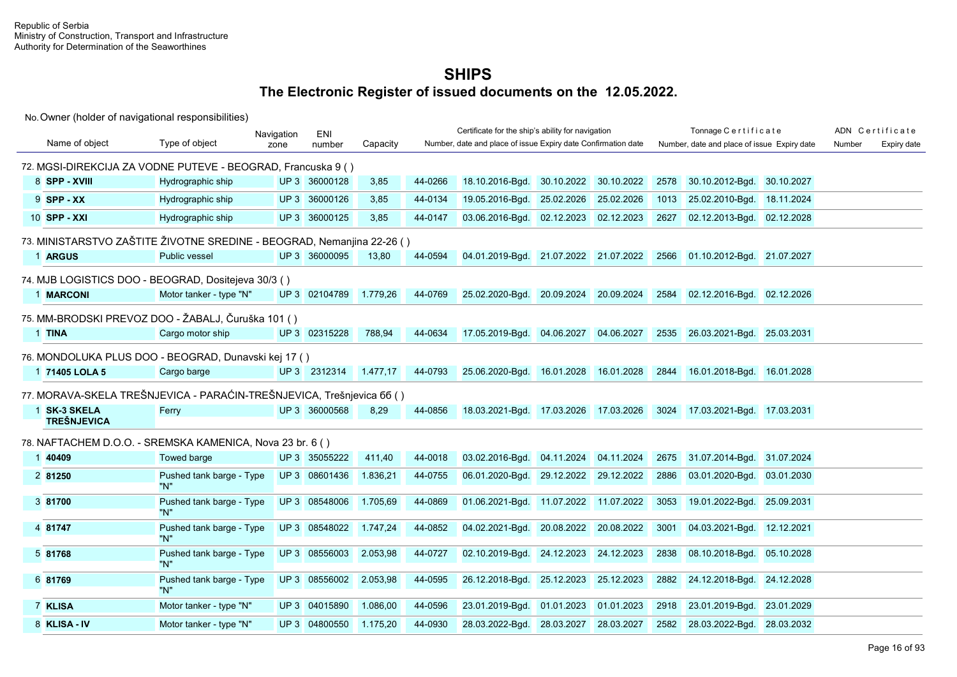|                                                                        |                                 | Navigation | <b>ENI</b>    |          |         | Certificate for the ship's ability for navigation             |            |            |      | Tonnage Certificate                         |            |        | ADN Certificate |
|------------------------------------------------------------------------|---------------------------------|------------|---------------|----------|---------|---------------------------------------------------------------|------------|------------|------|---------------------------------------------|------------|--------|-----------------|
| Name of object                                                         | Type of object                  | zone       | number        | Capacity |         | Number, date and place of issue Expiry date Confirmation date |            |            |      | Number, date and place of issue Expiry date |            | Number | Expiry date     |
| 72. MGSI-DIREKCIJA ZA VODNE PUTEVE - BEOGRAD, Francuska 9 ()           |                                 |            |               |          |         |                                                               |            |            |      |                                             |            |        |                 |
| 8 SPP - XVIII                                                          | Hydrographic ship               |            | UP 3 36000128 | 3,85     | 44-0266 | 18.10.2016-Bgd.                                               | 30.10.2022 | 30.10.2022 | 2578 | 30.10.2012-Bgd.                             | 30.10.2027 |        |                 |
| $9$ SPP - XX                                                           | Hydrographic ship               |            | UP 3 36000126 | 3,85     | 44-0134 | 19.05.2016-Bgd.                                               | 25.02.2026 | 25.02.2026 | 1013 | 25.02.2010-Bgd.                             | 18.11.2024 |        |                 |
| 10 SPP - XXI                                                           | Hydrographic ship               |            | UP 3 36000125 | 3,85     | 44-0147 | 03.06.2016-Bgd.                                               | 02.12.2023 | 02.12.2023 | 2627 | 02.12.2013-Bgd.                             | 02.12.2028 |        |                 |
| 73. MINISTARSTVO ZAŠTITE ŽIVOTNE SREDINE - BEOGRAD, Nemanjina 22-26 () |                                 |            |               |          |         |                                                               |            |            |      |                                             |            |        |                 |
| 1 ARGUS                                                                | Public vessel                   |            | UP 3 36000095 | 13,80    | 44-0594 | 04.01.2019-Bgd. 21.07.2022 21.07.2022                         |            |            | 2566 | 01.10.2012-Bgd. 21.07.2027                  |            |        |                 |
| 74. MJB LOGISTICS DOO - BEOGRAD, Dositejeva 30/3 ()                    |                                 |            |               |          |         |                                                               |            |            |      |                                             |            |        |                 |
| 1 MARCONI                                                              | Motor tanker - type "N"         |            | UP 3 02104789 | 1.779,26 | 44-0769 | 25.02.2020-Bgd.                                               | 20.09.2024 | 20.09.2024 | 2584 | 02.12.2016-Bgd.                             | 02.12.2026 |        |                 |
| 75. MM-BRODSKI PREVOZ DOO - ŽABALJ, Čuruška 101 ()                     |                                 |            |               |          |         |                                                               |            |            |      |                                             |            |        |                 |
| 1 TINA                                                                 | Cargo motor ship                |            | UP 3 02315228 | 788,94   | 44-0634 | 17.05.2019-Bgd.                                               | 04.06.2027 | 04.06.2027 | 2535 | 26.03.2021-Bqd.                             | 25.03.2031 |        |                 |
| 76. MONDOLUKA PLUS DOO - BEOGRAD, Dunavski kej 17 ()                   |                                 |            |               |          |         |                                                               |            |            |      |                                             |            |        |                 |
| 1 71405 LOLA 5                                                         | Cargo barge                     |            | UP 3 2312314  | 1.477,17 | 44-0793 | 25.06.2020-Bgd. 16.01.2028                                    |            | 16.01.2028 | 2844 | 16.01.2018-Bgd. 16.01.2028                  |            |        |                 |
| 77. MORAVA-SKELA TREŠNJEVICA - PARAĆIN-TREŠNJEVICA, Trešnjevica 66 ()  |                                 |            |               |          |         |                                                               |            |            |      |                                             |            |        |                 |
| 1 SK-3 SKELA<br><b>TREŠNJEVICA</b>                                     | Ferry                           |            | UP 3 36000568 | 8,29     | 44-0856 | 18.03.2021-Bgd. 17.03.2026                                    |            | 17.03.2026 | 3024 | 17.03.2021-Bgd. 17.03.2031                  |            |        |                 |
| 78. NAFTACHEM D.O.O. - SREMSKA KAMENICA, Nova 23 br. 6 ()              |                                 |            |               |          |         |                                                               |            |            |      |                                             |            |        |                 |
| 1 40409                                                                | Towed barge                     |            | UP 3 35055222 | 411,40   | 44-0018 | 03.02.2016-Bgd.                                               | 04.11.2024 | 04.11.2024 | 2675 | 31.07.2014-Bgd.                             | 31.07.2024 |        |                 |
| 2 81250                                                                | Pushed tank barge - Type<br>"N" |            | UP 3 08601436 | 1.836,21 | 44-0755 | 06.01.2020-Bgd.                                               | 29.12.2022 | 29.12.2022 | 2886 | 03.01.2020-Bqd.                             | 03.01.2030 |        |                 |
| 3 81700                                                                | Pushed tank barge - Type<br>"N" |            | UP 3 08548006 | 1.705,69 | 44-0869 | 01.06.2021-Bgd. 11.07.2022 11.07.2022                         |            |            | 3053 | 19.01.2022-Bgd.                             | 25.09.2031 |        |                 |
| 4 81747                                                                | Pushed tank barge - Type<br>"N" |            | UP 3 08548022 | 1.747,24 | 44-0852 | 04.02.2021-Bgd. 20.08.2022                                    |            | 20.08.2022 | 3001 | 04.03.2021-Bgd. 12.12.2021                  |            |        |                 |
| 5 81768                                                                | Pushed tank barge - Type<br>"N" |            | UP 3 08556003 | 2.053,98 | 44-0727 | 02.10.2019-Bgd. 24.12.2023                                    |            | 24.12.2023 | 2838 | 08.10.2018-Bgd.                             | 05.10.2028 |        |                 |
| 6 81769                                                                | Pushed tank barge - Type<br>"N" |            | UP 3 08556002 | 2.053,98 | 44-0595 | 26.12.2018-Bgd.                                               | 25.12.2023 | 25.12.2023 | 2882 | 24.12.2018-Bgd.                             | 24.12.2028 |        |                 |
| 7 KLISA                                                                | Motor tanker - type "N"         |            | UP 3 04015890 | 1.086,00 | 44-0596 | 23.01.2019-Bgd.                                               | 01.01.2023 | 01.01.2023 | 2918 | 23.01.2019-Bgd.                             | 23.01.2029 |        |                 |
| 8 KLISA - IV                                                           | Motor tanker - type "N"         |            | UP 3 04800550 | 1.175,20 | 44-0930 | 28.03.2022-Bgd.                                               | 28.03.2027 | 28.03.2027 | 2582 | 28.03.2022-Bgd.                             | 28.03.2032 |        |                 |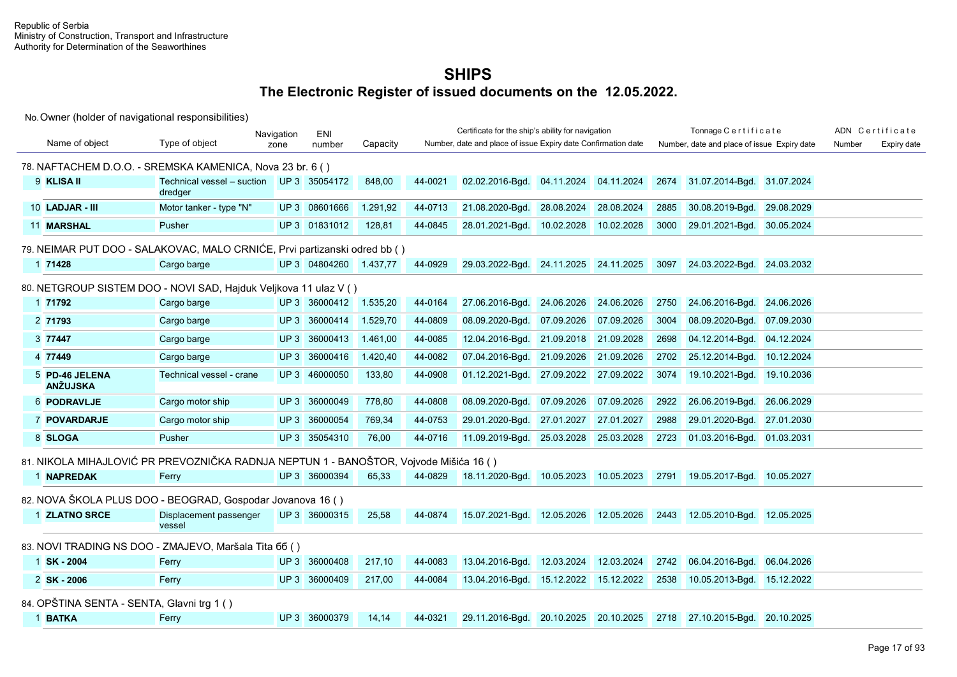|                                            |                                                                                       | Navigation      | ENI           |          |         | Certificate for the ship's ability for navigation             |                       |            |      | Tonnage Certificate                         |            |        | ADN Certificate |
|--------------------------------------------|---------------------------------------------------------------------------------------|-----------------|---------------|----------|---------|---------------------------------------------------------------|-----------------------|------------|------|---------------------------------------------|------------|--------|-----------------|
| Name of object                             | Type of object                                                                        | zone            | number        | Capacity |         | Number, date and place of issue Expiry date Confirmation date |                       |            |      | Number, date and place of issue Expiry date |            | Number | Expiry date     |
|                                            | 78. NAFTACHEM D.O.O. - SREMSKA KAMENICA, Nova 23 br. 6 ()                             |                 |               |          |         |                                                               |                       |            |      |                                             |            |        |                 |
| 9 KLISA II                                 | Technical vessel - suction<br>dredger                                                 |                 | UP 3 35054172 | 848,00   | 44-0021 | 02.02.2016-Bgd.                                               | 04.11.2024            | 04.11.2024 | 2674 | 31.07.2014-Bgd. 31.07.2024                  |            |        |                 |
| 10 LADJAR - III                            | Motor tanker - type "N"                                                               |                 | UP 3 08601666 | 1.291,92 | 44-0713 | 21.08.2020-Bgd.                                               | 28.08.2024            | 28.08.2024 | 2885 | 30.08.2019-Bgd.                             | 29.08.2029 |        |                 |
| 11 MARSHAL                                 | Pusher                                                                                |                 | UP 3 01831012 | 128,81   | 44-0845 | 28.01.2021-Bgd.                                               | 10.02.2028            | 10.02.2028 | 3000 | 29.01.2021-Bgd. 30.05.2024                  |            |        |                 |
|                                            | 79. NEIMAR PUT DOO - SALAKOVAC, MALO CRNIĆE, Prvi partizanski odred bb ()             |                 |               |          |         |                                                               |                       |            |      |                                             |            |        |                 |
| 1 71428                                    | Cargo barge                                                                           |                 | UP 3 04804260 | 1.437.77 | 44-0929 | 29.03.2022-Bgd.                                               | 24.11.2025 24.11.2025 |            | 3097 | 24.03.2022-Bgd. 24.03.2032                  |            |        |                 |
|                                            | 80. NETGROUP SISTEM DOO - NOVI SAD, Hajduk Veljkova 11 ulaz V ()                      |                 |               |          |         |                                                               |                       |            |      |                                             |            |        |                 |
| 1 71792                                    | Cargo barge                                                                           |                 | UP 3 36000412 | 1.535,20 | 44-0164 | 27.06.2016-Bgd.                                               | 24.06.2026            | 24.06.2026 | 2750 | 24.06.2016-Bqd.                             | 24.06.2026 |        |                 |
| 2 71793                                    | Cargo barge                                                                           |                 | UP 3 36000414 | 1.529,70 | 44-0809 | 08.09.2020-Bgd.                                               | 07.09.2026            | 07.09.2026 | 3004 | 08.09.2020-Bqd.                             | 07.09.2030 |        |                 |
| 3 77447                                    | Cargo barge                                                                           | UP <sub>3</sub> | 36000413      | 1.461,00 | 44-0085 | 12.04.2016-Bgd.                                               | 21.09.2018            | 21.09.2028 | 2698 | 04.12.2014-Bgd.                             | 04.12.2024 |        |                 |
| 4 77449                                    | Cargo barge                                                                           | UP <sub>3</sub> | 36000416      | 1.420,40 | 44-0082 | 07.04.2016-Bgd.                                               | 21.09.2026            | 21.09.2026 | 2702 | 25.12.2014-Bgd.                             | 10.12.2024 |        |                 |
| 5 PD-46 JELENA<br><b>ANŽUJSKA</b>          | Technical vessel - crane                                                              |                 | UP 3 46000050 | 133,80   | 44-0908 | 01.12.2021-Bgd.                                               | 27.09.2022            | 27.09.2022 | 3074 | 19.10.2021-Bgd. 19.10.2036                  |            |        |                 |
| <b>6 PODRAVLJE</b>                         | Cargo motor ship                                                                      |                 | UP 3 36000049 | 778,80   | 44-0808 | 08.09.2020-Bgd.                                               | 07.09.2026            | 07.09.2026 | 2922 | 26.06.2019-Bgd.                             | 26.06.2029 |        |                 |
| 7 POVARDARJE                               | Cargo motor ship                                                                      |                 | UP 3 36000054 | 769,34   | 44-0753 | 29.01.2020-Bgd.                                               | 27.01.2027            | 27.01.2027 | 2988 | 29.01.2020-Bgd.                             | 27.01.2030 |        |                 |
| 8 SLOGA                                    | Pusher                                                                                |                 | UP 3 35054310 | 76,00    | 44-0716 | 11.09.2019-Bgd.                                               | 25.03.2028            | 25.03.2028 | 2723 | 01.03.2016-Bgd. 01.03.2031                  |            |        |                 |
|                                            | 81. NIKOLA MIHAJLOVIĆ PR PREVOZNIČKA RADNJA NEPTUN 1 - BANOŠTOR, Vojvode Mišića 16 () |                 |               |          |         |                                                               |                       |            |      |                                             |            |        |                 |
| 1 NAPREDAK                                 | Ferry                                                                                 |                 | UP 3 36000394 | 65,33    | 44-0829 | 18.11.2020-Bgd.                                               | 10.05.2023            | 10.05.2023 | 2791 | 19.05.2017-Bgd. 10.05.2027                  |            |        |                 |
|                                            | 82. NOVA ŠKOLA PLUS DOO - BEOGRAD, Gospodar Jovanova 16 ()                            |                 |               |          |         |                                                               |                       |            |      |                                             |            |        |                 |
| 1 ZLATNO SRCE                              | Displacement passenger<br>vessel                                                      |                 | UP 3 36000315 | 25,58    | 44-0874 | 15.07.2021-Bgd.                                               | 12.05.2026            | 12.05.2026 | 2443 | 12.05.2010-Bgd. 12.05.2025                  |            |        |                 |
|                                            | 83. NOVI TRADING NS DOO - ZMAJEVO, Maršala Tita 66 ()                                 |                 |               |          |         |                                                               |                       |            |      |                                             |            |        |                 |
| 1 SK-2004                                  | Ferry                                                                                 |                 | UP 3 36000408 | 217,10   | 44-0083 | 13.04.2016-Bgd.                                               | 12.03.2024            | 12.03.2024 | 2742 | 06.04.2016-Bgd.                             | 06.04.2026 |        |                 |
| 2 SK-2006                                  | Ferry                                                                                 |                 | UP 3 36000409 | 217,00   | 44-0084 | 13.04.2016-Bgd.                                               | 15.12.2022            | 15.12.2022 | 2538 | 10.05.2013-Bgd. 15.12.2022                  |            |        |                 |
| 84. OPŠTINA SENTA - SENTA, Glavni trg 1 () |                                                                                       |                 |               |          |         |                                                               |                       |            |      |                                             |            |        |                 |
| 1 BATKA                                    | Ferry                                                                                 |                 | UP 3 36000379 | 14,14    | 44-0321 | 29.11.2016-Bgd. 20.10.2025 20.10.2025                         |                       |            | 2718 | 27.10.2015-Bgd. 20.10.2025                  |            |        |                 |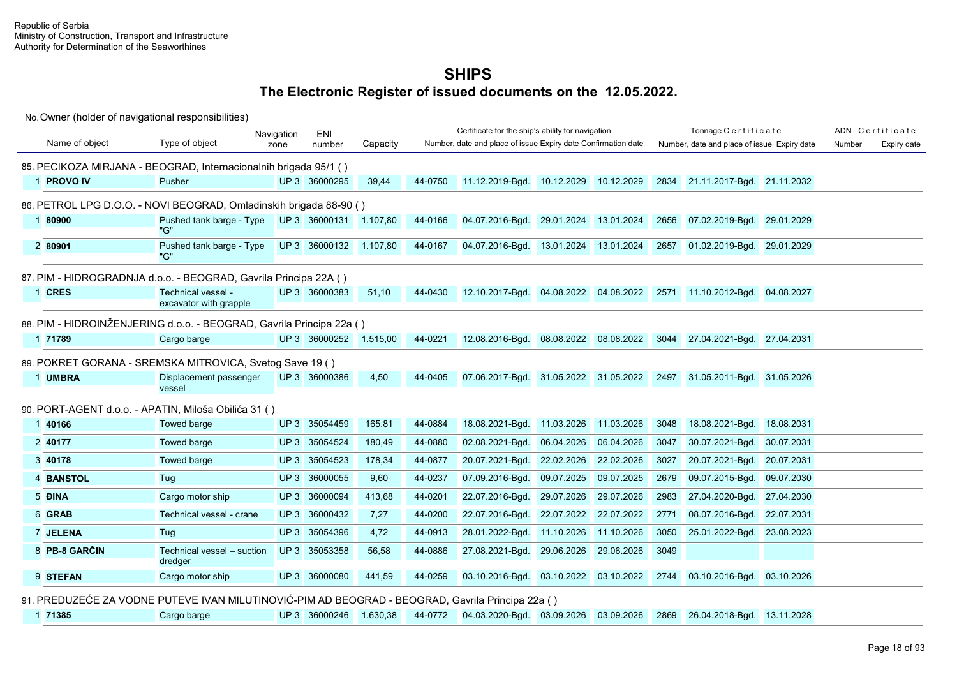No. Owner (holder of navigational responsibilities)

|                |                                                                                                  | Navigation | ENI                    |          |         | Certificate for the ship's ability for navigation             |                       |            |      | Tonnage Certificate                         |            |        | ADN Certificate |
|----------------|--------------------------------------------------------------------------------------------------|------------|------------------------|----------|---------|---------------------------------------------------------------|-----------------------|------------|------|---------------------------------------------|------------|--------|-----------------|
| Name of object | Type of object                                                                                   | zone       | number                 | Capacity |         | Number, date and place of issue Expiry date Confirmation date |                       |            |      | Number, date and place of issue Expiry date |            | Number | Expiry date     |
|                | 85. PECIKOZA MIRJANA - BEOGRAD, Internacionalnih brigada 95/1 ()                                 |            |                        |          |         |                                                               |                       |            |      |                                             |            |        |                 |
| 1 PROVO IV     | Pusher                                                                                           |            | UP 3 36000295          | 39,44    | 44-0750 | 11.12.2019-Bgd.                                               | 10.12.2029            | 10.12.2029 | 2834 | 21.11.2017-Bgd. 21.11.2032                  |            |        |                 |
|                | 86. PETROL LPG D.O.O. - NOVI BEOGRAD, Omladinskih brigada 88-90 ()                               |            |                        |          |         |                                                               |                       |            |      |                                             |            |        |                 |
| 1 80900        | Pushed tank barge - Type<br>"G"                                                                  |            | UP 3 36000131 1.107.80 |          | 44-0166 | 04.07.2016-Bgd.                                               | 29.01.2024 13.01.2024 |            | 2656 | 07.02.2019-Bgd. 29.01.2029                  |            |        |                 |
| 2 80901        | Pushed tank barge - Type<br>"G"                                                                  |            | UP 3 36000132          | 1.107,80 | 44-0167 | 04.07.2016-Bgd.                                               | 13.01.2024            | 13.01.2024 | 2657 | 01.02.2019-Bgd. 29.01.2029                  |            |        |                 |
|                | 87. PIM - HIDROGRADNJA d.o.o. - BEOGRAD, Gavrila Principa 22A ()                                 |            |                        |          |         |                                                               |                       |            |      |                                             |            |        |                 |
| 1 CRES         | Technical vessel -<br>excavator with grapple                                                     |            | UP 3 36000383          | 51,10    | 44-0430 | 12.10.2017-Bgd. 04.08.2022 04.08.2022                         |                       |            |      | 2571 11.10.2012-Bgd. 04.08.2027             |            |        |                 |
|                | 88. PIM - HIDROINŽENJERING d.o.o. - BEOGRAD, Gavrila Principa 22a ()                             |            |                        |          |         |                                                               |                       |            |      |                                             |            |        |                 |
| 1 71789        | Cargo barge                                                                                      |            | UP 3 36000252 1.515,00 |          | 44-0221 | 12.08.2016-Bgd. 08.08.2022 08.08.2022                         |                       |            |      | 3044 27.04.2021-Bgd. 27.04.2031             |            |        |                 |
|                | 89. POKRET GORANA - SREMSKA MITROVICA, Svetog Save 19 ()                                         |            |                        |          |         |                                                               |                       |            |      |                                             |            |        |                 |
| 1 UMBRA        | Displacement passenger<br>vessel                                                                 |            | UP 3 36000386          | 4,50     | 44-0405 | 07.06.2017-Bgd. 31.05.2022 31.05.2022                         |                       |            |      | 2497 31.05.2011-Bgd. 31.05.2026             |            |        |                 |
|                | 90. PORT-AGENT d.o.o. - APATIN, Miloša Obilića 31 ()                                             |            |                        |          |         |                                                               |                       |            |      |                                             |            |        |                 |
| 1 40166        | Towed barge                                                                                      |            | UP 3 35054459          | 165.81   | 44-0884 | 18.08.2021-Bgd.                                               | 11.03.2026            | 11.03.2026 | 3048 | 18.08.2021-Bgd.                             | 18.08.2031 |        |                 |
| 2 40177        | Towed barge                                                                                      |            | UP 3 35054524          | 180,49   | 44-0880 | 02.08.2021-Bqd.                                               | 06.04.2026            | 06.04.2026 | 3047 | 30.07.2021-Bgd.                             | 30.07.2031 |        |                 |
| 3 40178        | Towed barge                                                                                      |            | UP 3 35054523          | 178,34   | 44-0877 | 20.07.2021-Bgd.                                               | 22.02.2026            | 22.02.2026 | 3027 | 20.07.2021-Bgd.                             | 20.07.2031 |        |                 |
| 4 BANSTOL      | Tug                                                                                              |            | UP 3 36000055          | 9.60     | 44-0237 | 07.09.2016-Bqd.                                               | 09.07.2025            | 09.07.2025 | 2679 | 09.07.2015-Bgd.                             | 09.07.2030 |        |                 |
| 5 ĐINA         | Cargo motor ship                                                                                 |            | UP 3 36000094          | 413,68   | 44-0201 | 22.07.2016-Bgd.                                               | 29.07.2026            | 29.07.2026 | 2983 | 27.04.2020-Bgd.                             | 27.04.2030 |        |                 |
| 6 GRAB         | Technical vessel - crane                                                                         |            | UP 3 36000432          | 7,27     | 44-0200 | 22.07.2016-Bgd.                                               | 22.07.2022            | 22.07.2022 | 2771 | 08.07.2016-Bqd.                             | 22.07.2031 |        |                 |
| 7 JELENA       | Tug                                                                                              |            | UP 3 35054396          | 4,72     | 44-0913 | 28.01.2022-Bgd.                                               | 11.10.2026            | 11.10.2026 | 3050 | 25.01.2022-Bgd.                             | 23.08.2023 |        |                 |
| 8 PB-8 GARČIN  | Technical vessel - suction<br>dredger                                                            |            | UP 3 35053358          | 56,58    | 44-0886 | 27.08.2021-Bgd.                                               | 29.06.2026            | 29.06.2026 | 3049 |                                             |            |        |                 |
| 9 STEFAN       | Cargo motor ship                                                                                 |            | UP 3 36000080          | 441.59   | 44-0259 | 03.10.2016-Bgd.                                               | 03.10.2022 03.10.2022 |            | 2744 | 03.10.2016-Bgd. 03.10.2026                  |            |        |                 |
|                | 91. PREDUZEĆE ZA VODNE PUTEVE IVAN MILUTINOVIĆ-PIM AD BEOGRAD - BEOGRAD, Gavrila Principa 22a () |            |                        |          |         |                                                               |                       |            |      |                                             |            |        |                 |

1 **71385** Cargo barge UP 3 36000246 1.630,38 44-0772 04.03.2020-Bgd. 03.09.2026 03.09.2026 2869 26.04.2018-Bgd. 13.11.2028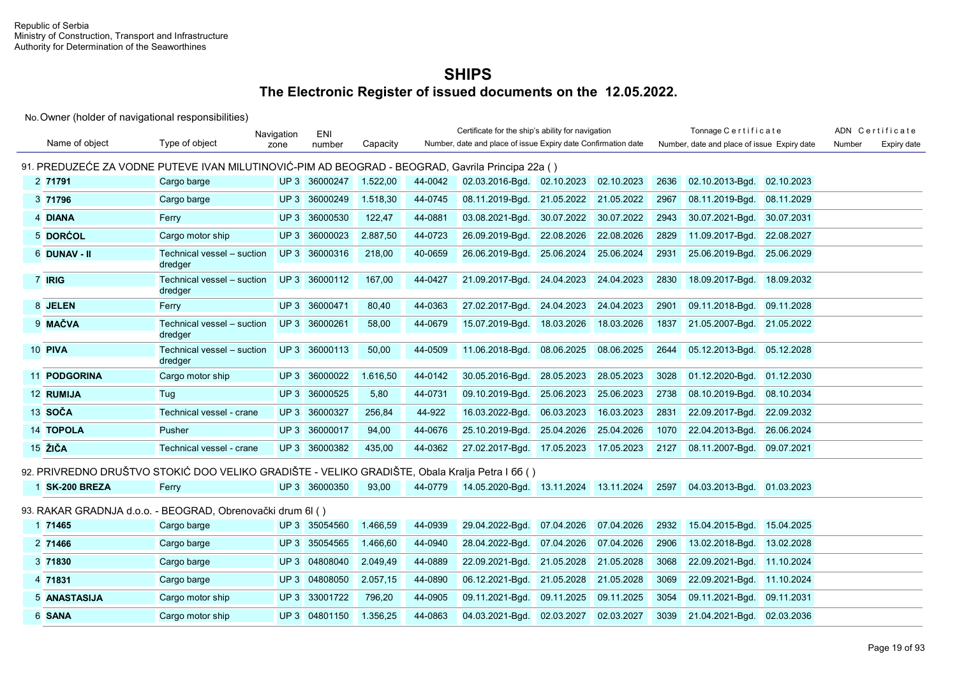|                                                                                                  |                                       | Navigation      | <b>ENI</b>    |          |         | Certificate for the ship's ability for navigation             |            |            |      | Tonnage Certificate                         |            |        | ADN Certificate |
|--------------------------------------------------------------------------------------------------|---------------------------------------|-----------------|---------------|----------|---------|---------------------------------------------------------------|------------|------------|------|---------------------------------------------|------------|--------|-----------------|
| Name of object                                                                                   | Type of object                        | zone            | number        | Capacity |         | Number, date and place of issue Expiry date Confirmation date |            |            |      | Number, date and place of issue Expiry date |            | Number | Expiry date     |
| 91. PREDUZEĆE ZA VODNE PUTEVE IVAN MILUTINOVIĆ-PIM AD BEOGRAD - BEOGRAD, Gavrila Principa 22a () |                                       |                 |               |          |         |                                                               |            |            |      |                                             |            |        |                 |
| 2 71791                                                                                          | Cargo barge                           |                 | UP 3 36000247 | 1.522,00 | 44-0042 | 02.03.2016-Bgd. 02.10.2023                                    |            | 02.10.2023 | 2636 | 02.10.2013-Bqd.                             | 02.10.2023 |        |                 |
| 3 71796                                                                                          | Cargo barge                           |                 | UP 3 36000249 | 1.518.30 | 44-0745 | 08.11.2019-Bgd. 21.05.2022                                    |            | 21.05.2022 | 2967 | 08.11.2019-Bgd.                             | 08.11.2029 |        |                 |
| 4 DIANA                                                                                          | Ferry                                 | UP3             | 36000530      | 122,47   | 44-0881 | 03.08.2021-Bgd.                                               | 30.07.2022 | 30.07.2022 | 2943 | 30.07.2021-Bgd.                             | 30.07.2031 |        |                 |
| 5 DORĆOL                                                                                         | Cargo motor ship                      | UP3             | 36000023      | 2.887,50 | 44-0723 | 26.09.2019-Bqd.                                               | 22.08.2026 | 22.08.2026 | 2829 | 11.09.2017-Bgd.                             | 22.08.2027 |        |                 |
| 6 DUNAV - II                                                                                     | Technical vessel - suction<br>dredger |                 | UP 3 36000316 | 218,00   | 40-0659 | 26.06.2019-Bgd.                                               | 25.06.2024 | 25.06.2024 | 2931 | 25.06.2019-Bgd.                             | 25.06.2029 |        |                 |
| 7 IRIG                                                                                           | Technical vessel - suction<br>dredger |                 | UP 3 36000112 | 167,00   | 44-0427 | 21.09.2017-Bgd.                                               | 24.04.2023 | 24.04.2023 | 2830 | 18.09.2017-Bgd.                             | 18.09.2032 |        |                 |
| 8 JELEN                                                                                          | Ferry                                 |                 | UP 3 36000471 | 80,40    | 44-0363 | 27.02.2017-Bqd.                                               | 24.04.2023 | 24.04.2023 | 2901 | 09.11.2018-Bgd.                             | 09.11.2028 |        |                 |
| 9 MAČVA                                                                                          | Technical vessel - suction<br>dredger |                 | UP 3 36000261 | 58,00    | 44-0679 | 15.07.2019-Bgd.                                               | 18.03.2026 | 18.03.2026 | 1837 | 21.05.2007-Bgd. 21.05.2022                  |            |        |                 |
| 10 PIVA                                                                                          | Technical vessel - suction<br>dredger |                 | UP 3 36000113 | 50,00    | 44-0509 | 11.06.2018-Bgd.                                               | 08.06.2025 | 08.06.2025 | 2644 | 05.12.2013-Bgd.                             | 05.12.2028 |        |                 |
| 11 PODGORINA                                                                                     | Cargo motor ship                      |                 | UP 3 36000022 | 1.616,50 | 44-0142 | 30.05.2016-Bgd.                                               | 28.05.2023 | 28.05.2023 | 3028 | 01.12.2020-Bqd.                             | 01.12.2030 |        |                 |
| 12 RUMIJA                                                                                        | Tug                                   | UP3             | 36000525      | 5,80     | 44-0731 | 09.10.2019-Bgd.                                               | 25.06.2023 | 25.06.2023 | 2738 | 08.10.2019-Bgd.                             | 08.10.2034 |        |                 |
| 13 SOČA                                                                                          | Technical vessel - crane              | UP3             | 36000327      | 256,84   | 44-922  | 16.03.2022-Bgd.                                               | 06.03.2023 | 16.03.2023 | 2831 | 22.09.2017-Bgd.                             | 22.09.2032 |        |                 |
| 14 TOPOLA                                                                                        | Pusher                                |                 | UP 3 36000017 | 94,00    | 44-0676 | 25.10.2019-Bgd.                                               | 25.04.2026 | 25.04.2026 | 1070 | 22.04.2013-Bgd.                             | 26.06.2024 |        |                 |
| 15 ŽIČA                                                                                          | Technical vessel - crane              |                 | UP 3 36000382 | 435,00   | 44-0362 | 27.02.2017-Bgd. 17.05.2023                                    |            | 17.05.2023 | 2127 | 08.11.2007-Bgd.                             | 09.07.2021 |        |                 |
| 92. PRIVREDNO DRUŠTVO STOKIĆ DOO VELIKO GRADIŠTE - VELIKO GRADIŠTE, Obala Kralja Petra I 66 ()   |                                       |                 |               |          |         |                                                               |            |            |      |                                             |            |        |                 |
| 1 SK-200 BREZA                                                                                   | Ferry                                 |                 | UP 3 36000350 | 93,00    | 44-0779 | 14.05.2020-Bgd. 13.11.2024 13.11.2024                         |            |            | 2597 | 04.03.2013-Bgd. 01.03.2023                  |            |        |                 |
| 93. RAKAR GRADNJA d.o.o. - BEOGRAD, Obrenovački drum 6l ()                                       |                                       |                 |               |          |         |                                                               |            |            |      |                                             |            |        |                 |
| 1 71465                                                                                          | Cargo barge                           |                 | UP 3 35054560 | 1.466,59 | 44-0939 | 29.04.2022-Bqd.                                               | 07.04.2026 | 07.04.2026 | 2932 | 15.04.2015-Bgd.                             | 15.04.2025 |        |                 |
| 2 71466                                                                                          | Cargo barge                           |                 | UP 3 35054565 | 1.466,60 | 44-0940 | 28.04.2022-Bgd.                                               | 07.04.2026 | 07.04.2026 | 2906 | 13.02.2018-Bgd.                             | 13.02.2028 |        |                 |
| 3 71830                                                                                          | Cargo barge                           |                 | UP 3 04808040 | 2.049,49 | 44-0889 | 22.09.2021-Bgd.                                               | 21.05.2028 | 21.05.2028 | 3068 | 22.09.2021-Bgd. 11.10.2024                  |            |        |                 |
| 4 71831                                                                                          | Cargo barge                           | UP <sub>3</sub> | 04808050      | 2.057,15 | 44-0890 | 06.12.2021-Bgd.                                               | 21.05.2028 | 21.05.2028 | 3069 | 22.09.2021-Bgd. 11.10.2024                  |            |        |                 |
| 5 ANASTASIJA                                                                                     | Cargo motor ship                      | UP3             | 33001722      | 796,20   | 44-0905 | 09.11.2021-Bgd.                                               | 09.11.2025 | 09.11.2025 | 3054 | 09.11.2021-Bgd.                             | 09.11.2031 |        |                 |
| 6 SANA                                                                                           | Cargo motor ship                      |                 | UP 3 04801150 | 1.356,25 | 44-0863 | 04.03.2021-Bgd.                                               | 02.03.2027 | 02.03.2027 | 3039 | 21.04.2021-Bgd.                             | 02.03.2036 |        |                 |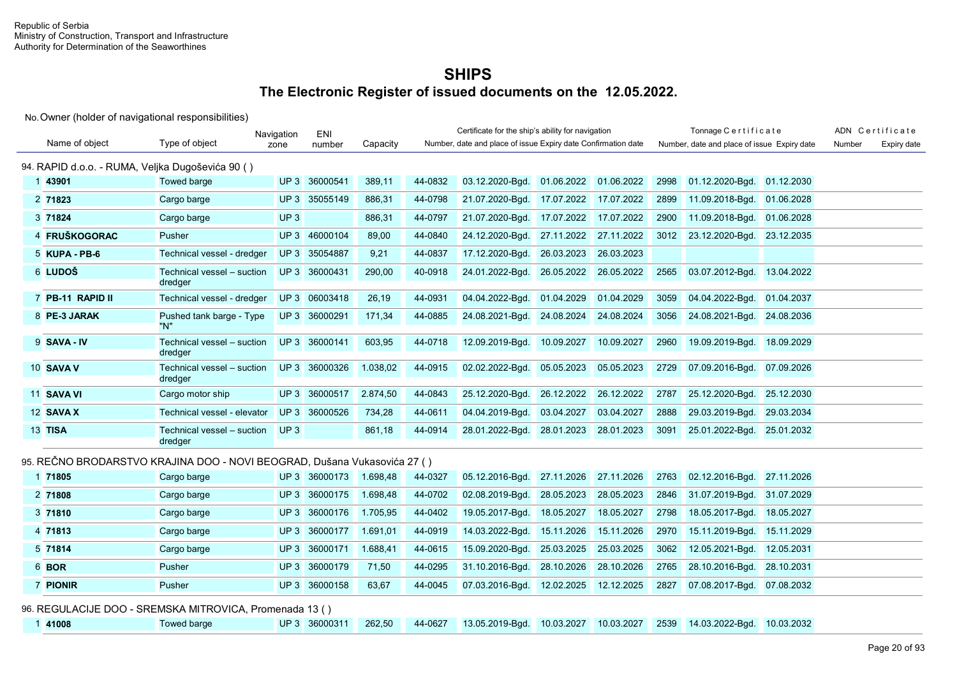No. Owner (holder of navigational responsibilities)

|                                                  |                                                                          | Navigation      | ENI           |          |         | Certificate for the ship's ability for navigation             |            |            |      | Tonnage Certificate                         |            |        | ADN Certificate |
|--------------------------------------------------|--------------------------------------------------------------------------|-----------------|---------------|----------|---------|---------------------------------------------------------------|------------|------------|------|---------------------------------------------|------------|--------|-----------------|
| Name of object                                   | Type of object                                                           | zone            | number        | Capacity |         | Number, date and place of issue Expiry date Confirmation date |            |            |      | Number, date and place of issue Expiry date |            | Number | Expiry date     |
| 94. RAPID d.o.o. - RUMA, Veljka Dugoševića 90 () |                                                                          |                 |               |          |         |                                                               |            |            |      |                                             |            |        |                 |
| 1 43901                                          | Towed barge                                                              |                 | UP 3 36000541 | 389,11   | 44-0832 | 03.12.2020-Bgd.                                               | 01.06.2022 | 01.06.2022 | 2998 | 01.12.2020-Bgd.                             | 01.12.2030 |        |                 |
| 2 71823                                          | Cargo barge                                                              |                 | UP 3 35055149 | 886,31   | 44-0798 | 21.07.2020-Bgd.                                               | 17.07.2022 | 17.07.2022 | 2899 | 11.09.2018-Bgd.                             | 01.06.2028 |        |                 |
| 3 71824                                          | Cargo barge                                                              | UP <sub>3</sub> |               | 886,31   | 44-0797 | 21.07.2020-Bgd.                                               | 17.07.2022 | 17.07.2022 | 2900 | 11.09.2018-Bgd.                             | 01.06.2028 |        |                 |
| 4 FRUŠKOGORAC                                    | Pusher                                                                   |                 | UP 3 46000104 | 89,00    | 44-0840 | 24.12.2020-Bgd.                                               | 27.11.2022 | 27.11.2022 | 3012 | 23.12.2020-Bgd.                             | 23.12.2035 |        |                 |
| 5 KUPA - PB-6                                    | Technical vessel - dredger                                               |                 | UP 3 35054887 | 9,21     | 44-0837 | 17.12.2020-Bgd.                                               | 26.03.2023 | 26.03.2023 |      |                                             |            |        |                 |
| 6 LUDOŠ                                          | Technical vessel - suction<br>dredger                                    |                 | UP 3 36000431 | 290,00   | 40-0918 | 24.01.2022-Bgd.                                               | 26.05.2022 | 26.05.2022 | 2565 | 03.07.2012-Bgd. 13.04.2022                  |            |        |                 |
| 7 PB-11 RAPID II                                 | Technical vessel - dredger                                               |                 | UP 3 06003418 | 26,19    | 44-0931 | 04.04.2022-Bqd.                                               | 01.04.2029 | 01.04.2029 | 3059 | 04.04.2022-Bgd. 01.04.2037                  |            |        |                 |
| 8 PE-3 JARAK                                     | Pushed tank barge - Type<br>"N"                                          |                 | UP 3 36000291 | 171,34   | 44-0885 | 24.08.2021-Bgd.                                               | 24.08.2024 | 24.08.2024 | 3056 | 24.08.2021-Bgd. 24.08.2036                  |            |        |                 |
| 9 SAVA - IV                                      | Technical vessel - suction<br>dredger                                    |                 | UP 3 36000141 | 603,95   | 44-0718 | 12.09.2019-Bgd.                                               | 10.09.2027 | 10.09.2027 | 2960 | 19.09.2019-Bgd.                             | 18.09.2029 |        |                 |
| 10 SAVA V                                        | Technical vessel - suction<br>dredger                                    |                 | UP 3 36000326 | 1.038,02 | 44-0915 | 02.02.2022-Bqd.                                               | 05.05.2023 | 05.05.2023 | 2729 | 07.09.2016-Bgd. 07.09.2026                  |            |        |                 |
| 11 SAVA VI                                       | Cargo motor ship                                                         |                 | UP 3 36000517 | 2.874,50 | 44-0843 | 25.12.2020-Bgd.                                               | 26.12.2022 | 26.12.2022 | 2787 | 25.12.2020-Bgd.                             | 25.12.2030 |        |                 |
| 12 SAVA X                                        | Technical vessel - elevator                                              |                 | UP 3 36000526 | 734,28   | 44-0611 | 04.04.2019-Bgd.                                               | 03.04.2027 | 03.04.2027 | 2888 | 29.03.2019-Bgd.                             | 29.03.2034 |        |                 |
| 13 TISA                                          | Technical vessel - suction<br>dredger                                    | UP <sub>3</sub> |               | 861,18   | 44-0914 | 28.01.2022-Bgd.                                               | 28.01.2023 | 28.01.2023 | 3091 | 25.01.2022-Bgd. 25.01.2032                  |            |        |                 |
|                                                  | 95. REČNO BRODARSTVO KRAJINA DOO - NOVI BEOGRAD, Dušana Vukasovića 27 () |                 |               |          |         |                                                               |            |            |      |                                             |            |        |                 |
| 1 71805                                          | Cargo barge                                                              |                 | UP 3 36000173 | 1.698,48 | 44-0327 | 05.12.2016-Bgd.                                               | 27.11.2026 | 27.11.2026 | 2763 | 02.12.2016-Bgd.                             | 27.11.2026 |        |                 |
| 2 71808                                          | Cargo barge                                                              |                 | UP 3 36000175 | 1.698,48 | 44-0702 | 02.08.2019-Bqd.                                               | 28.05.2023 | 28.05.2023 | 2846 | 31.07.2019-Bgd.                             | 31.07.2029 |        |                 |
| 3 71810                                          | Cargo barge                                                              |                 | UP 3 36000176 | 1.705,95 | 44-0402 | 19.05.2017-Bgd.                                               | 18.05.2027 | 18.05.2027 | 2798 | 18.05.2017-Bgd.                             | 18.05.2027 |        |                 |
| 4 71813                                          | Cargo barge                                                              |                 | UP 3 36000177 | 1.691,01 | 44-0919 | 14.03.2022-Bgd.                                               | 15.11.2026 | 15.11.2026 | 2970 | 15.11.2019-Bgd. 15.11.2029                  |            |        |                 |
| 5 71814                                          | Cargo barge                                                              | UP <sub>3</sub> | 36000171      | 1.688,41 | 44-0615 | 15.09.2020-Bgd.                                               | 25.03.2025 | 25.03.2025 | 3062 | 12.05.2021-Bgd.                             | 12.05.2031 |        |                 |
| 6 BOR                                            | Pusher                                                                   |                 | UP 3 36000179 | 71,50    | 44-0295 | 31.10.2016-Bgd.                                               | 28.10.2026 | 28.10.2026 | 2765 | 28.10.2016-Bgd. 28.10.2031                  |            |        |                 |
| 7 PIONIR                                         | Pusher                                                                   |                 | UP 3 36000158 | 63.67    | 44-0045 | 07.03.2016-Bgd.                                               | 12.02.2025 | 12.12.2025 | 2827 | 07.08.2017-Bgd.                             | 07.08.2032 |        |                 |

96. REGULACIJE DOO - SREMSKA MITROVICA, Promenada 13 ( )

| 141008 | Towed barge |  | UP 3 36000311 |  |  |  |  |  |  | 262,50 44-0627 13.05.2019-Bgd. 10.03.2027 10.03.2027 2539 14.03.2022-Bgd. 10.03.2032 |  |  |
|--------|-------------|--|---------------|--|--|--|--|--|--|--------------------------------------------------------------------------------------|--|--|
|--------|-------------|--|---------------|--|--|--|--|--|--|--------------------------------------------------------------------------------------|--|--|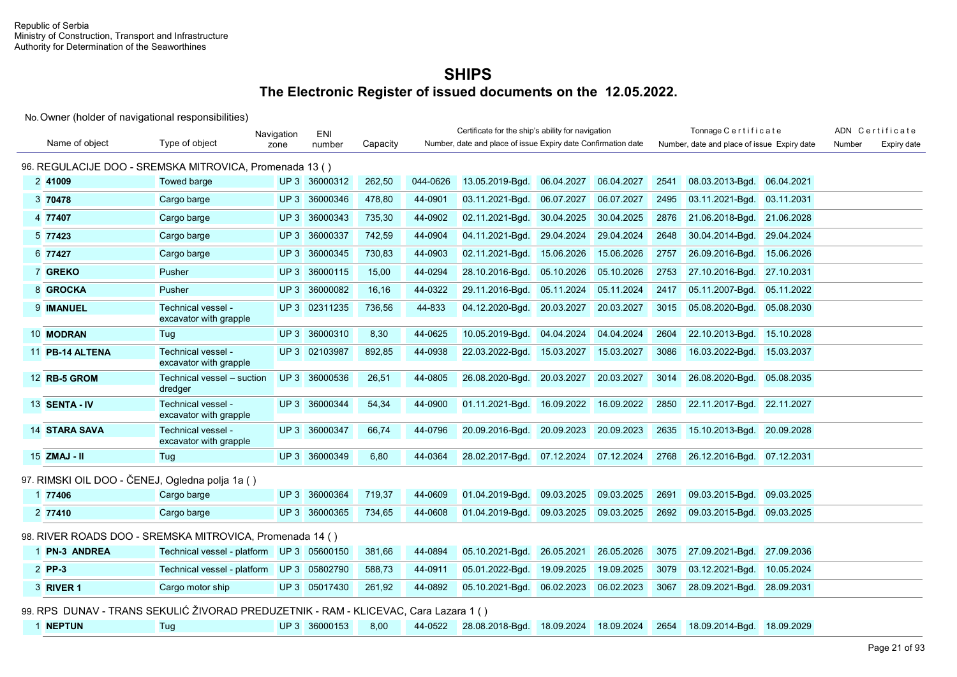No. Owner (holder of navigational responsibilities)

|                                                 |                                                                             | Navigation | ENI           |          |          | Certificate for the ship's ability for navigation             |            |            |      | Tonnage Certificate                         |            |        | ADN Certificate |
|-------------------------------------------------|-----------------------------------------------------------------------------|------------|---------------|----------|----------|---------------------------------------------------------------|------------|------------|------|---------------------------------------------|------------|--------|-----------------|
| Name of object                                  | Type of object                                                              | zone       | number        | Capacity |          | Number, date and place of issue Expiry date Confirmation date |            |            |      | Number, date and place of issue Expiry date |            | Number | Expiry date     |
|                                                 | 96. REGULACIJE DOO - SREMSKA MITROVICA, Promenada 13 ()                     |            |               |          |          |                                                               |            |            |      |                                             |            |        |                 |
| 2 41009                                         | Towed barge                                                                 |            | UP 3 36000312 | 262,50   | 044-0626 | 13.05.2019-Bgd.                                               | 06.04.2027 | 06.04.2027 | 2541 | 08.03.2013-Bgd.                             | 06.04.2021 |        |                 |
| 3 70478                                         | Cargo barge                                                                 |            | UP 3 36000346 | 478.80   | 44-0901  | 03.11.2021-Bgd.                                               | 06.07.2027 | 06.07.2027 | 2495 | 03.11.2021-Bgd.                             | 03.11.2031 |        |                 |
| 4 77407                                         | Cargo barge                                                                 |            | UP 3 36000343 | 735,30   | 44-0902  | 02.11.2021-Bgd.                                               | 30.04.2025 | 30.04.2025 | 2876 | 21.06.2018-Bgd. 21.06.2028                  |            |        |                 |
| 5 77423                                         | Cargo barge                                                                 |            | UP 3 36000337 | 742,59   | 44-0904  | 04.11.2021-Bgd.                                               | 29.04.2024 | 29.04.2024 | 2648 | 30.04.2014-Bgd.                             | 29.04.2024 |        |                 |
| 6 77427                                         | Cargo barge                                                                 |            | UP 3 36000345 | 730,83   | 44-0903  | 02.11.2021-Bgd.                                               | 15.06.2026 | 15.06.2026 | 2757 | 26.09.2016-Bgd.                             | 15.06.2026 |        |                 |
| 7 GREKO                                         | Pusher                                                                      |            | UP 3 36000115 | 15,00    | 44-0294  | 28.10.2016-Bgd.                                               | 05.10.2026 | 05.10.2026 | 2753 | 27.10.2016-Bgd.                             | 27.10.2031 |        |                 |
| 8 GROCKA                                        | Pusher                                                                      |            | UP 3 36000082 | 16.16    | 44-0322  | 29.11.2016-Bgd.                                               | 05.11.2024 | 05.11.2024 | 2417 | 05.11.2007-Bgd. 05.11.2022                  |            |        |                 |
| 9 IMANUEL                                       | Technical vessel -<br>excavator with grapple                                |            | UP 3 02311235 | 736,56   | 44-833   | 04.12.2020-Bgd.                                               | 20.03.2027 | 20.03.2027 | 3015 | 05.08.2020-Bgd. 05.08.2030                  |            |        |                 |
| 10 MODRAN                                       | Tug                                                                         |            | UP 3 36000310 | 8,30     | 44-0625  | 10.05.2019-Bgd.                                               | 04.04.2024 | 04.04.2024 | 2604 | 22.10.2013-Bgd.                             | 15.10.2028 |        |                 |
| 11 PB-14 ALTENA                                 | Technical vessel -<br>excavator with grapple                                |            | UP 3 02103987 | 892,85   | 44-0938  | 22.03.2022-Bgd.                                               | 15.03.2027 | 15.03.2027 | 3086 | 16.03.2022-Bgd.                             | 15.03.2037 |        |                 |
| 12 RB-5 GROM                                    | Technical vessel - suction<br>dredger                                       |            | UP 3 36000536 | 26,51    | 44-0805  | 26.08.2020-Bgd.                                               | 20.03.2027 | 20.03.2027 | 3014 | 26.08.2020-Bgd. 05.08.2035                  |            |        |                 |
| 13 SENTA - IV                                   | Technical vessel -<br>excavator with grapple                                |            | UP 3 36000344 | 54,34    | 44-0900  | 01.11.2021-Bgd.                                               | 16.09.2022 | 16.09.2022 | 2850 | 22.11.2017-Bgd. 22.11.2027                  |            |        |                 |
| <b>14 STARA SAVA</b>                            | Technical vessel -<br>excavator with grapple                                |            | UP 3 36000347 | 66,74    | 44-0796  | 20.09.2016-Bgd.                                               | 20.09.2023 | 20.09.2023 | 2635 | 15.10.2013-Bgd. 20.09.2028                  |            |        |                 |
| 15 ZMAJ - II                                    | Tug                                                                         |            | UP 3 36000349 | 6,80     | 44-0364  | 28.02.2017-Bgd. 07.12.2024                                    |            | 07.12.2024 | 2768 | 26.12.2016-Bgd. 07.12.2031                  |            |        |                 |
| 97. RIMSKI OIL DOO - ČENEJ, Ogledna polja 1a () |                                                                             |            |               |          |          |                                                               |            |            |      |                                             |            |        |                 |
| 1 77406                                         | Cargo barge                                                                 |            | UP 3 36000364 | 719,37   | 44-0609  | 01.04.2019-Bqd.                                               | 09.03.2025 | 09.03.2025 | 2691 | 09.03.2015-Bgd.                             | 09.03.2025 |        |                 |
| 2 77410                                         | Cargo barge                                                                 |            | UP 3 36000365 | 734,65   | 44-0608  | 01.04.2019-Bgd.                                               | 09.03.2025 | 09.03.2025 | 2692 | 09.03.2015-Bgd.                             | 09.03.2025 |        |                 |
|                                                 | 98. RIVER ROADS DOO - SREMSKA MITROVICA, Promenada 14 ()                    |            |               |          |          |                                                               |            |            |      |                                             |            |        |                 |
| 1 PN-3 ANDREA                                   | Technical vessel - platform UP 3 05600150                                   |            |               | 381,66   | 44-0894  | 05.10.2021-Bqd.                                               | 26.05.2021 | 26.05.2026 | 3075 | 27.09.2021-Bgd.                             | 27.09.2036 |        |                 |
| 2 PP-3                                          | Technical vessel - platform UP 3 05802790                                   |            |               | 588,73   | 44-0911  | 05.01.2022-Bgd.                                               | 19.09.2025 | 19.09.2025 | 3079 | 03.12.2021-Bgd.                             | 10.05.2024 |        |                 |
| 3 RIVER 1                                       | Cargo motor ship                                                            |            | UP 3 05017430 | 261,92   | 44-0892  | 05.10.2021-Bgd.                                               | 06.02.2023 | 06.02.2023 | 3067 | 28.09.2021-Bgd. 28.09.2031                  |            |        |                 |
|                                                 | 00 PDS DUNAV TRANS SEKULIĆ ŽIVORAD PREDUZETNIK PAM KLICEVAC Caralazara 1 () |            |               |          |          |                                                               |            |            |      |                                             |            |        |                 |

99. RPS DUNAV - TRANS SEKULIĆ ŽIVORAD PREDUZETNIK - RAM - KLICEVAC, Cara Lazara 1 ( ) 1 **NEPTUN** Tug UP 3 36000153 8,00 44-0522 28.08.2018-Bgd. 18.09.2024 18.09.2024 2654 18.09.2014-Bgd. 18.09.2029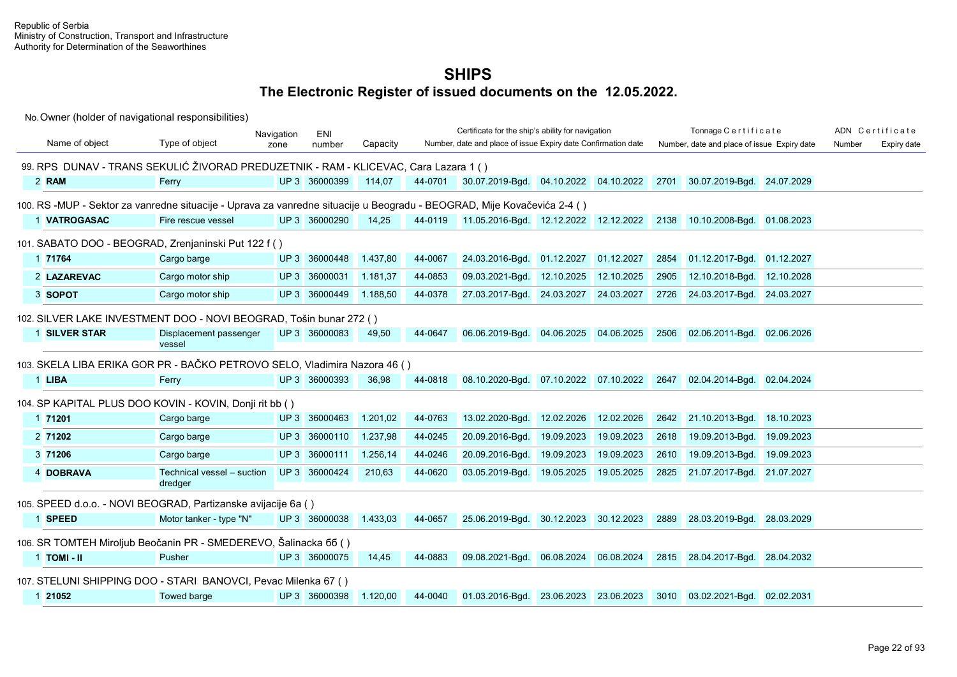|                |                                                                                                                         | Navigation | ENI           |          |         | Certificate for the ship's ability for navigation             |                       |                       |      | Tonnage Certificate                         |            |        | ADN Certificate |
|----------------|-------------------------------------------------------------------------------------------------------------------------|------------|---------------|----------|---------|---------------------------------------------------------------|-----------------------|-----------------------|------|---------------------------------------------|------------|--------|-----------------|
| Name of object | Type of object                                                                                                          | zone       | number        | Capacity |         | Number, date and place of issue Expiry date Confirmation date |                       |                       |      | Number, date and place of issue Expiry date |            | Number | Expiry date     |
|                | 99. RPS DUNAV - TRANS SEKULIĆ ŽIVORAD PREDUZETNIK - RAM - KLICEVAC, Cara Lazara 1 ()                                    |            |               |          |         |                                                               |                       |                       |      |                                             |            |        |                 |
| 2 RAM          | Ferry                                                                                                                   |            | UP 3 36000399 | 114,07   | 44-0701 | 30.07.2019-Bgd. 04.10.2022 04.10.2022                         |                       |                       |      | 2701 30.07.2019-Bgd. 24.07.2029             |            |        |                 |
|                | 100. RS -MUP - Sektor za vanredne situacije - Uprava za vanredne situacije u Beogradu - BEOGRAD, Mije Kovačevića 2-4 () |            |               |          |         |                                                               |                       |                       |      |                                             |            |        |                 |
| 1 VATROGASAC   | Fire rescue vessel                                                                                                      |            | UP 3 36000290 | 14,25    | 44-0119 | 11.05.2016-Bgd. 12.12.2022 12.12.2022                         |                       |                       |      | 2138 10.10.2008-Bgd. 01.08.2023             |            |        |                 |
|                |                                                                                                                         |            |               |          |         |                                                               |                       |                       |      |                                             |            |        |                 |
|                | 101. SABATO DOO - BEOGRAD, Zrenjaninski Put 122 f ()                                                                    |            |               |          |         |                                                               |                       |                       |      |                                             |            |        |                 |
| 1 71764        | Cargo barge                                                                                                             |            | UP 3 36000448 | 1.437,80 | 44-0067 | 24.03.2016-Bgd.                                               | 01.12.2027            | 01.12.2027            | 2854 | 01.12.2017-Bgd. 01.12.2027                  |            |        |                 |
| 2 LAZAREVAC    | Cargo motor ship                                                                                                        |            | UP 3 36000031 | 1.181,37 | 44-0853 | 09.03.2021-Bgd.                                               | 12.10.2025            | 12.10.2025            | 2905 | 12.10.2018-Bgd. 12.10.2028                  |            |        |                 |
| 3 SOPOT        | Cargo motor ship                                                                                                        |            | UP 3 36000449 | 1.188,50 | 44-0378 | 27.03.2017-Bgd.                                               | 24.03.2027            | 24.03.2027            | 2726 | 24.03.2017-Bgd. 24.03.2027                  |            |        |                 |
|                | 102. SILVER LAKE INVESTMENT DOO - NOVI BEOGRAD, Tošin bunar 272 ()                                                      |            |               |          |         |                                                               |                       |                       |      |                                             |            |        |                 |
| 1 SILVER STAR  | Displacement passenger                                                                                                  |            | UP 3 36000083 | 49,50    | 44-0647 | 06.06.2019-Bgd.                                               | 04.06.2025            | 04.06.2025            | 2506 | 02.06.2011-Bgd. 02.06.2026                  |            |        |                 |
|                | vessel                                                                                                                  |            |               |          |         |                                                               |                       |                       |      |                                             |            |        |                 |
|                | 103. SKELA LIBA ERIKA GOR PR - BAČKO PETROVO SELO, Vladimira Nazora 46 ()                                               |            |               |          |         |                                                               |                       |                       |      |                                             |            |        |                 |
| 1 LIBA         | Ferry                                                                                                                   |            | UP 3 36000393 | 36,98    | 44-0818 | 08.10.2020-Bgd.                                               |                       | 07.10.2022 07.10.2022 | 2647 | 02.04.2014-Bgd. 02.04.2024                  |            |        |                 |
|                |                                                                                                                         |            |               |          |         |                                                               |                       |                       |      |                                             |            |        |                 |
|                | 104. SP KAPITAL PLUS DOO KOVIN - KOVIN, Donji rit bb ()                                                                 |            |               |          |         |                                                               |                       |                       |      |                                             |            |        |                 |
| 1 71201        | Cargo barge                                                                                                             |            | UP 3 36000463 | 1.201,02 | 44-0763 | 13.02.2020-Bgd.                                               | 12.02.2026            | 12.02.2026            | 2642 | 21.10.2013-Bgd. 18.10.2023                  |            |        |                 |
| 2 71202        | Cargo barge                                                                                                             |            | UP 3 36000110 | 1.237,98 | 44-0245 | 20.09.2016-Bgd.                                               | 19.09.2023            | 19.09.2023            | 2618 | 19.09.2013-Bgd. 19.09.2023                  |            |        |                 |
| 3 71206        | Cargo barge                                                                                                             |            | UP 3 36000111 | 1.256,14 | 44-0246 | 20.09.2016-Bgd.                                               | 19.09.2023            | 19.09.2023            | 2610 | 19.09.2013-Bgd.                             | 19.09.2023 |        |                 |
| 4 DOBRAVA      | Technical vessel - suction                                                                                              |            | UP 3 36000424 | 210,63   | 44-0620 | 03.05.2019-Bqd.                                               | 19.05.2025            | 19.05.2025            | 2825 | 21.07.2017-Bgd. 21.07.2027                  |            |        |                 |
|                | dredger                                                                                                                 |            |               |          |         |                                                               |                       |                       |      |                                             |            |        |                 |
|                | 105. SPEED d.o.o. - NOVI BEOGRAD, Partizanske avijacije 6a ()                                                           |            |               |          |         |                                                               |                       |                       |      |                                             |            |        |                 |
| 1 SPEED        | Motor tanker - type "N"                                                                                                 |            | UP 3 36000038 | 1.433,03 | 44-0657 | 25.06.2019-Bgd.                                               | 30.12.2023 30.12.2023 |                       | 2889 | 28.03.2019-Bgd. 28.03.2029                  |            |        |                 |
|                | 106. SR TOMTEH Miroljub Beočanin PR - SMEDEREVO, Šalinacka 66 ()                                                        |            |               |          |         |                                                               |                       |                       |      |                                             |            |        |                 |
| 1 TOMI - II    | Pusher                                                                                                                  |            | UP 3 36000075 | 14,45    | 44-0883 | 09.08.2021-Bgd.                                               |                       | 06.08.2024 06.08.2024 | 2815 | 28.04.2017-Bgd. 28.04.2032                  |            |        |                 |
|                |                                                                                                                         |            |               |          |         |                                                               |                       |                       |      |                                             |            |        |                 |
|                | 107. STELUNI SHIPPING DOO - STARI BANOVCI, Pevac Milenka 67 ()                                                          |            |               |          |         |                                                               |                       |                       |      |                                             |            |        |                 |
| 1 21052        | <b>Towed barge</b>                                                                                                      |            | UP 3 36000398 | 1.120,00 | 44-0040 | 01.03.2016-Bgd.                                               | 23.06.2023            | 23.06.2023            | 3010 | 03.02.2021-Bgd. 02.02.2031                  |            |        |                 |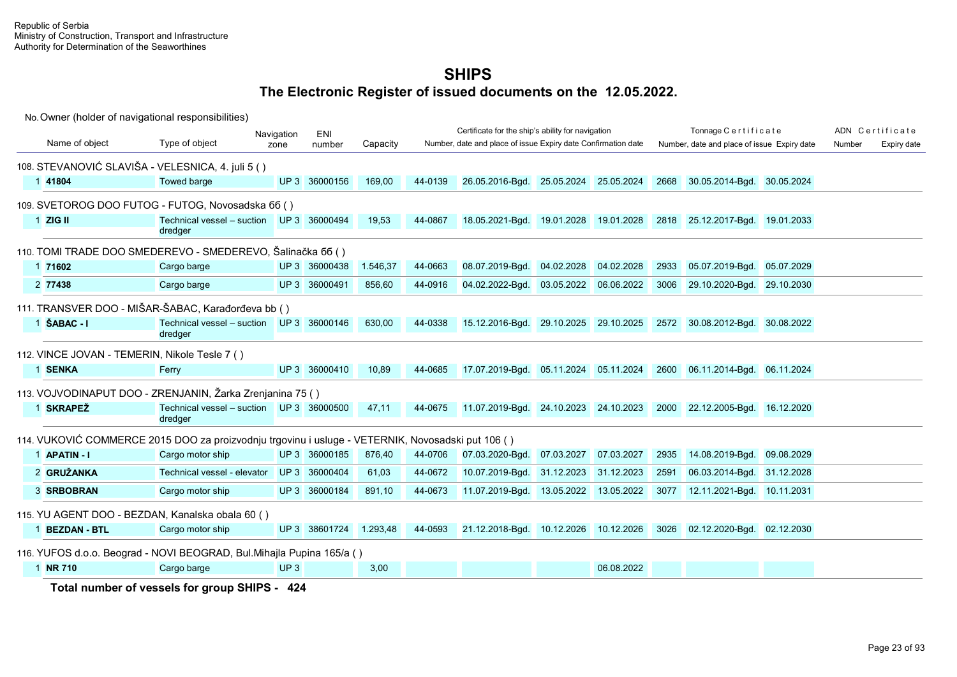No. Owner (holder of navigational responsibilities)

|                                               |                                                                                                   | Navigation      | ENI           |          |         | Certificate for the ship's ability for navigation             |            |            |      | Tonnage Certificate                         |            |        | ADN Certificate |
|-----------------------------------------------|---------------------------------------------------------------------------------------------------|-----------------|---------------|----------|---------|---------------------------------------------------------------|------------|------------|------|---------------------------------------------|------------|--------|-----------------|
| Name of object                                | Type of object                                                                                    | zone            | number        | Capacity |         | Number, date and place of issue Expiry date Confirmation date |            |            |      | Number, date and place of issue Expiry date |            | Number | Expiry date     |
|                                               | 108. STEVANOVIĆ SLAVIŠA - VELESNICA, 4. juli 5 ()                                                 |                 |               |          |         |                                                               |            |            |      |                                             |            |        |                 |
| 1 41804                                       | <b>Towed barge</b>                                                                                |                 | UP 3 36000156 | 169,00   | 44-0139 | 26.05.2016-Bgd. 25.05.2024 25.05.2024                         |            |            | 2668 | 30.05.2014-Bgd. 30.05.2024                  |            |        |                 |
|                                               | 109. SVETOROG DOO FUTOG - FUTOG, Novosadska 66 ()                                                 |                 |               |          |         |                                                               |            |            |      |                                             |            |        |                 |
| $1$ ZIG II                                    | Technical vessel - suction UP 3 36000494<br>dredger                                               |                 |               | 19,53    | 44-0867 | 18.05.2021-Bgd. 19.01.2028 19.01.2028                         |            |            | 2818 | 25.12.2017-Bgd. 19.01.2033                  |            |        |                 |
|                                               | 110. TOMI TRADE DOO SMEDEREVO - SMEDEREVO, Šalinačka 66 ()                                        |                 |               |          |         |                                                               |            |            |      |                                             |            |        |                 |
| 1 71602                                       | Cargo barge                                                                                       |                 | UP 3 36000438 | 1.546,37 | 44-0663 | 08.07.2019-Bgd.                                               | 04.02.2028 | 04.02.2028 | 2933 | 05.07.2019-Bgd.                             | 05.07.2029 |        |                 |
| 2 77438                                       | Cargo barge                                                                                       |                 | UP 3 36000491 | 856.60   | 44-0916 | 04.02.2022-Bgd.                                               | 03.05.2022 | 06.06.2022 | 3006 | 29.10.2020-Bgd.                             | 29.10.2030 |        |                 |
|                                               | 111. TRANSVER DOO - MIŠAR-ŠABAC, Karađorđeva bb ()                                                |                 |               |          |         |                                                               |            |            |      |                                             |            |        |                 |
| $1$ SABAC - $1$                               | Technical vessel - suction UP 3 36000146<br>dredger                                               |                 |               | 630,00   | 44-0338 | 15.12.2016-Bgd. 29.10.2025 29.10.2025                         |            |            |      | 2572 30.08.2012-Bgd. 30.08.2022             |            |        |                 |
| 112. VINCE JOVAN - TEMERIN, Nikole Tesle 7 () |                                                                                                   |                 |               |          |         |                                                               |            |            |      |                                             |            |        |                 |
| 1 SENKA                                       | Ferry                                                                                             |                 | UP 3 36000410 | 10,89    | 44-0685 | 17.07.2019-Bgd. 05.11.2024 05.11.2024                         |            |            | 2600 | 06.11.2014-Bgd. 06.11.2024                  |            |        |                 |
|                                               | 113. VOJVODINAPUT DOO - ZRENJANIN, Žarka Zrenjanina 75 ()                                         |                 |               |          |         |                                                               |            |            |      |                                             |            |        |                 |
| 1 SKRAPEŽ                                     | Technical vessel - suction UP 3 36000500<br>dredger                                               |                 |               | 47,11    | 44-0675 | 11.07.2019-Bgd. 24.10.2023 24.10.2023                         |            |            | 2000 | 22.12.2005-Bgd. 16.12.2020                  |            |        |                 |
|                                               | 114. VUKOVIĆ COMMERCE 2015 DOO za proizvodnju trgovinu i usluge - VETERNIK, Novosadski put 106 () |                 |               |          |         |                                                               |            |            |      |                                             |            |        |                 |
| 1 APATIN - I                                  | Cargo motor ship                                                                                  |                 | UP 3 36000185 | 876,40   | 44-0706 | 07.03.2020-Bgd.                                               | 07.03.2027 | 07.03.2027 | 2935 | 14.08.2019-Bqd.                             | 09.08.2029 |        |                 |
| 2 GRUŽANKA                                    | Technical vessel - elevator                                                                       |                 | UP 3 36000404 | 61,03    | 44-0672 | 10.07.2019-Bgd.                                               | 31.12.2023 | 31.12.2023 | 2591 | 06.03.2014-Bgd.                             | 31.12.2028 |        |                 |
| 3 SRBOBRAN                                    | Cargo motor ship                                                                                  |                 | UP 3 36000184 | 891,10   | 44-0673 | 11.07.2019-Bgd.                                               | 13.05.2022 | 13.05.2022 | 3077 | 12.11.2021-Bgd. 10.11.2031                  |            |        |                 |
|                                               | 115. YU AGENT DOO - BEZDAN, Kanalska obala 60 ()                                                  |                 |               |          |         |                                                               |            |            |      |                                             |            |        |                 |
| 1 BEZDAN - BTL                                | Cargo motor ship                                                                                  |                 | UP 3 38601724 | 1.293,48 | 44-0593 | 21.12.2018-Bgd. 10.12.2026 10.12.2026                         |            |            | 3026 | 02.12.2020-Bgd. 02.12.2030                  |            |        |                 |
|                                               | 116. YUFOS d.o.o. Beograd - NOVI BEOGRAD, Bul.Mihajla Pupina 165/a ()                             |                 |               |          |         |                                                               |            |            |      |                                             |            |        |                 |
| 1 NR 710                                      | Cargo barge                                                                                       | UP <sub>3</sub> |               | 3,00     |         |                                                               |            | 06.08.2022 |      |                                             |            |        |                 |
|                                               | Total number of vessels for group SHIPS - 424                                                     |                 |               |          |         |                                                               |            |            |      |                                             |            |        |                 |

Page 23 of 93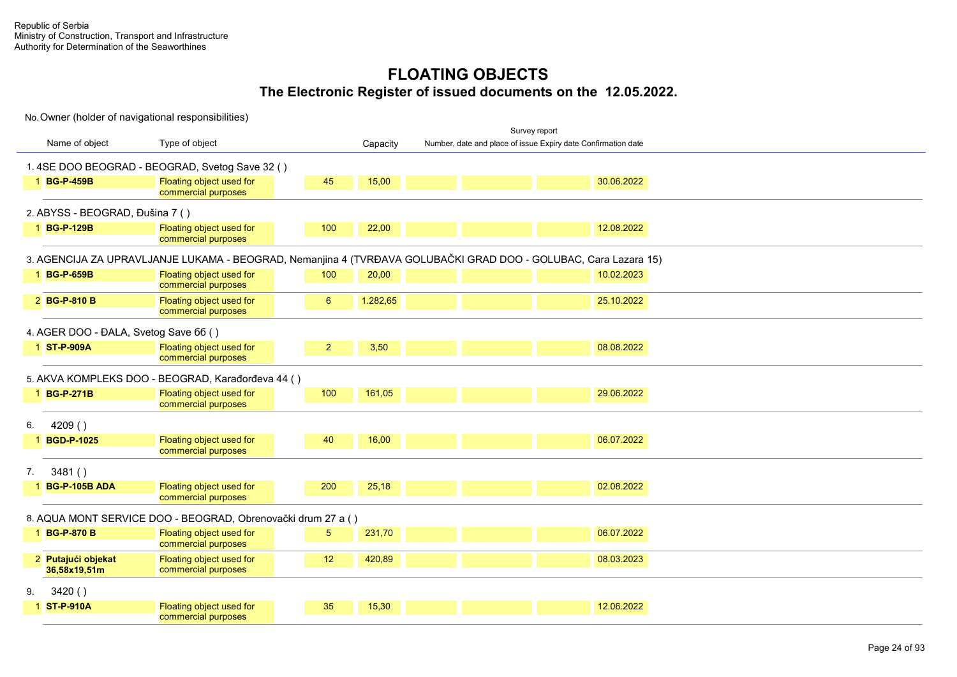|                                       |                                                                                                                 |                |          |                                                               | Survey report |            |  |  |
|---------------------------------------|-----------------------------------------------------------------------------------------------------------------|----------------|----------|---------------------------------------------------------------|---------------|------------|--|--|
| Name of object                        | Type of object                                                                                                  |                | Capacity | Number, date and place of issue Expiry date Confirmation date |               |            |  |  |
|                                       | 1.4SE DOO BEOGRAD - BEOGRAD, Svetog Save 32 ()                                                                  |                |          |                                                               |               |            |  |  |
| 1 BG-P-459B                           | Floating object used for<br>commercial purposes                                                                 | 45             | 15,00    |                                                               |               | 30.06.2022 |  |  |
| 2. ABYSS - BEOGRAD, Đušina 7 ()       |                                                                                                                 |                |          |                                                               |               |            |  |  |
| 1 BG-P-129B                           | Floating object used for<br>commercial purposes                                                                 | 100            | 22,00    |                                                               |               | 12.08.2022 |  |  |
|                                       | 3. AGENCIJA ZA UPRAVLJANJE LUKAMA - BEOGRAD, Nemanjina 4 (TVRĐAVA GOLUBAČKI GRAD DOO - GOLUBAC, Cara Lazara 15) |                |          |                                                               |               |            |  |  |
| 1 BG-P-659B                           | Floating object used for<br>commercial purposes                                                                 | 100            | 20,00    |                                                               |               | 10.02.2023 |  |  |
| 2 BG-P-810 B                          | Floating object used for<br>commercial purposes                                                                 | 6              | 1.282,65 |                                                               |               | 25.10.2022 |  |  |
| 4. AGER DOO - ĐALA, Svetog Save 66 () |                                                                                                                 |                |          |                                                               |               |            |  |  |
| 1 ST-P-909A                           | Floating object used for<br>commercial purposes                                                                 | $\overline{2}$ | 3,50     |                                                               |               | 08.08.2022 |  |  |
|                                       | 5. AKVA KOMPLEKS DOO - BEOGRAD, Karađorđeva 44 ()                                                               |                |          |                                                               |               |            |  |  |
| 1 BG-P-271B                           | Floating object used for<br>commercial purposes                                                                 | 100            | 161,05   |                                                               |               | 29.06.2022 |  |  |
| 4209()                                |                                                                                                                 |                |          |                                                               |               |            |  |  |
| 1 BGD-P-1025                          | Floating object used for<br>commercial purposes                                                                 | 40             | 16,00    |                                                               |               | 06.07.2022 |  |  |
| 3481()<br>7.                          |                                                                                                                 |                |          |                                                               |               |            |  |  |
| 1 BG-P-105B ADA                       | Floating object used for<br>commercial purposes                                                                 | 200            | 25,18    |                                                               |               | 02.08.2022 |  |  |
|                                       | 8. AQUA MONT SERVICE DOO - BEOGRAD, Obrenovački drum 27 a ()                                                    |                |          |                                                               |               |            |  |  |
| 1 BG-P-870 B                          | Floating object used for<br>commercial purposes                                                                 | 5              | 231,70   |                                                               |               | 06.07.2022 |  |  |
| 2 Putajući objekat<br>36,58x19,51m    | Floating object used for<br>commercial purposes                                                                 | 12             | 420,89   |                                                               |               | 08.03.2023 |  |  |
| 3420()<br>9.                          |                                                                                                                 |                |          |                                                               |               |            |  |  |
| 1 ST-P-910A                           | Floating object used for<br>commercial purposes                                                                 | 35             | 15,30    |                                                               |               | 12.06.2022 |  |  |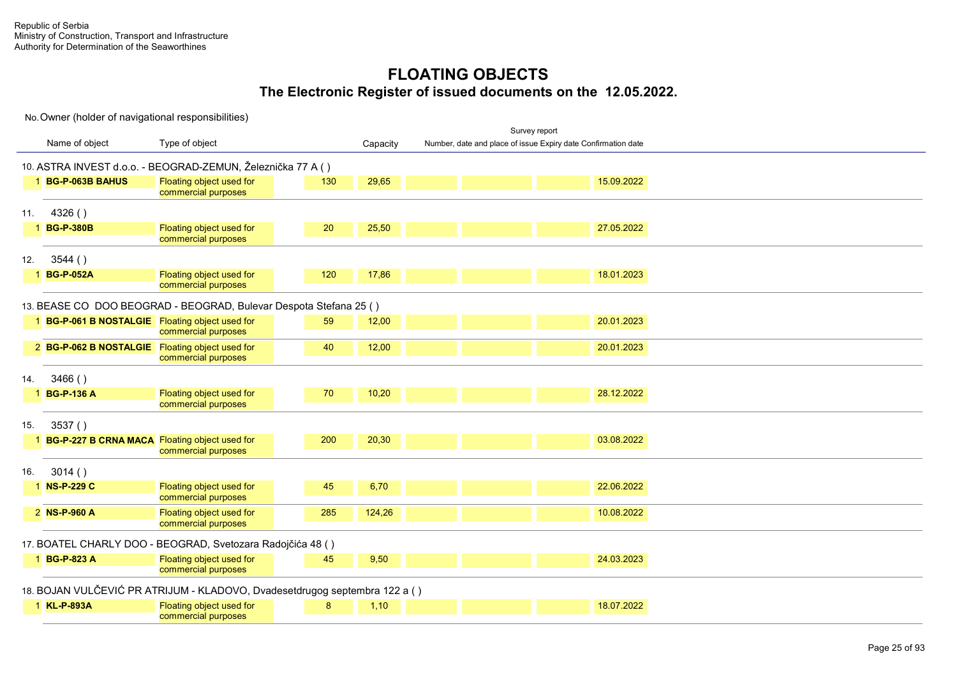|     |                                                 |                                                                            |     |          | Survey report                                                 |  |
|-----|-------------------------------------------------|----------------------------------------------------------------------------|-----|----------|---------------------------------------------------------------|--|
|     | Name of object                                  | Type of object                                                             |     | Capacity | Number, date and place of issue Expiry date Confirmation date |  |
|     |                                                 | 10. ASTRA INVEST d.o.o. - BEOGRAD-ZEMUN, Železnička 77 A ()                |     |          |                                                               |  |
|     | 1 BG-P-063B BAHUS                               | Floating object used for<br>commercial purposes                            | 130 | 29,65    | 15.09.2022                                                    |  |
| 11. | 4326()                                          |                                                                            |     |          |                                                               |  |
|     | 1 BG-P-380B                                     | Floating object used for<br>commercial purposes                            | 20  | 25,50    | 27.05.2022                                                    |  |
| 12. | 3544()                                          |                                                                            |     |          |                                                               |  |
|     | 1 BG-P-052A                                     | Floating object used for<br>commercial purposes                            | 120 | 17,86    | 18.01.2023                                                    |  |
|     |                                                 | 13. BEASE CO DOO BEOGRAD - BEOGRAD, Bulevar Despota Stefana 25 ()          |     |          |                                                               |  |
|     | 1 BG-P-061 B NOSTALGIE Floating object used for | commercial purposes                                                        | 59  | 12,00    | 20.01.2023                                                    |  |
|     | 2 BG-P-062 B NOSTALGIE Floating object used for | commercial purposes                                                        | 40  | 12,00    | 20.01.2023                                                    |  |
| 14. | 3466()                                          |                                                                            |     |          |                                                               |  |
|     | 1 BG-P-136 A                                    | Floating object used for<br>commercial purposes                            | 70  | 10,20    | 28.12.2022                                                    |  |
| 15. | 3537()                                          |                                                                            |     |          |                                                               |  |
|     | 1 BG-P-227 B CRNA MACA Floating object used for | commercial purposes                                                        | 200 | 20,30    | 03.08.2022                                                    |  |
| 16. | 3014()                                          |                                                                            |     |          |                                                               |  |
|     | 1 NS-P-229 C                                    | Floating object used for<br>commercial purposes                            | 45  | 6,70     | 22.06.2022                                                    |  |
|     | 2 NS-P-960 A                                    | Floating object used for<br>commercial purposes                            | 285 | 124,26   | 10.08.2022                                                    |  |
|     |                                                 | 17. BOATEL CHARLY DOO - BEOGRAD, Svetozara Radojčića 48 ()                 |     |          |                                                               |  |
|     | 1 BG-P-823 A                                    | Floating object used for<br>commercial purposes                            | 45  | 9,50     | 24.03.2023                                                    |  |
|     |                                                 | 18. BOJAN VULČEVIĆ PR ATRIJUM - KLADOVO, Dvadesetdrugog septembra 122 a () |     |          |                                                               |  |
|     | 1 KL-P-893A                                     | Floating object used for<br>commercial purposes                            | 8   | 1,10     | 18.07.2022                                                    |  |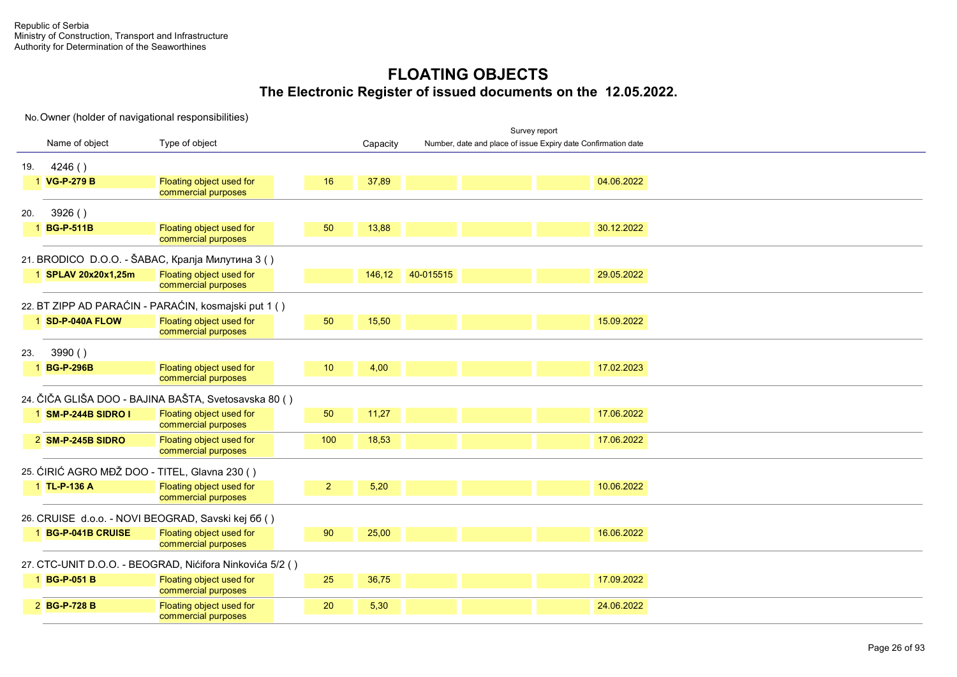No. Owner (holder of navigational responsibilities) Name of object Type of object and the Capacity Survey report Tonnage C e r t i f i c a t e r t i f i c a t e r t i f i c a t e r t i c a t e r t i c a t e r Number, date and place of issue Expiry date Confirmation date 19. 4246 ( ) 1 **VG-P-279 B** Floating object used for commercial purposes  $16$  37,89 04.06.2022 20. 3926 ( ) 1 **BG-P-511B** Floating object used for commercial purposes  $\frac{1}{13}$  50  $\frac{13,88}{13,88}$  30.12.2022 21. BRODICO D.O.O. - ŠABAC, Кралја Милутина 3 ( ) 1 **SPLAV 20x20x1,25m** Floating object used for commercial purposes UP 3 146,12 40-015515 29.05.2022 22. BT ZIPP AD PARAĆIN - PARAĆIN, kosmajski put 1 ( ) 1 **SD-P-040A FLOW** Floating object used for commercial purposes <u>الا 350 15,50 إن التي يتم التي يتم التي تتم التي تتم التي تتم التي تتم التي تتم التي تتم التي تتم التي تتم ال</u> 23. 3990 ( ) 1 **BG-P-296B** Floating object used for commercial purposes  $10$   $4,00$   $17.02.2023$ 24. ČIČA GLIŠA DOO - BAJINA BAŠTA, Svetosavska 80 ( ) 1 **SM-P-244B SIDRO I** Floating object used for commercial purposes  $\frac{1}{100}$  50  $\frac{11,27}{17.06.2022}$ 2 **SM-P-245B SIDRO** Floating object used for commercial purposes  $100$   $18,53$  17.06.2022 25. ĆIRIĆ AGRO MĐŽ DOO - TITEL, Glavna 230 ( ) 1 **TL-P-136 A** Floating object used for commercial purposes <u>2 5.20 10.06.2022</u> 26. CRUISE d.o.o. - NOVI BEOGRAD, Savski kej бб ( ) 1 **BG-P-041B CRUISE** Floating object used for commercial purposes UP 3 90 25,00 16.06.2022 27. CTC-UNIT D.O.O. - BEOGRAD, Nićifora Ninkovića 5/2 ( ) 1 **BG-P-051 B** Floating object used for commercial purposes 25 36.75 17.09.2022 2 **BG-P-728 B** Floating object used for commercial purposes  $20$   $5,30$   $5,30$   $24.06.2022$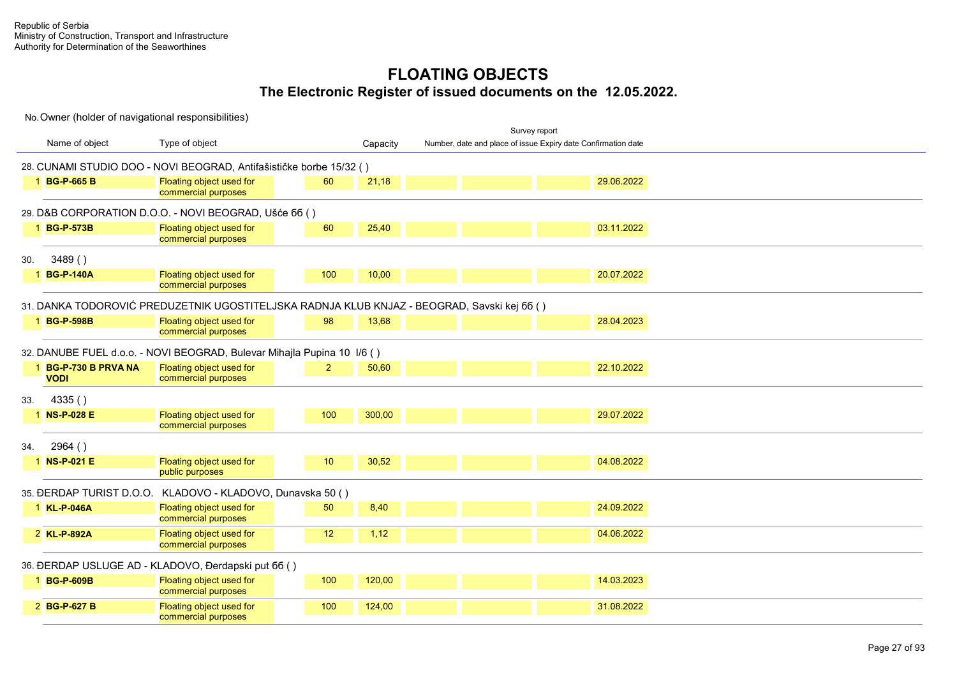|                                          |                                                                                             |                |          |                                                               | Survey report |            |  |
|------------------------------------------|---------------------------------------------------------------------------------------------|----------------|----------|---------------------------------------------------------------|---------------|------------|--|
| Name of object                           | Type of object                                                                              |                | Capacity | Number, date and place of issue Expiry date Confirmation date |               |            |  |
|                                          | 28. CUNAMI STUDIO DOO - NOVI BEOGRAD, Antifašističke borbe 15/32 ()                         |                |          |                                                               |               |            |  |
| 1 BG-P-665 B                             | Floating object used for<br>commercial purposes                                             | 60             | 21,18    |                                                               |               | 29.06.2022 |  |
|                                          | 29. D&B CORPORATION D.O.O. - NOVI BEOGRAD, Ušće 66 ()                                       |                |          |                                                               |               |            |  |
| 1 BG-P-573B                              | Floating object used for<br>commercial purposes                                             | 60             | 25,40    |                                                               |               | 03.11.2022 |  |
| 3489()<br>30.                            |                                                                                             |                |          |                                                               |               |            |  |
| <b>BG-P-140A</b>                         | Floating object used for<br>commercial purposes                                             | 100            | 10,00    |                                                               |               | 20.07.2022 |  |
|                                          | 31. DANKA TODOROVIĆ PREDUZETNIK UGOSTITELJSKA RADNJA KLUB KNJAZ - BEOGRAD, Savski kej 66 () |                |          |                                                               |               |            |  |
| 1 BG-P-598B                              | Floating object used for<br>commercial purposes                                             | 98             | 13,68    |                                                               |               | 28.04.2023 |  |
|                                          | 32. DANUBE FUEL d.o.o. - NOVI BEOGRAD, Bulevar Mihajla Pupina 10 I/6 ()                     |                |          |                                                               |               |            |  |
| <b>BG-P-730 B PRVA NA</b><br><b>VODI</b> | Floating object used for<br>commercial purposes                                             | $\overline{2}$ | 50,60    |                                                               |               | 22.10.2022 |  |
| 4335()<br>33.                            |                                                                                             |                |          |                                                               |               |            |  |
| 1 NS-P-028 E                             | Floating object used for<br>commercial purposes                                             | 100            | 300,00   |                                                               |               | 29.07.2022 |  |
| 2964()<br>34.                            |                                                                                             |                |          |                                                               |               |            |  |
| 1 NS-P-021 E                             | Floating object used for<br>public purposes                                                 | 10             | 30,52    |                                                               |               | 04.08.2022 |  |
|                                          | 35. ĐERDAP TURIST D.O.O. KLADOVO - KLADOVO, Dunavska 50 ()                                  |                |          |                                                               |               |            |  |
| 1 KL-P-046A                              | Floating object used for<br>commercial purposes                                             | 50             | 8,40     |                                                               |               | 24.09.2022 |  |
| 2 KL-P-892A                              | Floating object used for<br>commercial purposes                                             | 12             | 1,12     |                                                               |               | 04.06.2022 |  |
|                                          | 36. ĐERDAP USLUGE AD - KLADOVO, Đerdapski put 66 ()                                         |                |          |                                                               |               |            |  |
| 1 BG-P-609B                              | Floating object used for<br>commercial purposes                                             | 100            | 120,00   |                                                               |               | 14.03.2023 |  |
| 2 BG-P-627 B                             | Floating object used for<br>commercial purposes                                             | 100            | 124,00   |                                                               |               | 31.08.2022 |  |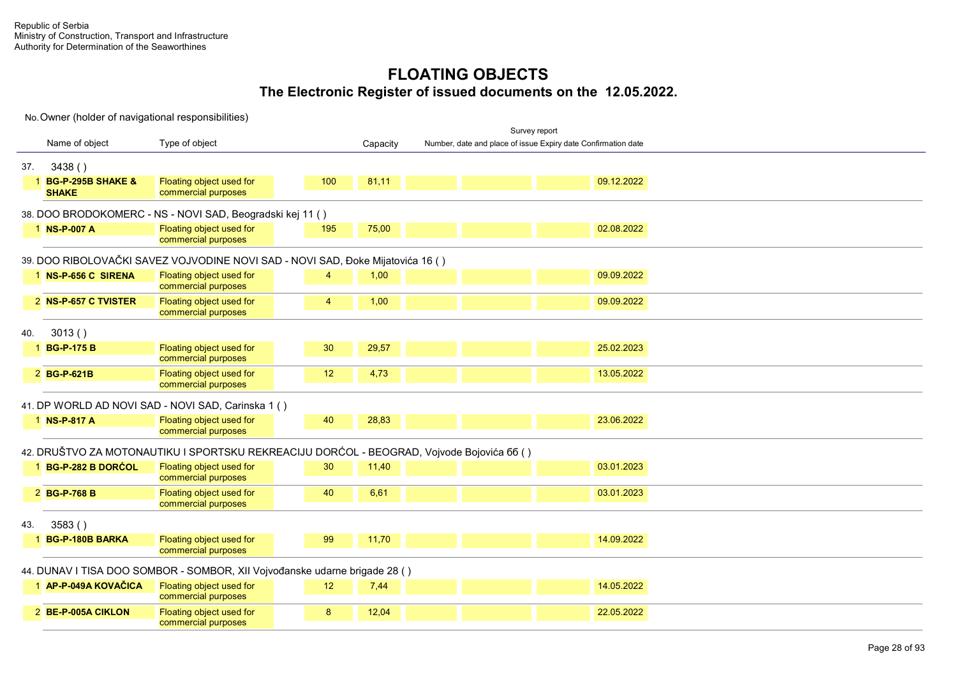|     |                                     |                                                                                           |                  |          |                                                               | Survey report |            |  |  |  |
|-----|-------------------------------------|-------------------------------------------------------------------------------------------|------------------|----------|---------------------------------------------------------------|---------------|------------|--|--|--|
|     | Name of object                      | Type of object                                                                            |                  | Capacity | Number, date and place of issue Expiry date Confirmation date |               |            |  |  |  |
| 37. | 3438()                              |                                                                                           |                  |          |                                                               |               |            |  |  |  |
|     | 1 BG-P-295B SHAKE &<br><b>SHAKE</b> | Floating object used for<br>commercial purposes                                           | 100              | 81,11    |                                                               |               | 09.12.2022 |  |  |  |
|     |                                     | 38. DOO BRODOKOMERC - NS - NOVI SAD, Beogradski kej 11 ()                                 |                  |          |                                                               |               |            |  |  |  |
|     | 1 NS-P-007 A                        | Floating object used for<br>commercial purposes                                           | 195              | 75,00    |                                                               |               | 02.08.2022 |  |  |  |
|     |                                     | 39. DOO RIBOLOVAČKI SAVEZ VOJVODINE NOVI SAD - NOVI SAD, Đoke Mijatovića 16 ()            |                  |          |                                                               |               |            |  |  |  |
|     | 1 NS-P-656 C SIRENA                 | Floating object used for<br>commercial purposes                                           | 4                | 1,00     |                                                               |               | 09.09.2022 |  |  |  |
|     | 2 NS-P-657 C TVISTER                | Floating object used for<br>commercial purposes                                           | 4                | 1,00     |                                                               |               | 09.09.2022 |  |  |  |
| 40. | 3013()                              |                                                                                           |                  |          |                                                               |               |            |  |  |  |
|     | 1 BG-P-175 B                        | Floating object used for<br>commercial purposes                                           | 30               | 29,57    |                                                               |               | 25.02.2023 |  |  |  |
|     | 2 BG-P-621B                         | Floating object used for<br>commercial purposes                                           | 12               | 4,73     |                                                               |               | 13.05.2022 |  |  |  |
|     |                                     | 41. DP WORLD AD NOVI SAD - NOVI SAD, Carinska 1 ()                                        |                  |          |                                                               |               |            |  |  |  |
|     | 1 NS-P-817 A                        | Floating object used for<br>commercial purposes                                           | 40               | 28,83    |                                                               |               | 23.06.2022 |  |  |  |
|     |                                     | 42. DRUŠTVO ZA MOTONAUTIKU I SPORTSKU REKREACIJU DORĆOL - BEOGRAD, Vojvode Bojovića 66 () |                  |          |                                                               |               |            |  |  |  |
|     | 1 BG-P-282 B DORCOL                 | Floating object used for<br>commercial purposes                                           | 30               | 11,40    |                                                               |               | 03.01.2023 |  |  |  |
|     | 2 BG-P-768 B                        | Floating object used for<br>commercial purposes                                           | 40               | 6.61     |                                                               |               | 03.01.2023 |  |  |  |
| 43. | 3583()                              |                                                                                           |                  |          |                                                               |               |            |  |  |  |
|     | 1 BG-P-180B BARKA                   | Floating object used for<br>commercial purposes                                           | 99               | 11,70    |                                                               |               | 14.09.2022 |  |  |  |
|     |                                     | 44. DUNAV I TISA DOO SOMBOR - SOMBOR, XII Vojvođanske udarne brigade 28 ()                |                  |          |                                                               |               |            |  |  |  |
|     | 1 AP-P-049A KOVAČICA                | <b>Floating object used for</b><br>commercial purposes                                    | 12               | 7,44     |                                                               |               | 14.05.2022 |  |  |  |
|     | 2 BE-P-005A CIKLON                  | Floating object used for<br>commercial purposes                                           | $\boldsymbol{8}$ | 12,04    |                                                               |               | 22.05.2022 |  |  |  |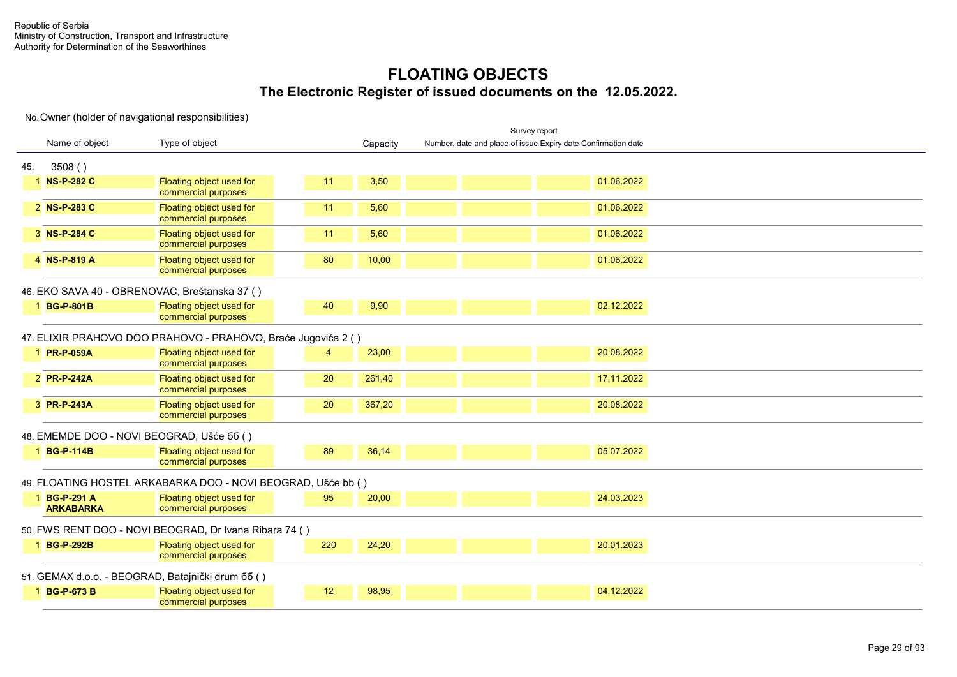|     |                                  |                                                               |     |          | Survey report                                                 |            |  |
|-----|----------------------------------|---------------------------------------------------------------|-----|----------|---------------------------------------------------------------|------------|--|
|     | Name of object                   | Type of object                                                |     | Capacity | Number, date and place of issue Expiry date Confirmation date |            |  |
| 45. | 3508()                           |                                                               |     |          |                                                               |            |  |
|     | 1 NS-P-282 C                     | Floating object used for<br>commercial purposes               | 11  | 3,50     |                                                               | 01.06.2022 |  |
|     | 2 NS-P-283 C                     | Floating object used for<br>commercial purposes               | 11  | 5,60     |                                                               | 01.06.2022 |  |
|     | 3 NS-P-284 C                     | Floating object used for<br>commercial purposes               | 11  | 5,60     |                                                               | 01.06.2022 |  |
|     | 4 NS-P-819 A                     | Floating object used for<br>commercial purposes               | 80  | 10,00    |                                                               | 01.06.2022 |  |
|     |                                  | 46. EKO SAVA 40 - OBRENOVAC, Breštanska 37 ()                 |     |          |                                                               |            |  |
|     | 1 BG-P-801B                      | Floating object used for<br>commercial purposes               | 40  | 9,90     |                                                               | 02.12.2022 |  |
|     |                                  | 47. ELIXIR PRAHOVO DOO PRAHOVO - PRAHOVO, Braće Jugovića 2 () |     |          |                                                               |            |  |
|     | 1 PR-P-059A                      | Floating object used for<br>commercial purposes               | 4   | 23,00    |                                                               | 20.08.2022 |  |
|     | 2 PR-P-242A                      | Floating object used for<br>commercial purposes               | 20  | 261,40   |                                                               | 17.11.2022 |  |
|     | 3 PR-P-243A                      | Floating object used for<br>commercial purposes               | 20  | 367,20   |                                                               | 20.08.2022 |  |
|     |                                  | 48. EMEMDE DOO - NOVI BEOGRAD, Ušće 66 ()                     |     |          |                                                               |            |  |
|     | 1 BG-P-114B                      | Floating object used for<br>commercial purposes               | 89  | 36,14    |                                                               | 05.07.2022 |  |
|     |                                  | 49. FLOATING HOSTEL ARKABARKA DOO - NOVI BEOGRAD, Ušće bb ()  |     |          |                                                               |            |  |
|     | 1 BG-P-291 A<br><b>ARKABARKA</b> | Floating object used for<br>commercial purposes               | 95  | 20,00    |                                                               | 24.03.2023 |  |
|     |                                  | 50. FWS RENT DOO - NOVI BEOGRAD, Dr Ivana Ribara 74 ()        |     |          |                                                               |            |  |
|     | 1 BG-P-292B                      | Floating object used for<br>commercial purposes               | 220 | 24,20    |                                                               | 20.01.2023 |  |
|     |                                  | 51. GEMAX d.o.o. - BEOGRAD, Batajnički drum 66 ()             |     |          |                                                               |            |  |
|     | 1 BG-P-673 B                     | Floating object used for<br>commercial purposes               | 12  | 98,95    |                                                               | 04.12.2022 |  |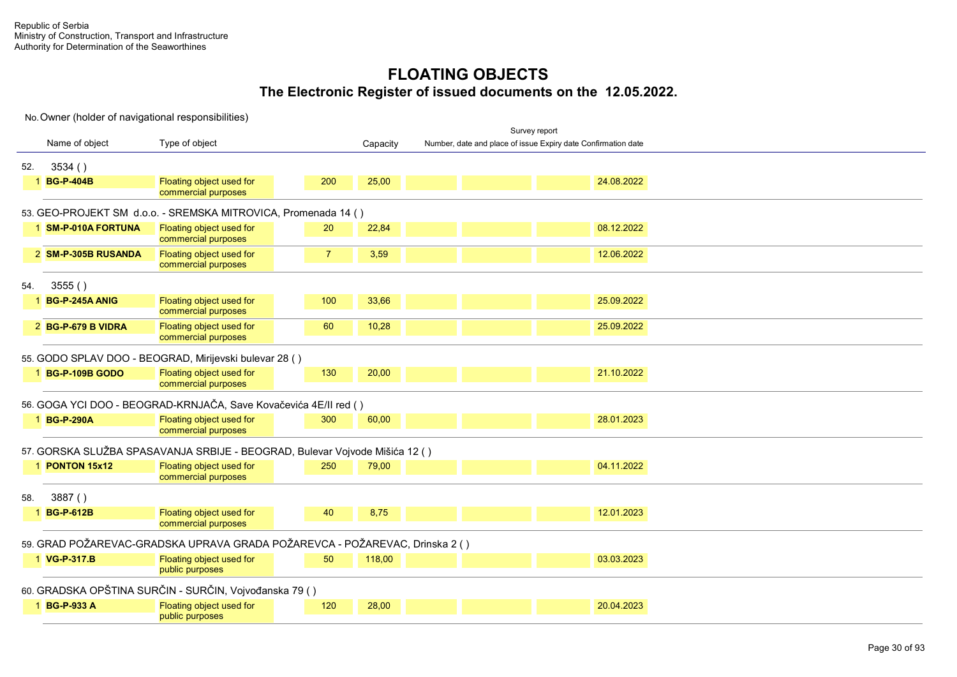|     |                     |                                                                             |                |          | Survey report                                                 |  |
|-----|---------------------|-----------------------------------------------------------------------------|----------------|----------|---------------------------------------------------------------|--|
|     | Name of object      | Type of object                                                              |                | Capacity | Number, date and place of issue Expiry date Confirmation date |  |
| 52. | 3534()              |                                                                             |                |          |                                                               |  |
|     | 1 BG-P-404B         | Floating object used for<br>commercial purposes                             | 200            | 25,00    | 24.08.2022                                                    |  |
|     |                     | 53. GEO-PROJEKT SM d.o.o. - SREMSKA MITROVICA, Promenada 14 ()              |                |          |                                                               |  |
|     | 1 SM-P-010A FORTUNA | Floating object used for<br>commercial purposes                             | 20             | 22,84    | 08.12.2022                                                    |  |
|     | 2 SM-P-305B RUSANDA | Floating object used for<br>commercial purposes                             | $\overline{7}$ | 3,59     | 12.06.2022                                                    |  |
| 54. | 3555()              |                                                                             |                |          |                                                               |  |
|     | 1 BG-P-245A ANIG    | Floating object used for<br>commercial purposes                             | 100            | 33,66    | 25.09.2022                                                    |  |
|     | 2 BG-P-679 B VIDRA  | Floating object used for<br>commercial purposes                             | 60             | 10,28    | 25.09.2022                                                    |  |
|     |                     | 55. GODO SPLAV DOO - BEOGRAD, Mirijevski bulevar 28 ()                      |                |          |                                                               |  |
|     | 1 BG-P-109B GODO    | Floating object used for<br>commercial purposes                             | 130            | 20,00    | 21.10.2022                                                    |  |
|     |                     | 56. GOGA YCI DOO - BEOGRAD-KRNJAČA, Save Kovačevića 4E/II red ()            |                |          |                                                               |  |
|     | 1 BG-P-290A         | Floating object used for<br>commercial purposes                             | 300            | 60,00    | 28.01.2023                                                    |  |
|     |                     | 57. GORSKA SLUŽBA SPASAVANJA SRBIJE - BEOGRAD, Bulevar Vojvode Mišića 12 () |                |          |                                                               |  |
|     | 1 PONTON 15x12      | Floating object used for<br>commercial purposes                             | 250            | 79,00    | 04.11.2022                                                    |  |
| 58. | 3887()              |                                                                             |                |          |                                                               |  |
|     | 1 BG-P-612B         | Floating object used for<br>commercial purposes                             | 40             | 8,75     | 12.01.2023                                                    |  |
|     |                     | 59. GRAD POŽAREVAC-GRADSKA UPRAVA GRADA POŽAREVCA - POŽAREVAC, Drinska 2 () |                |          |                                                               |  |
|     | 1 VG-P-317.B        | Floating object used for<br>public purposes                                 | 50             | 118,00   | 03.03.2023                                                    |  |
|     |                     | 60. GRADSKA OPŠTINA SURČIN - SURČIN, Vojvođanska 79 ()                      |                |          |                                                               |  |
|     | 1 BG-P-933 A        | Floating object used for<br>public purposes                                 | 120            | 28,00    | 20.04.2023                                                    |  |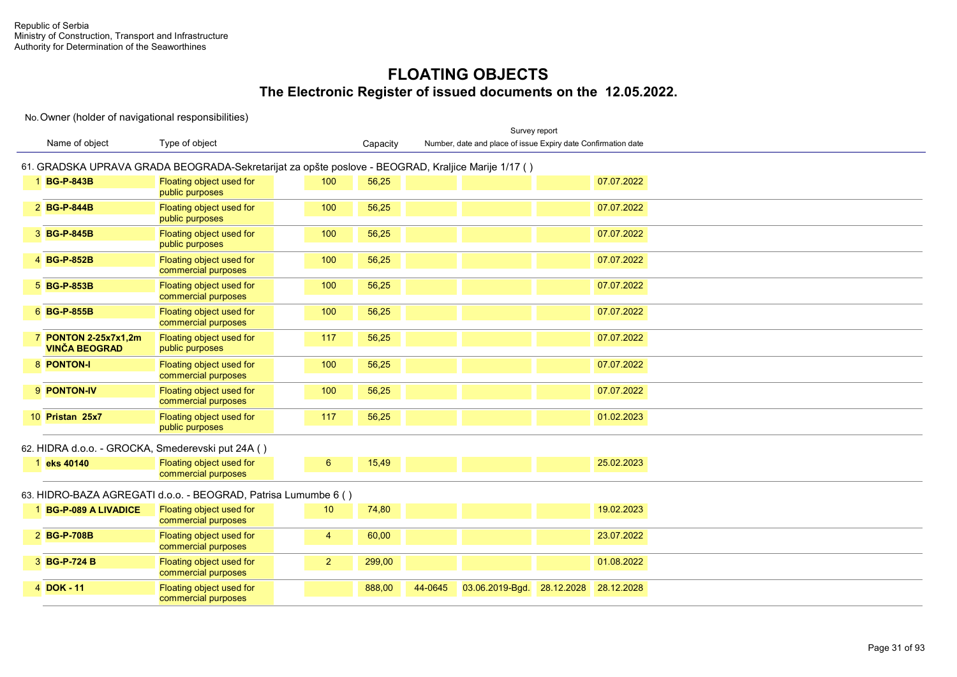|                                                   |                                                                                                    |                |          |         | Survey report                                                 |            |            |  |  |
|---------------------------------------------------|----------------------------------------------------------------------------------------------------|----------------|----------|---------|---------------------------------------------------------------|------------|------------|--|--|
| Name of object                                    | Type of object                                                                                     |                | Capacity |         | Number, date and place of issue Expiry date Confirmation date |            |            |  |  |
|                                                   | 61. GRADSKA UPRAVA GRADA BEOGRADA-Sekretarijat za opšte poslove - BEOGRAD, Kraljice Marije 1/17 () |                |          |         |                                                               |            |            |  |  |
| 1 BG-P-843B                                       | Floating object used for<br>public purposes                                                        | 100            | 56,25    |         |                                                               |            | 07.07.2022 |  |  |
| 2 BG-P-844B                                       | Floating object used for<br>public purposes                                                        | 100            | 56,25    |         |                                                               |            | 07.07.2022 |  |  |
| 3 BG-P-845B                                       | Floating object used for<br>public purposes                                                        | 100            | 56,25    |         |                                                               |            | 07.07.2022 |  |  |
| 4 BG-P-852B                                       | Floating object used for<br>commercial purposes                                                    | 100            | 56,25    |         |                                                               |            | 07.07.2022 |  |  |
| 5 BG-P-853B                                       | Floating object used for<br>commercial purposes                                                    | 100            | 56,25    |         |                                                               |            | 07.07.2022 |  |  |
| 6 BG-P-855B                                       | Floating object used for<br>commercial purposes                                                    | 100            | 56,25    |         |                                                               |            | 07.07.2022 |  |  |
| 7 PONTON 2-25x7x1,2m<br><b>VINČA BEOGRAD</b>      | Floating object used for<br>public purposes                                                        | 117            | 56,25    |         |                                                               |            | 07.07.2022 |  |  |
| 8 PONTON-I                                        | Floating object used for<br>commercial purposes                                                    | 100            | 56,25    |         |                                                               |            | 07.07.2022 |  |  |
| 9 PONTON-IV                                       | Floating object used for<br>commercial purposes                                                    | 100            | 56,25    |         |                                                               |            | 07.07.2022 |  |  |
| 10 Pristan 25x7                                   | Floating object used for<br>public purposes                                                        | 117            | 56,25    |         |                                                               |            | 01.02.2023 |  |  |
| 62. HIDRA d.o.o. - GROCKA, Smederevski put 24A () |                                                                                                    |                |          |         |                                                               |            |            |  |  |
| 1 eks 40140                                       | Floating object used for<br>commercial purposes                                                    | $6\phantom{1}$ | 15,49    |         |                                                               |            | 25.02.2023 |  |  |
|                                                   | 63. HIDRO-BAZA AGREGATI d.o.o. - BEOGRAD, Patrisa Lumumbe 6 ()                                     |                |          |         |                                                               |            |            |  |  |
| 1 BG-P-089 A LIVADICE                             | Floating object used for<br>commercial purposes                                                    | 10             | 74,80    |         |                                                               |            | 19.02.2023 |  |  |
| 2 BG-P-708B                                       | Floating object used for<br>commercial purposes                                                    | $\overline{4}$ | 60,00    |         |                                                               |            | 23.07.2022 |  |  |
| 3 BG-P-724 B                                      | Floating object used for<br>commercial purposes                                                    | $\overline{2}$ | 299,00   |         |                                                               |            | 01.08.2022 |  |  |
| 4 DOK - 11                                        | Floating object used for<br>commercial purposes                                                    |                | 888,00   | 44-0645 | 03.06.2019-Bgd.                                               | 28.12.2028 | 28.12.2028 |  |  |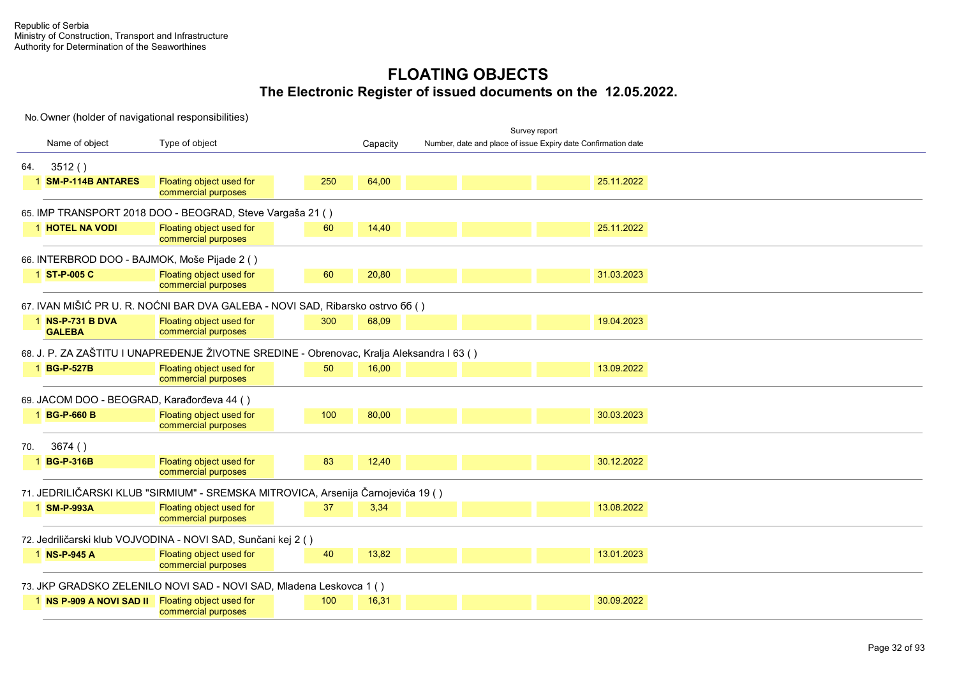|     |                                                   |                                                                                           |     |          |                                                               | Survey report |            |  |  |  |
|-----|---------------------------------------------------|-------------------------------------------------------------------------------------------|-----|----------|---------------------------------------------------------------|---------------|------------|--|--|--|
|     | Name of object                                    | Type of object                                                                            |     | Capacity | Number, date and place of issue Expiry date Confirmation date |               |            |  |  |  |
| 64. | 3512()                                            |                                                                                           |     |          |                                                               |               |            |  |  |  |
|     | 1 SM-P-114B ANTARES                               | Floating object used for<br>commercial purposes                                           | 250 | 64,00    |                                                               |               | 25.11.2022 |  |  |  |
|     |                                                   | 65. IMP TRANSPORT 2018 DOO - BEOGRAD, Steve Vargaša 21 ()                                 |     |          |                                                               |               |            |  |  |  |
|     | <b>1 HOTEL NA VODI</b>                            | Floating object used for<br>commercial purposes                                           | 60  | 14,40    |                                                               |               | 25.11.2022 |  |  |  |
|     | 66. INTERBROD DOO - BAJMOK, Moše Pijade 2 ()      |                                                                                           |     |          |                                                               |               |            |  |  |  |
|     | 1 ST-P-005 C                                      | Floating object used for<br>commercial purposes                                           | 60  | 20,80    |                                                               |               | 31.03.2023 |  |  |  |
|     |                                                   | 67. IVAN MIŠIĆ PR U. R. NOĆNI BAR DVA GALEBA - NOVI SAD, Ribarsko ostrvo 66 ()            |     |          |                                                               |               |            |  |  |  |
|     | 1 NS-P-731 B DVA<br><b>GALEBA</b>                 | Floating object used for<br>commercial purposes                                           | 300 | 68,09    |                                                               |               | 19.04.2023 |  |  |  |
|     |                                                   | 68. J. P. ZA ZAŠTITU I UNAPREĐENJE ŽIVOTNE SREDINE - Obrenovac, Kralja Aleksandra I 63 () |     |          |                                                               |               |            |  |  |  |
|     | 1 BG-P-527B                                       | Floating object used for<br>commercial purposes                                           | 50  | 16,00    |                                                               |               | 13.09.2022 |  |  |  |
|     | 69. JACOM DOO - BEOGRAD, Karađorđeva 44 ()        |                                                                                           |     |          |                                                               |               |            |  |  |  |
|     | 1 BG-P-660 B                                      | Floating object used for<br>commercial purposes                                           | 100 | 80,00    |                                                               |               | 30.03.2023 |  |  |  |
| 70. | 3674()                                            |                                                                                           |     |          |                                                               |               |            |  |  |  |
|     | 1 BG-P-316B                                       | Floating object used for<br>commercial purposes                                           | 83  | 12,40    |                                                               |               | 30.12.2022 |  |  |  |
|     |                                                   | 71. JEDRILIČARSKI KLUB "SIRMIUM" - SREMSKA MITROVICA, Arsenija Čarnojevića 19 ()          |     |          |                                                               |               |            |  |  |  |
|     | 1 SM-P-993A                                       | Floating object used for<br>commercial purposes                                           | 37  | 3,34     |                                                               |               | 13.08.2022 |  |  |  |
|     |                                                   | 72. Jedriličarski klub VOJVODINA - NOVI SAD, Sunčani kej 2 ()                             |     |          |                                                               |               |            |  |  |  |
|     | 1 NS-P-945 A                                      | Floating object used for<br>commercial purposes                                           | 40  | 13,82    |                                                               |               | 13.01.2023 |  |  |  |
|     |                                                   | 73. JKP GRADSKO ZELENILO NOVI SAD - NOVI SAD, Mladena Leskovca 1 ()                       |     |          |                                                               |               |            |  |  |  |
|     | 1 NS P-909 A NOVI SAD II Floating object used for | commercial purposes                                                                       | 100 | 16,31    |                                                               |               | 30.09.2022 |  |  |  |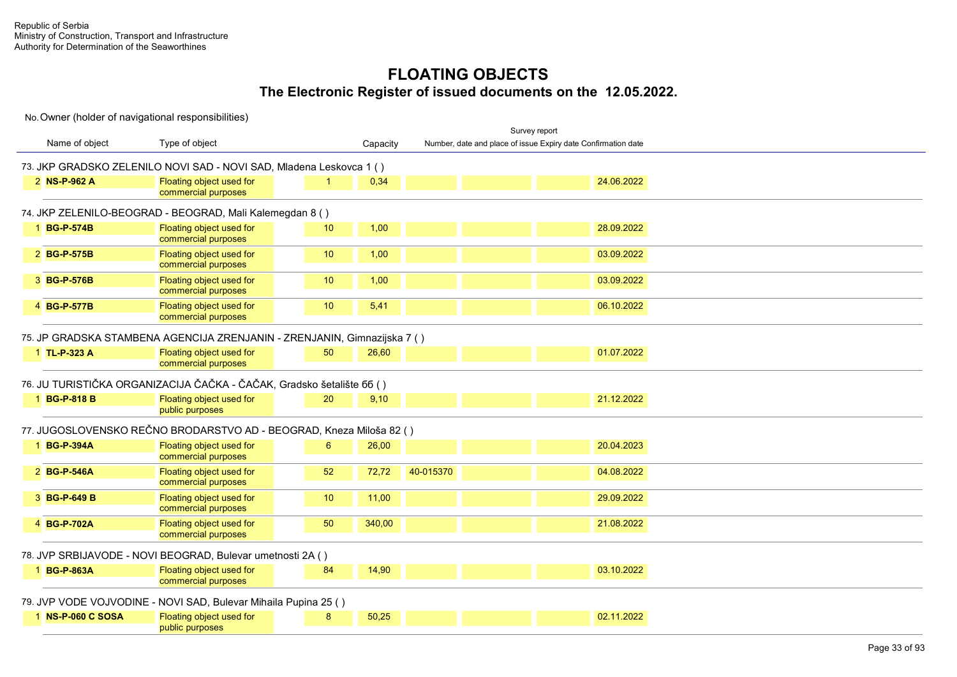|                   |                                                                          |    |          |           |                                                               | Survey report |            |  |  |
|-------------------|--------------------------------------------------------------------------|----|----------|-----------|---------------------------------------------------------------|---------------|------------|--|--|
| Name of object    | Type of object                                                           |    | Capacity |           | Number, date and place of issue Expiry date Confirmation date |               |            |  |  |
|                   | 73. JKP GRADSKO ZELENILO NOVI SAD - NOVI SAD, Mladena Leskovca 1 ()      |    |          |           |                                                               |               |            |  |  |
| 2 NS-P-962 A      | Floating object used for<br>commercial purposes                          |    | 0,34     |           |                                                               |               | 24.06.2022 |  |  |
|                   | 74. JKP ZELENILO-BEOGRAD - BEOGRAD, Mali Kalemegdan 8 ()                 |    |          |           |                                                               |               |            |  |  |
| 1 BG-P-574B       | Floating object used for<br>commercial purposes                          | 10 | 1,00     |           |                                                               |               | 28.09.2022 |  |  |
| 2 BG-P-575B       | Floating object used for<br>commercial purposes                          | 10 | 1,00     |           |                                                               |               | 03.09.2022 |  |  |
| 3 BG-P-576B       | Floating object used for<br>commercial purposes                          | 10 | 1,00     |           |                                                               |               | 03.09.2022 |  |  |
| 4 BG-P-577B       | Floating object used for<br>commercial purposes                          | 10 | 5,41     |           |                                                               |               | 06.10.2022 |  |  |
|                   | 75. JP GRADSKA STAMBENA AGENCIJA ZRENJANIN - ZRENJANIN, Gimnazijska 7 () |    |          |           |                                                               |               |            |  |  |
| 1 TL-P-323 A      | Floating object used for<br>commercial purposes                          | 50 | 26,60    |           |                                                               |               | 01.07.2022 |  |  |
|                   | 76. JU TURISTIČKA ORGANIZACIJA ČAČKA - ČAČAK, Gradsko šetalište 66 ()    |    |          |           |                                                               |               |            |  |  |
| 1 BG-P-818 B      | Floating object used for<br>public purposes                              | 20 | 9,10     |           |                                                               |               | 21.12.2022 |  |  |
|                   | 77. JUGOSLOVENSKO REČNO BRODARSTVO AD - BEOGRAD, Kneza Miloša 82 ()      |    |          |           |                                                               |               |            |  |  |
| 1 BG-P-394A       | Floating object used for<br>commercial purposes                          | 6  | 26,00    |           |                                                               |               | 20.04.2023 |  |  |
| 2 BG-P-546A       | Floating object used for<br>commercial purposes                          | 52 | 72,72    | 40-015370 |                                                               |               | 04.08.2022 |  |  |
| 3 BG-P-649 B      | Floating object used for<br>commercial purposes                          | 10 | 11,00    |           |                                                               |               | 29.09.2022 |  |  |
| 4 BG-P-702A       | Floating object used for<br>commercial purposes                          | 50 | 340,00   |           |                                                               |               | 21.08.2022 |  |  |
|                   | 78. JVP SRBIJAVODE - NOVI BEOGRAD, Bulevar umetnosti 2A ()               |    |          |           |                                                               |               |            |  |  |
| 1 BG-P-863A       | Floating object used for<br>commercial purposes                          | 84 | 14,90    |           |                                                               |               | 03.10.2022 |  |  |
|                   | 79. JVP VODE VOJVODINE - NOVI SAD, Bulevar Mihaila Pupina 25 ()          |    |          |           |                                                               |               |            |  |  |
| 1 NS-P-060 C SOSA | Floating object used for<br>public purposes                              | 8  | 50,25    |           |                                                               |               | 02.11.2022 |  |  |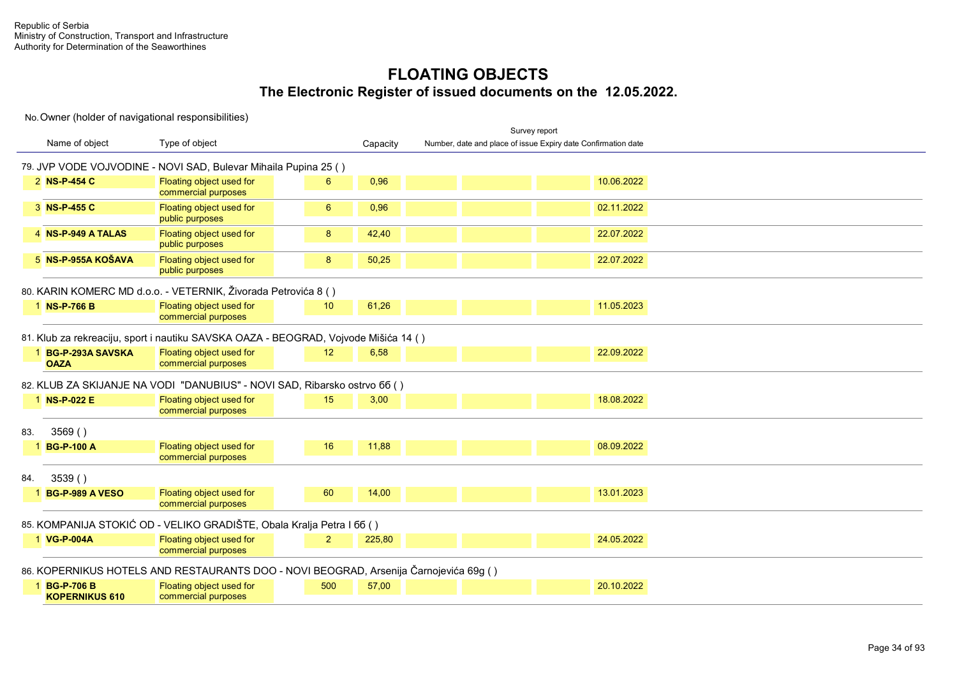|     |                                       |                                                                                       |                 |          |                                                               | Survey report |            |
|-----|---------------------------------------|---------------------------------------------------------------------------------------|-----------------|----------|---------------------------------------------------------------|---------------|------------|
|     | Name of object                        | Type of object                                                                        |                 | Capacity | Number, date and place of issue Expiry date Confirmation date |               |            |
|     |                                       | 79. JVP VODE VOJVODINE - NOVI SAD, Bulevar Mihaila Pupina 25 ()                       |                 |          |                                                               |               |            |
|     | 2 NS-P-454 C                          | Floating object used for<br>commercial purposes                                       | $6^{\circ}$     | 0,96     |                                                               |               | 10.06.2022 |
|     | 3 NS-P-455 C                          | Floating object used for<br>public purposes                                           | 6               | 0,96     |                                                               |               | 02.11.2022 |
|     | 4 NS-P-949 A TALAS                    | Floating object used for<br>public purposes                                           | 8               | 42,40    |                                                               |               | 22.07.2022 |
|     | $5$ NS-P-955A KOŠAVA                  | Floating object used for<br>public purposes                                           | 8               | 50,25    |                                                               |               | 22.07.2022 |
|     |                                       | 80. KARIN KOMERC MD d.o.o. - VETERNIK, Živorada Petrovića 8 ()                        |                 |          |                                                               |               |            |
|     | 1 NS-P-766 B                          | Floating object used for<br>commercial purposes                                       | 10 <sup>°</sup> | 61,26    |                                                               |               | 11.05.2023 |
|     |                                       | 81. Klub za rekreaciju, sport i nautiku SAVSKA OAZA - BEOGRAD, Vojvode Mišića 14 ()   |                 |          |                                                               |               |            |
|     | 1 BG-P-293A SAVSKA<br><b>OAZA</b>     | Floating object used for<br>commercial purposes                                       | 12 <sup>2</sup> | 6,58     |                                                               |               | 22.09.2022 |
|     |                                       | 82. KLUB ZA SKIJANJE NA VODI "DANUBIUS" - NOVI SAD, Ribarsko ostrvo 66 ()             |                 |          |                                                               |               |            |
|     | 1 NS-P-022 E                          | Floating object used for<br>commercial purposes                                       | 15              | 3,00     |                                                               |               | 18.08.2022 |
| 83. | 3569()                                |                                                                                       |                 |          |                                                               |               |            |
|     | 1 BG-P-100 A                          | Floating object used for<br>commercial purposes                                       | 16              | 11,88    |                                                               |               | 08.09.2022 |
| 84. | 3539()                                |                                                                                       |                 |          |                                                               |               |            |
|     | 1 BG-P-989 A VESO                     | Floating object used for<br>commercial purposes                                       | 60              | 14,00    |                                                               |               | 13.01.2023 |
|     |                                       | 85. KOMPANIJA STOKIĆ OD - VELIKO GRADIŠTE, Obala Kralja Petra I 66 ()                 |                 |          |                                                               |               |            |
|     | 1 VG-P-004A                           | Floating object used for<br>commercial purposes                                       | $\overline{2}$  | 225,80   |                                                               |               | 24.05.2022 |
|     |                                       | 86. KOPERNIKUS HOTELS AND RESTAURANTS DOO - NOVI BEOGRAD, Arsenija Čarnojevića 69g () |                 |          |                                                               |               |            |
|     | 1 BG-P-706 B<br><b>KOPERNIKUS 610</b> | Floating object used for<br>commercial purposes                                       | 500             | 57,00    |                                                               |               | 20.10.2022 |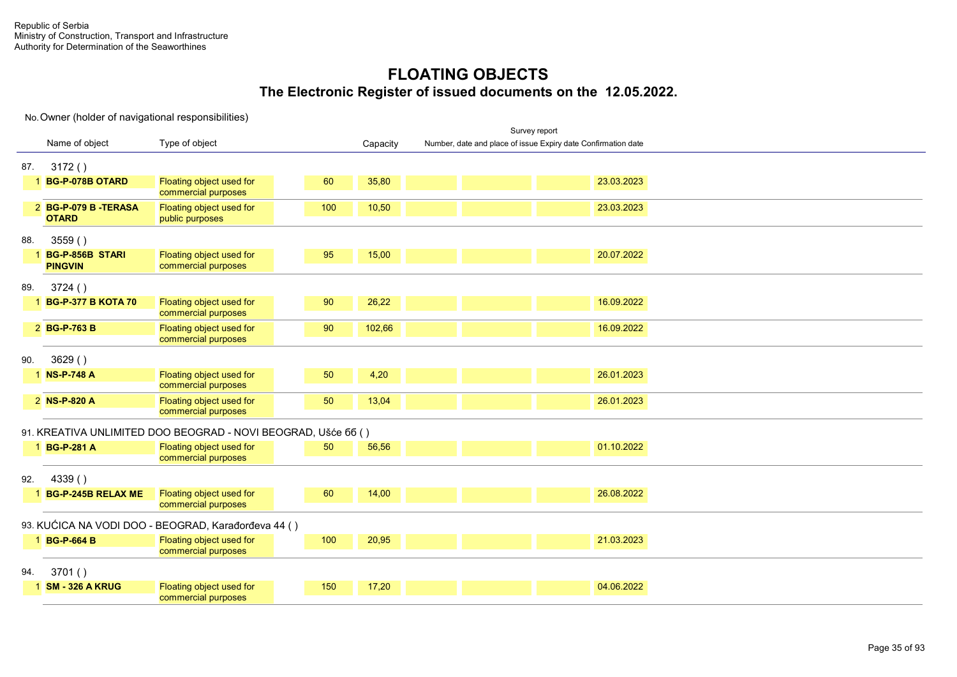|     |                                     |                                                               |     |          |                                                               | Survey report |            |  |  |  |
|-----|-------------------------------------|---------------------------------------------------------------|-----|----------|---------------------------------------------------------------|---------------|------------|--|--|--|
|     | Name of object                      | Type of object                                                |     | Capacity | Number, date and place of issue Expiry date Confirmation date |               |            |  |  |  |
| 87. | 3172()                              |                                                               |     |          |                                                               |               |            |  |  |  |
|     | 1 BG-P-078B OTARD                   | Floating object used for<br>commercial purposes               | 60  | 35,80    |                                                               |               | 23.03.2023 |  |  |  |
|     | 2 BG-P-079 B-TERASA<br><b>OTARD</b> | Floating object used for<br>public purposes                   | 100 | 10,50    |                                                               |               | 23.03.2023 |  |  |  |
| 88. | 3559()                              |                                                               |     |          |                                                               |               |            |  |  |  |
|     | 1 BG-P-856B STARI<br><b>PINGVIN</b> | Floating object used for<br>commercial purposes               | 95  | 15,00    |                                                               |               | 20.07.2022 |  |  |  |
| 89. | 3724()                              |                                                               |     |          |                                                               |               |            |  |  |  |
|     | 1 BG-P-377 B KOTA 70                | Floating object used for<br>commercial purposes               | 90  | 26,22    |                                                               |               | 16.09.2022 |  |  |  |
|     | 2 BG-P-763 B                        | Floating object used for<br>commercial purposes               | 90  | 102,66   |                                                               |               | 16.09.2022 |  |  |  |
| 90. | 3629()                              |                                                               |     |          |                                                               |               |            |  |  |  |
|     | 1 NS-P-748 A                        | Floating object used for<br>commercial purposes               | 50  | 4,20     |                                                               |               | 26.01.2023 |  |  |  |
|     | 2 NS-P-820 A                        | Floating object used for<br>commercial purposes               | 50  | 13,04    |                                                               |               | 26.01.2023 |  |  |  |
|     |                                     | 91. KREATIVA UNLIMITED DOO BEOGRAD - NOVI BEOGRAD, Ušće 66 () |     |          |                                                               |               |            |  |  |  |
|     | 1 BG-P-281 A                        | Floating object used for<br>commercial purposes               | 50  | 56,56    |                                                               |               | 01.10.2022 |  |  |  |
| 92. | 4339()                              |                                                               |     |          |                                                               |               |            |  |  |  |
|     | 1 BG-P-245B RELAX ME                | Floating object used for<br>commercial purposes               | 60  | 14,00    |                                                               |               | 26.08.2022 |  |  |  |
|     |                                     | 93. KUĆICA NA VODI DOO - BEOGRAD, Karađorđeva 44 ()           |     |          |                                                               |               |            |  |  |  |
|     | 1 BG-P-664 B                        | Floating object used for<br>commercial purposes               | 100 | 20,95    |                                                               |               | 21.03.2023 |  |  |  |
| 94. | 3701()                              |                                                               |     |          |                                                               |               |            |  |  |  |
|     | 1 SM - 326 A KRUG                   | Floating object used for<br>commercial purposes               | 150 | 17,20    |                                                               |               | 04.06.2022 |  |  |  |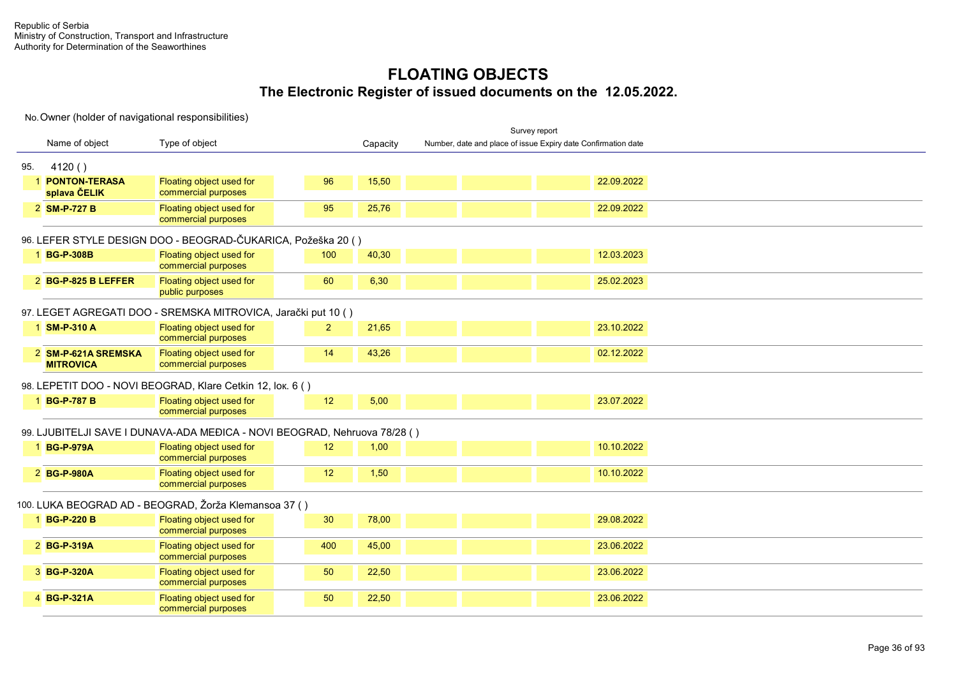|     |                                         |                                                                           |                |          | Survey report                                                 |  |
|-----|-----------------------------------------|---------------------------------------------------------------------------|----------------|----------|---------------------------------------------------------------|--|
|     | Name of object                          | Type of object                                                            |                | Capacity | Number, date and place of issue Expiry date Confirmation date |  |
| 95. | 4120()                                  |                                                                           |                |          |                                                               |  |
|     | <b>PONTON-TERASA</b><br>splava ČELIK    | Floating object used for<br>commercial purposes                           | 96             | 15,50    | 22.09.2022                                                    |  |
|     | 2 SM-P-727 B                            | Floating object used for<br>commercial purposes                           | 95             | 25,76    | 22.09.2022                                                    |  |
|     |                                         | 96. LEFER STYLE DESIGN DOO - BEOGRAD-ČUKARICA, Požeška 20 ()              |                |          |                                                               |  |
|     | 1 BG-P-308B                             | Floating object used for<br>commercial purposes                           | 100            | 40,30    | 12.03.2023                                                    |  |
|     | 2 BG-P-825 B LEFFER                     | Floating object used for<br>public purposes                               | 60             | 6,30     | 25.02.2023                                                    |  |
|     |                                         | 97. LEGET AGREGATI DOO - SREMSKA MITROVICA, Jarački put 10 ()             |                |          |                                                               |  |
|     | 1 SM-P-310 A                            | Floating object used for<br>commercial purposes                           | $\overline{2}$ | 21,65    | 23.10.2022                                                    |  |
|     | 2 SM-P-621A SREMSKA<br><b>MITROVICA</b> | Floating object used for<br>commercial purposes                           | 14             | 43,26    | 02.12.2022                                                    |  |
|     |                                         | 98. LEPETIT DOO - NOVI BEOGRAD, Klare Cetkin 12, lok. 6 ()                |                |          |                                                               |  |
|     | 1 BG-P-787 B                            | Floating object used for<br>commercial purposes                           | 12             | 5,00     | 23.07.2022                                                    |  |
|     |                                         | 99. LJUBITELJI SAVE I DUNAVA-ADA MEĐICA - NOVI BEOGRAD, Nehruova 78/28 () |                |          |                                                               |  |
|     | 1 BG-P-979A                             | Floating object used for<br>commercial purposes                           | 12             | 1,00     | 10.10.2022                                                    |  |
|     | 2 BG-P-980A                             | Floating object used for<br>commercial purposes                           | 12             | 1,50     | 10.10.2022                                                    |  |
|     |                                         | 100. LUKA BEOGRAD AD - BEOGRAD, Žorža Klemansoa 37 ()                     |                |          |                                                               |  |
|     | 1 BG-P-220 B                            | Floating object used for<br>commercial purposes                           | 30             | 78,00    | 29.08.2022                                                    |  |
|     | 2 BG-P-319A                             | Floating object used for<br>commercial purposes                           | 400            | 45,00    | 23.06.2022                                                    |  |
|     | 3 BG-P-320A                             | Floating object used for<br>commercial purposes                           | 50             | 22,50    | 23.06.2022                                                    |  |
|     | 4 BG-P-321A                             | Floating object used for<br>commercial purposes                           | 50             | 22,50    | 23.06.2022                                                    |  |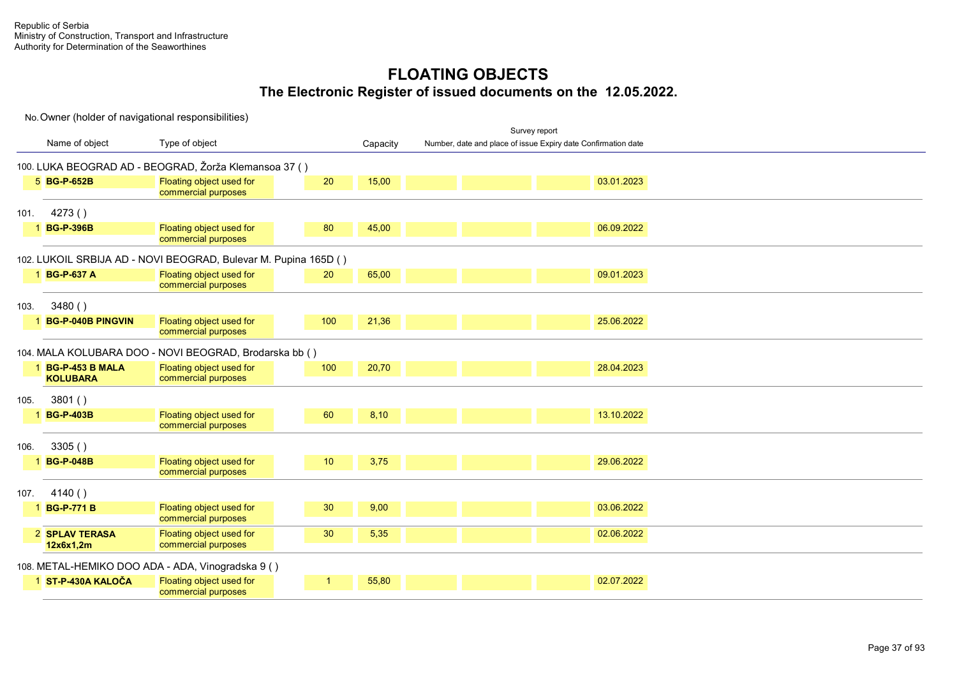|      |                                      |                                                                 |     |          |                                                               | Survey report |            |  |  |
|------|--------------------------------------|-----------------------------------------------------------------|-----|----------|---------------------------------------------------------------|---------------|------------|--|--|
|      | Name of object                       | Type of object                                                  |     | Capacity | Number, date and place of issue Expiry date Confirmation date |               |            |  |  |
|      |                                      | 100. LUKA BEOGRAD AD - BEOGRAD, Žorža Klemansoa 37 ()           |     |          |                                                               |               |            |  |  |
|      | 5 BG-P-652B                          | Floating object used for<br>commercial purposes                 | 20  | 15,00    |                                                               |               | 03.01.2023 |  |  |
| 101. | 4273()                               |                                                                 |     |          |                                                               |               |            |  |  |
|      | 1 BG-P-396B                          | Floating object used for<br>commercial purposes                 | 80  | 45,00    |                                                               |               | 06.09.2022 |  |  |
|      |                                      | 102. LUKOIL SRBIJA AD - NOVI BEOGRAD, Bulevar M. Pupina 165D () |     |          |                                                               |               |            |  |  |
|      | 1 BG-P-637 A                         | Floating object used for<br>commercial purposes                 | 20  | 65,00    |                                                               |               | 09.01.2023 |  |  |
| 103. | 3480()                               |                                                                 |     |          |                                                               |               |            |  |  |
|      | 1 BG-P-040B PINGVIN                  | Floating object used for<br>commercial purposes                 | 100 | 21,36    |                                                               |               | 25.06.2022 |  |  |
|      |                                      | 104. MALA KOLUBARA DOO - NOVI BEOGRAD, Brodarska bb ()          |     |          |                                                               |               |            |  |  |
|      | 1 BG-P-453 B MALA<br><b>KOLUBARA</b> | Floating object used for<br>commercial purposes                 | 100 | 20,70    |                                                               |               | 28.04.2023 |  |  |
| 105. | 3801()                               |                                                                 |     |          |                                                               |               |            |  |  |
|      | 1 BG-P-403B                          | Floating object used for<br>commercial purposes                 | 60  | 8,10     |                                                               |               | 13.10.2022 |  |  |
| 106. | 3305()                               |                                                                 |     |          |                                                               |               |            |  |  |
|      | 1 BG-P-048B                          | Floating object used for<br>commercial purposes                 | 10  | 3,75     |                                                               |               | 29.06.2022 |  |  |
| 107. | 4140()                               |                                                                 |     |          |                                                               |               |            |  |  |
|      | <b>BG-P-771B</b>                     | Floating object used for<br>commercial purposes                 | 30  | 9,00     |                                                               |               | 03.06.2022 |  |  |
|      | 2 SPLAV TERASA<br>12x6x1,2m          | Floating object used for<br>commercial purposes                 | 30  | 5,35     |                                                               |               | 02.06.2022 |  |  |
|      |                                      | 108. METAL-HEMIKO DOO ADA - ADA, Vinogradska 9 ()               |     |          |                                                               |               |            |  |  |
|      | 1 ST-P-430A KALOČA                   | Floating object used for<br>commercial purposes                 |     | 55,80    |                                                               |               | 02.07.2022 |  |  |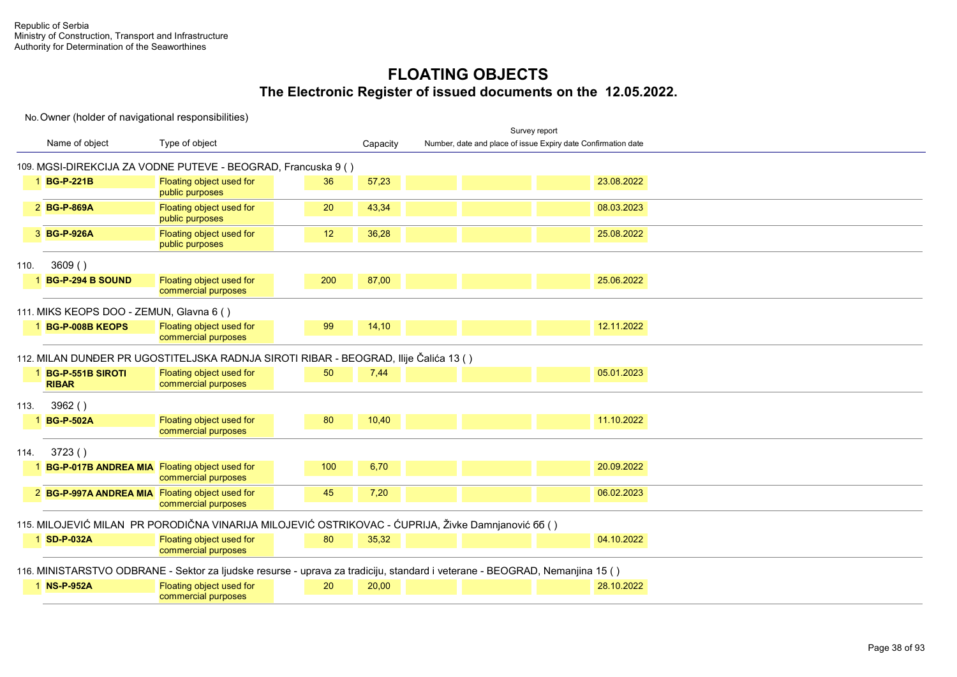|      |                                                 |                                                                                                                             |     |          |                                                               | Survey report |            |  |  |  |
|------|-------------------------------------------------|-----------------------------------------------------------------------------------------------------------------------------|-----|----------|---------------------------------------------------------------|---------------|------------|--|--|--|
|      | Name of object                                  | Type of object                                                                                                              |     | Capacity | Number, date and place of issue Expiry date Confirmation date |               |            |  |  |  |
|      |                                                 | 109. MGSI-DIREKCIJA ZA VODNE PUTEVE - BEOGRAD, Francuska 9 ()                                                               |     |          |                                                               |               |            |  |  |  |
|      | 1 BG-P-221B                                     | Floating object used for<br>public purposes                                                                                 | 36  | 57,23    |                                                               |               | 23.08.2022 |  |  |  |
|      | 2 BG-P-869A                                     | Floating object used for<br>public purposes                                                                                 | 20  | 43,34    |                                                               |               | 08.03.2023 |  |  |  |
|      | 3 BG-P-926A                                     | Floating object used for<br>public purposes                                                                                 | 12  | 36,28    |                                                               |               | 25.08.2022 |  |  |  |
| 110. | 3609()                                          |                                                                                                                             |     |          |                                                               |               |            |  |  |  |
|      | 1 BG-P-294 B SOUND                              | Floating object used for<br>commercial purposes                                                                             | 200 | 87,00    |                                                               |               | 25.06.2022 |  |  |  |
|      | 111. MIKS KEOPS DOO - ZEMUN, Glavna 6 ()        |                                                                                                                             |     |          |                                                               |               |            |  |  |  |
|      | 1 BG-P-008B KEOPS                               | Floating object used for<br>commercial purposes                                                                             | 99  | 14,10    |                                                               |               | 12.11.2022 |  |  |  |
|      |                                                 | 112. MILAN DUNĐER PR UGOSTITELJSKA RADNJA SIROTI RIBAR - BEOGRAD, Ilije Čalića 13 ()                                        |     |          |                                                               |               |            |  |  |  |
|      | 1 BG-P-551B SIROTI<br><b>RIBAR</b>              | Floating object used for<br>commercial purposes                                                                             | 50  | 7,44     |                                                               |               | 05.01.2023 |  |  |  |
| 113. | 3962()                                          |                                                                                                                             |     |          |                                                               |               |            |  |  |  |
|      | 1 BG-P-502A                                     | Floating object used for<br>commercial purposes                                                                             | 80  | 10,40    |                                                               |               | 11.10.2022 |  |  |  |
| 114. | 3723()                                          |                                                                                                                             |     |          |                                                               |               |            |  |  |  |
|      | 1 BG-P-017B ANDREA MIA Floating object used for | commercial purposes                                                                                                         | 100 | 6,70     |                                                               |               | 20.09.2022 |  |  |  |
|      | 2 BG-P-997A ANDREA MIA Floating object used for | commercial purposes                                                                                                         | 45  | 7,20     |                                                               |               | 06.02.2023 |  |  |  |
|      |                                                 | 115. MILOJEVIĆ MILAN PR PORODIČNA VINARIJA MILOJEVIĆ OSTRIKOVAC - ĆUPRIJA, Živke Damnjanović 66 ()                          |     |          |                                                               |               |            |  |  |  |
|      | 1 SD-P-032A                                     | Floating object used for<br>commercial purposes                                                                             | 80  | 35,32    |                                                               |               | 04.10.2022 |  |  |  |
|      |                                                 | 116. MINISTARSTVO ODBRANE - Sektor za ljudske resurse - uprava za tradiciju, standard i veterane - BEOGRAD, Nemanjina 15 () |     |          |                                                               |               |            |  |  |  |
|      | 1 NS-P-952A                                     | Floating object used for<br>commercial purposes                                                                             | 20  | 20,00    |                                                               |               | 28.10.2022 |  |  |  |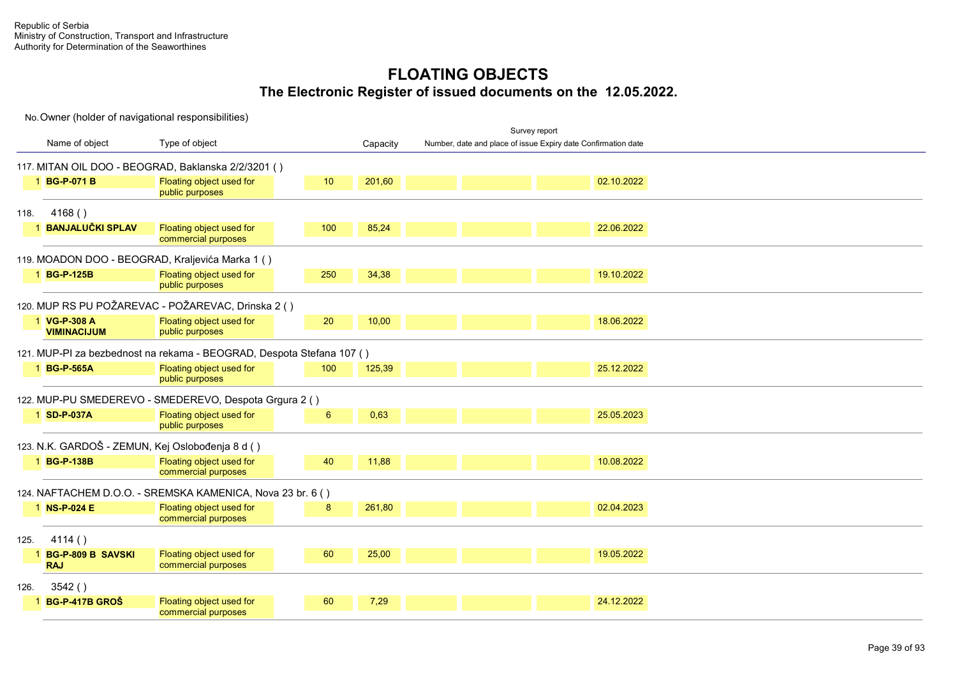No. Owner (holder of navigational responsibilities) Name of object Type of object and the Capacity Survey report Tonnage C e r t i f i c a t e r t i f i c a t e r t i f i c a t e r t i c a t e r t i c a t e r Number, date and place of issue Expiry date Confirmation date 117. MITAN OIL DOO - BEOGRAD, Baklanska 2/2/3201 ( ) 1 **BG-P-071 B** Floating object used for public purposes  $10$   $201,60$   $201,60$   $201,60$   $2022$ 118. 4168 ( ) 1 **BANJALUČKI SPLAV** Floating object used for commercial purposes  $100$   $85,24$   $22.06.2022$ 119. MOADON DOO - BEOGRAD, Kraljevića Marka 1 ( ) 1 **BG-P-125B Floating object used for** public purposes UP 3 250 34,38 19.10.2022 120. MUP RS PU POŽAREVAC - POŽAREVAC, Drinska 2 ( ) **VG-P-308 A VIMINACIJUM Floating object used for** public purposes  $\frac{20}{10,00}$  10,00 18.06.2022 121. MUP-PI za bezbednost na rekama - BEOGRAD, Despota Stefana 107 ( ) 1 **BG-P-565A** Floating object used for public purposes  $100$   $125.39$   $25.12.2022$ 122. MUP-PU SMEDEREVO - SMEDEREVO, Despota Grgura 2 ( ) 1 **SD-P-037A** Floating object used for public purposes **1** 6 **0,63 25.05.2023** 123. N.K. GARDOŠ - ZEMUN, Kej Oslobođenja 8 d ( ) 1 **BG-P-138B** Floating object used for commercial purposes  $\frac{40}{10.08.2022}$ 124. NAFTACHEM D.O.O. - SREMSKA KAMENICA, Nova 23 br. 6 ( ) 1 **NS-P-024 E** Floating object used for commercial purposes 8 261.80 2004.2023 125. 4114 ( ) **BG-P-809 B SAVSKI RAJ Floating object used for** commercial purposes 00 25,00 19.05.2022 126. 3542 ( ) 1 **BG-P-417B GROŠ** Floating object used for commercial purposes 00 7.29 24.12.2022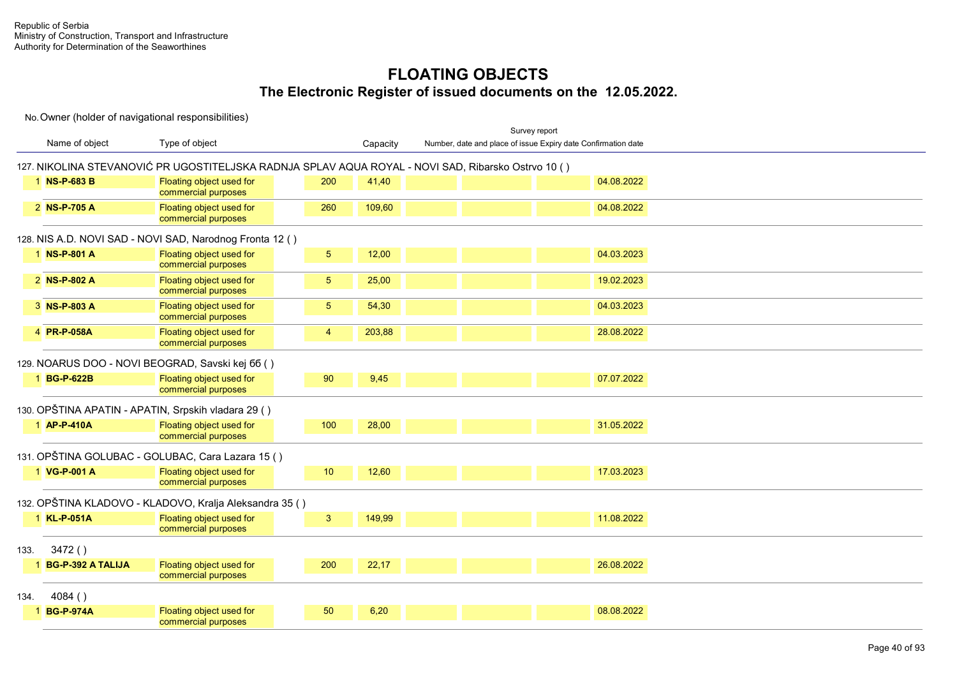|                     |                                                                                                     |                |          |  | Survey report                                                 |
|---------------------|-----------------------------------------------------------------------------------------------------|----------------|----------|--|---------------------------------------------------------------|
| Name of object      | Type of object                                                                                      |                | Capacity |  | Number, date and place of issue Expiry date Confirmation date |
|                     | 127. NIKOLINA STEVANOVIĆ PR UGOSTITELJSKA RADNJA SPLAV AQUA ROYAL - NOVI SAD, Ribarsko Ostrvo 10 () |                |          |  |                                                               |
| 1 NS-P-683 B        | Floating object used for<br>commercial purposes                                                     | 200            | 41,40    |  | 04.08.2022                                                    |
| 2 NS-P-705 A        | Floating object used for<br>commercial purposes                                                     | 260            | 109,60   |  | 04.08.2022                                                    |
|                     | 128. NIS A.D. NOVI SAD - NOVI SAD, Narodnog Fronta 12 ()                                            |                |          |  |                                                               |
| 1 NS-P-801 A        | Floating object used for<br>commercial purposes                                                     | 5 <sub>5</sub> | 12,00    |  | 04.03.2023                                                    |
| 2 NS-P-802 A        | Floating object used for<br>commercial purposes                                                     | 5 <sub>5</sub> | 25,00    |  | 19.02.2023                                                    |
| 3 NS-P-803 A        | Floating object used for<br>commercial purposes                                                     | 5              | 54,30    |  | 04.03.2023                                                    |
| 4 PR-P-058A         | Floating object used for<br>commercial purposes                                                     | $\overline{4}$ | 203,88   |  | 28.08.2022                                                    |
|                     | 129. NOARUS DOO - NOVI BEOGRAD, Savski kej 66 ()                                                    |                |          |  |                                                               |
| 1 BG-P-622B         | Floating object used for<br>commercial purposes                                                     | 90             | 9,45     |  | 07.07.2022                                                    |
|                     | 130. OPŠTINA APATIN - APATIN, Srpskih vladara 29 ()                                                 |                |          |  |                                                               |
| 1 AP-P-410A         | Floating object used for<br>commercial purposes                                                     | 100            | 28,00    |  | 31.05.2022                                                    |
|                     | 131. OPŠTINA GOLUBAC - GOLUBAC, Cara Lazara 15 ()                                                   |                |          |  |                                                               |
| 1 VG-P-001 A        | Floating object used for<br>commercial purposes                                                     | 10             | 12,60    |  | 17.03.2023                                                    |
|                     | 132. OPŠTINA KLADOVO - KLADOVO, Kralja Aleksandra 35 ()                                             |                |          |  |                                                               |
| 1 KL-P-051A         | Floating object used for<br>commercial purposes                                                     | $\mathbf{3}$   | 149,99   |  | 11.08.2022                                                    |
| 3472()<br>133.      |                                                                                                     |                |          |  |                                                               |
| 1 BG-P-392 A TALIJA | Floating object used for<br>commercial purposes                                                     | 200            | 22,17    |  | 26.08.2022                                                    |
| 4084()<br>134.      |                                                                                                     |                |          |  |                                                               |
| 1 BG-P-974A         | Floating object used for<br>commercial purposes                                                     | 50             | 6,20     |  | 08.08.2022                                                    |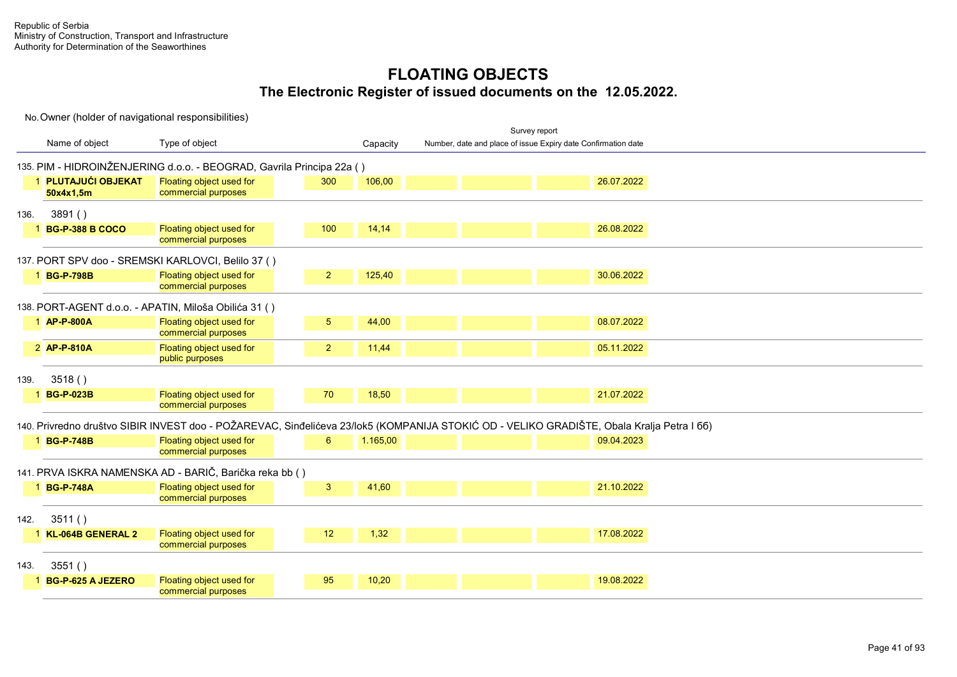|      |                                  |                                                                                                                                           |                |          |                                                               | Survey report |            |  |
|------|----------------------------------|-------------------------------------------------------------------------------------------------------------------------------------------|----------------|----------|---------------------------------------------------------------|---------------|------------|--|
|      | Name of object                   | Type of object                                                                                                                            |                | Capacity | Number, date and place of issue Expiry date Confirmation date |               |            |  |
|      |                                  | 135. PIM - HIDROINŽENJERING d.o.o. - BEOGRAD, Gavrila Principa 22a ()                                                                     |                |          |                                                               |               |            |  |
|      | 1 PLUTAJUĆI OBJEKAT<br>50x4x1,5m | Floating object used for<br>commercial purposes                                                                                           | 300            | 106,00   |                                                               |               | 26.07.2022 |  |
| 136. | 3891()                           |                                                                                                                                           |                |          |                                                               |               |            |  |
|      | 1 BG-P-388 B COCO                | Floating object used for<br>commercial purposes                                                                                           | 100            | 14,14    |                                                               |               | 26.08.2022 |  |
|      |                                  | 137. PORT SPV doo - SREMSKI KARLOVCI, Belilo 37 ()                                                                                        |                |          |                                                               |               |            |  |
|      | 1 BG-P-798B                      | Floating object used for<br>commercial purposes                                                                                           | $\overline{2}$ | 125,40   |                                                               |               | 30.06.2022 |  |
|      |                                  | 138. PORT-AGENT d.o.o. - APATIN, Miloša Obilića 31 ()                                                                                     |                |          |                                                               |               |            |  |
|      | 1 AP-P-800A                      | Floating object used for<br>commercial purposes                                                                                           | 5 <sup>5</sup> | 44,00    |                                                               |               | 08.07.2022 |  |
|      | 2 AP-P-810A                      | Floating object used for<br>public purposes                                                                                               | 2 <sup>2</sup> | 11,44    |                                                               |               | 05.11.2022 |  |
| 139. | 3518()                           |                                                                                                                                           |                |          |                                                               |               |            |  |
|      | <b>BG-P-023B</b>                 | Floating object used for<br>commercial purposes                                                                                           | 70             | 18,50    |                                                               |               | 21.07.2022 |  |
|      |                                  | 140. Privredno društvo SIBIR INVEST doo - POŽAREVAC, Sinđelićeva 23/lok5 (KOMPANIJA STOKIĆ OD - VELIKO GRADIŠTE, Obala Kralja Petra I 66) |                |          |                                                               |               |            |  |
|      | 1 BG-P-748B                      | Floating object used for<br>commercial purposes                                                                                           | 6              | 1.165,00 |                                                               |               | 09.04.2023 |  |
|      |                                  | 141. PRVA ISKRA NAMENSKA AD - BARIČ, Barička reka bb ()                                                                                   |                |          |                                                               |               |            |  |
|      | 1 BG-P-748A                      | Floating object used for<br>commercial purposes                                                                                           | 3              | 41,60    |                                                               |               | 21.10.2022 |  |
| 142. | 3511()                           |                                                                                                                                           |                |          |                                                               |               |            |  |
|      | KL-064B GENERAL 2                | Floating object used for<br>commercial purposes                                                                                           | 12             | 1,32     |                                                               |               | 17.08.2022 |  |
| 143. | 3551()                           |                                                                                                                                           |                |          |                                                               |               |            |  |
|      | <b>BG-P-625 A JEZERO</b>         | Floating object used for<br>commercial purposes                                                                                           | 95             | 10,20    |                                                               |               | 19.08.2022 |  |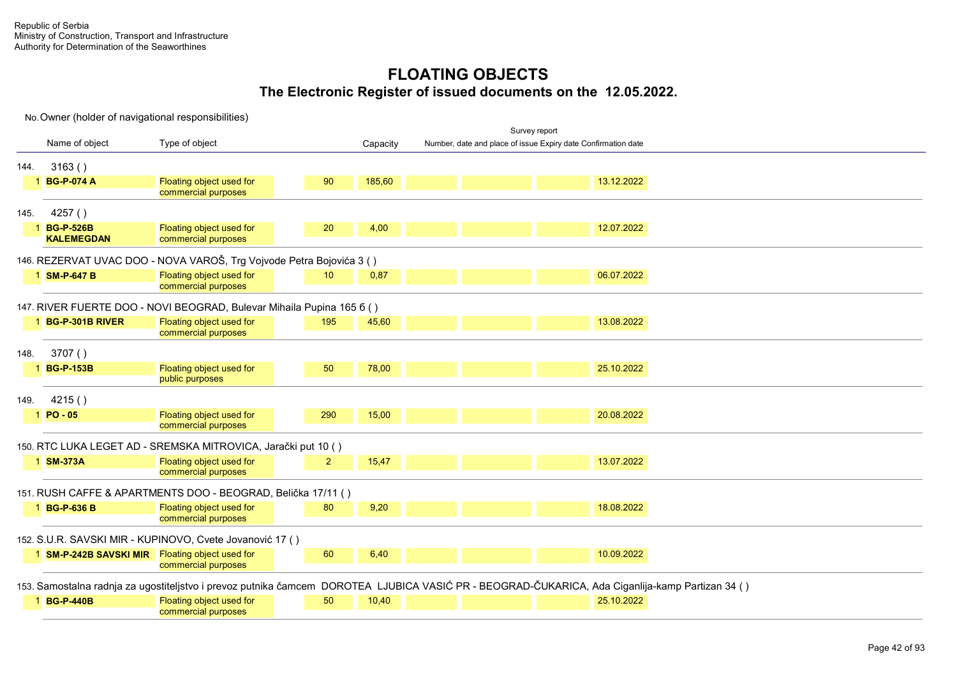|      | No. Owner (holder of navigational responsibilities) |                                                                                                                                                 |     |          |                                                               |               |            |  |  |
|------|-----------------------------------------------------|-------------------------------------------------------------------------------------------------------------------------------------------------|-----|----------|---------------------------------------------------------------|---------------|------------|--|--|
|      |                                                     |                                                                                                                                                 |     |          |                                                               | Survey report |            |  |  |
|      | Name of object                                      | Type of object                                                                                                                                  |     | Capacity | Number, date and place of issue Expiry date Confirmation date |               |            |  |  |
| 144. | 3163()                                              |                                                                                                                                                 |     |          |                                                               |               |            |  |  |
|      | 1 BG-P-074 A                                        | Floating object used for<br>commercial purposes                                                                                                 | 90  | 185,60   |                                                               |               | 13.12.2022 |  |  |
| 145. | 4257()                                              |                                                                                                                                                 |     |          |                                                               |               |            |  |  |
|      | 1 BG-P-526B<br><b>KALEMEGDAN</b>                    | Floating object used for<br>commercial purposes                                                                                                 | 20  | 4,00     |                                                               |               | 12.07.2022 |  |  |
|      |                                                     | 146. REZERVAT UVAC DOO - NOVA VAROŠ, Trg Vojvode Petra Bojovića 3 ()                                                                            |     |          |                                                               |               |            |  |  |
|      | 1 SM-P-647 B                                        | Floating object used for<br>commercial purposes                                                                                                 | 10  | 0,87     |                                                               |               | 06.07.2022 |  |  |
|      |                                                     | 147. RIVER FUERTE DOO - NOVI BEOGRAD, Bulevar Mihaila Pupina 165 6 ()                                                                           |     |          |                                                               |               |            |  |  |
|      | 1 BG-P-301B RIVER                                   | Floating object used for<br>commercial purposes                                                                                                 | 195 | 45,60    |                                                               |               | 13.08.2022 |  |  |
| 148. | 3707()                                              |                                                                                                                                                 |     |          |                                                               |               |            |  |  |
|      | 1 BG-P-153B                                         | Floating object used for<br>public purposes                                                                                                     | 50  | 78,00    |                                                               |               | 25.10.2022 |  |  |
| 149. | 4215()                                              |                                                                                                                                                 |     |          |                                                               |               |            |  |  |
|      | $1$ PO - 05                                         | Floating object used for<br>commercial purposes                                                                                                 | 290 | 15,00    |                                                               |               | 20.08.2022 |  |  |
|      |                                                     | 150. RTC LUKA LEGET AD - SREMSKA MITROVICA, Jarački put 10 ()                                                                                   |     |          |                                                               |               |            |  |  |
|      | 1 SM-373A                                           | Floating object used for<br>commercial purposes                                                                                                 | 2   | 15,47    |                                                               |               | 13.07.2022 |  |  |
|      |                                                     | 151. RUSH CAFFE & APARTMENTS DOO - BEOGRAD, Belička 17/11 ()                                                                                    |     |          |                                                               |               |            |  |  |
|      | 1 BG-P-636 B                                        | Floating object used for<br>commercial purposes                                                                                                 | 80  | 9,20     |                                                               |               | 18.08.2022 |  |  |
|      |                                                     | 152. S.U.R. SAVSKI MIR - KUPINOVO, Cvete Jovanović 17 ()                                                                                        |     |          |                                                               |               |            |  |  |
|      | 1 SM-P-242B SAVSKI MIR Floating object used for     | commercial purposes                                                                                                                             | 60  | 6,40     |                                                               |               | 10.09.2022 |  |  |
|      |                                                     | 153. Samostalna radnja za ugostiteljstvo i prevoz putnika čamcem DOROTEA LJUBICA VASIĆ PR - BEOGRAD-ČUKARICA, Ada Ciganlija-kamp Partizan 34 () |     |          |                                                               |               |            |  |  |
|      | 1 BG-P-440B                                         | Floating object used for<br>commercial purposes                                                                                                 | 50  | 10,40    |                                                               |               | 25.10.2022 |  |  |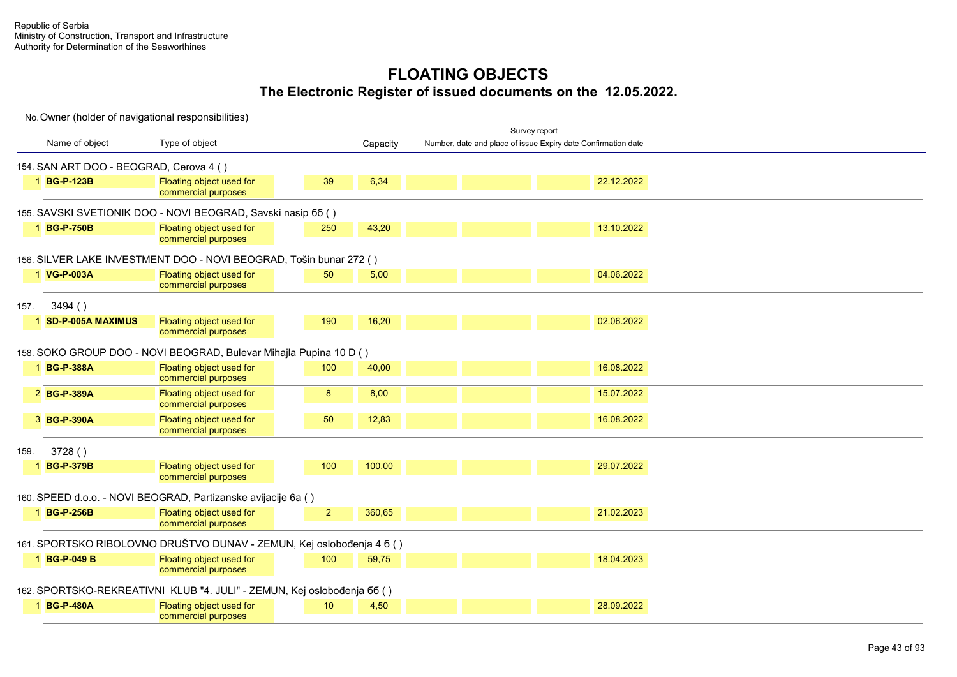|                                                                         |                                                 |                |          | Survey report                                                 |            |  |
|-------------------------------------------------------------------------|-------------------------------------------------|----------------|----------|---------------------------------------------------------------|------------|--|
| Name of object                                                          | Type of object                                  |                | Capacity | Number, date and place of issue Expiry date Confirmation date |            |  |
| 154. SAN ART DOO - BEOGRAD, Cerova 4 ()                                 |                                                 |                |          |                                                               |            |  |
| 1 BG-P-123B                                                             | Floating object used for<br>commercial purposes | 39             | 6,34     |                                                               | 22.12.2022 |  |
| 155. SAVSKI SVETIONIK DOO - NOVI BEOGRAD, Savski nasip 66 ()            |                                                 |                |          |                                                               |            |  |
| 1 BG-P-750B                                                             | Floating object used for<br>commercial purposes | 250            | 43,20    |                                                               | 13.10.2022 |  |
| 156. SILVER LAKE INVESTMENT DOO - NOVI BEOGRAD, Tošin bunar 272 ()      |                                                 |                |          |                                                               |            |  |
| 1 VG-P-003A                                                             | Floating object used for<br>commercial purposes | 50             | 5,00     |                                                               | 04.06.2022 |  |
| 3494()<br>157.                                                          |                                                 |                |          |                                                               |            |  |
| 1 SD-P-005A MAXIMUS                                                     | Floating object used for<br>commercial purposes | 190            | 16,20    |                                                               | 02.06.2022 |  |
| 158. SOKO GROUP DOO - NOVI BEOGRAD, Bulevar Mihajla Pupina 10 D ()      |                                                 |                |          |                                                               |            |  |
| 1 BG-P-388A                                                             | Floating object used for<br>commercial purposes | 100            | 40,00    |                                                               | 16.08.2022 |  |
| 2 BG-P-389A                                                             | Floating object used for<br>commercial purposes | 8              | 8,00     |                                                               | 15.07.2022 |  |
| 3 BG-P-390A                                                             | Floating object used for<br>commercial purposes | 50             | 12,83    |                                                               | 16.08.2022 |  |
| 3728()<br>159.                                                          |                                                 |                |          |                                                               |            |  |
| 1 BG-P-379B                                                             | Floating object used for<br>commercial purposes | 100            | 100,00   |                                                               | 29.07.2022 |  |
| 160. SPEED d.o.o. - NOVI BEOGRAD, Partizanske avijacije 6a ()           |                                                 |                |          |                                                               |            |  |
| 1 BG-P-256B                                                             | Floating object used for<br>commercial purposes | 2 <sup>1</sup> | 360,65   |                                                               | 21.02.2023 |  |
| 161. SPORTSKO RIBOLOVNO DRUŠTVO DUNAV - ZEMUN, Kej oslobođenja 4 6 ()   |                                                 |                |          |                                                               |            |  |
| 1 BG-P-049 B                                                            | Floating object used for<br>commercial purposes | 100            | 59,75    |                                                               | 18.04.2023 |  |
| 162. SPORTSKO-REKREATIVNI KLUB "4. JULI" - ZEMUN, Kej oslobođenja 66 () |                                                 |                |          |                                                               |            |  |
| 1 BG-P-480A                                                             | Floating object used for<br>commercial purposes | 10             | 4,50     |                                                               | 28.09.2022 |  |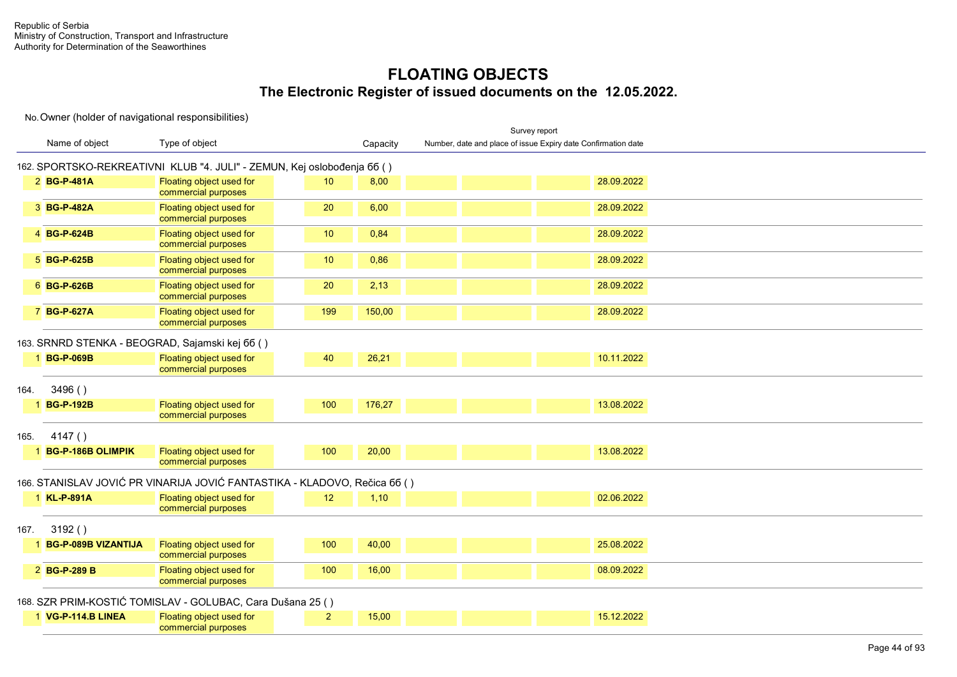|      |                       |                                                                           |                |          |                                                               | Survey report |            |  |  |  |
|------|-----------------------|---------------------------------------------------------------------------|----------------|----------|---------------------------------------------------------------|---------------|------------|--|--|--|
|      | Name of object        | Type of object                                                            |                | Capacity | Number, date and place of issue Expiry date Confirmation date |               |            |  |  |  |
|      |                       | 162. SPORTSKO-REKREATIVNI KLUB "4. JULI" - ZEMUN, Kej oslobođenja 66 ()   |                |          |                                                               |               |            |  |  |  |
|      | 2 BG-P-481A           | Floating object used for<br>commercial purposes                           | 10             | 8,00     |                                                               |               | 28.09.2022 |  |  |  |
|      | 3 BG-P-482A           | Floating object used for<br>commercial purposes                           | 20             | 6,00     |                                                               |               | 28.09.2022 |  |  |  |
|      | 4 BG-P-624B           | Floating object used for<br>commercial purposes                           | 10             | 0,84     |                                                               |               | 28.09.2022 |  |  |  |
|      | 5 BG-P-625B           | Floating object used for<br>commercial purposes                           | 10             | 0,86     |                                                               |               | 28.09.2022 |  |  |  |
|      | 6 BG-P-626B           | Floating object used for<br>commercial purposes                           | 20             | 2,13     |                                                               |               | 28.09.2022 |  |  |  |
|      | 7 BG-P-627A           | Floating object used for<br>commercial purposes                           | 199            | 150,00   |                                                               |               | 28.09.2022 |  |  |  |
|      |                       | 163. SRNRD STENKA - BEOGRAD, Sajamski kej 66 ()                           |                |          |                                                               |               |            |  |  |  |
|      | 1 BG-P-069B           | Floating object used for<br>commercial purposes                           | 40             | 26,21    |                                                               |               | 10.11.2022 |  |  |  |
| 164. | 3496()                |                                                                           |                |          |                                                               |               |            |  |  |  |
|      | 1 BG-P-192B           | Floating object used for<br>commercial purposes                           | 100            | 176,27   |                                                               |               | 13.08.2022 |  |  |  |
| 165. | 4147()                |                                                                           |                |          |                                                               |               |            |  |  |  |
|      | 1 BG-P-186B OLIMPIK   | Floating object used for<br>commercial purposes                           | 100            | 20,00    |                                                               |               | 13.08.2022 |  |  |  |
|      |                       | 166. STANISLAV JOVIĆ PR VINARIJA JOVIĆ FANTASTIKA - KLADOVO, Rečica 66 () |                |          |                                                               |               |            |  |  |  |
|      | 1 KL-P-891A           | Floating object used for<br>commercial purposes                           | 12             | 1,10     |                                                               |               | 02.06.2022 |  |  |  |
| 167. | 3192()                |                                                                           |                |          |                                                               |               |            |  |  |  |
|      | 1 BG-P-089B VIZANTIJA | Floating object used for<br>commercial purposes                           | 100            | 40,00    |                                                               |               | 25.08.2022 |  |  |  |
|      | 2 BG-P-289 B          | Floating object used for<br>commercial purposes                           | 100            | 16,00    |                                                               |               | 08.09.2022 |  |  |  |
|      |                       | 168. SZR PRIM-KOSTIĆ TOMISLAV - GOLUBAC, Cara Dušana 25 ()                |                |          |                                                               |               |            |  |  |  |
|      | 1 VG-P-114.B LINEA    | Floating object used for<br>commercial purposes                           | $\overline{2}$ | 15,00    |                                                               |               | 15.12.2022 |  |  |  |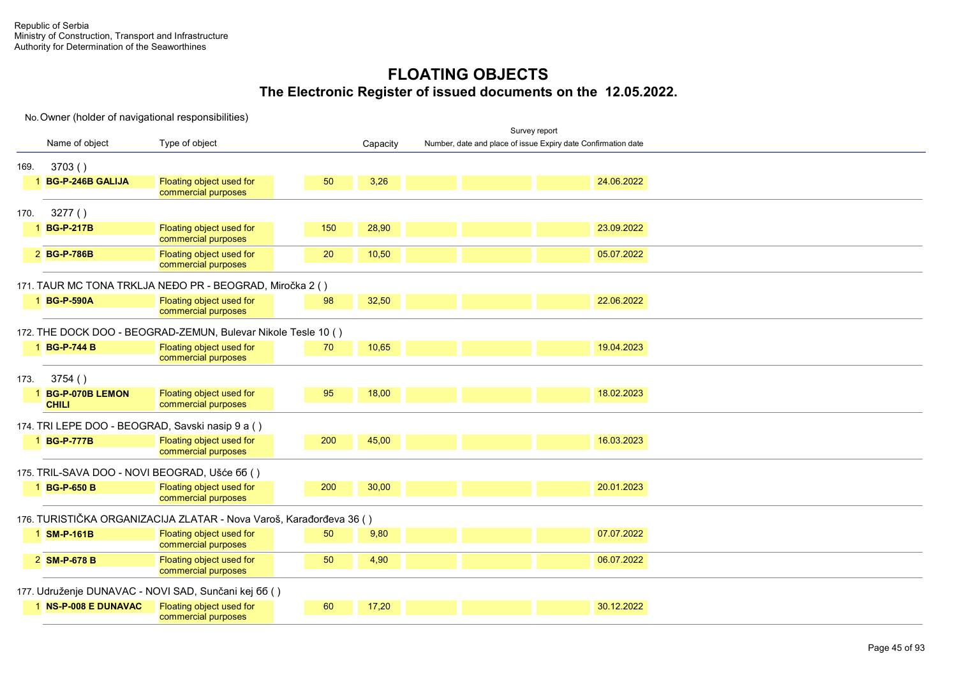| Name of object<br>Type of object<br>Number, date and place of issue Expiry date Confirmation date<br>Capacity<br>3703()<br>169.<br>Floating object used for<br>50<br>3,26<br>24.06.2022<br><b>BG-P-246B GALIJA</b><br>commercial purposes<br>3277()<br>170.<br>1 BG-P-217B<br>Floating object used for<br>150<br>28,90<br>23.09.2022<br>commercial purposes<br>Floating object used for<br>10,50<br>2 BG-P-786B<br>20<br>05.07.2022<br>commercial purposes<br>171. TAUR MC TONA TRKLJA NEĐO PR - BEOGRAD, Miročka 2 ()<br>Floating object used for<br>32,50<br>22.06.2022<br>1 BG-P-590A<br>98<br>commercial purposes<br>172. THE DOCK DOO - BEOGRAD-ZEMUN, Bulevar Nikole Tesle 10 ()<br>1 BG-P-744 B<br>19.04.2023<br>Floating object used for<br>70<br>10,65<br>commercial purposes<br>3754()<br>173.<br>Floating object used for<br>95<br>18,00<br>18.02.2023<br><b>BG-P-070B LEMON</b><br>commercial purposes<br><b>CHILI</b><br>174. TRI LEPE DOO - BEOGRAD, Savski nasip 9 a ()<br>Floating object used for<br>200<br>45,00<br>16.03.2023<br>1 BG-P-777B<br>commercial purposes<br>175. TRIL-SAVA DOO - NOVI BEOGRAD, Ušće 66 ()<br>Floating object used for<br>30,00<br>20.01.2023<br>1 BG-P-650 B<br>200<br>commercial purposes<br>176. TURISTIČKA ORGANIZACIJA ZLATAR - Nova Varoš, Karađorđeva 36 ()<br>07.07.2022<br>1 SM-P-161B<br>Floating object used for<br>50<br>9,80<br>commercial purposes<br>Floating object used for<br>50<br>4,90<br>06.07.2022<br>2 SM-P-678 B<br>commercial purposes<br>177. Udruženje DUNAVAC - NOVI SAD, Sunčani kej 66 ()<br>Floating object used for<br>60<br>17,20<br>30.12.2022<br>1 NS-P-008 E DUNAVAC |  |                     |  |  | Survey report |  |
|-------------------------------------------------------------------------------------------------------------------------------------------------------------------------------------------------------------------------------------------------------------------------------------------------------------------------------------------------------------------------------------------------------------------------------------------------------------------------------------------------------------------------------------------------------------------------------------------------------------------------------------------------------------------------------------------------------------------------------------------------------------------------------------------------------------------------------------------------------------------------------------------------------------------------------------------------------------------------------------------------------------------------------------------------------------------------------------------------------------------------------------------------------------------------------------------------------------------------------------------------------------------------------------------------------------------------------------------------------------------------------------------------------------------------------------------------------------------------------------------------------------------------------------------------------------------------------------------------------------------------------------------------------|--|---------------------|--|--|---------------|--|
|                                                                                                                                                                                                                                                                                                                                                                                                                                                                                                                                                                                                                                                                                                                                                                                                                                                                                                                                                                                                                                                                                                                                                                                                                                                                                                                                                                                                                                                                                                                                                                                                                                                       |  |                     |  |  |               |  |
|                                                                                                                                                                                                                                                                                                                                                                                                                                                                                                                                                                                                                                                                                                                                                                                                                                                                                                                                                                                                                                                                                                                                                                                                                                                                                                                                                                                                                                                                                                                                                                                                                                                       |  |                     |  |  |               |  |
|                                                                                                                                                                                                                                                                                                                                                                                                                                                                                                                                                                                                                                                                                                                                                                                                                                                                                                                                                                                                                                                                                                                                                                                                                                                                                                                                                                                                                                                                                                                                                                                                                                                       |  |                     |  |  |               |  |
|                                                                                                                                                                                                                                                                                                                                                                                                                                                                                                                                                                                                                                                                                                                                                                                                                                                                                                                                                                                                                                                                                                                                                                                                                                                                                                                                                                                                                                                                                                                                                                                                                                                       |  |                     |  |  |               |  |
|                                                                                                                                                                                                                                                                                                                                                                                                                                                                                                                                                                                                                                                                                                                                                                                                                                                                                                                                                                                                                                                                                                                                                                                                                                                                                                                                                                                                                                                                                                                                                                                                                                                       |  |                     |  |  |               |  |
|                                                                                                                                                                                                                                                                                                                                                                                                                                                                                                                                                                                                                                                                                                                                                                                                                                                                                                                                                                                                                                                                                                                                                                                                                                                                                                                                                                                                                                                                                                                                                                                                                                                       |  |                     |  |  |               |  |
|                                                                                                                                                                                                                                                                                                                                                                                                                                                                                                                                                                                                                                                                                                                                                                                                                                                                                                                                                                                                                                                                                                                                                                                                                                                                                                                                                                                                                                                                                                                                                                                                                                                       |  |                     |  |  |               |  |
|                                                                                                                                                                                                                                                                                                                                                                                                                                                                                                                                                                                                                                                                                                                                                                                                                                                                                                                                                                                                                                                                                                                                                                                                                                                                                                                                                                                                                                                                                                                                                                                                                                                       |  |                     |  |  |               |  |
|                                                                                                                                                                                                                                                                                                                                                                                                                                                                                                                                                                                                                                                                                                                                                                                                                                                                                                                                                                                                                                                                                                                                                                                                                                                                                                                                                                                                                                                                                                                                                                                                                                                       |  |                     |  |  |               |  |
|                                                                                                                                                                                                                                                                                                                                                                                                                                                                                                                                                                                                                                                                                                                                                                                                                                                                                                                                                                                                                                                                                                                                                                                                                                                                                                                                                                                                                                                                                                                                                                                                                                                       |  |                     |  |  |               |  |
|                                                                                                                                                                                                                                                                                                                                                                                                                                                                                                                                                                                                                                                                                                                                                                                                                                                                                                                                                                                                                                                                                                                                                                                                                                                                                                                                                                                                                                                                                                                                                                                                                                                       |  |                     |  |  |               |  |
|                                                                                                                                                                                                                                                                                                                                                                                                                                                                                                                                                                                                                                                                                                                                                                                                                                                                                                                                                                                                                                                                                                                                                                                                                                                                                                                                                                                                                                                                                                                                                                                                                                                       |  |                     |  |  |               |  |
|                                                                                                                                                                                                                                                                                                                                                                                                                                                                                                                                                                                                                                                                                                                                                                                                                                                                                                                                                                                                                                                                                                                                                                                                                                                                                                                                                                                                                                                                                                                                                                                                                                                       |  |                     |  |  |               |  |
|                                                                                                                                                                                                                                                                                                                                                                                                                                                                                                                                                                                                                                                                                                                                                                                                                                                                                                                                                                                                                                                                                                                                                                                                                                                                                                                                                                                                                                                                                                                                                                                                                                                       |  |                     |  |  |               |  |
|                                                                                                                                                                                                                                                                                                                                                                                                                                                                                                                                                                                                                                                                                                                                                                                                                                                                                                                                                                                                                                                                                                                                                                                                                                                                                                                                                                                                                                                                                                                                                                                                                                                       |  |                     |  |  |               |  |
|                                                                                                                                                                                                                                                                                                                                                                                                                                                                                                                                                                                                                                                                                                                                                                                                                                                                                                                                                                                                                                                                                                                                                                                                                                                                                                                                                                                                                                                                                                                                                                                                                                                       |  |                     |  |  |               |  |
|                                                                                                                                                                                                                                                                                                                                                                                                                                                                                                                                                                                                                                                                                                                                                                                                                                                                                                                                                                                                                                                                                                                                                                                                                                                                                                                                                                                                                                                                                                                                                                                                                                                       |  |                     |  |  |               |  |
|                                                                                                                                                                                                                                                                                                                                                                                                                                                                                                                                                                                                                                                                                                                                                                                                                                                                                                                                                                                                                                                                                                                                                                                                                                                                                                                                                                                                                                                                                                                                                                                                                                                       |  |                     |  |  |               |  |
|                                                                                                                                                                                                                                                                                                                                                                                                                                                                                                                                                                                                                                                                                                                                                                                                                                                                                                                                                                                                                                                                                                                                                                                                                                                                                                                                                                                                                                                                                                                                                                                                                                                       |  |                     |  |  |               |  |
|                                                                                                                                                                                                                                                                                                                                                                                                                                                                                                                                                                                                                                                                                                                                                                                                                                                                                                                                                                                                                                                                                                                                                                                                                                                                                                                                                                                                                                                                                                                                                                                                                                                       |  |                     |  |  |               |  |
|                                                                                                                                                                                                                                                                                                                                                                                                                                                                                                                                                                                                                                                                                                                                                                                                                                                                                                                                                                                                                                                                                                                                                                                                                                                                                                                                                                                                                                                                                                                                                                                                                                                       |  |                     |  |  |               |  |
|                                                                                                                                                                                                                                                                                                                                                                                                                                                                                                                                                                                                                                                                                                                                                                                                                                                                                                                                                                                                                                                                                                                                                                                                                                                                                                                                                                                                                                                                                                                                                                                                                                                       |  |                     |  |  |               |  |
|                                                                                                                                                                                                                                                                                                                                                                                                                                                                                                                                                                                                                                                                                                                                                                                                                                                                                                                                                                                                                                                                                                                                                                                                                                                                                                                                                                                                                                                                                                                                                                                                                                                       |  |                     |  |  |               |  |
|                                                                                                                                                                                                                                                                                                                                                                                                                                                                                                                                                                                                                                                                                                                                                                                                                                                                                                                                                                                                                                                                                                                                                                                                                                                                                                                                                                                                                                                                                                                                                                                                                                                       |  |                     |  |  |               |  |
|                                                                                                                                                                                                                                                                                                                                                                                                                                                                                                                                                                                                                                                                                                                                                                                                                                                                                                                                                                                                                                                                                                                                                                                                                                                                                                                                                                                                                                                                                                                                                                                                                                                       |  |                     |  |  |               |  |
|                                                                                                                                                                                                                                                                                                                                                                                                                                                                                                                                                                                                                                                                                                                                                                                                                                                                                                                                                                                                                                                                                                                                                                                                                                                                                                                                                                                                                                                                                                                                                                                                                                                       |  |                     |  |  |               |  |
|                                                                                                                                                                                                                                                                                                                                                                                                                                                                                                                                                                                                                                                                                                                                                                                                                                                                                                                                                                                                                                                                                                                                                                                                                                                                                                                                                                                                                                                                                                                                                                                                                                                       |  |                     |  |  |               |  |
|                                                                                                                                                                                                                                                                                                                                                                                                                                                                                                                                                                                                                                                                                                                                                                                                                                                                                                                                                                                                                                                                                                                                                                                                                                                                                                                                                                                                                                                                                                                                                                                                                                                       |  |                     |  |  |               |  |
|                                                                                                                                                                                                                                                                                                                                                                                                                                                                                                                                                                                                                                                                                                                                                                                                                                                                                                                                                                                                                                                                                                                                                                                                                                                                                                                                                                                                                                                                                                                                                                                                                                                       |  | commercial purposes |  |  |               |  |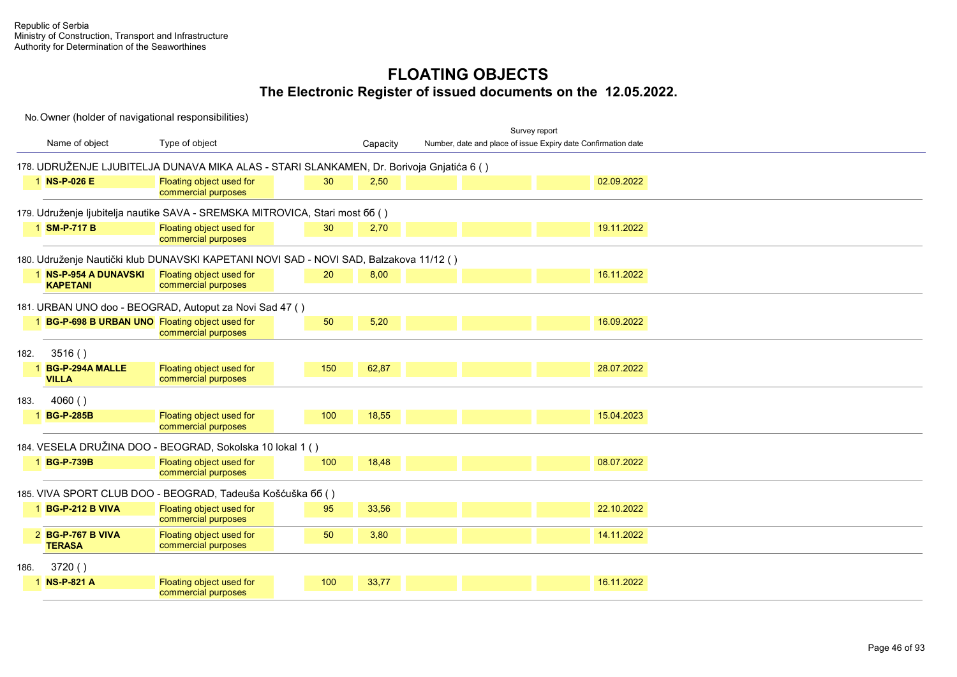|      |                                                 |                                                                                          |     |          |  | Survey report                                                 |            |
|------|-------------------------------------------------|------------------------------------------------------------------------------------------|-----|----------|--|---------------------------------------------------------------|------------|
|      | Name of object                                  | Type of object                                                                           |     | Capacity |  | Number, date and place of issue Expiry date Confirmation date |            |
|      |                                                 | 178. UDRUŽENJE LJUBITELJA DUNAVA MIKA ALAS - STARI SLANKAMEN, Dr. Borivoja Gnjatića 6 () |     |          |  |                                                               |            |
|      | 1 NS-P-026 E                                    | Floating object used for<br>commercial purposes                                          | 30  | 2,50     |  |                                                               | 02.09.2022 |
|      |                                                 | 179. Udruženje ljubitelja nautike SAVA - SREMSKA MITROVICA, Stari most 66 ()             |     |          |  |                                                               |            |
|      | 1 SM-P-717 B                                    | Floating object used for<br>commercial purposes                                          | 30  | 2,70     |  |                                                               | 19.11.2022 |
|      |                                                 | 180. Udruženje Nautički klub DUNAVSKI KAPETANI NOVI SAD - NOVI SAD, Balzakova 11/12 ()   |     |          |  |                                                               |            |
|      | 1 NS-P-954 A DUNAVSKI<br><b>KAPETANI</b>        | Floating object used for<br>commercial purposes                                          | 20  | 8,00     |  |                                                               | 16.11.2022 |
|      |                                                 | 181. URBAN UNO doo - BEOGRAD, Autoput za Novi Sad 47 ()                                  |     |          |  |                                                               |            |
|      | 1 BG-P-698 B URBAN UNO Floating object used for | commercial purposes                                                                      | 50  | 5,20     |  |                                                               | 16.09.2022 |
| 182. | 3516()                                          |                                                                                          |     |          |  |                                                               |            |
|      | <b>BG-P-294A MALLE</b><br><b>VILLA</b>          | Floating object used for<br>commercial purposes                                          | 150 | 62,87    |  |                                                               | 28.07.2022 |
| 183. | 4060()                                          |                                                                                          |     |          |  |                                                               |            |
|      | 1 BG-P-285B                                     | Floating object used for<br>commercial purposes                                          | 100 | 18,55    |  |                                                               | 15.04.2023 |
|      |                                                 | 184. VESELA DRUŽINA DOO - BEOGRAD, Sokolska 10 lokal 1 ()                                |     |          |  |                                                               |            |
|      | 1 BG-P-739B                                     | Floating object used for<br>commercial purposes                                          | 100 | 18,48    |  |                                                               | 08.07.2022 |
|      |                                                 | 185. VIVA SPORT CLUB DOO - BEOGRAD, Tadeuša Košćuška 66 ()                               |     |          |  |                                                               |            |
|      | 1 BG-P-212 B VIVA                               | Floating object used for<br>commercial purposes                                          | 95  | 33,56    |  |                                                               | 22.10.2022 |
|      | 2 BG-P-767 B VIVA<br><b>TERASA</b>              | Floating object used for<br>commercial purposes                                          | 50  | 3,80     |  |                                                               | 14.11.2022 |
| 186. | 3720()                                          |                                                                                          |     |          |  |                                                               |            |
|      | 1 NS-P-821 A                                    | Floating object used for<br>commercial purposes                                          | 100 | 33,77    |  |                                                               | 16.11.2022 |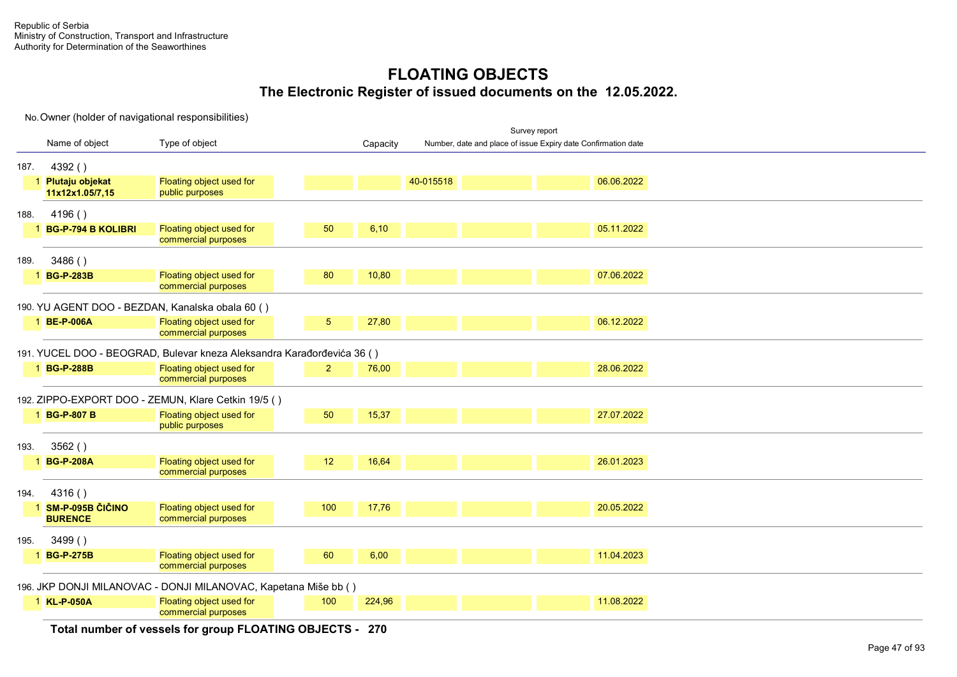No. Owner (holder of navigational responsibilities)

| 187.<br>188. | Name of object<br>4392()<br>1 Plutaju objekat | Type of object                                                         |                 | Capacity |           | Number, date and place of issue Expiry date Confirmation date |
|--------------|-----------------------------------------------|------------------------------------------------------------------------|-----------------|----------|-----------|---------------------------------------------------------------|
|              |                                               |                                                                        |                 |          |           |                                                               |
|              |                                               |                                                                        |                 |          |           |                                                               |
|              | 11x12x1.05/7,15                               | Floating object used for<br>public purposes                            |                 |          | 40-015518 | 06.06.2022                                                    |
|              | 4196()                                        |                                                                        |                 |          |           |                                                               |
|              | 1 BG-P-794 B KOLIBRI                          | Floating object used for<br>commercial purposes                        | 50              | 6,10     |           | 05.11.2022                                                    |
| 189.         | 3486()                                        |                                                                        |                 |          |           |                                                               |
|              | 1 BG-P-283B                                   | Floating object used for<br>commercial purposes                        | 80              | 10,80    |           | 07.06.2022                                                    |
|              |                                               | 190. YU AGENT DOO - BEZDAN, Kanalska obala 60 ()                       |                 |          |           |                                                               |
|              | 1 BE-P-006A                                   | Floating object used for<br>commercial purposes                        | 5 <sup>5</sup>  | 27,80    |           | 06.12.2022                                                    |
|              |                                               | 191. YUCEL DOO - BEOGRAD, Bulevar kneza Aleksandra Karađorđevića 36 () |                 |          |           |                                                               |
|              | 1 BG-P-288B                                   | Floating object used for<br>commercial purposes                        | 2 <sup>2</sup>  | 76,00    |           | 28.06.2022                                                    |
|              |                                               | 192. ZIPPO-EXPORT DOO - ZEMUN, Klare Cetkin 19/5 ()                    |                 |          |           |                                                               |
|              | 1 BG-P-807 B                                  | Floating object used for<br>public purposes                            | 50              | 15,37    |           | 27.07.2022                                                    |
| 193.         | 3562()                                        |                                                                        |                 |          |           |                                                               |
|              | 1 BG-P-208A                                   | Floating object used for<br>commercial purposes                        | 12 <sup>°</sup> | 16,64    |           | 26.01.2023                                                    |
| 194.         | 4316()                                        |                                                                        |                 |          |           |                                                               |
|              | 1 SM-P-095B ČIČINO<br><b>BURENCE</b>          | Floating object used for<br>commercial purposes                        | 100             | 17,76    |           | 20.05.2022                                                    |
| 195.         | 3499()                                        |                                                                        |                 |          |           |                                                               |
|              | 1 BG-P-275B                                   | Floating object used for<br>commercial purposes                        | 60              | 6,00     |           | 11.04.2023                                                    |
|              |                                               | 196. JKP DONJI MILANOVAC - DONJI MILANOVAC, Kapetana Miše bb ()        |                 |          |           |                                                               |
|              | 1 KL-P-050A                                   | Floating object used for<br>commercial purposes                        | 100             | 224,96   |           | 11.08.2022                                                    |

**Total number of vessels for group FLOATING OBJECTS - 270**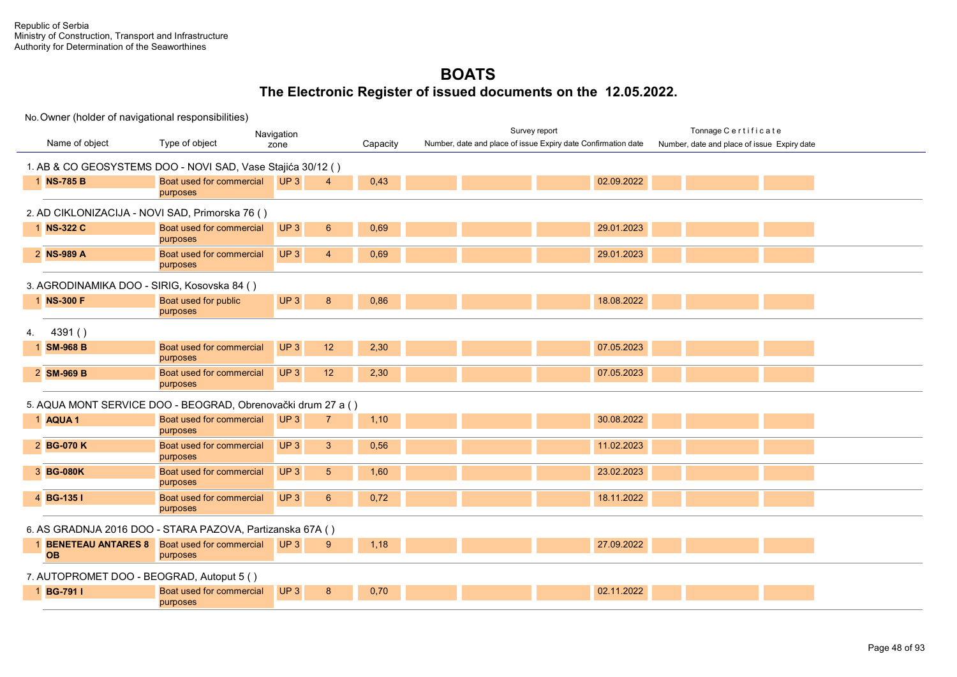Survey report Tonnage C e r t i f i c a t e

| Name of object                                               | Type of object                                                 | <b>TYUTHYULIUI</b><br>zone         | Capacity | Number, date and place of issue Expiry date Confirmation date | Number, date and place of issue Expiry date |
|--------------------------------------------------------------|----------------------------------------------------------------|------------------------------------|----------|---------------------------------------------------------------|---------------------------------------------|
| 1. AB & CO GEOSYSTEMS DOO - NOVI SAD, Vase Stajića 30/12 ()  |                                                                |                                    |          |                                                               |                                             |
| 1 NS-785 B                                                   | Boat used for commercial<br>purposes                           | UP3<br>4                           | 0,43     | 02.09.2022                                                    |                                             |
| 2. AD CIKLONIZACIJA - NOVI SAD, Primorska 76 ()              |                                                                |                                    |          |                                                               |                                             |
| 1 NS-322 C                                                   | Boat used for commercial<br>purposes                           | UP <sub>3</sub><br>$6\phantom{1}$  | 0,69     | 29.01.2023                                                    |                                             |
| 2 NS-989 A                                                   | Boat used for commercial<br>purposes                           | UP <sub>3</sub><br>$\overline{4}$  | 0,69     | 29.01.2023                                                    |                                             |
| 3. AGRODINAMIKA DOO - SIRIG, Kosovska 84 ()                  |                                                                |                                    |          |                                                               |                                             |
| 1 NS-300 F                                                   | Boat used for public<br>purposes                               | UP <sub>3</sub><br>8               | 0,86     | 18.08.2022                                                    |                                             |
| 4391()                                                       |                                                                |                                    |          |                                                               |                                             |
| <b>SM-968 B</b>                                              | Boat used for commercial<br>purposes                           | UP <sub>3</sub><br>12              | 2,30     | 07.05.2023                                                    |                                             |
| 2 SM-969 B                                                   | Boat used for commercial<br>purposes                           | UP <sub>3</sub><br>12              | 2,30     | 07.05.2023                                                    |                                             |
| 5. AQUA MONT SERVICE DOO - BEOGRAD, Obrenovački drum 27 a () |                                                                |                                    |          |                                                               |                                             |
| 1 AQUA 1                                                     | Boat used for commercial<br>purposes                           | UP <sub>3</sub><br>$\overline{7}$  | 1,10     | 30.08.2022                                                    |                                             |
| 2 BG-070 K                                                   | Boat used for commercial<br>purposes                           | UP <sub>3</sub><br>3               | 0,56     | 11.02.2023                                                    |                                             |
| 3 BG-080K                                                    | Boat used for commercial<br>purposes                           | UP <sub>3</sub><br>$5\phantom{.0}$ | 1,60     | 23.02.2023                                                    |                                             |
| 4 BG-135 I                                                   | Boat used for commercial<br>purposes                           | UP <sub>3</sub><br>$6\phantom{1}$  | 0,72     | 18.11.2022                                                    |                                             |
| 6. AS GRADNJA 2016 DOO - STARA PAZOVA, Partizanska 67A ()    |                                                                |                                    |          |                                                               |                                             |
| <b>OB</b>                                                    | <b>BENETEAU ANTARES 8</b> Boat used for commercial<br>purposes | UP3<br>9                           | 1,18     | 27.09.2022                                                    |                                             |
| 7. AUTOPROMET DOO - BEOGRAD, Autoput 5 ()                    |                                                                |                                    |          |                                                               |                                             |
| 1 BG-791 I                                                   | Boat used for commercial<br>purposes                           | UP <sub>3</sub><br>8               | 0,70     | 02.11.2022                                                    |                                             |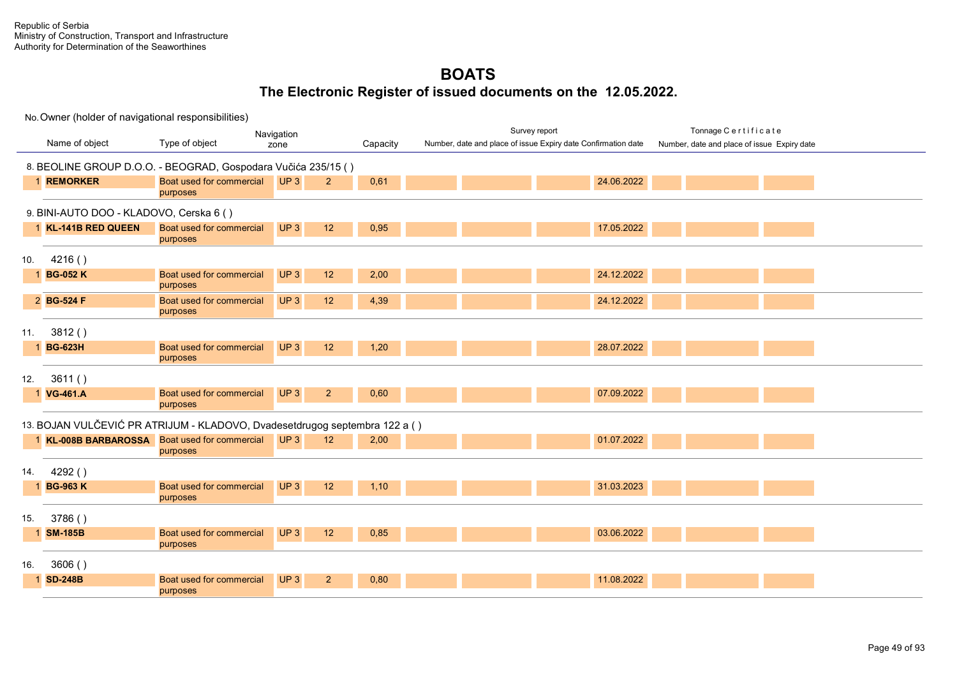|     |                                         |                                                                            | Navigation            |          | Survey report                                                 | Tonnage Certificate                         |
|-----|-----------------------------------------|----------------------------------------------------------------------------|-----------------------|----------|---------------------------------------------------------------|---------------------------------------------|
|     | Name of object                          | Type of object                                                             | zone                  | Capacity | Number, date and place of issue Expiry date Confirmation date | Number, date and place of issue Expiry date |
|     |                                         |                                                                            |                       |          |                                                               |                                             |
|     |                                         | 8. BEOLINE GROUP D.O.O. - BEOGRAD, Gospodara Vučića 235/15 ()              |                       |          |                                                               |                                             |
|     | 1 REMORKER                              | Boat used for commercial                                                   | UP3<br>2 <sup>2</sup> | 0,61     | 24.06.2022                                                    |                                             |
|     |                                         | purposes                                                                   |                       |          |                                                               |                                             |
|     | 9. BINI-AUTO DOO - KLADOVO, Cerska 6 () |                                                                            |                       |          |                                                               |                                             |
|     | 1 KL-141B RED QUEEN                     | Boat used for commercial                                                   | UP3<br>12             | 0,95     | 17.05.2022                                                    |                                             |
|     |                                         | purposes                                                                   |                       |          |                                                               |                                             |
| 10. | 4216()                                  |                                                                            |                       |          |                                                               |                                             |
|     | 1 BG-052 K                              | Boat used for commercial                                                   | UP3<br>12             | 2,00     | 24.12.2022                                                    |                                             |
|     |                                         | purposes                                                                   |                       |          |                                                               |                                             |
|     | 2 BG-524 F                              | Boat used for commercial                                                   | UP3<br>12             | 4,39     | 24.12.2022                                                    |                                             |
|     |                                         | purposes                                                                   |                       |          |                                                               |                                             |
| 11. | 3812()                                  |                                                                            |                       |          |                                                               |                                             |
|     | 1 BG-623H                               | Boat used for commercial                                                   | UP3<br>12             | 1,20     | 28.07.2022                                                    |                                             |
|     |                                         | purposes                                                                   |                       |          |                                                               |                                             |
| 12. | 3611()                                  |                                                                            |                       |          |                                                               |                                             |
|     | 1 VG-461.A                              | Boat used for commercial                                                   | UP3<br>2 <sup>2</sup> | 0,60     | 07.09.2022                                                    |                                             |
|     |                                         | purposes                                                                   |                       |          |                                                               |                                             |
|     |                                         | 13. BOJAN VULČEVIĆ PR ATRIJUM - KLADOVO, Dvadesetdrugog septembra 122 a () |                       |          |                                                               |                                             |
|     |                                         | 1 KL-008B BARBAROSSA Boat used for commercial                              | UP3<br>12             | 2,00     | 01.07.2022                                                    |                                             |
|     |                                         | purposes                                                                   |                       |          |                                                               |                                             |
| 14. | 4292()                                  |                                                                            |                       |          |                                                               |                                             |
|     | 1 BG-963 K                              | Boat used for commercial                                                   | UP <sub>3</sub><br>12 | 1,10     | 31.03.2023                                                    |                                             |
|     |                                         | purposes                                                                   |                       |          |                                                               |                                             |
|     |                                         |                                                                            |                       |          |                                                               |                                             |
| 15. | 3786()                                  |                                                                            |                       |          |                                                               |                                             |
|     | 1 SM-185B                               | Boat used for commercial                                                   | UP3<br>12             | 0,85     | 03.06.2022                                                    |                                             |
|     |                                         | purposes                                                                   |                       |          |                                                               |                                             |
| 16. | 3606()                                  |                                                                            |                       |          |                                                               |                                             |
|     | 1 SD-248B                               | Boat used for commercial                                                   | UP3<br>2 <sup>2</sup> | 0,80     | 11.08.2022                                                    |                                             |
|     |                                         | purposes                                                                   |                       |          |                                                               |                                             |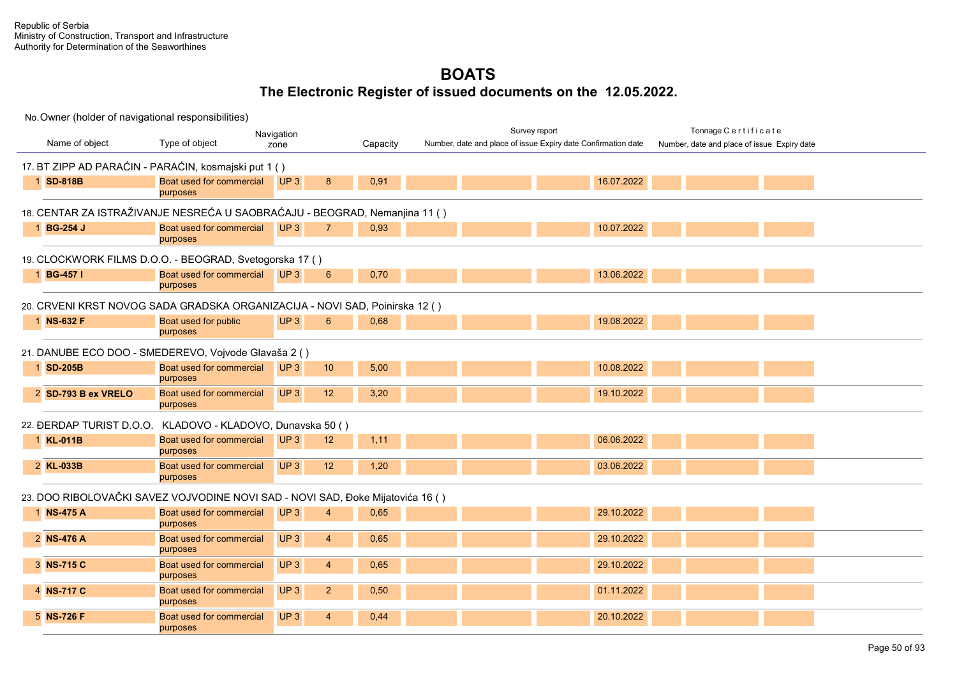| No. Owner (holder of navigational responsibilities)                            |                                      |                 |                |          |                                                               |            |                                             |  |
|--------------------------------------------------------------------------------|--------------------------------------|-----------------|----------------|----------|---------------------------------------------------------------|------------|---------------------------------------------|--|
| Navigation                                                                     |                                      |                 |                |          | Survey report                                                 |            | Tonnage Certificate                         |  |
| Name of object                                                                 | Type of object                       | zone            |                | Capacity | Number, date and place of issue Expiry date Confirmation date |            | Number, date and place of issue Expiry date |  |
| 17. BT ZIPP AD PARAĆIN - PARAĆIN, kosmajski put 1 ()                           |                                      |                 |                |          |                                                               |            |                                             |  |
|                                                                                | Boat used for commercial             | UP3             |                |          |                                                               | 16.07.2022 |                                             |  |
| 1 SD-818B                                                                      | purposes                             |                 | 8              | 0,91     |                                                               |            |                                             |  |
|                                                                                |                                      |                 |                |          |                                                               |            |                                             |  |
| 18. CENTAR ZA ISTRAŽIVANJE NESREĆA U SAOBRAĆAJU - BEOGRAD, Nemanjina 11 ( )    |                                      |                 |                |          |                                                               |            |                                             |  |
| 1 BG-254 J                                                                     | Boat used for commercial             | UP3             | $\overline{7}$ | 0,93     |                                                               | 10.07.2022 |                                             |  |
|                                                                                | purposes                             |                 |                |          |                                                               |            |                                             |  |
| 19. CLOCKWORK FILMS D.O.O. - BEOGRAD, Svetogorska 17 ()                        |                                      |                 |                |          |                                                               |            |                                             |  |
| 1 BG-457 I                                                                     | Boat used for commercial UP 3        |                 | 6              | 0,70     |                                                               | 13.06.2022 |                                             |  |
|                                                                                | purposes                             |                 |                |          |                                                               |            |                                             |  |
| 20. CRVENI KRST NOVOG SADA GRADSKA ORGANIZACIJA - NOVI SAD, Poinirska 12 ()    |                                      |                 |                |          |                                                               |            |                                             |  |
| 1 NS-632 F                                                                     | Boat used for public                 | UP3             | 6              | 0,68     |                                                               | 19.08.2022 |                                             |  |
|                                                                                | purposes                             |                 |                |          |                                                               |            |                                             |  |
|                                                                                |                                      |                 |                |          |                                                               |            |                                             |  |
| 21. DANUBE ECO DOO - SMEDEREVO, Vojvode Glavaša 2 ()                           |                                      |                 |                |          |                                                               |            |                                             |  |
| 1 SD-205B                                                                      | Boat used for commercial             | UP3             | 10             | 5,00     |                                                               | 10.08.2022 |                                             |  |
|                                                                                | purposes                             |                 |                |          |                                                               |            |                                             |  |
| 2 SD-793 B ex VRELO                                                            | Boat used for commercial<br>purposes | UP <sub>3</sub> | 12             | 3,20     |                                                               | 19.10.2022 |                                             |  |
|                                                                                |                                      |                 |                |          |                                                               |            |                                             |  |
| 22. ĐERDAP TURIST D.O.O. KLADOVO - KLADOVO, Dunavska 50 ()                     |                                      |                 |                |          |                                                               |            |                                             |  |
| 1 KL-011B                                                                      | Boat used for commercial             | UP3             | 12             | 1,11     |                                                               | 06.06.2022 |                                             |  |
|                                                                                | purposes                             |                 |                |          |                                                               |            |                                             |  |
| 2 KL-033B                                                                      | Boat used for commercial             | UP3             | 12             | 1,20     |                                                               | 03.06.2022 |                                             |  |
|                                                                                | purposes                             |                 |                |          |                                                               |            |                                             |  |
| 23. DOO RIBOLOVAČKI SAVEZ VOJVODINE NOVI SAD - NOVI SAD, Đoke Mijatovića 16 () |                                      |                 |                |          |                                                               |            |                                             |  |
| 1 NS-475 A                                                                     | Boat used for commercial             | UP3             | $\overline{4}$ | 0,65     |                                                               | 29.10.2022 |                                             |  |
|                                                                                | purposes                             |                 |                |          |                                                               |            |                                             |  |
| 2 NS-476 A                                                                     | Boat used for commercial             | UP3             | $\overline{4}$ | 0,65     |                                                               | 29.10.2022 |                                             |  |
|                                                                                | purposes                             |                 |                |          |                                                               |            |                                             |  |
| 3 NS-715 C                                                                     | Boat used for commercial             | UP3             | $\overline{4}$ | 0,65     |                                                               | 29.10.2022 |                                             |  |
|                                                                                | purposes                             |                 |                |          |                                                               |            |                                             |  |
| 4 NS-717 C                                                                     | Boat used for commercial<br>purposes | UP <sub>3</sub> | $\overline{2}$ | 0,50     |                                                               | 01.11.2022 |                                             |  |
| 5 NS-726 F                                                                     | Boat used for commercial             | UP3             | $\overline{4}$ | 0,44     |                                                               | 20.10.2022 |                                             |  |
|                                                                                | purposes                             |                 |                |          |                                                               |            |                                             |  |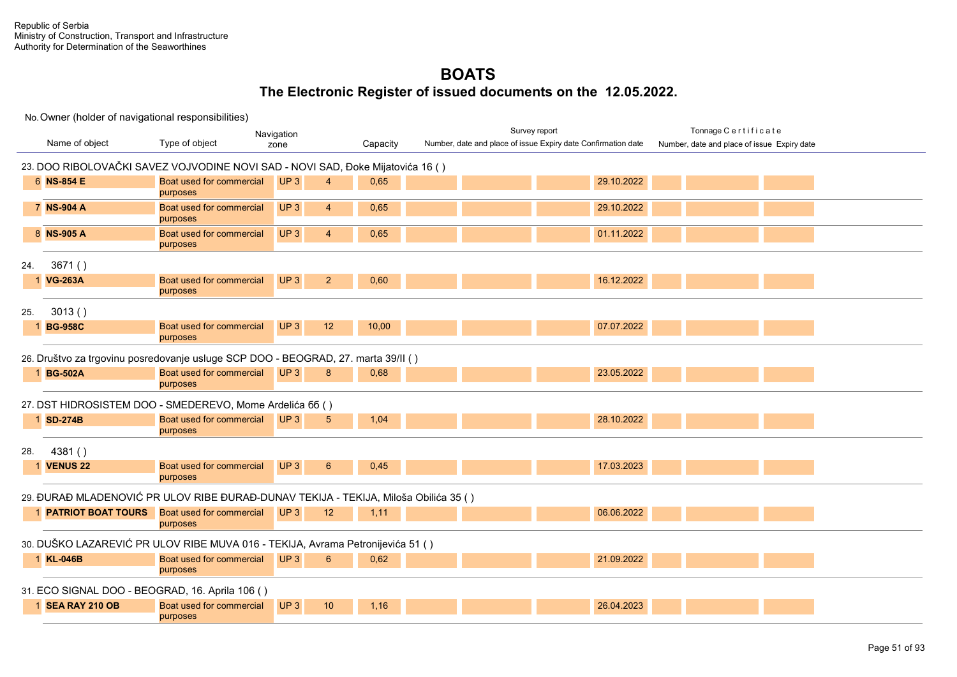|     |                                                                                |                                                                                     | Navigation                         |          | Survey report                                                 |            | Tonnage Certificate                         |  |  |  |  |  |  |
|-----|--------------------------------------------------------------------------------|-------------------------------------------------------------------------------------|------------------------------------|----------|---------------------------------------------------------------|------------|---------------------------------------------|--|--|--|--|--|--|
|     | Name of object                                                                 | Type of object                                                                      | zone                               | Capacity | Number, date and place of issue Expiry date Confirmation date |            | Number, date and place of issue Expiry date |  |  |  |  |  |  |
|     | 23. DOO RIBOLOVAČKI SAVEZ VOJVODINE NOVI SAD - NOVI SAD, Đoke Mijatovića 16 () |                                                                                     |                                    |          |                                                               |            |                                             |  |  |  |  |  |  |
|     | 6 NS-854 E                                                                     | Boat used for commercial<br>purposes                                                | UP <sub>3</sub><br>$\overline{4}$  | 0,65     |                                                               | 29.10.2022 |                                             |  |  |  |  |  |  |
|     | 7 NS-904 A                                                                     | Boat used for commercial<br>purposes                                                | UP3<br>$\overline{4}$              | 0,65     |                                                               | 29.10.2022 |                                             |  |  |  |  |  |  |
|     | 8 NS-905 A                                                                     | Boat used for commercial<br>purposes                                                | UP <sub>3</sub><br>$\overline{4}$  | 0,65     |                                                               | 01.11.2022 |                                             |  |  |  |  |  |  |
| 24. | 3671()                                                                         |                                                                                     |                                    |          |                                                               |            |                                             |  |  |  |  |  |  |
|     | 1 VG-263A                                                                      | Boat used for commercial<br>purposes                                                | UP3<br>2 <sup>2</sup>              | 0,60     |                                                               | 16.12.2022 |                                             |  |  |  |  |  |  |
| 25. | 3013()                                                                         |                                                                                     |                                    |          |                                                               |            |                                             |  |  |  |  |  |  |
|     | 1 BG-958C                                                                      | Boat used for commercial<br>purposes                                                | UP <sub>3</sub><br>12              | 10,00    |                                                               | 07.07.2022 |                                             |  |  |  |  |  |  |
|     |                                                                                | 26. Društvo za trgovinu posredovanje usluge SCP DOO - BEOGRAD, 27. marta 39/II ()   |                                    |          |                                                               |            |                                             |  |  |  |  |  |  |
|     | 1 BG-502A                                                                      | Boat used for commercial<br>purposes                                                | UP3<br>8                           | 0,68     |                                                               | 23.05.2022 |                                             |  |  |  |  |  |  |
|     |                                                                                | 27. DST HIDROSISTEM DOO - SMEDEREVO, Mome Ardelića 66 ()                            |                                    |          |                                                               |            |                                             |  |  |  |  |  |  |
|     | 1 SD-274B                                                                      | Boat used for commercial<br>purposes                                                | UP <sub>3</sub><br>$5\overline{)}$ | 1,04     |                                                               | 28.10.2022 |                                             |  |  |  |  |  |  |
| 28. | 4381()                                                                         |                                                                                     |                                    |          |                                                               |            |                                             |  |  |  |  |  |  |
|     | <b>1 VENUS 22</b>                                                              | Boat used for commercial<br>purposes                                                | UP3<br>$6\phantom{1}6$             | 0,45     |                                                               | 17.03.2023 |                                             |  |  |  |  |  |  |
|     |                                                                                | 29. ĐURAĐ MLADENOVIĆ PR ULOV RIBE ĐURAĐ-DUNAV TEKIJA - TEKIJA, Miloša Obilića 35 () |                                    |          |                                                               |            |                                             |  |  |  |  |  |  |
|     |                                                                                | 1 <b>PATRIOT BOAT TOURS</b> Boat used for commercial<br>purposes                    | UP3<br>12                          | 1,11     |                                                               | 06.06.2022 |                                             |  |  |  |  |  |  |
|     |                                                                                | 30. DUŠKO LAZAREVIĆ PR ULOV RIBE MUVA 016 - TEKIJA, Avrama Petronijevića 51 ()      |                                    |          |                                                               |            |                                             |  |  |  |  |  |  |
|     | 1 KL-046B                                                                      | Boat used for commercial<br>purposes                                                | UP3<br>$6\phantom{1}6$             | 0,62     |                                                               | 21.09.2022 |                                             |  |  |  |  |  |  |
|     |                                                                                | 31. ECO SIGNAL DOO - BEOGRAD, 16. Aprila 106 ()                                     |                                    |          |                                                               |            |                                             |  |  |  |  |  |  |
|     | 1 SEA RAY 210 OB                                                               | Boat used for commercial<br>purposes                                                | UP <sub>3</sub><br>10              | 1.16     |                                                               | 26.04.2023 |                                             |  |  |  |  |  |  |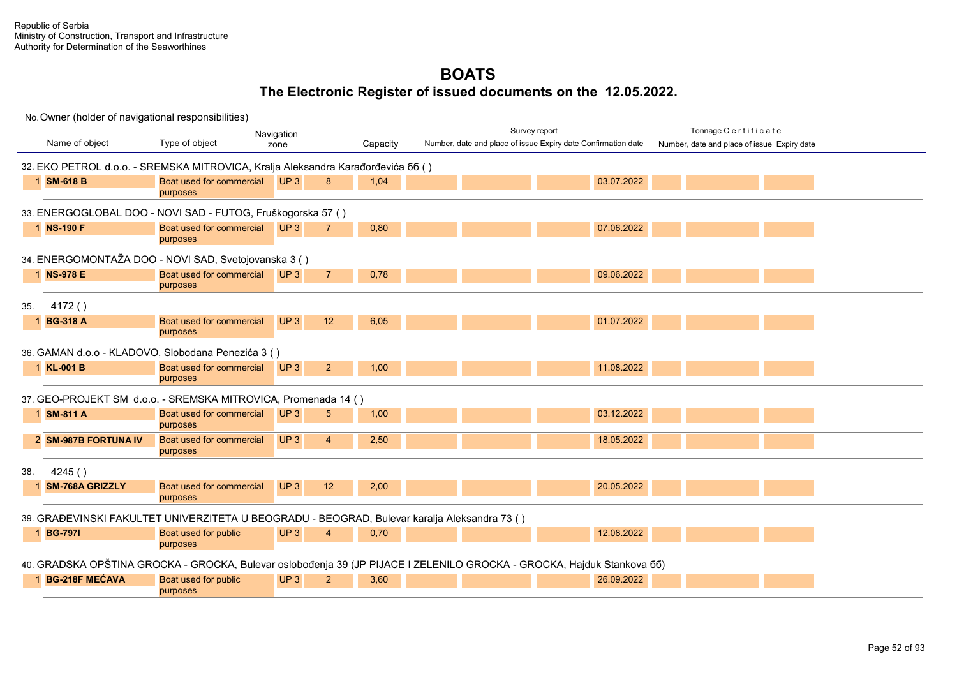|     |                        |                                                                                                                        | Navigation                        |          |  | Survey report                                                 | Tonnage Certificate                         |  |
|-----|------------------------|------------------------------------------------------------------------------------------------------------------------|-----------------------------------|----------|--|---------------------------------------------------------------|---------------------------------------------|--|
|     | Name of object         | Type of object                                                                                                         | zone                              | Capacity |  | Number, date and place of issue Expiry date Confirmation date | Number, date and place of issue Expiry date |  |
|     |                        |                                                                                                                        |                                   |          |  |                                                               |                                             |  |
|     |                        | 32. EKO PETROL d.o.o. - SREMSKA MITROVICA, Kralja Aleksandra Karađorđevića 66 ()                                       |                                   |          |  |                                                               |                                             |  |
|     | 1 SM-618 B             | Boat used for commercial                                                                                               | UP <sub>3</sub><br>8              | 1,04     |  | 03.07.2022                                                    |                                             |  |
|     |                        | purposes                                                                                                               |                                   |          |  |                                                               |                                             |  |
|     |                        | 33. ENERGOGLOBAL DOO - NOVI SAD - FUTOG, Fruškogorska 57 ()                                                            |                                   |          |  |                                                               |                                             |  |
|     | 1 NS-190 F             | Boat used for commercial                                                                                               | UP3<br>$\overline{7}$             | 0,80     |  | 07.06.2022                                                    |                                             |  |
|     |                        | purposes                                                                                                               |                                   |          |  |                                                               |                                             |  |
|     |                        | 34. ENERGOMONTAŽA DOO - NOVI SAD, Svetojovanska 3 ()                                                                   |                                   |          |  |                                                               |                                             |  |
|     | 1 NS-978 E             | Boat used for commercial                                                                                               | UP3<br>$\overline{7}$             | 0,78     |  | 09.06.2022                                                    |                                             |  |
|     |                        | purposes                                                                                                               |                                   |          |  |                                                               |                                             |  |
| 35. | 4172()                 |                                                                                                                        |                                   |          |  |                                                               |                                             |  |
|     | 1 BG-318 A             | Boat used for commercial                                                                                               | UP3<br>12                         | 6,05     |  | 01.07.2022                                                    |                                             |  |
|     |                        | purposes                                                                                                               |                                   |          |  |                                                               |                                             |  |
|     |                        | 36. GAMAN d.o.o - KLADOVO, Slobodana Penezića 3 ()                                                                     |                                   |          |  |                                                               |                                             |  |
|     | 1 KL-001 B             | Boat used for commercial                                                                                               | UP <sub>3</sub><br>$\overline{2}$ | 1,00     |  | 11.08.2022                                                    |                                             |  |
|     |                        | purposes                                                                                                               |                                   |          |  |                                                               |                                             |  |
|     |                        |                                                                                                                        |                                   |          |  |                                                               |                                             |  |
|     |                        | 37. GEO-PROJEKT SM d.o.o. - SREMSKA MITROVICA, Promenada 14 ()                                                         |                                   |          |  |                                                               |                                             |  |
|     | 1 SM-811 A             | Boat used for commercial                                                                                               | UP <sub>3</sub><br>5              | 1,00     |  | 03.12.2022                                                    |                                             |  |
|     |                        | purposes                                                                                                               |                                   |          |  |                                                               |                                             |  |
|     | 2 SM-987B FORTUNA IV   | Boat used for commercial                                                                                               | UP <sub>3</sub><br>$\overline{4}$ | 2,50     |  | 18.05.2022                                                    |                                             |  |
|     |                        | purposes                                                                                                               |                                   |          |  |                                                               |                                             |  |
| 38. | 4245()                 |                                                                                                                        |                                   |          |  |                                                               |                                             |  |
|     | <b>SM-768A GRIZZLY</b> | Boat used for commercial                                                                                               | UP <sub>3</sub><br>12             | 2,00     |  | 20.05.2022                                                    |                                             |  |
|     |                        | purposes                                                                                                               |                                   |          |  |                                                               |                                             |  |
|     |                        | 39. GRAĐEVINSKI FAKULTET UNIVERZITETA U BEOGRADU - BEOGRAD, Bulevar karalja Aleksandra 73 ()                           |                                   |          |  |                                                               |                                             |  |
|     | 1 BG-7971              | Boat used for public                                                                                                   | UP <sub>3</sub><br>$\overline{4}$ | 0,70     |  | 12.08.2022                                                    |                                             |  |
|     |                        | purposes                                                                                                               |                                   |          |  |                                                               |                                             |  |
|     |                        | 40. GRADSKA OPŠTINA GROCKA - GROCKA, Bulevar oslobođenja 39 (JP PIJACE I ZELENILO GROCKA - GROCKA, Hajduk Stankova 66) |                                   |          |  |                                                               |                                             |  |
|     | 1 BG-218F MECAVA       |                                                                                                                        |                                   |          |  |                                                               |                                             |  |
|     |                        | Boat used for public<br>purposes                                                                                       | UP <sub>3</sub><br>$\overline{2}$ | 3,60     |  | 26.09.2022                                                    |                                             |  |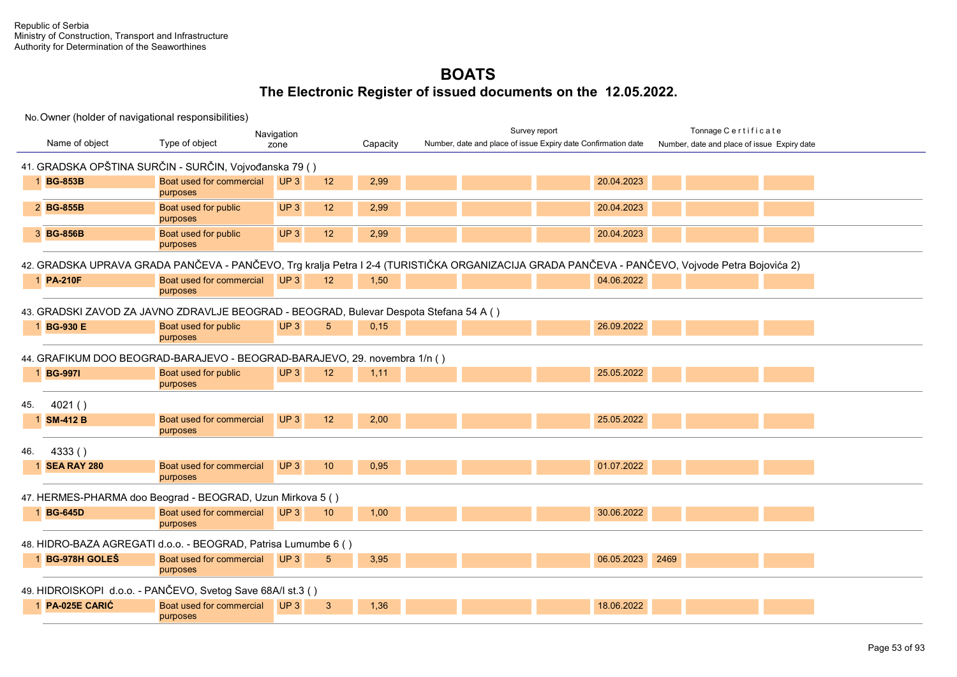|     |                                                                                                                                                |                                                                                        | Navigation      |                 |          |  |                                                               | Survey report |            |      | Tonnage Certificate                         |  |  |
|-----|------------------------------------------------------------------------------------------------------------------------------------------------|----------------------------------------------------------------------------------------|-----------------|-----------------|----------|--|---------------------------------------------------------------|---------------|------------|------|---------------------------------------------|--|--|
|     | Name of object                                                                                                                                 | Type of object                                                                         | zone            |                 | Capacity |  | Number, date and place of issue Expiry date Confirmation date |               |            |      | Number, date and place of issue Expiry date |  |  |
|     |                                                                                                                                                | 41. GRADSKA OPŠTINA SURČIN - SURČIN, Vojvođanska 79 ()                                 |                 |                 |          |  |                                                               |               |            |      |                                             |  |  |
|     | 1 BG-853B                                                                                                                                      | Boat used for commercial<br>purposes                                                   | UP3             | 12              | 2,99     |  |                                                               |               | 20.04.2023 |      |                                             |  |  |
|     | 2 BG-855B                                                                                                                                      | Boat used for public<br>purposes                                                       | UP <sub>3</sub> | 12 <sup>2</sup> | 2,99     |  |                                                               |               | 20.04.2023 |      |                                             |  |  |
|     | 3 BG-856B                                                                                                                                      | Boat used for public<br>purposes                                                       | UP3             | 12              | 2,99     |  |                                                               |               | 20.04.2023 |      |                                             |  |  |
|     | 42. GRADSKA UPRAVA GRADA PANČEVA - PANČEVO, Trg kralja Petra I 2-4 (TURISTIČKA ORGANIZACIJA GRADA PANČEVA - PANČEVO, Vojvode Petra Bojovića 2) |                                                                                        |                 |                 |          |  |                                                               |               |            |      |                                             |  |  |
|     | 1 PA-210F                                                                                                                                      | Boat used for commercial<br>purposes                                                   | UP3             | 12 <sup>2</sup> | 1,50     |  |                                                               |               | 04.06.2022 |      |                                             |  |  |
|     |                                                                                                                                                | 43. GRADSKI ZAVOD ZA JAVNO ZDRAVLJE BEOGRAD - BEOGRAD, Bulevar Despota Stefana 54 A () |                 |                 |          |  |                                                               |               |            |      |                                             |  |  |
|     | 1 BG-930 E                                                                                                                                     | Boat used for public<br>purposes                                                       | UP3             | 5               | 0,15     |  |                                                               |               | 26.09.2022 |      |                                             |  |  |
|     |                                                                                                                                                | 44. GRAFIKUM DOO BEOGRAD-BARAJEVO - BEOGRAD-BARAJEVO, 29. novembra 1/n ()              |                 |                 |          |  |                                                               |               |            |      |                                             |  |  |
|     | 1 BG-9971                                                                                                                                      | Boat used for public<br>purposes                                                       | UP3             | 12              | 1,11     |  |                                                               |               | 25.05.2022 |      |                                             |  |  |
| 45. | 4021()                                                                                                                                         |                                                                                        |                 |                 |          |  |                                                               |               |            |      |                                             |  |  |
|     | 1 SM-412 B                                                                                                                                     | Boat used for commercial<br>purposes                                                   | UP <sub>3</sub> | 12              | 2,00     |  |                                                               |               | 25.05.2022 |      |                                             |  |  |
| 46. | 4333()                                                                                                                                         |                                                                                        |                 |                 |          |  |                                                               |               |            |      |                                             |  |  |
|     | <b>1 SEA RAY 280</b>                                                                                                                           | Boat used for commercial<br>purposes                                                   | UP3             | 10 <sup>°</sup> | 0,95     |  |                                                               |               | 01.07.2022 |      |                                             |  |  |
|     |                                                                                                                                                | 47. HERMES-PHARMA doo Beograd - BEOGRAD, Uzun Mirkova 5 ()                             |                 |                 |          |  |                                                               |               |            |      |                                             |  |  |
|     | 1 BG-645D                                                                                                                                      | Boat used for commercial<br>purposes                                                   | UP3             | 10 <sup>°</sup> | 1,00     |  |                                                               |               | 30.06.2022 |      |                                             |  |  |
|     |                                                                                                                                                | 48. HIDRO-BAZA AGREGATI d.o.o. - BEOGRAD, Patrisa Lumumbe 6 ()                         |                 |                 |          |  |                                                               |               |            |      |                                             |  |  |
|     | 1 BG-978H GOLES                                                                                                                                | Boat used for commercial<br>purposes                                                   | UP3             | 5               | 3,95     |  |                                                               |               | 06.05.2023 | 2469 |                                             |  |  |
|     |                                                                                                                                                | 49. HIDROISKOPI d.o.o. - PANČEVO, Svetog Save 68A/I st.3 ()                            |                 |                 |          |  |                                                               |               |            |      |                                             |  |  |
|     | 1 PA-025E CARIĆ                                                                                                                                | Boat used for commercial<br>purposes                                                   | UP3             | $\mathbf{3}$    | 1,36     |  |                                                               |               | 18.06.2022 |      |                                             |  |  |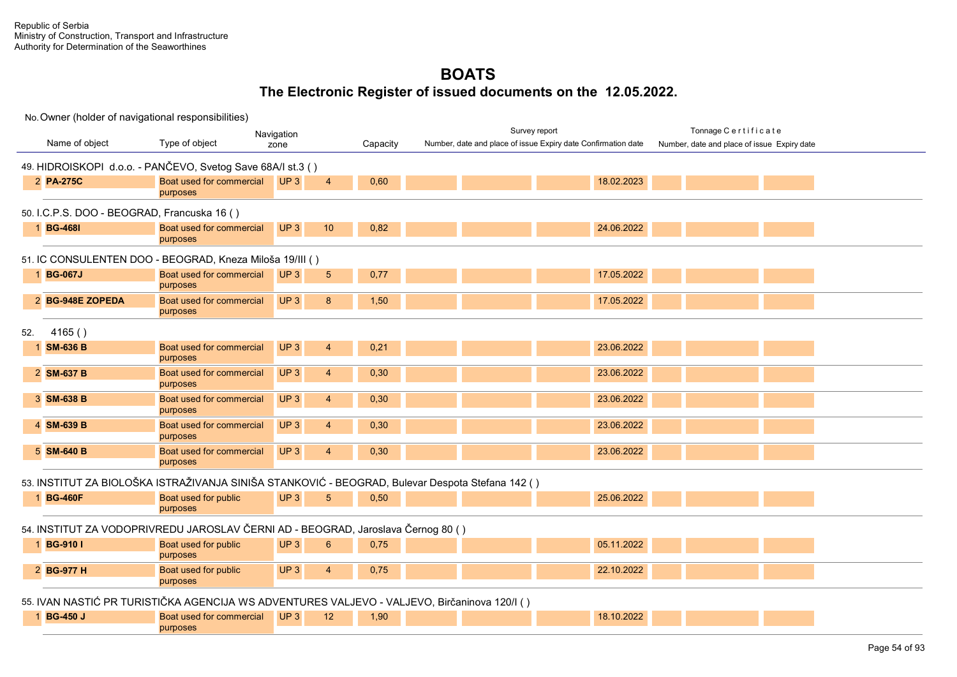No. Owner (holder of navigational responsibilities) Name of object Type of object **Capacity Capacity** Survey report Tonnage C e r t i f i c a t e Number, date and place of issue Expiry date Navigation Number, date and place of issue Expiry date Confirmation date 49. HIDROISKOPI d.o.o. - PANČEVO, Svetog Save 68A/I st.3 ( ) 2 **PA-275C** Boat used for commercial purposes UP 3 4 0,60 18.02.2023 18.02.2023 50. I.C.P.S. DOO - BEOGRAD, Francuska 16 ( ) **1 BG-468I** Boat used for commercial purposes UP 3 10 0,82 24.06.2022 51. IC CONSULENTEN DOO - BEOGRAD, Kneza Miloša 19/III ( ) 1 **BG-067J** Boat used for commercial purposes UP 3 5 0,77 17.05.2022 17.05.2022 2 **BG-948E ZOPEDA** Boat used for commercial purposes UP 3 8 1,50 17.05.2022 52. 4165 ( ) 1 **SM-636 B** Boat used for commercial purposes UP 3 4 0,21 23.06.2022 2 **SM-637 B** Boat used for commercial purposes UP 3 4 0,30 23.06.2022 23.06.2022 **3 SM-638 B** Boat used for commercial purposes UP 3 4 0,30 23.06.2022 23.06.2022 4 **SM-639 B** Boat used for commercial purposes UP 3 4 0,30 23.06.2022 5 **SM-640 B** Boat used for commercial purposes UP 3 4 0,30 23.06.2022 23.06.2022 53. INSTITUT ZA BIOLOŠKA ISTRAŽIVANJA SINIŠA STANKOVIĆ - BEOGRAD, Bulevar Despota Stefana 142 ( ) **1 BG-460F** Boat used for public purposes UP 3 5 0.50 2002 25.06.2022 54. INSTITUT ZA VODOPRIVREDU JAROSLAV ČERNI AD - BEOGRAD, Jaroslava Černog 80 ( ) 1 **BG-910 I** Boat used for public purposes UP 3 6 0,75 05.11.2022 2 **BG-977 H** Boat used for public purposes UP 3 4 0,75 22.10.2022 55. IVAN NASTIĆ PR TURISTIČKA AGENCIJA WS ADVENTURES VALJEVO - VALJEVO, Birčaninova 120/I ( ) 1 **BG-450 J** Boat used for commercial purposes UP 3 18.10.2022 **19.10.2022**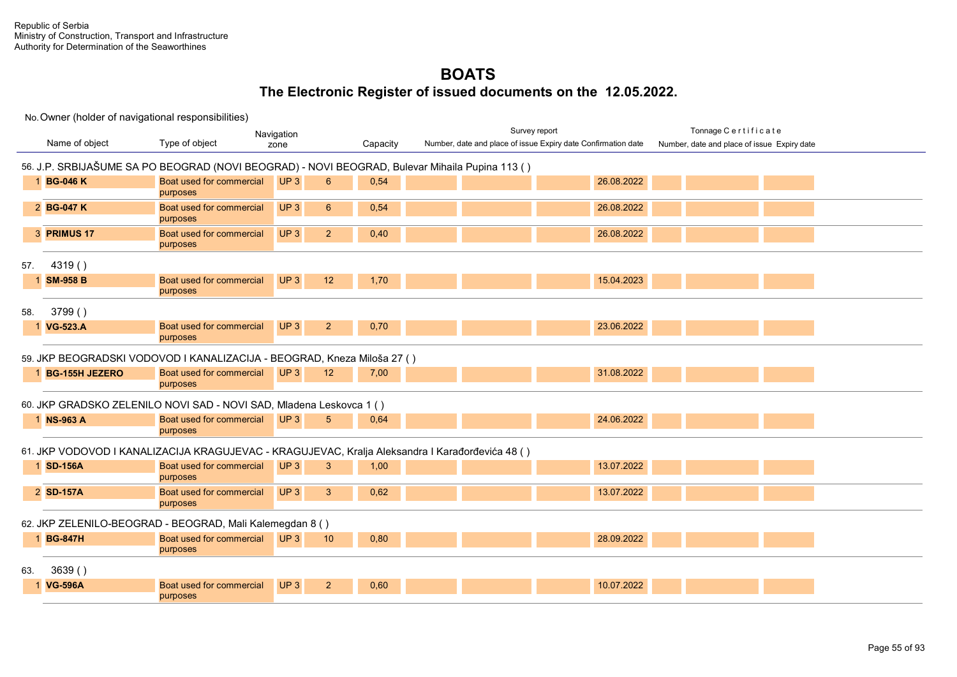|     |                       |                                                                                                 | Navigation |                 | Survey report |  | Tonnage Certificate                                           |  |                                             |  |
|-----|-----------------------|-------------------------------------------------------------------------------------------------|------------|-----------------|---------------|--|---------------------------------------------------------------|--|---------------------------------------------|--|
|     | Name of object        | Type of object                                                                                  | zone       |                 | Capacity      |  | Number, date and place of issue Expiry date Confirmation date |  | Number, date and place of issue Expiry date |  |
|     |                       | 56. J.P. SRBIJAŠUME SA PO BEOGRAD (NOVI BEOGRAD) - NOVI BEOGRAD, Bulevar Mihaila Pupina 113 ()  |            |                 |               |  |                                                               |  |                                             |  |
|     | 1 BG-046 K            | Boat used for commercial<br>purposes                                                            | UP3        | 6               | 0,54          |  | 26.08.2022                                                    |  |                                             |  |
|     | 2 BG-047 K            | Boat used for commercial<br>purposes                                                            | UP3        | $6\phantom{1}6$ | 0,54          |  | 26.08.2022                                                    |  |                                             |  |
|     | 3 PRIMUS 17           | Boat used for commercial<br>purposes                                                            | UP3        | $\overline{2}$  | 0,40          |  | 26.08.2022                                                    |  |                                             |  |
| 57. | 4319()                |                                                                                                 |            |                 |               |  |                                                               |  |                                             |  |
|     | <b>SM-958 B</b>       | Boat used for commercial<br>purposes                                                            | UP3        | 12              | 1,70          |  | 15.04.2023                                                    |  |                                             |  |
| 58. | 3799()                |                                                                                                 |            |                 |               |  |                                                               |  |                                             |  |
|     | 1 VG-523.A            | Boat used for commercial<br>purposes                                                            | UP3        | $\overline{2}$  | 0,70          |  | 23.06.2022                                                    |  |                                             |  |
|     |                       | 59. JKP BEOGRADSKI VODOVOD I KANALIZACIJA - BEOGRAD, Kneza Miloša 27 ()                         |            |                 |               |  |                                                               |  |                                             |  |
|     | <b>BG-155H JEZERO</b> | Boat used for commercial<br>purposes                                                            | UP3        | 12              | 7,00          |  | 31.08.2022                                                    |  |                                             |  |
|     |                       | 60. JKP GRADSKO ZELENILO NOVI SAD - NOVI SAD, Mladena Leskovca 1 ()                             |            |                 |               |  |                                                               |  |                                             |  |
|     | 1 NS-963 A            | Boat used for commercial<br>purposes                                                            | UP3        | 5               | 0,64          |  | 24.06.2022                                                    |  |                                             |  |
|     |                       | 61. JKP VODOVOD I KANALIZACIJA KRAGUJEVAC - KRAGUJEVAC, Kralja Aleksandra I Karađorđevića 48 () |            |                 |               |  |                                                               |  |                                             |  |
|     | 1 SD-156A             | Boat used for commercial<br>purposes                                                            | UP3        | 3               | 1,00          |  | 13.07.2022                                                    |  |                                             |  |
|     | 2 SD-157A             | Boat used for commercial<br>purposes                                                            | UP3        | 3               | 0,62          |  | 13.07.2022                                                    |  |                                             |  |
|     |                       | 62. JKP ZELENILO-BEOGRAD - BEOGRAD, Mali Kalemegdan 8 ()                                        |            |                 |               |  |                                                               |  |                                             |  |
|     | 1 BG-847H             | Boat used for commercial<br>purposes                                                            | UP3        | 10              | 0,80          |  | 28.09.2022                                                    |  |                                             |  |
| 63. | 3639()                |                                                                                                 |            |                 |               |  |                                                               |  |                                             |  |
|     | <b>VG-596A</b>        | Boat used for commercial<br>purposes                                                            | UP3        | $\overline{2}$  | 0,60          |  | 10.07.2022                                                    |  |                                             |  |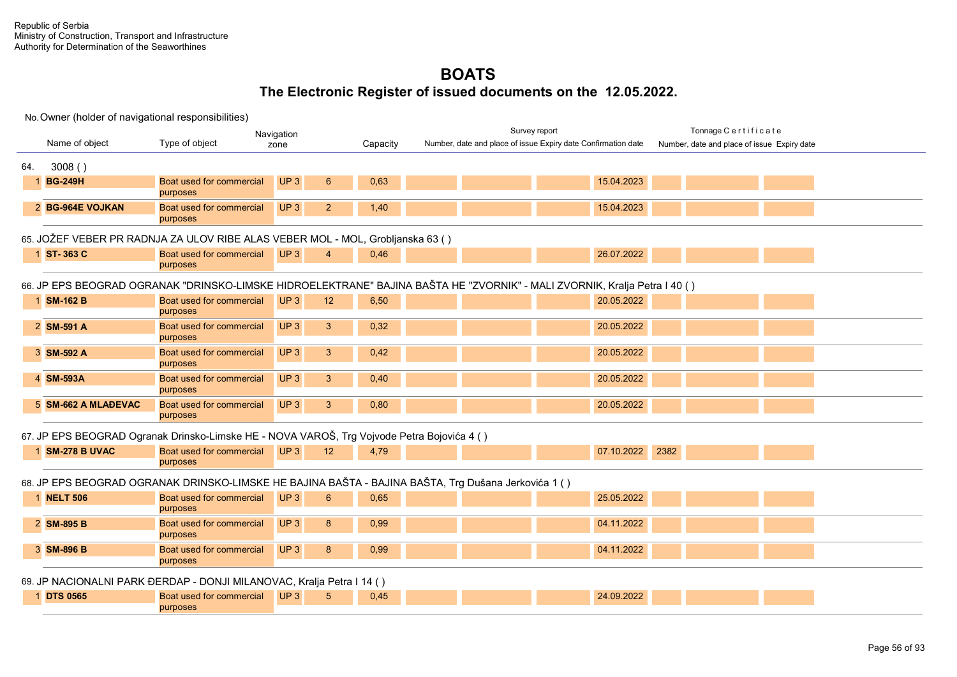|                                                                                                                           |                     | Navigation                                                                                 |                                          |          |                                                                                                     | Survey report                                                 | Tonnage Certificate                         |  |  |  |
|---------------------------------------------------------------------------------------------------------------------------|---------------------|--------------------------------------------------------------------------------------------|------------------------------------------|----------|-----------------------------------------------------------------------------------------------------|---------------------------------------------------------------|---------------------------------------------|--|--|--|
|                                                                                                                           | Name of object      | Type of object                                                                             | zone                                     | Capacity |                                                                                                     | Number, date and place of issue Expiry date Confirmation date | Number, date and place of issue Expiry date |  |  |  |
| 64.                                                                                                                       | 3008()              |                                                                                            |                                          |          |                                                                                                     |                                                               |                                             |  |  |  |
|                                                                                                                           | <b>BG-249H</b>      | Boat used for commercial<br>purposes                                                       | UP <sub>3</sub><br>$6\phantom{1}$        | 0.63     |                                                                                                     | 15.04.2023                                                    |                                             |  |  |  |
|                                                                                                                           | 2 BG-964E VOJKAN    | Boat used for commercial<br>purposes                                                       | UP <sub>3</sub><br>$\overline{2}$        | 1,40     |                                                                                                     | 15.04.2023                                                    |                                             |  |  |  |
|                                                                                                                           |                     | 65. JOŽEF VEBER PR RADNJA ZA ULOV RIBE ALAS VEBER MOL - MOL, Grobljanska 63 ()             |                                          |          |                                                                                                     |                                                               |                                             |  |  |  |
|                                                                                                                           | 1 ST-363 C          | Boat used for commercial<br>purposes                                                       | UP <sub>3</sub><br>$\boldsymbol{\Delta}$ | 0,46     |                                                                                                     | 26.07.2022                                                    |                                             |  |  |  |
| 66. JP EPS BEOGRAD OGRANAK "DRINSKO-LIMSKE HIDROELEKTRANE" BAJINA BAŠTA HE "ZVORNIK" - MALI ZVORNIK, Kralja Petra I 40 () |                     |                                                                                            |                                          |          |                                                                                                     |                                                               |                                             |  |  |  |
|                                                                                                                           | 1 SM-162 B          | Boat used for commercial<br>purposes                                                       | UP <sub>3</sub><br>12                    | 6,50     |                                                                                                     | 20.05.2022                                                    |                                             |  |  |  |
|                                                                                                                           | 2 SM-591 A          | <b>Boat used for commercial</b><br>purposes                                                | UP <sub>3</sub><br>3                     | 0,32     |                                                                                                     | 20.05.2022                                                    |                                             |  |  |  |
|                                                                                                                           | 3 SM-592 A          | <b>Boat used for commercial</b><br>purposes                                                | UP <sub>3</sub><br>3                     | 0,42     |                                                                                                     | 20.05.2022                                                    |                                             |  |  |  |
|                                                                                                                           | 4 SM-593A           | <b>Boat used for commercial</b><br>purposes                                                | UP <sub>3</sub><br>3                     | 0,40     |                                                                                                     | 20.05.2022                                                    |                                             |  |  |  |
|                                                                                                                           | 5 SM-662 A MLAĐEVAC | <b>Boat used for commercial</b><br>purposes                                                | UP <sub>3</sub><br>3                     | 0,80     |                                                                                                     | 20.05.2022                                                    |                                             |  |  |  |
|                                                                                                                           |                     | 67. JP EPS BEOGRAD Ogranak Drinsko-Limske HE - NOVA VAROŠ, Trg Vojvode Petra Bojovića 4 () |                                          |          |                                                                                                     |                                                               |                                             |  |  |  |
|                                                                                                                           | 1 SM-278 B UVAC     | Boat used for commercial<br>purposes                                                       | UP <sub>3</sub><br>12                    | 4,79     |                                                                                                     | 07.10.2022                                                    | 2382                                        |  |  |  |
|                                                                                                                           |                     |                                                                                            |                                          |          | 68. JP EPS BEOGRAD OGRANAK DRINSKO-LIMSKE HE BAJINA BAŠTA - BAJINA BAŠTA, Trg Dušana Jerkovića 1 () |                                                               |                                             |  |  |  |
|                                                                                                                           | 1 <b>NELT 506</b>   | Boat used for commercial<br>purposes                                                       | UP <sub>3</sub><br>6                     | 0,65     |                                                                                                     | 25.05.2022                                                    |                                             |  |  |  |
|                                                                                                                           | 2 SM-895 B          | Boat used for commercial<br>purposes                                                       | UP <sub>3</sub><br>8                     | 0,99     |                                                                                                     | 04.11.2022                                                    |                                             |  |  |  |
|                                                                                                                           | 3 SM-896 B          | Boat used for commercial<br>purposes                                                       | UP3<br>8                                 | 0,99     |                                                                                                     | 04.11.2022                                                    |                                             |  |  |  |
|                                                                                                                           |                     | 69. JP NACIONALNI PARK ĐERDAP - DONJI MILANOVAC, Kralja Petra I 14 ()                      |                                          |          |                                                                                                     |                                                               |                                             |  |  |  |
|                                                                                                                           | 1 DTS 0565          | Boat used for commercial<br>purposes                                                       | UP3<br>5                                 | 0,45     |                                                                                                     | 24.09.2022                                                    |                                             |  |  |  |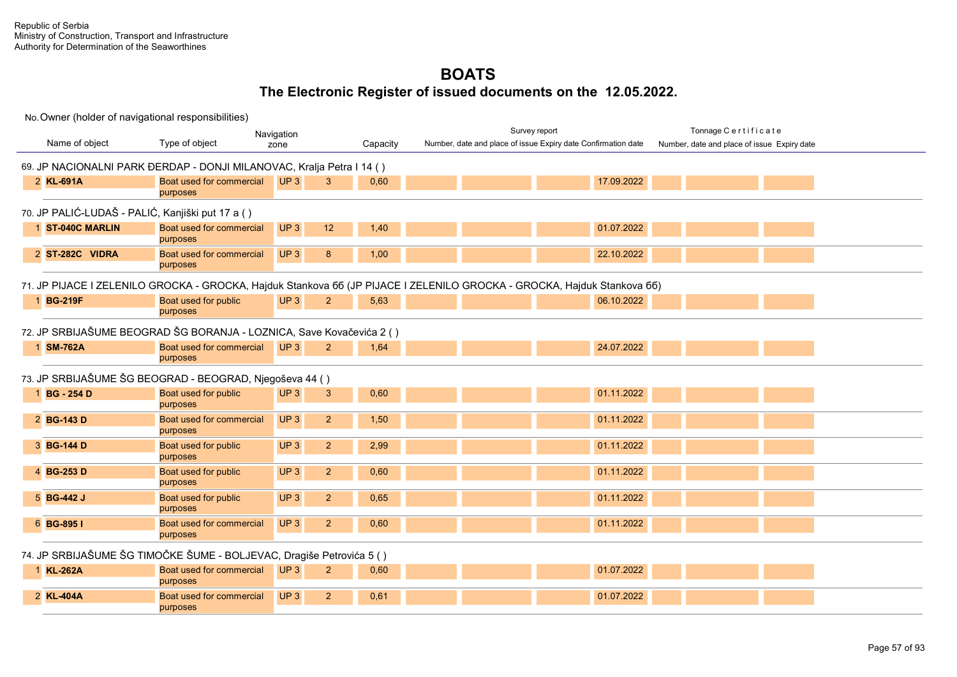|                                                  |                                                                       | Navigation                        |          | Survey report                                                                                                           | Tonnage Certificate                         |
|--------------------------------------------------|-----------------------------------------------------------------------|-----------------------------------|----------|-------------------------------------------------------------------------------------------------------------------------|---------------------------------------------|
| Name of object                                   | Type of object                                                        | zone                              | Capacity | Number, date and place of issue Expiry date Confirmation date                                                           | Number, date and place of issue Expiry date |
|                                                  | 69. JP NACIONALNI PARK ĐERDAP - DONJI MILANOVAC, Kralja Petra I 14 () |                                   |          |                                                                                                                         |                                             |
| 2 KL-691A                                        | Boat used for commercial<br>purposes                                  | UP3<br>3                          | 0,60     | 17.09.2022                                                                                                              |                                             |
| 70. JP PALIĆ-LUDAŠ - PALIĆ, Kanjiški put 17 a () |                                                                       |                                   |          |                                                                                                                         |                                             |
| 1 ST-040C MARLIN                                 | Boat used for commercial<br>purposes                                  | UP <sub>3</sub><br>12             | 1,40     | 01.07.2022                                                                                                              |                                             |
| 2 ST-282C VIDRA                                  | Boat used for commercial<br>purposes                                  | UP <sub>3</sub><br>8              | 1,00     | 22.10.2022                                                                                                              |                                             |
|                                                  |                                                                       |                                   |          | 71. JP PIJACE I ZELENILO GROCKA - GROCKA, Hajduk Stankova 66 (JP PIJACE I ZELENILO GROCKA - GROCKA, Hajduk Stankova 66) |                                             |
| 1 BG-219F                                        | Boat used for public<br>purposes                                      | UP3<br>$\overline{2}$             | 5.63     | 06.10.2022                                                                                                              |                                             |
|                                                  | 72. JP SRBIJAŠUME BEOGRAD ŠG BORANJA - LOZNICA, Save Kovačevića 2 ()  |                                   |          |                                                                                                                         |                                             |
| 1 SM-762A                                        | Boat used for commercial<br>purposes                                  | UP3<br>2 <sup>2</sup>             | 1,64     | 24.07.2022                                                                                                              |                                             |
|                                                  | 73. JP SRBIJAŠUME ŠG BEOGRAD - BEOGRAD, Njegoševa 44 ()               |                                   |          |                                                                                                                         |                                             |
| 1 BG - 254 D                                     | Boat used for public<br>purposes                                      | UP3<br>3                          | 0,60     | 01.11.2022                                                                                                              |                                             |
| 2 BG-143 D                                       | Boat used for commercial<br>purposes                                  | UP3<br>2 <sup>2</sup>             | 1,50     | 01.11.2022                                                                                                              |                                             |
| 3 BG-144 D                                       | Boat used for public<br>purposes                                      | $\overline{2}$<br>UP <sub>3</sub> | 2,99     | 01.11.2022                                                                                                              |                                             |
| 4 BG-253 D                                       | Boat used for public<br>purposes                                      | UP <sub>3</sub><br>2 <sup>2</sup> | 0,60     | 01.11.2022                                                                                                              |                                             |
| 5 BG-442 J                                       | Boat used for public<br>purposes                                      | UP3<br>2 <sup>2</sup>             | 0,65     | 01.11.2022                                                                                                              |                                             |
| 6 BG-895 I                                       | Boat used for commercial<br>purposes                                  | UP3<br>$\overline{2}$             | 0.60     | 01.11.2022                                                                                                              |                                             |
|                                                  | 74. JP SRBIJAŠUME ŠG TIMOČKE ŠUME - BOLJEVAC, Dragiše Petrovića 5 ()  |                                   |          |                                                                                                                         |                                             |
| 1 KL-262A                                        | Boat used for commercial<br>purposes                                  | UP3<br>2 <sup>2</sup>             | 0,60     | 01.07.2022                                                                                                              |                                             |
| 2 KL-404A                                        | Boat used for commercial<br>purposes                                  | UP3<br>$\overline{2}$             | 0,61     | 01.07.2022                                                                                                              |                                             |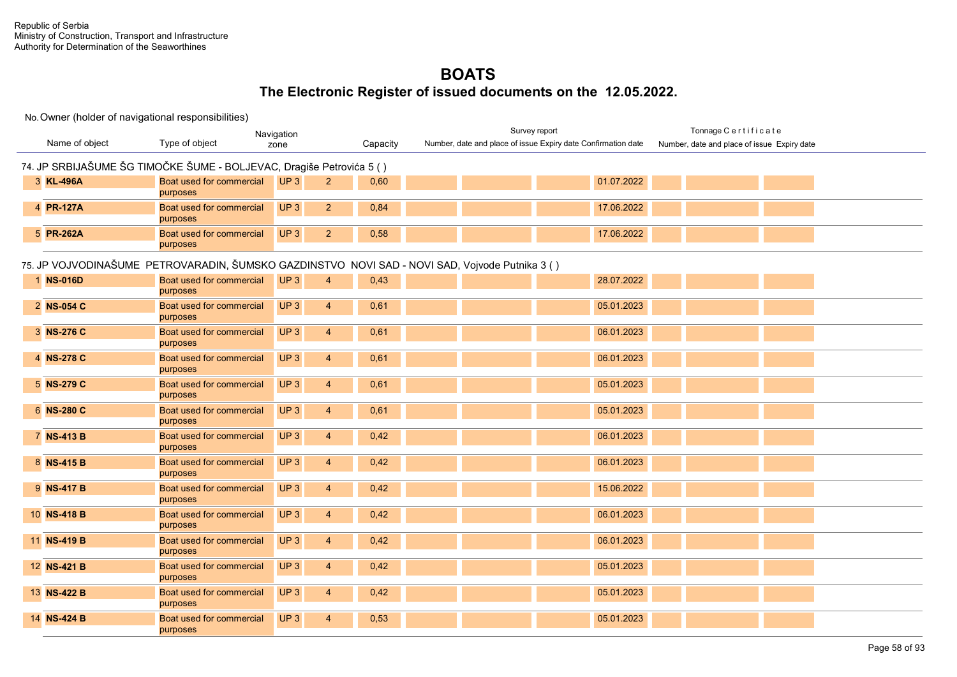|                |                                                                      | Navigation                        |          | Survey report                                                                                  | Tonnage Certificate                         |
|----------------|----------------------------------------------------------------------|-----------------------------------|----------|------------------------------------------------------------------------------------------------|---------------------------------------------|
| Name of object | Type of object                                                       | zone                              | Capacity | Number, date and place of issue Expiry date Confirmation date                                  | Number, date and place of issue Expiry date |
|                | 74. JP SRBIJAŠUME ŠG TIMOČKE ŠUME - BOLJEVAC, Dragiše Petrovića 5 () |                                   |          |                                                                                                |                                             |
| 3 KL-496A      | Boat used for commercial<br>purposes                                 | UP3<br>2 <sup>2</sup>             | 0,60     | 01.07.2022                                                                                     |                                             |
| 4 PR-127A      | Boat used for commercial<br>purposes                                 | UP <sub>3</sub><br>$\overline{2}$ | 0,84     | 17.06.2022                                                                                     |                                             |
| 5 PR-262A      | Boat used for commercial<br>purposes                                 | UP <sub>3</sub><br>$\overline{2}$ | 0,58     | 17.06.2022                                                                                     |                                             |
|                |                                                                      |                                   |          | 75. JP VOJVODINAŠUME PETROVARADIN, ŠUMSKO GAZDINSTVO NOVI SAD - NOVI SAD, Vojvode Putnika 3 () |                                             |
| 1 NS-016D      | Boat used for commercial<br>purposes                                 | UP <sub>3</sub><br>4              | 0,43     | 28.07.2022                                                                                     |                                             |
| 2 NS-054 C     | Boat used for commercial<br>purposes                                 | UP <sub>3</sub><br>$\overline{4}$ | 0,61     | 05.01.2023                                                                                     |                                             |
| 3 NS-276 C     | Boat used for commercial<br>purposes                                 | UP <sub>3</sub><br>4              | 0,61     | 06.01.2023                                                                                     |                                             |
| 4 NS-278 C     | Boat used for commercial<br>purposes                                 | UP <sub>3</sub><br>$\overline{4}$ | 0,61     | 06.01.2023                                                                                     |                                             |
| 5 NS-279 C     | Boat used for commercial<br>purposes                                 | UP <sub>3</sub><br>$\overline{4}$ | 0,61     | 05.01.2023                                                                                     |                                             |
| 6 NS-280 C     | Boat used for commercial<br>purposes                                 | UP <sub>3</sub><br>$\overline{4}$ | 0,61     | 05.01.2023                                                                                     |                                             |
| 7 NS-413 B     | Boat used for commercial<br>purposes                                 | UP <sub>3</sub><br>$\overline{4}$ | 0,42     | 06.01.2023                                                                                     |                                             |
| 8 NS-415 B     | Boat used for commercial<br>purposes                                 | UP <sub>3</sub><br>4              | 0,42     | 06.01.2023                                                                                     |                                             |
| 9 NS-417 B     | Boat used for commercial<br>purposes                                 | UP <sub>3</sub><br>4              | 0,42     | 15.06.2022                                                                                     |                                             |
| 10 NS-418 B    | Boat used for commercial<br>purposes                                 | UP <sub>3</sub><br>4              | 0,42     | 06.01.2023                                                                                     |                                             |
| 11 NS-419 B    | Boat used for commercial<br>purposes                                 | UP <sub>3</sub><br>$\overline{4}$ | 0,42     | 06.01.2023                                                                                     |                                             |
| 12 NS-421 B    | Boat used for commercial<br>purposes                                 | UP <sub>3</sub><br>4              | 0,42     | 05.01.2023                                                                                     |                                             |
| 13 NS-422 B    | Boat used for commercial<br>purposes                                 | UP <sub>3</sub><br>$\overline{4}$ | 0,42     | 05.01.2023                                                                                     |                                             |
| 14 NS-424 B    | Boat used for commercial<br>purposes                                 | UP <sub>3</sub><br>4              | 0,53     | 05.01.2023                                                                                     |                                             |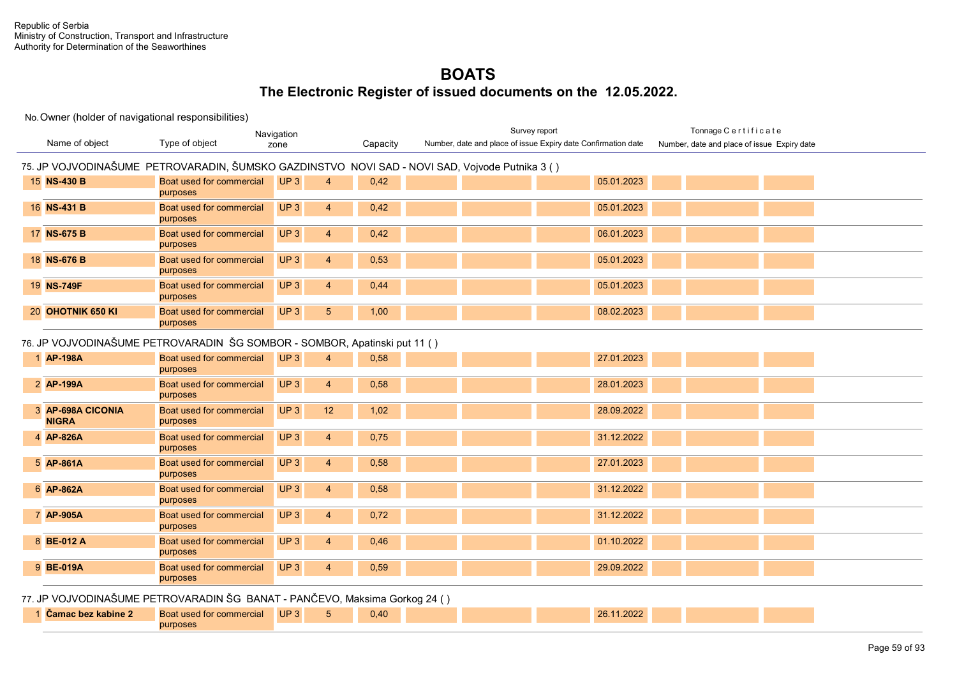### No. Owner (holder of navigational responsibilities)

purposes

| Name of object                    | Type of object                                                                                 | Navigation<br>zone                       | Capacity | Survey report<br>Number, date and place of issue Expiry date Confirmation date | Tonnage Certificate<br>Number, date and place of issue Expiry date |  |
|-----------------------------------|------------------------------------------------------------------------------------------------|------------------------------------------|----------|--------------------------------------------------------------------------------|--------------------------------------------------------------------|--|
|                                   |                                                                                                |                                          |          |                                                                                |                                                                    |  |
|                                   | 75. JP VOJVODINAŠUME PETROVARADIN, ŠUMSKO GAZDINSTVO NOVI SAD - NOVI SAD, Vojvode Putnika 3 () |                                          |          |                                                                                |                                                                    |  |
| 15 NS-430 B                       | Boat used for commercial<br>purposes                                                           | UP <sub>3</sub><br>$\boldsymbol{\Delta}$ | 0,42     | 05.01.2023                                                                     |                                                                    |  |
| 16 NS-431 B                       | Boat used for commercial<br>purposes                                                           | UP3<br>$\overline{4}$                    | 0,42     | 05.01.2023                                                                     |                                                                    |  |
| 17 NS-675 B                       | Boat used for commercial<br>purposes                                                           | UP3<br>$\overline{4}$                    | 0,42     | 06.01.2023                                                                     |                                                                    |  |
| 18 NS-676 B                       | Boat used for commercial<br>purposes                                                           | UP3<br>$\overline{4}$                    | 0,53     | 05.01.2023                                                                     |                                                                    |  |
| 19 NS-749F                        | Boat used for commercial<br>purposes                                                           | UP3<br>$\overline{4}$                    | 0,44     | 05.01.2023                                                                     |                                                                    |  |
| 20 OHOTNIK 650 KI                 | Boat used for commercial<br>purposes                                                           | UP3<br>5 <sup>5</sup>                    | 1,00     | 08.02.2023                                                                     |                                                                    |  |
|                                   | 76. JP VOJVODINAŠUME PETROVARADIN ŠG SOMBOR - SOMBOR, Apatinski put 11 ()                      |                                          |          |                                                                                |                                                                    |  |
| 1 AP-198A                         | Boat used for commercial<br>purposes                                                           | UP <sub>3</sub><br>4                     | 0,58     | 27.01.2023                                                                     |                                                                    |  |
| 2 AP-199A                         | Boat used for commercial<br>purposes                                                           | UP <sub>3</sub><br>$\overline{4}$        | 0,58     | 28.01.2023                                                                     |                                                                    |  |
| 3 AP-698A CICONIA<br><b>NIGRA</b> | Boat used for commercial<br>purposes                                                           | UP <sub>3</sub><br>12                    | 1,02     | 28.09.2022                                                                     |                                                                    |  |
| 4 AP-826A                         | Boat used for commercial<br>purposes                                                           | UP3<br>$\overline{4}$                    | 0,75     | 31.12.2022                                                                     |                                                                    |  |
| 5 AP-861A                         | Boat used for commercial<br>purposes                                                           | UP3<br>$\overline{4}$                    | 0,58     | 27.01.2023                                                                     |                                                                    |  |
| 6 AP-862A                         | Boat used for commercial<br>purposes                                                           | UP3<br>$\overline{4}$                    | 0,58     | 31.12.2022                                                                     |                                                                    |  |
| 7 AP-905A                         | Boat used for commercial<br>purposes                                                           | UP3<br>$\overline{4}$                    | 0,72     | 31.12.2022                                                                     |                                                                    |  |
| 8 BE-012 A                        | Boat used for commercial<br>purposes                                                           | UP3<br>$\overline{4}$                    | 0,46     | 01.10.2022                                                                     |                                                                    |  |
| 9 BE-019A                         | Boat used for commercial<br>purposes                                                           | UP3<br>$\overline{4}$                    | 0,59     | 29.09.2022                                                                     |                                                                    |  |
|                                   | 77. JP VOJVODINAŠUME PETROVARADIN ŠG BANAT - PANČEVO, Maksima Gorkog 24 ()                     |                                          |          |                                                                                |                                                                    |  |
| 1 Čamac bez kabine 2              | Boat used for commercial                                                                       | UP3<br>5                                 | 0,40     | 26.11.2022                                                                     |                                                                    |  |
|                                   |                                                                                                |                                          |          |                                                                                |                                                                    |  |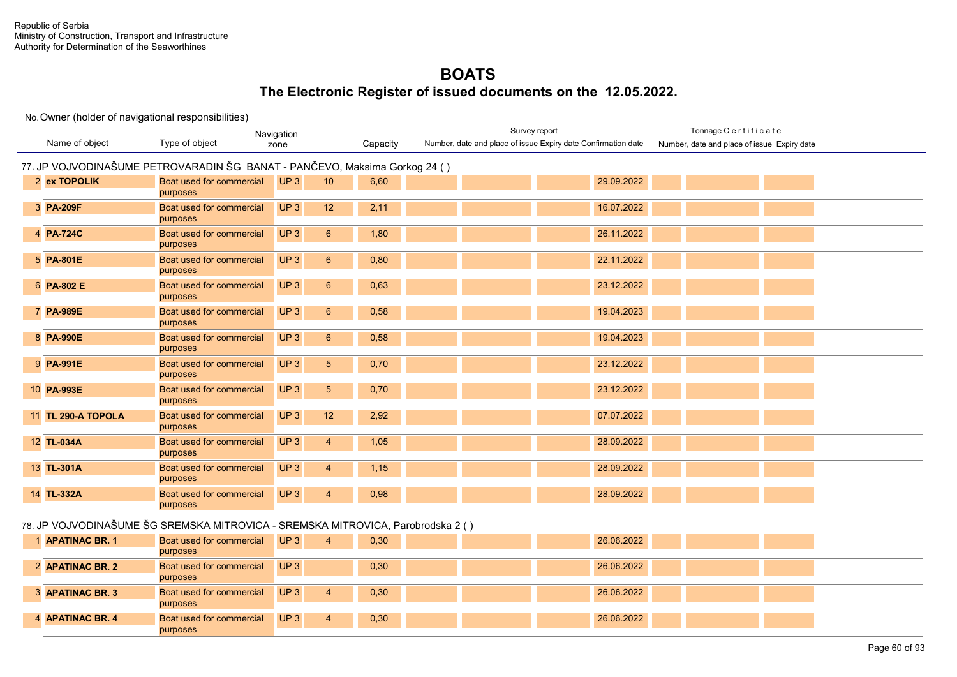|                    |                                                                                 | Navigation      |                 |          | Survey report                                                 |            | Tonnage Certificate                         |  |
|--------------------|---------------------------------------------------------------------------------|-----------------|-----------------|----------|---------------------------------------------------------------|------------|---------------------------------------------|--|
| Name of object     | Type of object                                                                  | zone            |                 | Capacity | Number, date and place of issue Expiry date Confirmation date |            | Number, date and place of issue Expiry date |  |
|                    | 77. JP VOJVODINAŠUME PETROVARADIN ŠG BANAT - PANČEVO, Maksima Gorkog 24 ()      |                 |                 |          |                                                               |            |                                             |  |
| 2 ex TOPOLIK       | Boat used for commercial<br>purposes                                            | UP3             | 10              | 6,60     |                                                               | 29.09.2022 |                                             |  |
| 3 PA-209F          | Boat used for commercial<br>purposes                                            | UP3             | 12              | 2,11     |                                                               | 16.07.2022 |                                             |  |
| 4 PA-724C          | Boat used for commercial<br>purposes                                            | UP3             | $6\overline{6}$ | 1,80     |                                                               | 26.11.2022 |                                             |  |
| 5 PA-801E          | Boat used for commercial<br>purposes                                            | UP <sub>3</sub> | $6^{\circ}$     | 0,80     |                                                               | 22.11.2022 |                                             |  |
| 6 PA-802 E         | Boat used for commercial<br>purposes                                            | UP <sub>3</sub> | $6^{\circ}$     | 0.63     |                                                               | 23.12.2022 |                                             |  |
| 7 PA-989E          | Boat used for commercial<br>purposes                                            | UP3             | $6^{\circ}$     | 0,58     |                                                               | 19.04.2023 |                                             |  |
| 8 PA-990E          | Boat used for commercial<br>purposes                                            | UP3             | $6^{\circ}$     | 0,58     |                                                               | 19.04.2023 |                                             |  |
| 9 PA-991E          | Boat used for commercial<br>purposes                                            | UP <sub>3</sub> | 5 <sup>5</sup>  | 0,70     |                                                               | 23.12.2022 |                                             |  |
| 10 PA-993E         | Boat used for commercial<br>purposes                                            | UP <sub>3</sub> | 5 <sup>5</sup>  | 0,70     |                                                               | 23.12.2022 |                                             |  |
| 11 TL 290-A TOPOLA | Boat used for commercial<br>purposes                                            | UP <sub>3</sub> | 12              | 2,92     |                                                               | 07.07.2022 |                                             |  |
| 12 TL-034A         | Boat used for commercial<br>purposes                                            | UP <sub>3</sub> | $\overline{4}$  | 1,05     |                                                               | 28.09.2022 |                                             |  |
| 13 TL-301A         | Boat used for commercial<br>purposes                                            | UP <sub>3</sub> | $\overline{4}$  | 1,15     |                                                               | 28.09.2022 |                                             |  |
| 14 TL-332A         | Boat used for commercial<br>purposes                                            | UP <sub>3</sub> | $\overline{4}$  | 0,98     |                                                               | 28.09.2022 |                                             |  |
|                    | 78. JP VOJVODINAŠUME ŠG SREMSKA MITROVICA - SREMSKA MITROVICA, Parobrodska 2 () |                 |                 |          |                                                               |            |                                             |  |

| <b>APATINAC BR. 1</b> | <b>Boat used for commercial UP3</b> |     | 0,30 |  | 26.06.2022 |  |  |
|-----------------------|-------------------------------------|-----|------|--|------------|--|--|
|                       | purposes                            |     |      |  |            |  |  |
| 2 APATINAC BR. 2      | <b>Boat used for commercial</b>     | UP3 | 0,30 |  | 26.06.2022 |  |  |
|                       | purposes                            |     |      |  |            |  |  |
| 3 APATINAC BR. 3      | Boat used for commercial            | UP3 | 0,30 |  | 26.06.2022 |  |  |
|                       | purposes                            |     |      |  |            |  |  |
| 4 APATINAC BR. 4      | <b>Boat used for commercial</b>     | UP3 | 0,30 |  | 26.06.2022 |  |  |
|                       | purposes                            |     |      |  |            |  |  |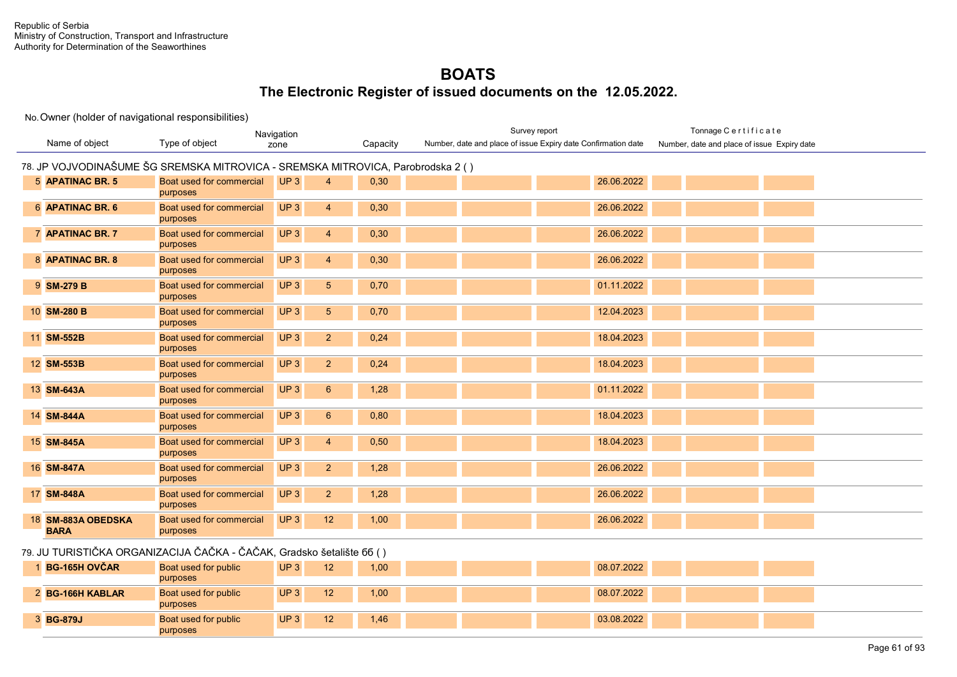#### No. Owner (holder of navigational responsibilities)

| Navigation<br>Name of object<br>Type of object<br>zone |                                                                                 |                        | Capacity | Survey report<br>Number, date and place of issue Expiry date Confirmation date | Tonnage Certificate                         |
|--------------------------------------------------------|---------------------------------------------------------------------------------|------------------------|----------|--------------------------------------------------------------------------------|---------------------------------------------|
|                                                        |                                                                                 |                        |          |                                                                                | Number, date and place of issue Expiry date |
|                                                        | 78. JP VOJVODINAŠUME ŠG SREMSKA MITROVICA - SREMSKA MITROVICA, Parobrodska 2 () |                        |          |                                                                                |                                             |
| 5 APATINAC BR. 5                                       | Boat used for commercial<br>purposes                                            | UP3<br>$\overline{4}$  | 0,30     | 26.06.2022                                                                     |                                             |
| 6 APATINAC BR. 6                                       | Boat used for commercial<br>purposes                                            | UP3<br>$\overline{4}$  | 0,30     | 26.06.2022                                                                     |                                             |
| 7 APATINAC BR. 7                                       | Boat used for commercial<br>purposes                                            | UP3<br>$\overline{4}$  | 0,30     | 26.06.2022                                                                     |                                             |
| 8 APATINAC BR. 8                                       | Boat used for commercial<br>purposes                                            | UP3<br>$\overline{4}$  | 0,30     | 26.06.2022                                                                     |                                             |
| 9 SM-279 B                                             | Boat used for commercial<br>purposes                                            | UP3<br>$5\phantom{.0}$ | 0,70     | 01.11.2022                                                                     |                                             |
| 10 SM-280 B                                            | Boat used for commercial<br>purposes                                            | UP3<br>$\sqrt{5}$      | 0,70     | 12.04.2023                                                                     |                                             |
| 11 SM-552B                                             | Boat used for commercial<br>purposes                                            | UP3<br>$\overline{2}$  | 0,24     | 18.04.2023                                                                     |                                             |
| 12 SM-553B                                             | Boat used for commercial<br>purposes                                            | UP3<br>$\overline{2}$  | 0,24     | 18.04.2023                                                                     |                                             |
| 13 SM-643A                                             | Boat used for commercial<br>purposes                                            | UP3<br>$6\phantom{1}$  | 1,28     | 01.11.2022                                                                     |                                             |
| 14 SM-844A                                             | Boat used for commercial<br>purposes                                            | UP3<br>$6\phantom{1}$  | 0,80     | 18.04.2023                                                                     |                                             |
| 15 SM-845A                                             | Boat used for commercial<br>purposes                                            | UP3<br>$\overline{4}$  | 0,50     | 18.04.2023                                                                     |                                             |
| 16 SM-847A                                             | Boat used for commercial<br>purposes                                            | UP3<br>$\overline{2}$  | 1,28     | 26.06.2022                                                                     |                                             |
| 17 SM-848A                                             | Boat used for commercial<br>purposes                                            | UP3<br>$\overline{2}$  | 1,28     | 26.06.2022                                                                     |                                             |
| 18 SM-883A OBEDSKA<br><b>BARA</b>                      | Boat used for commercial<br>purposes                                            | UP3<br>12              | 1,00     | 26.06.2022                                                                     |                                             |
|                                                        | zo III TUDICTIČKA ODCANIZACIJA ČAČKA ČAČAK Cradeka šetelišta 55 ()              |                        |          |                                                                                |                                             |

#### 79. JU TURISTIČKA ORGANIZACIJA ČAČKA - ČAČAK, Gradsko šetalište бб ( )

| <b>BG-165H OVČAR</b> | <b>Boat used for public</b> | UP <sub>3</sub> | 12 <sup>2</sup> | 1,00 |  | 08.07.2022 |  |  |
|----------------------|-----------------------------|-----------------|-----------------|------|--|------------|--|--|
|                      | purposes                    |                 |                 |      |  |            |  |  |
| 2 BG-166H KABLAR     | <b>Boat used for public</b> | UP <sub>3</sub> | 12 <sup>2</sup> | 1,00 |  | 08.07.2022 |  |  |
|                      | purposes                    |                 |                 |      |  |            |  |  |
| 3 BG-879J            | Boat used for public        | UP <sub>3</sub> | 12              | 1.46 |  | 03.08.2022 |  |  |
|                      | purposes                    |                 |                 |      |  |            |  |  |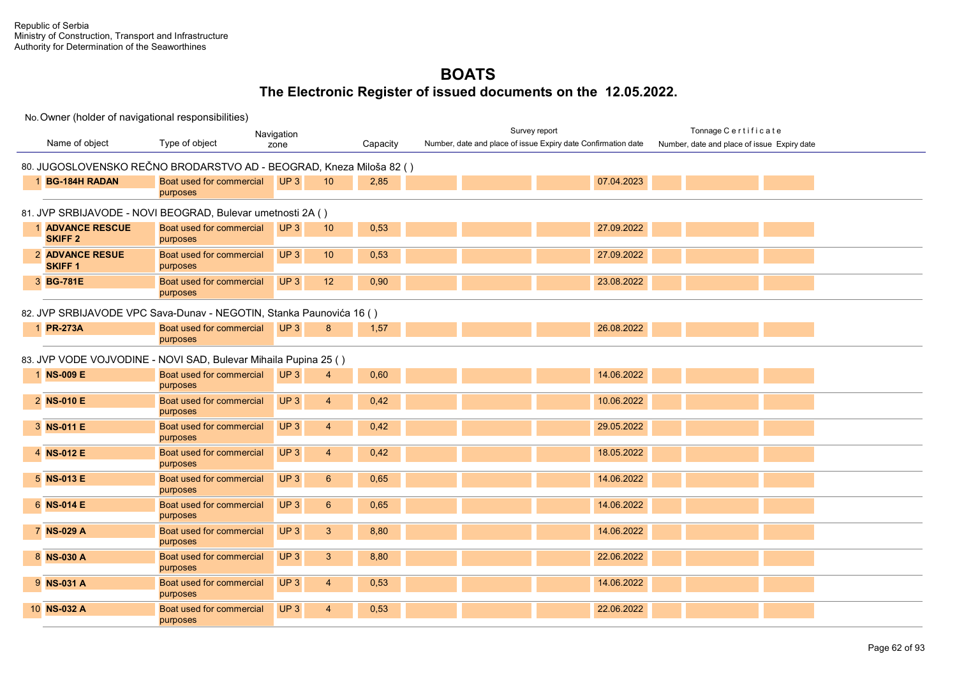|                                         |                                                                     | Navigation                        |          | Survey report                                                 | Tonnage Certificate                         |
|-----------------------------------------|---------------------------------------------------------------------|-----------------------------------|----------|---------------------------------------------------------------|---------------------------------------------|
| Name of object                          | Type of object                                                      | zone                              | Capacity | Number, date and place of issue Expiry date Confirmation date | Number, date and place of issue Expiry date |
|                                         | 80. JUGOSLOVENSKO REČNO BRODARSTVO AD - BEOGRAD, Kneza Miloša 82 () |                                   |          |                                                               |                                             |
| <b>BG-184H RADAN</b>                    | Boat used for commercial<br>purposes                                | UP3<br>10                         | 2,85     | 07.04.2023                                                    |                                             |
|                                         | 81. JVP SRBIJAVODE - NOVI BEOGRAD, Bulevar umetnosti 2A ()          |                                   |          |                                                               |                                             |
| <b>ADVANCE RESCUE</b><br><b>SKIFF 2</b> | Boat used for commercial<br>purposes                                | UP <sub>3</sub><br>10             | 0,53     | 27.09.2022                                                    |                                             |
| <b>2 ADVANCE RESUE</b><br><b>SKIFF1</b> | Boat used for commercial<br>purposes                                | UP <sub>3</sub><br>10             | 0,53     | 27.09.2022                                                    |                                             |
| 3 BG-781E                               | Boat used for commercial<br>purposes                                | UP <sub>3</sub><br>12             | 0,90     | 23.08.2022                                                    |                                             |
|                                         | 82. JVP SRBIJAVODE VPC Sava-Dunav - NEGOTIN, Stanka Paunovića 16 () |                                   |          |                                                               |                                             |
| 1 PR-273A                               | Boat used for commercial<br>purposes                                | UP3<br>8                          | 1,57     | 26.08.2022                                                    |                                             |
|                                         | 83. JVP VODE VOJVODINE - NOVI SAD, Bulevar Mihaila Pupina 25 ()     |                                   |          |                                                               |                                             |
| 1 NS-009 E                              | Boat used for commercial<br>purposes                                | UP <sub>3</sub><br>4              | 0,60     | 14.06.2022                                                    |                                             |
| 2 NS-010 E                              | Boat used for commercial<br>purposes                                | UP3<br>$\overline{4}$             | 0,42     | 10.06.2022                                                    |                                             |
| 3 NS-011 E                              | Boat used for commercial<br>purposes                                | UP <sub>3</sub><br>$\overline{4}$ | 0,42     | 29.05.2022                                                    |                                             |
| 4 NS-012 E                              | Boat used for commercial<br>purposes                                | UP <sub>3</sub><br>$\overline{4}$ | 0.42     | 18.05.2022                                                    |                                             |
| 5 NS-013 E                              | Boat used for commercial<br>purposes                                | UP3<br>6 <sup>1</sup>             | 0,65     | 14.06.2022                                                    |                                             |
| 6 NS-014 E                              | Boat used for commercial<br>purposes                                | UP <sub>3</sub><br>6 <sup>1</sup> | 0,65     | 14.06.2022                                                    |                                             |
| 7 NS-029 A                              | Boat used for commercial<br>purposes                                | UP3<br>3 <sup>5</sup>             | 8,80     | 14.06.2022                                                    |                                             |
| 8 NS-030 A                              | Boat used for commercial<br>purposes                                | UP3<br>3 <sup>5</sup>             | 8,80     | 22.06.2022                                                    |                                             |
| 9 NS-031 A                              | Boat used for commercial<br>purposes                                | UP <sub>3</sub><br>$\overline{4}$ | 0,53     | 14.06.2022                                                    |                                             |
| 10 NS-032 A                             | Boat used for commercial<br>purposes                                | UP <sub>3</sub><br>$\overline{4}$ | 0,53     | 22.06.2022                                                    |                                             |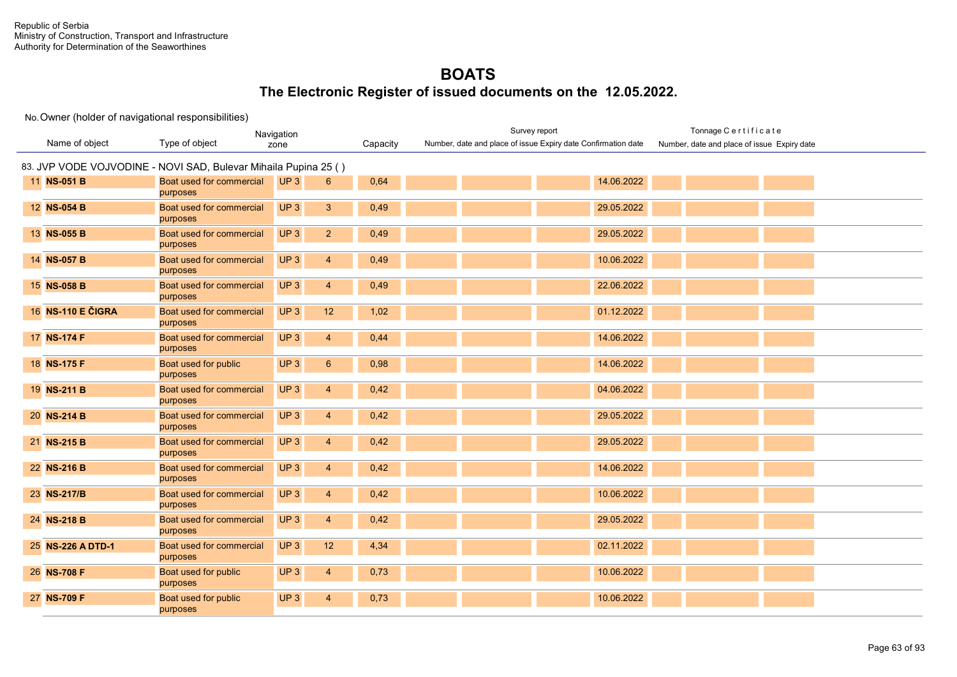|                   | Navigation                                                      |                                    | Survey report | Tonnage Certificate                                           |                                             |
|-------------------|-----------------------------------------------------------------|------------------------------------|---------------|---------------------------------------------------------------|---------------------------------------------|
| Name of object    | Type of object                                                  | zone                               | Capacity      | Number, date and place of issue Expiry date Confirmation date | Number, date and place of issue Expiry date |
|                   | 83. JVP VODE VOJVODINE - NOVI SAD, Bulevar Mihaila Pupina 25 () |                                    |               |                                                               |                                             |
| 11 NS-051 B       | Boat used for commercial<br>purposes                            | UP <sub>3</sub><br>$6^{\circ}$     | 0,64          | 14.06.2022                                                    |                                             |
| 12 NS-054 B       | Boat used for commercial<br>purposes                            | UP3<br>3 <sup>1</sup>              | 0,49          | 29.05.2022                                                    |                                             |
| 13 NS-055 B       | Boat used for commercial<br>purposes                            | UP3<br>2 <sup>2</sup>              | 0,49          | 29.05.2022                                                    |                                             |
| 14 NS-057 B       | Boat used for commercial<br>purposes                            | UP <sub>3</sub><br>$\overline{4}$  | 0,49          | 10.06.2022                                                    |                                             |
| 15 NS-058 B       | Boat used for commercial<br>purposes                            | UP <sub>3</sub><br>$\overline{4}$  | 0,49          | 22.06.2022                                                    |                                             |
| 16 NS-110 E ČIGRA | Boat used for commercial<br>purposes                            | UP3<br>12                          | 1,02          | 01.12.2022                                                    |                                             |
| 17 NS-174 F       | Boat used for commercial<br>purposes                            | UP3<br>$\overline{4}$              | 0,44          | 14.06.2022                                                    |                                             |
| 18 NS-175 F       | Boat used for public<br>purposes                                | UP <sub>3</sub><br>$6\overline{6}$ | 0,98          | 14.06.2022                                                    |                                             |
| 19 NS-211 B       | Boat used for commercial<br>purposes                            | UP3<br>$\overline{4}$              | 0,42          | 04.06.2022                                                    |                                             |
| 20 NS-214 B       | Boat used for commercial<br>purposes                            | UP <sub>3</sub><br>$\overline{4}$  | 0,42          | 29.05.2022                                                    |                                             |
| 21 NS-215 B       | Boat used for commercial<br>purposes                            | UP3<br>$\overline{4}$              | 0,42          | 29.05.2022                                                    |                                             |
| 22 NS-216 B       | Boat used for commercial<br>purposes                            | UP3<br>$\overline{4}$              | 0,42          | 14.06.2022                                                    |                                             |
| 23 NS-217/B       | Boat used for commercial<br>purposes                            | UP <sub>3</sub><br>$\overline{4}$  | 0,42          | 10.06.2022                                                    |                                             |
| 24 NS-218 B       | Boat used for commercial<br>purposes                            | UP <sub>3</sub><br>$\overline{4}$  | 0,42          | 29.05.2022                                                    |                                             |
| 25 NS-226 A DTD-1 | Boat used for commercial<br>purposes                            | UP3<br>12                          | 4,34          | 02.11.2022                                                    |                                             |
| 26 NS-708 F       | Boat used for public<br>purposes                                | UP <sub>3</sub><br>$\overline{4}$  | 0,73          | 10.06.2022                                                    |                                             |
| 27 NS-709 F       | Boat used for public<br>purposes                                | UP <sub>3</sub><br>4               | 0,73          | 10.06.2022                                                    |                                             |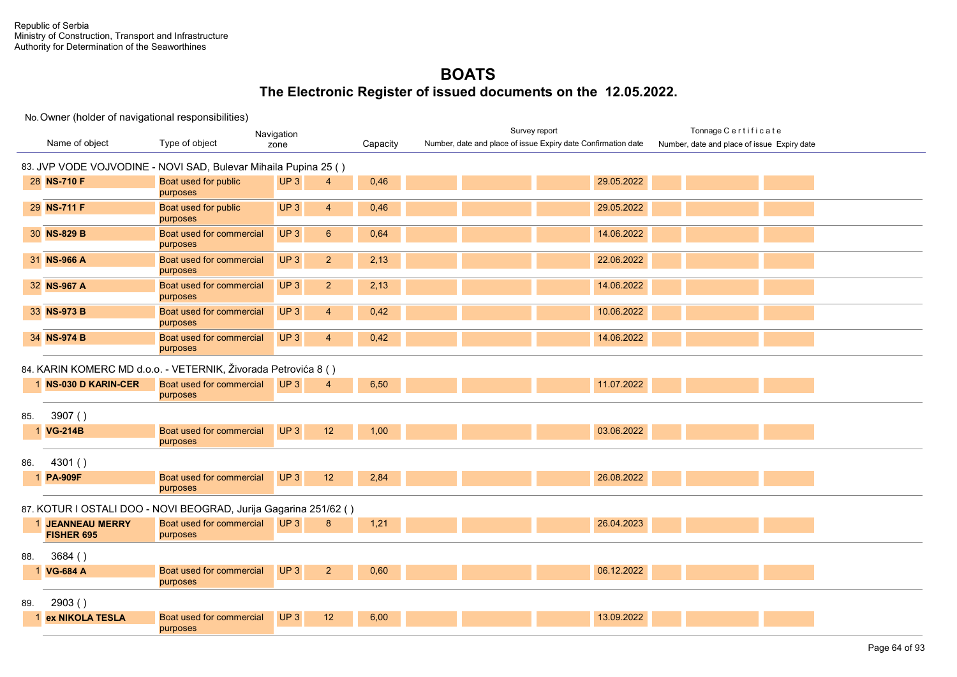|     |                                                                  |                                      | Navigation      |                 |          | Survey report                                                 | Tonnage Certificate                         |  |  |  |
|-----|------------------------------------------------------------------|--------------------------------------|-----------------|-----------------|----------|---------------------------------------------------------------|---------------------------------------------|--|--|--|
|     | Name of object                                                   | Type of object                       | zone            |                 | Capacity | Number, date and place of issue Expiry date Confirmation date | Number, date and place of issue Expiry date |  |  |  |
|     | 83. JVP VODE VOJVODINE - NOVI SAD, Bulevar Mihaila Pupina 25 ()  |                                      |                 |                 |          |                                                               |                                             |  |  |  |
|     | 28 NS-710 F                                                      | Boat used for public<br>purposes     | UP3             | $\overline{4}$  | 0,46     | 29.05.2022                                                    |                                             |  |  |  |
|     | 29 NS-711 F                                                      | Boat used for public<br>purposes     | UP <sub>3</sub> | $\overline{4}$  | 0,46     | 29.05.2022                                                    |                                             |  |  |  |
|     | 30 NS-829 B                                                      | Boat used for commercial<br>purposes | UP <sub>3</sub> | $6\phantom{1}6$ | 0,64     | 14.06.2022                                                    |                                             |  |  |  |
|     | 31 NS-966 A                                                      | Boat used for commercial<br>purposes | UP <sub>3</sub> | $\overline{2}$  | 2,13     | 22.06.2022                                                    |                                             |  |  |  |
|     | 32 NS-967 A                                                      | Boat used for commercial<br>purposes | UP <sub>3</sub> | 2 <sup>2</sup>  | 2,13     | 14.06.2022                                                    |                                             |  |  |  |
|     | 33 NS-973 B                                                      | Boat used for commercial<br>purposes | UP <sub>3</sub> | $\overline{4}$  | 0,42     | 10.06.2022                                                    |                                             |  |  |  |
|     | 34 NS-974 B                                                      | Boat used for commercial<br>purposes | UP <sub>3</sub> | $\overline{4}$  | 0,42     | 14.06.2022                                                    |                                             |  |  |  |
|     | 84. KARIN KOMERC MD d.o.o. - VETERNIK, Živorada Petrovića 8 ()   |                                      |                 |                 |          |                                                               |                                             |  |  |  |
|     | 1 NS-030 D KARIN-CER                                             | Boat used for commercial<br>purposes | UP3             | $\overline{4}$  | 6,50     | 11.07.2022                                                    |                                             |  |  |  |
| 85. | 3907()                                                           |                                      |                 |                 |          |                                                               |                                             |  |  |  |
|     | <b>VG-214B</b>                                                   | Boat used for commercial<br>purposes | UP <sub>3</sub> | 12              | 1,00     | 03.06.2022                                                    |                                             |  |  |  |
| 86. | 4301()                                                           |                                      |                 |                 |          |                                                               |                                             |  |  |  |
|     | <b>PA-909F</b>                                                   | Boat used for commercial<br>purposes | UP <sub>3</sub> | 12              | 2,84     | 26.08.2022                                                    |                                             |  |  |  |
|     | 87. KOTUR I OSTALI DOO - NOVI BEOGRAD, Jurija Gagarina 251/62 () |                                      |                 |                 |          |                                                               |                                             |  |  |  |
|     | <b>JEANNEAU MERRY</b><br>FISHER 695                              | Boat used for commercial<br>purposes | UP3             | 8               | 1,21     | 26.04.2023                                                    |                                             |  |  |  |
| 88. | 3684()                                                           |                                      |                 |                 |          |                                                               |                                             |  |  |  |
|     | <b>VG-684 A</b>                                                  | Boat used for commercial<br>purposes | UP3             | $\overline{2}$  | 0,60     | 06.12.2022                                                    |                                             |  |  |  |
| 89. | 2903()                                                           |                                      |                 |                 |          |                                                               |                                             |  |  |  |
|     | ex NIKOLA TESLA                                                  | Boat used for commercial<br>purposes | UP3             | 12              | 6,00     | 13.09.2022                                                    |                                             |  |  |  |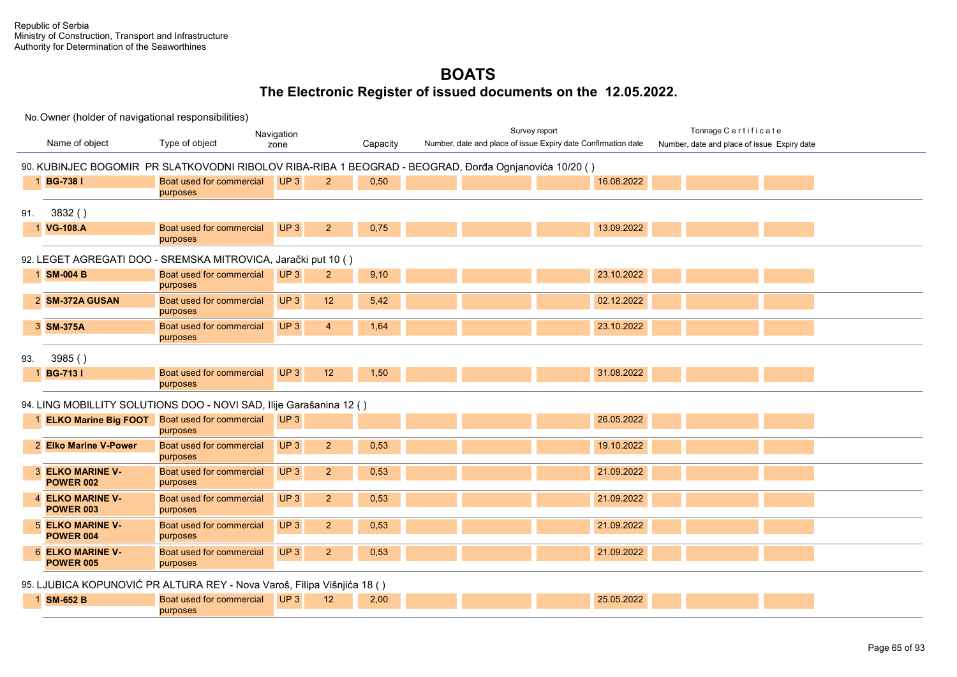|     |                                                      |                                                                         | Navigation      |                        |                                                                                                       | Survey report                                                 | Tonnage Certificate                         |  |
|-----|------------------------------------------------------|-------------------------------------------------------------------------|-----------------|------------------------|-------------------------------------------------------------------------------------------------------|---------------------------------------------------------------|---------------------------------------------|--|
|     | Name of object                                       | Type of object                                                          | zone            | Capacity               |                                                                                                       | Number, date and place of issue Expiry date Confirmation date | Number, date and place of issue Expiry date |  |
|     |                                                      |                                                                         |                 |                        | 90. KUBINJEC BOGOMIR PR SLATKOVODNI RIBOLOV RIBA-RIBA 1 BEOGRAD - BEOGRAD, Đorđa Ognjanovića 10/20 () |                                                               |                                             |  |
|     |                                                      | Boat used for commercial                                                | UP <sub>3</sub> | 2                      |                                                                                                       | 16.08.2022                                                    |                                             |  |
|     | 1 BG-738 I                                           | purposes                                                                |                 | 0,50                   |                                                                                                       |                                                               |                                             |  |
|     |                                                      |                                                                         |                 |                        |                                                                                                       |                                                               |                                             |  |
| 91. | 3832()                                               |                                                                         |                 |                        |                                                                                                       |                                                               |                                             |  |
|     | <b>VG-108.A</b>                                      | Boat used for commercial<br>purposes                                    | UP3             | 2 <sup>2</sup><br>0,75 |                                                                                                       | 13.09.2022                                                    |                                             |  |
|     |                                                      | 92. LEGET AGREGATI DOO - SREMSKA MITROVICA, Jarački put 10 ()           |                 |                        |                                                                                                       |                                                               |                                             |  |
|     | 1 SM-004 B                                           | Boat used for commercial                                                | UP3             | 9,10<br>2              |                                                                                                       | 23.10.2022                                                    |                                             |  |
|     |                                                      | purposes                                                                |                 |                        |                                                                                                       |                                                               |                                             |  |
|     | 2 SM-372A GUSAN                                      | Boat used for commercial<br>purposes                                    | UP <sub>3</sub> | 12<br>5,42             |                                                                                                       | 02.12.2022                                                    |                                             |  |
|     | 3 SM-375A                                            | Boat used for commercial                                                | UP3             | 1,64<br>$\overline{4}$ |                                                                                                       | 23.10.2022                                                    |                                             |  |
|     |                                                      | purposes                                                                |                 |                        |                                                                                                       |                                                               |                                             |  |
| 93. | 3985()                                               |                                                                         |                 |                        |                                                                                                       |                                                               |                                             |  |
|     | <b>BG-7131</b>                                       | Boat used for commercial                                                | UP3             | 12<br>1,50             |                                                                                                       | 31.08.2022                                                    |                                             |  |
|     |                                                      | purposes                                                                |                 |                        |                                                                                                       |                                                               |                                             |  |
|     |                                                      | 94. LING MOBILLITY SOLUTIONS DOO - NOVI SAD, Ilije Garašanina 12 ()     |                 |                        |                                                                                                       |                                                               |                                             |  |
|     | <b>ELKO Marine Big FOOT</b> Boat used for commercial |                                                                         | UP3             |                        |                                                                                                       | 26.05.2022                                                    |                                             |  |
|     |                                                      | purposes                                                                |                 |                        |                                                                                                       |                                                               |                                             |  |
|     | 2 Elko Marine V-Power                                | Boat used for commercial                                                | UP <sub>3</sub> | $\overline{2}$<br>0,53 |                                                                                                       | 19.10.2022                                                    |                                             |  |
|     |                                                      | purposes                                                                |                 |                        |                                                                                                       |                                                               |                                             |  |
|     | <b>3 ELKO MARINE V-</b>                              | Boat used for commercial                                                | UP <sub>3</sub> | $\overline{2}$<br>0,53 |                                                                                                       | 21.09.2022                                                    |                                             |  |
|     | <b>POWER 002</b>                                     | purposes                                                                |                 |                        |                                                                                                       |                                                               |                                             |  |
|     | 4 ELKO MARINE V-<br><b>POWER 003</b>                 | Boat used for commercial<br>purposes                                    | UP <sub>3</sub> | $\overline{2}$<br>0,53 |                                                                                                       | 21.09.2022                                                    |                                             |  |
|     | <b>5 ELKO MARINE V-</b>                              | Boat used for commercial                                                | UP <sub>3</sub> | $\overline{2}$<br>0,53 |                                                                                                       | 21.09.2022                                                    |                                             |  |
|     | <b>POWER 004</b>                                     | purposes                                                                |                 |                        |                                                                                                       |                                                               |                                             |  |
|     | <b>6 ELKO MARINE V-</b>                              | Boat used for commercial                                                | UP3             | 0,53<br>$\overline{2}$ |                                                                                                       | 21.09.2022                                                    |                                             |  |
|     | <b>POWER 005</b>                                     | purposes                                                                |                 |                        |                                                                                                       |                                                               |                                             |  |
|     |                                                      | 95. LJUBICA KOPUNOVIĆ PR ALTURA REY - Nova Varoš, Filipa Višnjića 18 () |                 |                        |                                                                                                       |                                                               |                                             |  |
|     | 1 SM-652 B                                           | Boat used for commercial                                                | UP3             | 12<br>2,00             |                                                                                                       | 25.05.2022                                                    |                                             |  |
|     |                                                      | purposes                                                                |                 |                        |                                                                                                       |                                                               |                                             |  |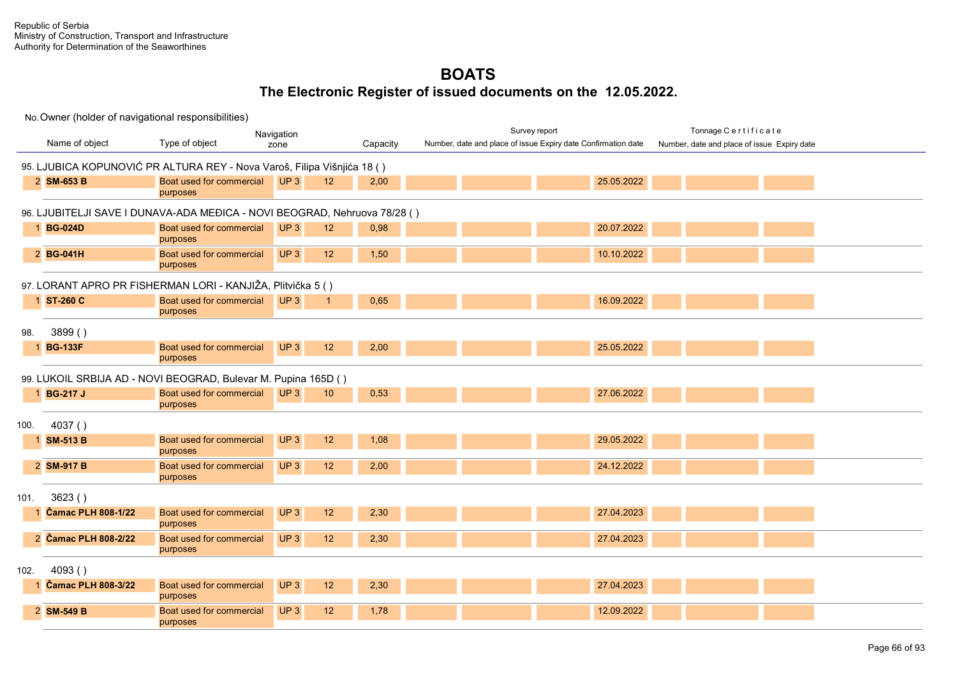|      | Navigation                |                                                                           |                                    |          | Survey report |                                                               | Tonnage Certificate                         |  |
|------|---------------------------|---------------------------------------------------------------------------|------------------------------------|----------|---------------|---------------------------------------------------------------|---------------------------------------------|--|
|      | Name of object            | Type of object                                                            | zone                               | Capacity |               | Number, date and place of issue Expiry date Confirmation date | Number, date and place of issue Expiry date |  |
|      |                           | 95. LJUBICA KOPUNOVIĆ PR ALTURA REY - Nova Varoš, Filipa Višnjića 18 ()   |                                    |          |               |                                                               |                                             |  |
|      | 2 SM-653 B                | Boat used for commercial<br>purposes                                      | UP3<br>12 <sup>2</sup>             | 2,00     |               | 25.05.2022                                                    |                                             |  |
|      |                           | 96. LJUBITELJI SAVE I DUNAVA-ADA MEĐICA - NOVI BEOGRAD, Nehruova 78/28 () |                                    |          |               |                                                               |                                             |  |
|      | 1 BG-024D                 | Boat used for commercial<br>purposes                                      | UP <sub>3</sub><br>12 <sup>°</sup> | 0,98     |               | 20.07.2022                                                    |                                             |  |
|      | 2 BG-041H                 | Boat used for commercial<br>purposes                                      | UP3<br>12                          | 1,50     |               | 10.10.2022                                                    |                                             |  |
|      |                           | 97. LORANT APRO PR FISHERMAN LORI - KANJIŽA, Plitvička 5 ()               |                                    |          |               |                                                               |                                             |  |
|      | 1 ST-260 C                | Boat used for commercial<br>purposes                                      | UP3<br>$\overline{1}$              | 0,65     |               | 16.09.2022                                                    |                                             |  |
| 98.  | 3899()                    |                                                                           |                                    |          |               |                                                               |                                             |  |
|      | 1 BG-133F                 | Boat used for commercial<br>purposes                                      | UP3<br>12                          | 2,00     |               | 25.05.2022                                                    |                                             |  |
|      |                           | 99. LUKOIL SRBIJA AD - NOVI BEOGRAD, Bulevar M. Pupina 165D ()            |                                    |          |               |                                                               |                                             |  |
|      | 1 BG-217 J                | Boat used for commercial<br>purposes                                      | UP3<br>10 <sup>°</sup>             | 0,53     |               | 27.06.2022                                                    |                                             |  |
| 100. | 4037()                    |                                                                           |                                    |          |               |                                                               |                                             |  |
|      | 1 SM-513 B                | Boat used for commercial<br>purposes                                      | UP <sub>3</sub><br>12              | 1,08     |               | 29.05.2022                                                    |                                             |  |
|      | 2 SM-917 B                | Boat used for commercial<br>purposes                                      | UP <sub>3</sub><br>12              | 2,00     |               | 24.12.2022                                                    |                                             |  |
| 101. | 3623()                    |                                                                           |                                    |          |               |                                                               |                                             |  |
|      | <b>Čamac PLH 808-1/22</b> | Boat used for commercial<br>purposes                                      | UP <sub>3</sub><br>12              | 2,30     |               | 27.04.2023                                                    |                                             |  |
|      | 2 Čamac PLH 808-2/22      | Boat used for commercial<br>purposes                                      | UP <sub>3</sub><br>12              | 2,30     |               | 27.04.2023                                                    |                                             |  |
| 102. | 4093()                    |                                                                           |                                    |          |               |                                                               |                                             |  |
|      | <b>Čamac PLH 808-3/22</b> | Boat used for commercial<br>purposes                                      | UP <sub>3</sub><br>12 <sup>2</sup> | 2,30     |               | 27.04.2023                                                    |                                             |  |
|      | 2 SM-549 B                | Boat used for commercial<br>purposes                                      | UP <sub>3</sub><br>12              | 1,78     |               | 12.09.2022                                                    |                                             |  |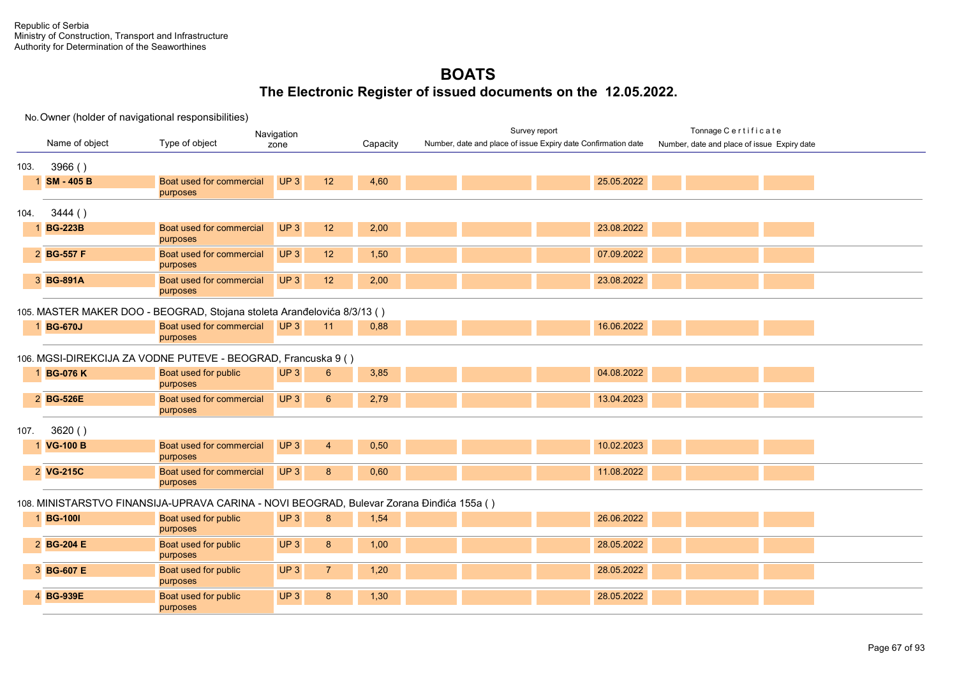|      |                                                                         |                                                                                          | Navigation                        |          | Survey report                                                 | Tonnage Certificate                         |  |  |  |  |
|------|-------------------------------------------------------------------------|------------------------------------------------------------------------------------------|-----------------------------------|----------|---------------------------------------------------------------|---------------------------------------------|--|--|--|--|
|      | Name of object                                                          | Type of object                                                                           | zone                              | Capacity | Number, date and place of issue Expiry date Confirmation date | Number, date and place of issue Expiry date |  |  |  |  |
| 103. | 3966()                                                                  |                                                                                          |                                   |          |                                                               |                                             |  |  |  |  |
|      | 1 SM - 405 B                                                            | <b>Boat used for commercial</b><br>purposes                                              | UP <sub>3</sub><br>12             | 4,60     | 25.05.2022                                                    |                                             |  |  |  |  |
| 104. | 3444()                                                                  |                                                                                          |                                   |          |                                                               |                                             |  |  |  |  |
|      | <b>BG-223B</b>                                                          | Boat used for commercial<br>purposes                                                     | UP <sub>3</sub><br>12             | 2,00     | 23.08.2022                                                    |                                             |  |  |  |  |
|      | 2 BG-557 F                                                              | Boat used for commercial<br>purposes                                                     | UP <sub>3</sub><br>12             | 1,50     | 07.09.2022                                                    |                                             |  |  |  |  |
|      | 3 BG-891A                                                               | Boat used for commercial<br>purposes                                                     | UP <sub>3</sub><br>12             | 2,00     | 23.08.2022                                                    |                                             |  |  |  |  |
|      | 105. MASTER MAKER DOO - BEOGRAD, Stojana stoleta Aranđelovića 8/3/13 () |                                                                                          |                                   |          |                                                               |                                             |  |  |  |  |
|      | 1 BG-670J                                                               | Boat used for commercial<br>purposes                                                     | UP3<br>11                         | 0,88     | 16.06.2022                                                    |                                             |  |  |  |  |
|      |                                                                         | 106. MGSI-DIREKCIJA ZA VODNE PUTEVE - BEOGRAD, Francuska 9 ()                            |                                   |          |                                                               |                                             |  |  |  |  |
|      | 1 BG-076 K                                                              | Boat used for public<br>purposes                                                         | UP <sub>3</sub><br>$6^{\circ}$    | 3,85     | 04.08.2022                                                    |                                             |  |  |  |  |
|      | 2 BG-526E                                                               | Boat used for commercial<br>purposes                                                     | UP <sub>3</sub><br>$6^{\circ}$    | 2,79     | 13.04.2023                                                    |                                             |  |  |  |  |
| 107. | 3620()                                                                  |                                                                                          |                                   |          |                                                               |                                             |  |  |  |  |
|      | 1 VG-100 B                                                              | Boat used for commercial<br>purposes                                                     | UP <sub>3</sub><br>$\overline{4}$ | 0,50     | 10.02.2023                                                    |                                             |  |  |  |  |
|      | 2 VG-215C                                                               | Boat used for commercial<br>purposes                                                     | UP <sub>3</sub><br>8              | 0,60     | 11.08.2022                                                    |                                             |  |  |  |  |
|      |                                                                         | 108. MINISTARSTVO FINANSIJA-UPRAVA CARINA - NOVI BEOGRAD, Bulevar Zorana Đinđića 155a () |                                   |          |                                                               |                                             |  |  |  |  |
|      | 1 BG-1001                                                               | Boat used for public<br>purposes                                                         | UP <sub>3</sub><br>8              | 1,54     | 26.06.2022                                                    |                                             |  |  |  |  |
|      | 2 BG-204 E                                                              | Boat used for public<br>purposes                                                         | UP <sub>3</sub><br>8              | 1,00     | 28.05.2022                                                    |                                             |  |  |  |  |
|      | 3 BG-607 E                                                              | Boat used for public<br>purposes                                                         | UP <sub>3</sub><br>$\overline{7}$ | 1,20     | 28.05.2022                                                    |                                             |  |  |  |  |
|      | 4 BG-939E                                                               | Boat used for public<br>purposes                                                         | UP <sub>3</sub><br>8              | 1,30     | 28.05.2022                                                    |                                             |  |  |  |  |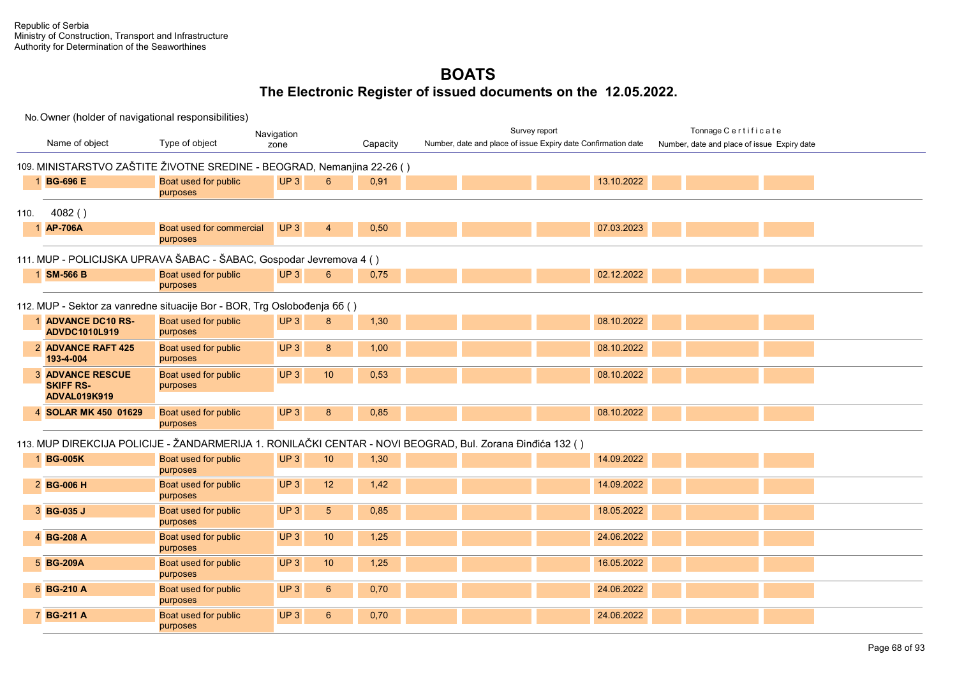|      |                                                                          |                                      | Navigation                         |          | Survey report                                                                                             |            | Tonnage Certificate                         |  |
|------|--------------------------------------------------------------------------|--------------------------------------|------------------------------------|----------|-----------------------------------------------------------------------------------------------------------|------------|---------------------------------------------|--|
|      | Name of object                                                           | Type of object                       | zone                               | Capacity | Number, date and place of issue Expiry date Confirmation date                                             |            | Number, date and place of issue Expiry date |  |
|      | 109. MINISTARSTVO ZAŠTITE ŽIVOTNE SREDINE - BEOGRAD, Nemanjina 22-26 ()  |                                      |                                    |          |                                                                                                           |            |                                             |  |
|      | 1 BG-696 E                                                               | Boat used for public<br>purposes     | UP3<br>6                           | 0,91     |                                                                                                           | 13.10.2022 |                                             |  |
| 110. | 4082()                                                                   |                                      |                                    |          |                                                                                                           |            |                                             |  |
|      | 1 AP-706A                                                                | Boat used for commercial<br>purposes | UP <sub>3</sub><br>$\overline{4}$  | 0,50     |                                                                                                           | 07.03.2023 |                                             |  |
|      | 111. MUP - POLICIJSKA UPRAVA ŠABAC - ŠABAC, Gospodar Jevremova 4 ()      |                                      |                                    |          |                                                                                                           |            |                                             |  |
|      | 1 SM-566 B                                                               | Boat used for public<br>purposes     | UP3<br>6                           | 0,75     |                                                                                                           | 02.12.2022 |                                             |  |
|      | 112. MUP - Sektor za vanredne situacije Bor - BOR, Trg Oslobođenja 66 () |                                      |                                    |          |                                                                                                           |            |                                             |  |
|      | 1 ADVANCE DC10 RS-<br><b>ADVDC1010L919</b>                               | Boat used for public<br>purposes     | UP <sub>3</sub><br>8               | 1,30     |                                                                                                           | 08.10.2022 |                                             |  |
|      | 2 ADVANCE RAFT 425<br>193-4-004                                          | Boat used for public<br>purposes     | UP <sub>3</sub><br>8               | 1,00     |                                                                                                           | 08.10.2022 |                                             |  |
|      | <b>3 ADVANCE RESCUE</b><br><b>SKIFF RS-</b><br><b>ADVAL019K919</b>       | Boat used for public<br>purposes     | UP3<br>$10$                        | 0,53     |                                                                                                           | 08.10.2022 |                                             |  |
|      | 4 SOLAR MK 450 01629                                                     | Boat used for public<br>purposes     | UP3<br>8                           | 0,85     |                                                                                                           | 08.10.2022 |                                             |  |
|      |                                                                          |                                      |                                    |          | 113. MUP DIREKCIJA POLICIJE - ŽANDARMERIJA 1. RONILAČKI CENTAR - NOVI BEOGRAD, Bul. Zorana Đinđića 132 () |            |                                             |  |
|      | 1 BG-005K                                                                | Boat used for public<br>purposes     | UP3<br>10                          | 1,30     |                                                                                                           | 14.09.2022 |                                             |  |
|      | 2 BG-006 H                                                               | Boat used for public<br>purposes     | UP <sub>3</sub><br>12              | 1,42     |                                                                                                           | 14.09.2022 |                                             |  |
|      | 3 BG-035 J                                                               | Boat used for public<br>purposes     | UP3<br>$5\phantom{.0}$             | 0,85     |                                                                                                           | 18.05.2022 |                                             |  |
|      | 4 BG-208 A                                                               | Boat used for public<br>purposes     | UP3<br>10                          | 1,25     |                                                                                                           | 24.06.2022 |                                             |  |
|      | 5 BG-209A                                                                | Boat used for public<br>purposes     | UP3<br>10 <sub>1</sub>             | 1,25     |                                                                                                           | 16.05.2022 |                                             |  |
|      | 6 BG-210 A                                                               | Boat used for public<br>purposes     | UP <sub>3</sub><br>$6\overline{6}$ | 0,70     |                                                                                                           | 24.06.2022 |                                             |  |
|      | 7 BG-211 A                                                               | Boat used for public<br>purposes     | UP <sub>3</sub><br>6               | 0,70     |                                                                                                           | 24.06.2022 |                                             |  |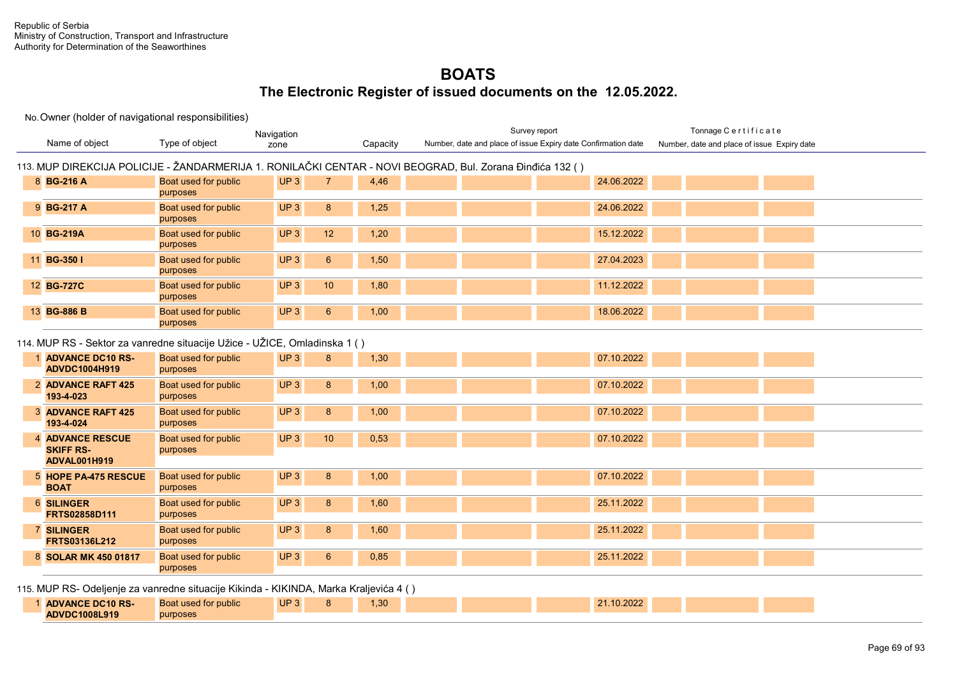### No. Owner (holder of navigational responsibilities)

**ADVDC1008L919**

purposes

|                                                                                       |                                  | Navigation            |          | Survey report                                                                                             |            | Tonnage Certificate                         |  |
|---------------------------------------------------------------------------------------|----------------------------------|-----------------------|----------|-----------------------------------------------------------------------------------------------------------|------------|---------------------------------------------|--|
| Name of object                                                                        | Type of object                   | zone                  | Capacity | Number, date and place of issue Expiry date Confirmation date                                             |            | Number, date and place of issue Expiry date |  |
|                                                                                       |                                  |                       |          | 113. MUP DIREKCIJA POLICIJE - ŽANDARMERIJA 1. RONILAČKI CENTAR - NOVI BEOGRAD, Bul. Zorana Đinđića 132 () |            |                                             |  |
| 8 BG-216 A                                                                            | Boat used for public<br>purposes | UP <sub>3</sub><br>7  | 4,46     |                                                                                                           | 24.06.2022 |                                             |  |
| 9 BG-217 A                                                                            | Boat used for public<br>purposes | UP3<br>8              | 1,25     |                                                                                                           | 24.06.2022 |                                             |  |
| 10 BG-219A                                                                            | Boat used for public<br>purposes | UP3<br>12             | 1,20     |                                                                                                           | 15.12.2022 |                                             |  |
| 11 BG-350 I                                                                           | Boat used for public<br>purposes | UP3<br>$6\phantom{1}$ | 1,50     |                                                                                                           | 27.04.2023 |                                             |  |
| 12 BG-727C                                                                            | Boat used for public<br>purposes | 10<br>UP3             | 1,80     |                                                                                                           | 11.12.2022 |                                             |  |
| 13 BG-886 B                                                                           | Boat used for public<br>purposes | $6\phantom{1}$<br>UP3 | 1,00     |                                                                                                           | 18.06.2022 |                                             |  |
| 114. MUP RS - Sektor za vanredne situacije Užice - UŽICE, Omladinska 1 ( )            |                                  |                       |          |                                                                                                           |            |                                             |  |
| 1 ADVANCE DC10 RS-<br>ADVDC1004H919                                                   | Boat used for public<br>purposes | UP3<br>8              | 1,30     |                                                                                                           | 07.10.2022 |                                             |  |
| 2 ADVANCE RAFT 425<br>193-4-023                                                       | Boat used for public<br>purposes | UP <sub>3</sub><br>8  | 1,00     |                                                                                                           | 07.10.2022 |                                             |  |
| <b>3 ADVANCE RAFT 425</b><br>193-4-024                                                | Boat used for public<br>purposes | UP3<br>8              | 1,00     |                                                                                                           | 07.10.2022 |                                             |  |
| <b>4 ADVANCE RESCUE</b><br><b>SKIFF RS-</b><br><b>ADVAL001H919</b>                    | Boat used for public<br>purposes | UP <sub>3</sub><br>10 | 0,53     |                                                                                                           | 07.10.2022 |                                             |  |
| 5 HOPE PA-475 RESCUE<br><b>BOAT</b>                                                   | Boat used for public<br>purposes | UP3<br>8              | 1,00     |                                                                                                           | 07.10.2022 |                                             |  |
| <b>6 SILINGER</b><br><b>FRTS02858D111</b>                                             | Boat used for public<br>purposes | UP <sub>3</sub><br>8  | 1,60     |                                                                                                           | 25.11.2022 |                                             |  |
| <b>7 SILINGER</b><br><b>FRTS03136L212</b>                                             | Boat used for public<br>purposes | UP <sub>3</sub><br>8  | 1,60     |                                                                                                           | 25.11.2022 |                                             |  |
| 8 SOLAR MK 450 01817                                                                  | Boat used for public<br>purposes | UP3<br>6              | 0,85     |                                                                                                           | 25.11.2022 |                                             |  |
| 115. MUP RS- Odeljenje za vanredne situacije Kikinda - KIKINDA, Marka Kraljevića 4 () |                                  |                       |          |                                                                                                           |            |                                             |  |
| 1 ADVANCE DC10 RS-                                                                    | Boat used for public             | UP <sub>3</sub><br>8  | 1,30     |                                                                                                           | 21.10.2022 |                                             |  |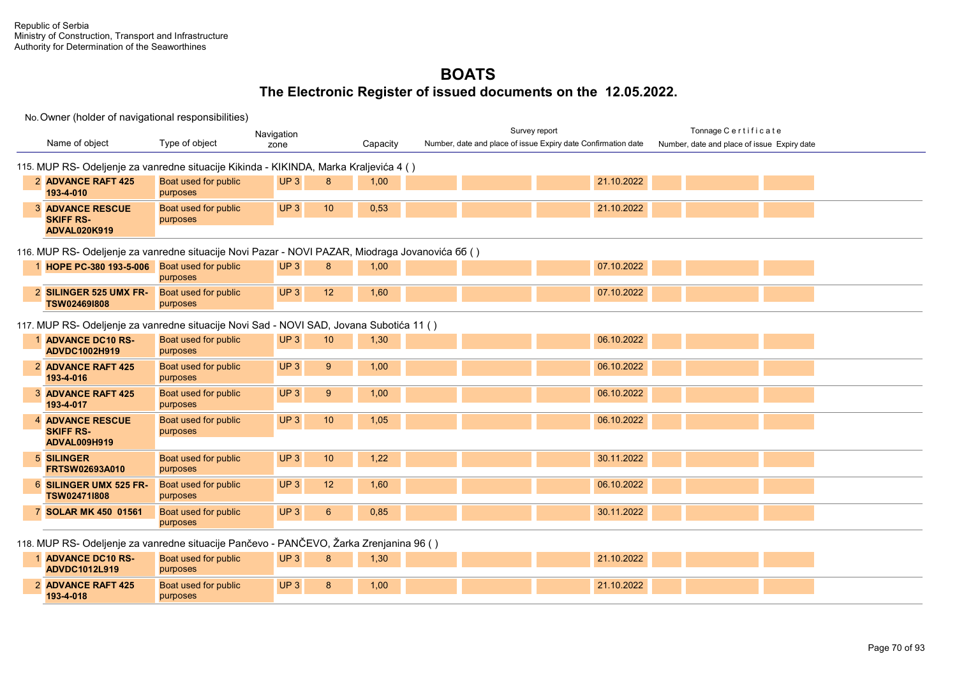|                                                                                                 |                                  | Navigation      |                |          |  | Survey report                                                 |            | Tonnage Certificate                         |  |
|-------------------------------------------------------------------------------------------------|----------------------------------|-----------------|----------------|----------|--|---------------------------------------------------------------|------------|---------------------------------------------|--|
| Name of object                                                                                  | Type of object                   | zone            |                | Capacity |  | Number, date and place of issue Expiry date Confirmation date |            | Number, date and place of issue Expiry date |  |
|                                                                                                 |                                  |                 |                |          |  |                                                               |            |                                             |  |
| 115. MUP RS- Odeljenje za vanredne situacije Kikinda - KIKINDA, Marka Kraljevića 4 ()           |                                  |                 |                |          |  |                                                               |            |                                             |  |
| 2 ADVANCE RAFT 425<br>193-4-010                                                                 | Boat used for public<br>purposes | UP3             | 8              | 1,00     |  |                                                               | 21.10.2022 |                                             |  |
|                                                                                                 |                                  |                 |                |          |  |                                                               |            |                                             |  |
| <b>3 ADVANCE RESCUE</b><br><b>SKIFF RS-</b>                                                     | Boat used for public<br>purposes | UP <sub>3</sub> | 10             | 0,53     |  |                                                               | 21.10.2022 |                                             |  |
| <b>ADVAL020K919</b>                                                                             |                                  |                 |                |          |  |                                                               |            |                                             |  |
|                                                                                                 |                                  |                 |                |          |  |                                                               |            |                                             |  |
| 116. MUP RS- Odeljenje za vanredne situacije Novi Pazar - NOVI PAZAR, Miodraga Jovanovića 66 () |                                  |                 |                |          |  |                                                               |            |                                             |  |
| 1 HOPE PC-380 193-5-006 Boat used for public                                                    |                                  | UP3             | 8              | 1,00     |  |                                                               | 07.10.2022 |                                             |  |
|                                                                                                 | purposes                         |                 |                |          |  |                                                               |            |                                             |  |
| 2 SILINGER 525 UMX FR-<br><b>TSW024691808</b>                                                   | Boat used for public<br>purposes | UP <sub>3</sub> | 12             | 1,60     |  |                                                               | 07.10.2022 |                                             |  |
|                                                                                                 |                                  |                 |                |          |  |                                                               |            |                                             |  |
| 117. MUP RS- Odeljenje za vanredne situacije Novi Sad - NOVI SAD, Jovana Subotića 11 ()         |                                  |                 |                |          |  |                                                               |            |                                             |  |
| 1 ADVANCE DC10 RS-                                                                              | Boat used for public             | UP3             | 10             | 1,30     |  |                                                               | 06.10.2022 |                                             |  |
| ADVDC1002H919                                                                                   | purposes                         |                 |                |          |  |                                                               |            |                                             |  |
| 2 ADVANCE RAFT 425                                                                              | Boat used for public             | UP <sub>3</sub> | 9              | 1,00     |  |                                                               | 06.10.2022 |                                             |  |
| 193-4-016                                                                                       | purposes                         |                 |                |          |  |                                                               |            |                                             |  |
| <b>3 ADVANCE RAFT 425</b>                                                                       | Boat used for public             | UP3             | $9^{\circ}$    | 1,00     |  |                                                               | 06.10.2022 |                                             |  |
| 193-4-017                                                                                       | purposes                         |                 |                |          |  |                                                               |            |                                             |  |
| <b>4 ADVANCE RESCUE</b>                                                                         | Boat used for public             | UP <sub>3</sub> | 10             | 1,05     |  |                                                               | 06.10.2022 |                                             |  |
| <b>SKIFF RS-</b><br><b>ADVAL009H919</b>                                                         | purposes                         |                 |                |          |  |                                                               |            |                                             |  |
|                                                                                                 |                                  |                 |                |          |  |                                                               |            |                                             |  |
| 5 SILINGER<br>FRTSW02693A010                                                                    | Boat used for public<br>purposes | UP3             | 10             | 1,22     |  |                                                               | 30.11.2022 |                                             |  |
| 6 SILINGER UMX 525 FR-                                                                          | Boat used for public             | UP3             | 12             | 1,60     |  |                                                               | 06.10.2022 |                                             |  |
| TSW02471I808                                                                                    | purposes                         |                 |                |          |  |                                                               |            |                                             |  |
| 7 SOLAR MK 450 01561                                                                            | Boat used for public             | UP <sub>3</sub> | $6\phantom{1}$ | 0,85     |  |                                                               | 30.11.2022 |                                             |  |
|                                                                                                 | purposes                         |                 |                |          |  |                                                               |            |                                             |  |
|                                                                                                 |                                  |                 |                |          |  |                                                               |            |                                             |  |
| 118. MUP RS- Odeljenje za vanredne situacije Pančevo - PANČEVO, Žarka Zrenjanina 96 ()          |                                  |                 |                |          |  |                                                               |            |                                             |  |
| <b>ADVANCE DC10 RS-</b><br><b>ADVDC1012L919</b>                                                 | Boat used for public             | UP <sub>3</sub> | 8              | 1,30     |  |                                                               | 21.10.2022 |                                             |  |
|                                                                                                 | purposes                         |                 |                |          |  |                                                               |            |                                             |  |
| 2 ADVANCE RAFT 425<br>193-4-018                                                                 | Boat used for public<br>purposes | UP <sub>3</sub> | 8              | 1,00     |  |                                                               | 21.10.2022 |                                             |  |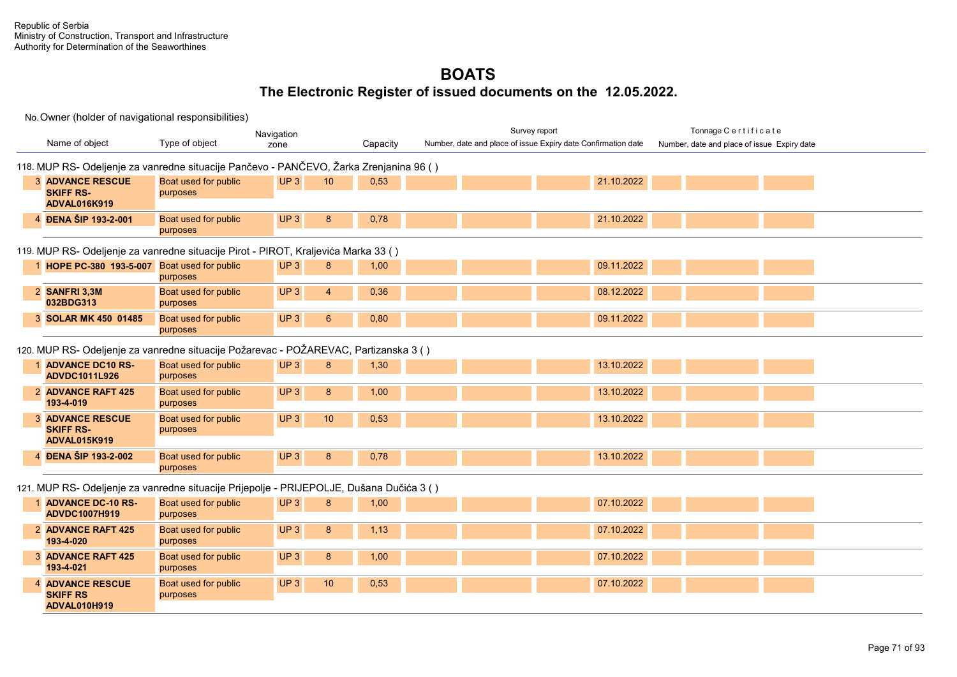|                                                                                          |                                  | Navigation                         |          | Survey report                                                 | Tonnage Certificate                         |
|------------------------------------------------------------------------------------------|----------------------------------|------------------------------------|----------|---------------------------------------------------------------|---------------------------------------------|
| Name of object                                                                           | Type of object                   | zone                               | Capacity | Number, date and place of issue Expiry date Confirmation date | Number, date and place of issue Expiry date |
| 118. MUP RS- Odeljenje za vanredne situacije Pančevo - PANČEVO, Žarka Zrenjanina 96 ()   |                                  |                                    |          |                                                               |                                             |
| <b>3 ADVANCE RESCUE</b><br><b>SKIFF RS-</b>                                              | Boat used for public<br>purposes | UP3<br>10 <sup>°</sup>             | 0,53     | 21.10.2022                                                    |                                             |
| <b>ADVAL016K919</b>                                                                      |                                  |                                    |          |                                                               |                                             |
| 4 ĐENA ŠIP 193-2-001                                                                     | Boat used for public<br>purposes | UP3<br>8                           | 0,78     | 21.10.2022                                                    |                                             |
| 119. MUP RS- Odeljenje za vanredne situacije Pirot - PIROT, Kraljevića Marka 33 ()       |                                  |                                    |          |                                                               |                                             |
| 1 HOPE PC-380 193-5-007 Boat used for public                                             | purposes                         | UP3<br>8                           | 1,00     | 09.11.2022                                                    |                                             |
| 2 SANFRI 3,3M<br>032BDG313                                                               | Boat used for public<br>purposes | UP3<br>$\overline{4}$              | 0,36     | 08.12.2022                                                    |                                             |
| 3 SOLAR MK 450 01485                                                                     | Boat used for public<br>purposes | UP <sub>3</sub><br>$6\phantom{1}$  | 0,80     | 09.11.2022                                                    |                                             |
| 120. MUP RS- Odeljenje za vanredne situacije Požarevac - POŽAREVAC, Partizanska 3 ()     |                                  |                                    |          |                                                               |                                             |
| 1 ADVANCE DC10 RS-<br><b>ADVDC1011L926</b>                                               | Boat used for public<br>purposes | UP3<br>8                           | 1,30     | 13.10.2022                                                    |                                             |
| 2 ADVANCE RAFT 425<br>193-4-019                                                          | Boat used for public<br>purposes | UP <sub>3</sub><br>8               | 1,00     | 13.10.2022                                                    |                                             |
| <b>3 ADVANCE RESCUE</b><br><b>SKIFF RS-</b><br><b>ADVAL015K919</b>                       | Boat used for public<br>purposes | UP <sub>3</sub><br>10 <sup>°</sup> | 0,53     | 13.10.2022                                                    |                                             |
| 4 ĐENA ŠIP 193-2-002                                                                     | Boat used for public<br>purposes | UP <sub>3</sub><br>8               | 0,78     | 13.10.2022                                                    |                                             |
| 121. MUP RS- Odeljenje za vanredne situacije Prijepolje - PRIJEPOLJE, Dušana Dučića 3 () |                                  |                                    |          |                                                               |                                             |
| <b>ADVANCE DC-10 RS-</b><br><b>ADVDC1007H919</b>                                         | Boat used for public<br>purposes | UP3<br>8                           | 1,00     | 07.10.2022                                                    |                                             |
| 2 ADVANCE RAFT 425<br>193-4-020                                                          | Boat used for public<br>purposes | UP <sub>3</sub><br>8               | 1,13     | 07.10.2022                                                    |                                             |
| <b>3 ADVANCE RAFT 425</b><br>193-4-021                                                   | Boat used for public<br>purposes | UP <sub>3</sub><br>8               | 1,00     | 07.10.2022                                                    |                                             |
| <b>4 ADVANCE RESCUE</b><br><b>SKIFF RS</b><br>ADVAL010H919                               | Boat used for public<br>purposes | UP <sub>3</sub><br>10 <sup>°</sup> | 0,53     | 07.10.2022                                                    |                                             |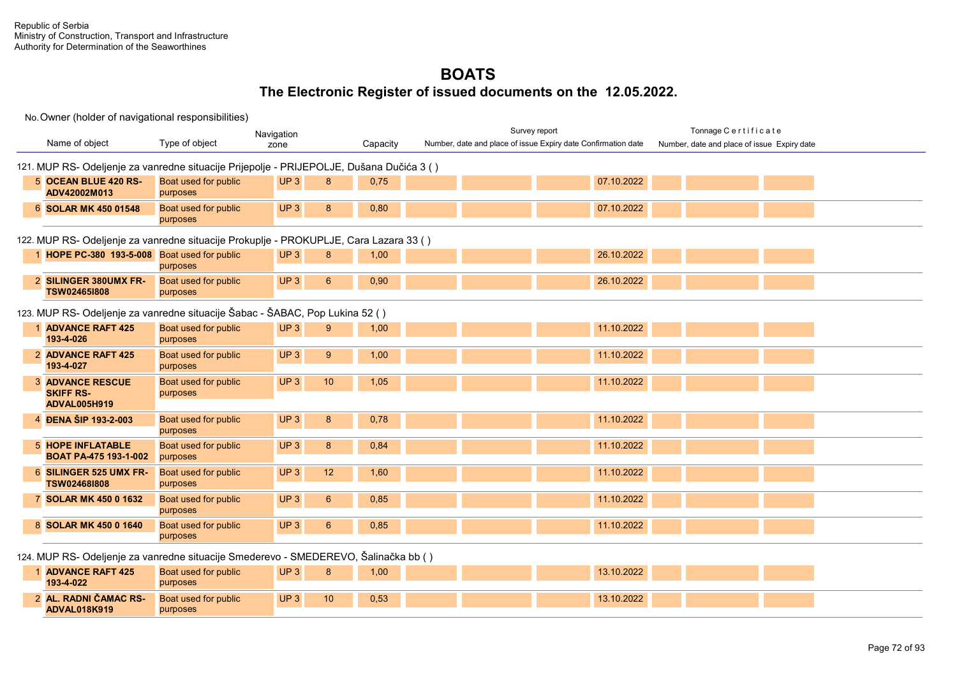|                                                                                           |                                  | Navigation                          |          | Survey report                                                 | Tonnage Certificate                         |
|-------------------------------------------------------------------------------------------|----------------------------------|-------------------------------------|----------|---------------------------------------------------------------|---------------------------------------------|
| Name of object                                                                            | Type of object                   | zone                                | Capacity | Number, date and place of issue Expiry date Confirmation date | Number, date and place of issue Expiry date |
| 121. MUP RS- Odeljenje za vanredne situacije Prijepolje - PRIJEPOLJE, Dušana Dučića 3 ( ) |                                  |                                     |          |                                                               |                                             |
| 5 OCEAN BLUE 420 RS-<br>ADV42002M013                                                      | Boat used for public<br>purposes | UP3<br>8                            | 0,75     | 07.10.2022                                                    |                                             |
| 6 SOLAR MK 450 01548                                                                      | Boat used for public<br>purposes | UP3<br>8                            | 0,80     | 07.10.2022                                                    |                                             |
| 122. MUP RS- Odeljenje za vanredne situacije Prokuplje - PROKUPLJE, Cara Lazara 33 ()     |                                  |                                     |          |                                                               |                                             |
| 1 HOPE PC-380 193-5-008 Boat used for public                                              | purposes                         | UP <sub>3</sub><br>8                | 1,00     | 26.10.2022                                                    |                                             |
| 2 SILINGER 380UMX FR-<br>TSW024651808                                                     | Boat used for public<br>purposes | UP3<br>6                            | 0,90     | 26.10.2022                                                    |                                             |
| 123. MUP RS- Odeljenje za vanredne situacije Šabac - ŠABAC, Pop Lukina 52 ( )             |                                  |                                     |          |                                                               |                                             |
| 1 ADVANCE RAFT 425<br>193-4-026                                                           | Boat used for public<br>purposes | UP <sub>3</sub><br>9                | 1,00     | 11.10.2022                                                    |                                             |
| 2 ADVANCE RAFT 425<br>193-4-027                                                           | Boat used for public<br>purposes | UP <sub>3</sub><br>9                | 1,00     | 11.10.2022                                                    |                                             |
| <b>3 ADVANCE RESCUE</b><br><b>SKIFF RS-</b>                                               | Boat used for public<br>purposes | UP <sub>3</sub><br>10               | 1,05     | 11.10.2022                                                    |                                             |
| <b>ADVAL005H919</b>                                                                       |                                  |                                     |          |                                                               |                                             |
| 4 ĐENA ŠIP 193-2-003                                                                      | Boat used for public<br>purposes | UP3<br>8                            | 0,78     | 11.10.2022                                                    |                                             |
| <b>5 HOPE INFLATABLE</b><br>BOAT PA-475 193-1-002                                         | Boat used for public<br>purposes | $\boldsymbol{8}$<br>UP <sub>3</sub> | 0.84     | 11.10.2022                                                    |                                             |
| 6 SILINGER 525 UMX FR-<br>TSW024681808                                                    | Boat used for public<br>purposes | UP <sub>3</sub><br>12               | 1,60     | 11.10.2022                                                    |                                             |
| 7 SOLAR MK 450 0 1632                                                                     | Boat used for public<br>purposes | UP <sub>3</sub><br>$6\phantom{1}6$  | 0,85     | 11.10.2022                                                    |                                             |
| 8 SOLAR MK 450 0 1640                                                                     | Boat used for public<br>purposes | UP <sub>3</sub><br>$6\phantom{1}6$  | 0,85     | 11.10.2022                                                    |                                             |
| 124. MUP RS- Odeljenje za vanredne situacije Smederevo - SMEDEREVO, Šalinačka bb ( )      |                                  |                                     |          |                                                               |                                             |
| <b>ADVANCE RAFT 425</b><br>193-4-022                                                      | Boat used for public<br>purposes | UP <sub>3</sub><br>8                | 1,00     | 13.10.2022                                                    |                                             |
| 2 AL. RADNI ČAMAC RS-<br>ADVAL018K919                                                     | Boat used for public<br>purposes | UP3<br>10                           | 0,53     | 13.10.2022                                                    |                                             |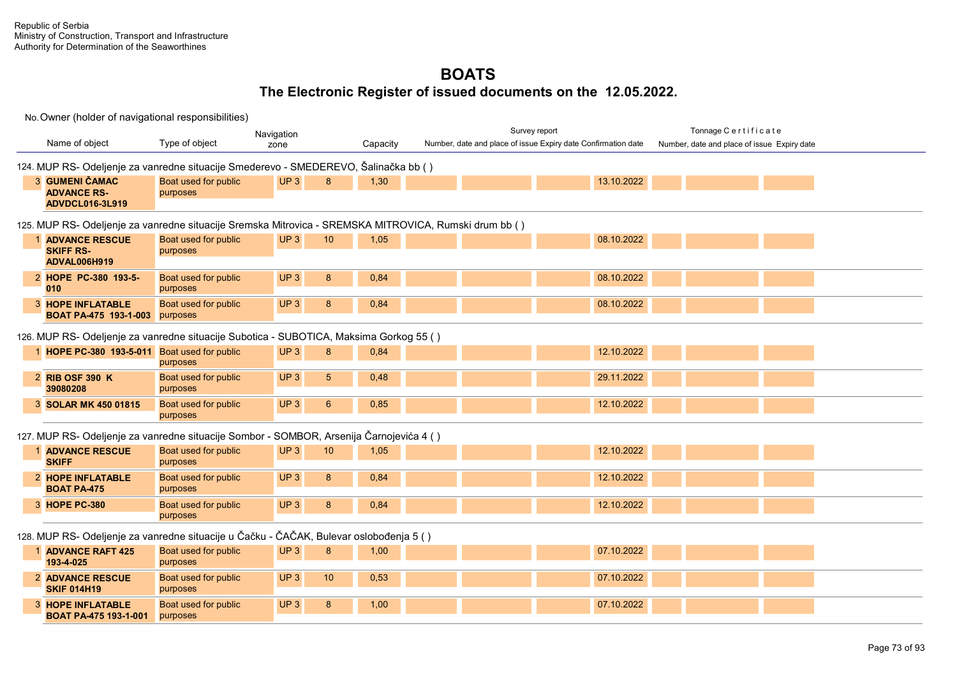**HOPE INFLATABLE**  3 Boat used for public

purposes

**BOAT PA-475 193-1-001**

#### **BOATS The Electronic Register of issued documents on the 12.05.2022.**

No. Owner (holder of navigational responsibilities) Name of object Type of object **Capacity Capacity** Survey report Tonnage C e r t i f i c a t e Number, date and place of issue Expiry date Navigation Number, date and place of issue Expiry date Confirmation date 124. MUP RS- Odeljenje za vanredne situacije Smederevo - SMEDEREVO, Šalinačka bb ( ) **GUMENI ČAMAC ADVANCE RS-ADVDCL016-3L919** Boat used for public purposes UP 3 8 1,30 13.10.2022 125. MUP RS- Odeljenje za vanredne situacije Sremska Mitrovica - SREMSKA MITROVICA, Rumski drum bb ( ) **ADVANCE RESCUE**  1 Boat used for public **SKIFF RS-ADVAL006H919** purposes UP 3 10 1,05 08.10.2022 **HOPE PC-380 193-5-** 2 Boat used for public **010** purposes UP 3 8 0,84 0 2022 1 2022 1 2022 2022 203.10.2022 **HOPE INFLATABLE**  3 Boat used for public **BOAT PA-475 193-1-003** purposes UP 3 8 0,84 0 2022 1 2022 1 2022 2022 203.10.2022 126. MUP RS- Odeljenje za vanredne situacije Subotica - SUBOTICA, Maksima Gorkog 55 ( ) 1 **HOPE PC-380 193-5-011** Boat used for public purposes UP 3 8 0,84 12.10.2022 **RIB OSF 390 K 39080208** Boat used for public purposes UP 3 5 0,48 29.11.2022 3 **SOLAR MK 450 01815** Boat used for public purposes UP 3 6 0,85 12.10.2022 127. MUP RS- Odeljenje za vanredne situacije Sоmbor - SOMBOR, Arsenija Čarnojevića 4 ( ) 1 **ADVANCE RESCUE** Boat used for public **SKIFF** purposes UP 3 10 1,05 12.10.2022 **HOPE INFLATABLE**  2 Boat used for public **BOAT PA-475** purposes UP 3 8 0,84 12.10.2022 3 **HOPE PC-380** Boat used for public purposes UP 3 8 0,84 12.10.2022 128. MUP RS- Odeljenje za vanredne situacije u Čačku - ČAČAK, Bulevar oslobođenja 5 ( ) **ADVANCE RAFT 425**  1 Boat used for public **193-4-025** purposes UP 3 8 1,00 07.10.2022 **ADVANCE RESCUE**  2 Boat used for public **SKIF 014H19** purposes UP 3 10 0,53 07.10.2022

UP 3 8 1,00 07.10.2022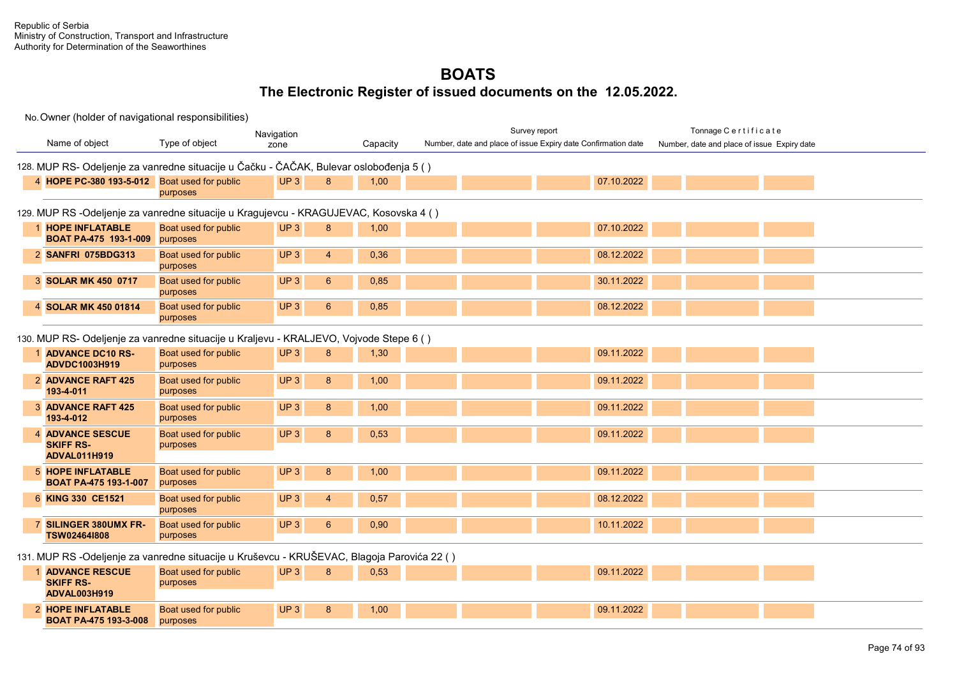|                                                                                             |                                  | Navigation             |          | Survey report                                                 | Tonnage Certificate                         |
|---------------------------------------------------------------------------------------------|----------------------------------|------------------------|----------|---------------------------------------------------------------|---------------------------------------------|
| Name of object                                                                              | Type of object                   | zone                   | Capacity | Number, date and place of issue Expiry date Confirmation date | Number, date and place of issue Expiry date |
| 128. MUP RS- Odeljenje za vanredne situacije u Čačku - ČAČAK, Bulevar oslobođenja 5 ( )     |                                  |                        |          |                                                               |                                             |
| 4 HOPE PC-380 193-5-012 Boat used for public                                                | purposes                         | UP <sub>3</sub><br>8   | 1,00     | 07.10.2022                                                    |                                             |
| 129. MUP RS -Odeljenje za vanredne situacije u Kragujevcu - KRAGUJEVAC, Kosovska 4 ()       |                                  |                        |          |                                                               |                                             |
| 1 HOPE INFLATABLE<br><b>BOAT PA-475 193-1-009</b> purposes                                  | Boat used for public             | UP <sub>3</sub><br>8   | 1,00     | 07.10.2022                                                    |                                             |
| 2 SANFRI 075BDG313                                                                          | Boat used for public<br>purposes | UP3<br>$\overline{4}$  | 0,36     | 08.12.2022                                                    |                                             |
| 3 SOLAR MK 450 0717                                                                         | Boat used for public<br>purposes | UP3<br>$6\phantom{1}6$ | 0,85     | 30.11.2022                                                    |                                             |
| 4 SOLAR MK 450 01814                                                                        | Boat used for public<br>purposes | UP3<br>$6\phantom{1}$  | 0,85     | 08.12.2022                                                    |                                             |
| 130. MUP RS- Odeljenje za vanredne situacije u Kraljevu - KRALJEVO, Vojvode Stepe 6 ()      |                                  |                        |          |                                                               |                                             |
| 1 ADVANCE DC10 RS-<br>ADVDC1003H919                                                         | Boat used for public<br>purposes | UP3<br>8               | 1,30     | 09.11.2022                                                    |                                             |
| 2 ADVANCE RAFT 425<br>193-4-011                                                             | Boat used for public<br>purposes | UP3<br>8               | 1,00     | 09.11.2022                                                    |                                             |
| <b>3 ADVANCE RAFT 425</b><br>193-4-012                                                      | Boat used for public<br>purposes | UP <sub>3</sub><br>8   | 1,00     | 09.11.2022                                                    |                                             |
| <b>4 ADVANCE SESCUE</b><br><b>SKIFF RS-</b>                                                 | Boat used for public<br>purposes | UP <sub>3</sub><br>8   | 0,53     | 09.11.2022                                                    |                                             |
| <b>ADVAL011H919</b>                                                                         |                                  |                        |          |                                                               |                                             |
| <b>5 HOPE INFLATABLE</b><br><b>BOAT PA-475 193-1-007</b>                                    | Boat used for public<br>purposes | UP3<br>8               | 1,00     | 09.11.2022                                                    |                                             |
| 6 KING 330 CE1521                                                                           | Boat used for public<br>purposes | UP3<br>$\overline{4}$  | 0,57     | 08.12.2022                                                    |                                             |
| 7 SILINGER 380UMX FR-<br>TSW024641808                                                       | Boat used for public<br>purposes | UP3<br>$6\phantom{1}$  | 0,90     | 10.11.2022                                                    |                                             |
| 131. MUP RS -Odeljenje za vanredne situacije u Kruševcu - KRUŠEVAC, Blagoja Parovića 22 ( ) |                                  |                        |          |                                                               |                                             |
| <b>ADVANCE RESCUE</b><br><b>SKIFF RS-</b><br>ADVAL003H919                                   | Boat used for public<br>purposes | UP <sub>3</sub><br>8   | 0,53     | 09.11.2022                                                    |                                             |
|                                                                                             |                                  | UP3                    |          | 09.11.2022                                                    |                                             |
| 2 HOPE INFLATABLE<br><b>BOAT PA-475 193-3-008</b>                                           | Boat used for public<br>purposes | 8                      | 1,00     |                                                               |                                             |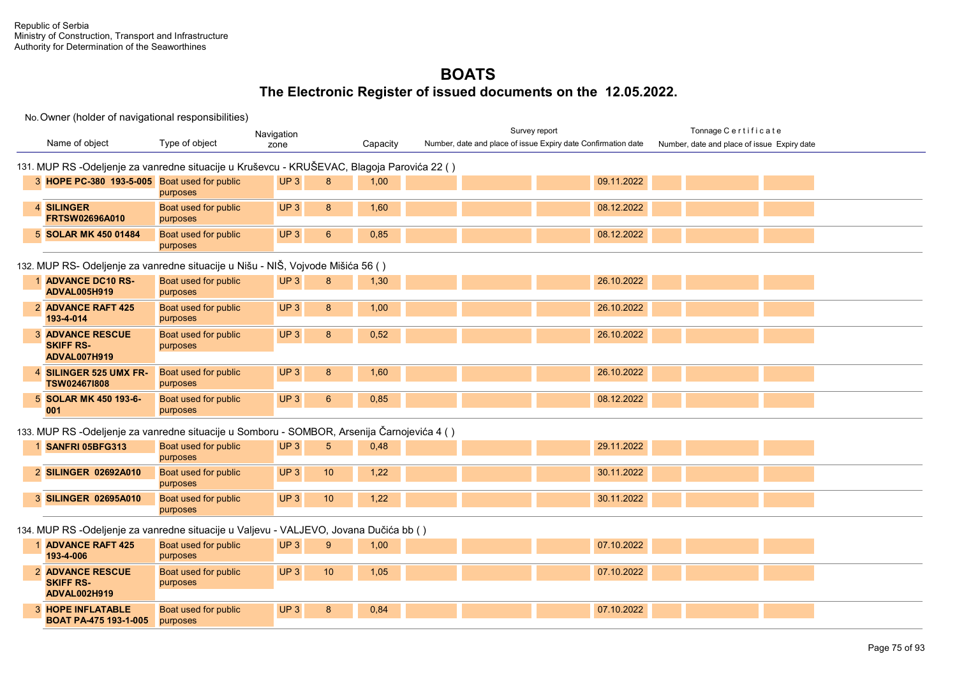|                                                                                 |                                                                                            |                                  | Navigation            |          |  | Survey report                                                 |            | Tonnage Certificate                         |  |  |
|---------------------------------------------------------------------------------|--------------------------------------------------------------------------------------------|----------------------------------|-----------------------|----------|--|---------------------------------------------------------------|------------|---------------------------------------------|--|--|
|                                                                                 | Name of object                                                                             | Type of object                   | zone                  | Capacity |  | Number, date and place of issue Expiry date Confirmation date |            | Number, date and place of issue Expiry date |  |  |
|                                                                                 | 131. MUP RS -Odeljenje za vanredne situacije u Kruševcu - KRUŠEVAC, Blagoja Parovića 22 () |                                  |                       |          |  |                                                               |            |                                             |  |  |
|                                                                                 | 3 HOPE PC-380 193-5-005 Boat used for public                                               | purposes                         | UP <sub>3</sub><br>8  | 1,00     |  |                                                               | 09.11.2022 |                                             |  |  |
|                                                                                 | 4 SILINGER<br>FRTSW02696A010                                                               | Boat used for public<br>purposes | UP <sub>3</sub><br>8  | 1,60     |  |                                                               | 08.12.2022 |                                             |  |  |
|                                                                                 | 5 SOLAR MK 450 01484                                                                       | Boat used for public<br>purposes | UP <sub>3</sub><br>6  | 0,85     |  |                                                               | 08.12.2022 |                                             |  |  |
| 132. MUP RS- Odeljenje za vanredne situacije u Nišu - NIŠ, Vojvode Mišića 56 () |                                                                                            |                                  |                       |          |  |                                                               |            |                                             |  |  |
|                                                                                 | 1 ADVANCE DC10 RS-<br><b>ADVAL005H919</b>                                                  | Boat used for public<br>purposes | UP <sub>3</sub><br>8  | 1,30     |  |                                                               | 26.10.2022 |                                             |  |  |
|                                                                                 | 2 ADVANCE RAFT 425<br>193-4-014                                                            | Boat used for public<br>purposes | UP <sub>3</sub><br>8  | 1,00     |  |                                                               | 26.10.2022 |                                             |  |  |
|                                                                                 | <b>3 ADVANCE RESCUE</b><br><b>SKIFF RS-</b><br>ADVAL007H919                                | Boat used for public<br>purposes | UP3<br>8              | 0,52     |  |                                                               | 26.10.2022 |                                             |  |  |
|                                                                                 | 4 SILINGER 525 UMX FR-<br>TSW024671808                                                     | Boat used for public<br>purposes | UP <sub>3</sub><br>8  | 1,60     |  |                                                               | 26.10.2022 |                                             |  |  |
|                                                                                 | 5 SOLAR MK 450 193-6-<br>001                                                               | Boat used for public<br>purposes | UP3<br>$6\phantom{1}$ | 0,85     |  |                                                               | 08.12.2022 |                                             |  |  |
|                                                                                 | 133. MUP RS -Odeljenje za vanredne situacije u Somboru - SOMBOR, Arsenija Čarnojevića 4 () |                                  |                       |          |  |                                                               |            |                                             |  |  |
|                                                                                 | 1 SANFRI 05BFG313                                                                          | Boat used for public<br>purposes | UP3<br>5              | 0,48     |  |                                                               | 29.11.2022 |                                             |  |  |
|                                                                                 | 2 SILINGER 02692A010                                                                       | Boat used for public<br>purposes | UP <sub>3</sub><br>10 | 1,22     |  |                                                               | 30.11.2022 |                                             |  |  |
|                                                                                 | 3 SILINGER 02695A010                                                                       | Boat used for public<br>purposes | UP3<br>10             | 1,22     |  |                                                               | 30.11.2022 |                                             |  |  |
|                                                                                 | 134. MUP RS -Odeljenje za vanredne situacije u Valjevu - VALJEVO, Jovana Dučića bb ()      |                                  |                       |          |  |                                                               |            |                                             |  |  |
|                                                                                 | 1 ADVANCE RAFT 425<br>193-4-006                                                            | Boat used for public<br>purposes | UP3<br>9              | 1,00     |  |                                                               | 07.10.2022 |                                             |  |  |
|                                                                                 | <b>2 ADVANCE RESCUE</b><br><b>SKIFF RS-</b><br>ADVAL002H919                                | Boat used for public<br>purposes | UP <sub>3</sub><br>10 | 1,05     |  |                                                               | 07.10.2022 |                                             |  |  |
|                                                                                 | <b>3 HOPE INFLATABLE</b><br><b>BOAT PA-475 193-1-005</b>                                   | Boat used for public<br>purposes | UP <sub>3</sub><br>8  | 0,84     |  |                                                               | 07.10.2022 |                                             |  |  |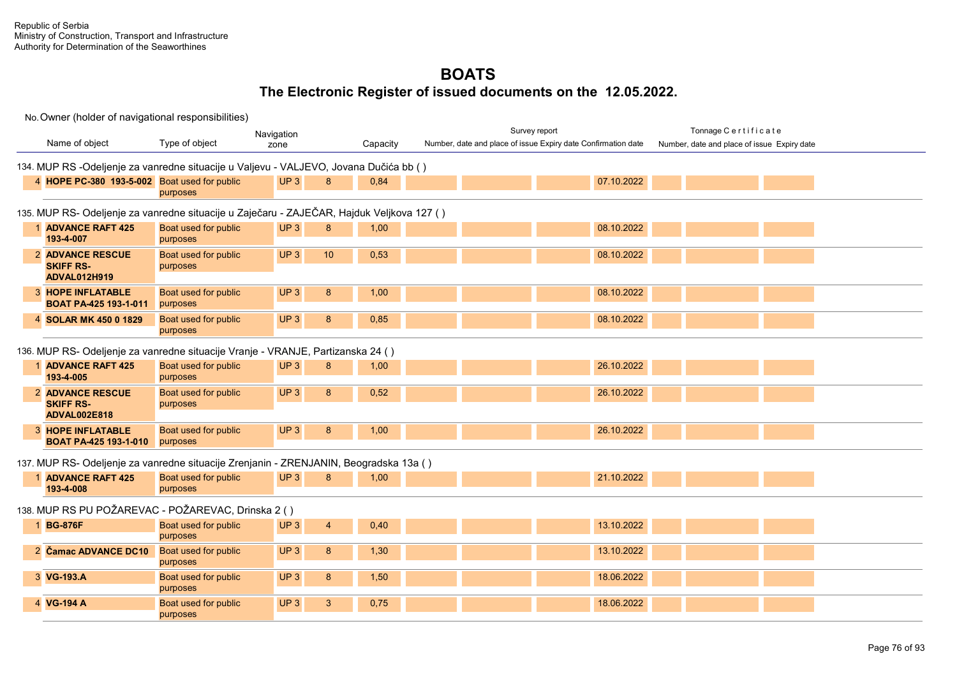|                                                                                           |                                  | Navigation                         |          | Survey report                                                 | Tonnage Certificate                         |  |  |  |  |  |
|-------------------------------------------------------------------------------------------|----------------------------------|------------------------------------|----------|---------------------------------------------------------------|---------------------------------------------|--|--|--|--|--|
| Name of object                                                                            | Type of object                   | zone                               | Capacity | Number, date and place of issue Expiry date Confirmation date | Number, date and place of issue Expiry date |  |  |  |  |  |
| 134. MUP RS -Odeljenje za vanredne situacije u Valjevu - VALJEVO, Jovana Dučića bb ()     |                                  |                                    |          |                                                               |                                             |  |  |  |  |  |
| 4 HOPE PC-380 193-5-002 Boat used for public                                              | purposes                         | UP3<br>8                           | 0,84     | 07.10.2022                                                    |                                             |  |  |  |  |  |
| 135. MUP RS- Odeljenje za vanredne situacije u Zaječaru - ZAJEČAR, Hajduk Veljkova 127 () |                                  |                                    |          |                                                               |                                             |  |  |  |  |  |
| 1 ADVANCE RAFT 425<br>193-4-007                                                           | Boat used for public<br>purposes | UP <sub>3</sub><br>8               | 1,00     | 08.10.2022                                                    |                                             |  |  |  |  |  |
| <b>2 ADVANCE RESCUE</b><br><b>SKIFF RS-</b><br><b>ADVAL012H919</b>                        | Boat used for public<br>purposes | UP <sub>3</sub><br>10 <sup>°</sup> | 0,53     | 08.10.2022                                                    |                                             |  |  |  |  |  |
| <b>3 HOPE INFLATABLE</b><br><b>BOAT PA-425 193-1-011</b>                                  | Boat used for public<br>purposes | UP <sub>3</sub><br>8               | 1,00     | 08.10.2022                                                    |                                             |  |  |  |  |  |
| 4 SOLAR MK 450 0 1829                                                                     | Boat used for public<br>purposes | UP <sub>3</sub><br>8               | 0,85     | 08.10.2022                                                    |                                             |  |  |  |  |  |
| 136. MUP RS- Odeljenje za vanredne situacije Vranje - VRANJE, Partizanska 24 ()           |                                  |                                    |          |                                                               |                                             |  |  |  |  |  |
| <b>ADVANCE RAFT 425</b><br>193-4-005                                                      | Boat used for public<br>purposes | UP <sub>3</sub><br>8               | 1,00     | 26.10.2022                                                    |                                             |  |  |  |  |  |
| <b>2 ADVANCE RESCUE</b><br><b>SKIFF RS-</b><br><b>ADVAL002E818</b>                        | Boat used for public<br>purposes | UP <sub>3</sub><br>8               | 0,52     | 26.10.2022                                                    |                                             |  |  |  |  |  |
| <b>3 HOPE INFLATABLE</b><br><b>BOAT PA-425 193-1-010</b>                                  | Boat used for public<br>purposes | UP3<br>8                           | 1,00     | 26.10.2022                                                    |                                             |  |  |  |  |  |
| 137. MUP RS- Odeljenje za vanredne situacije Zrenjanin - ZRENJANIN, Beogradska 13a ()     |                                  |                                    |          |                                                               |                                             |  |  |  |  |  |
| <b>ADVANCE RAFT 425</b><br>193-4-008                                                      | Boat used for public<br>purposes | UP3<br>8                           | 1,00     | 21.10.2022                                                    |                                             |  |  |  |  |  |
| 138. MUP RS PU POŽAREVAC - POŽAREVAC, Drinska 2 ()                                        |                                  |                                    |          |                                                               |                                             |  |  |  |  |  |
| 1 BG-876F                                                                                 | Boat used for public<br>purposes | UP <sub>3</sub><br>$\overline{4}$  | 0,40     | 13.10.2022                                                    |                                             |  |  |  |  |  |
| 2 Čamac ADVANCE DC10                                                                      | Boat used for public<br>purposes | UP <sub>3</sub><br>8               | 1,30     | 13.10.2022                                                    |                                             |  |  |  |  |  |
| 3 VG-193.A                                                                                | Boat used for public<br>purposes | UP <sub>3</sub><br>8               | 1,50     | 18.06.2022                                                    |                                             |  |  |  |  |  |
| 4 VG-194 A                                                                                | Boat used for public<br>purposes | UP <sub>3</sub><br>3               | 0,75     | 18.06.2022                                                    |                                             |  |  |  |  |  |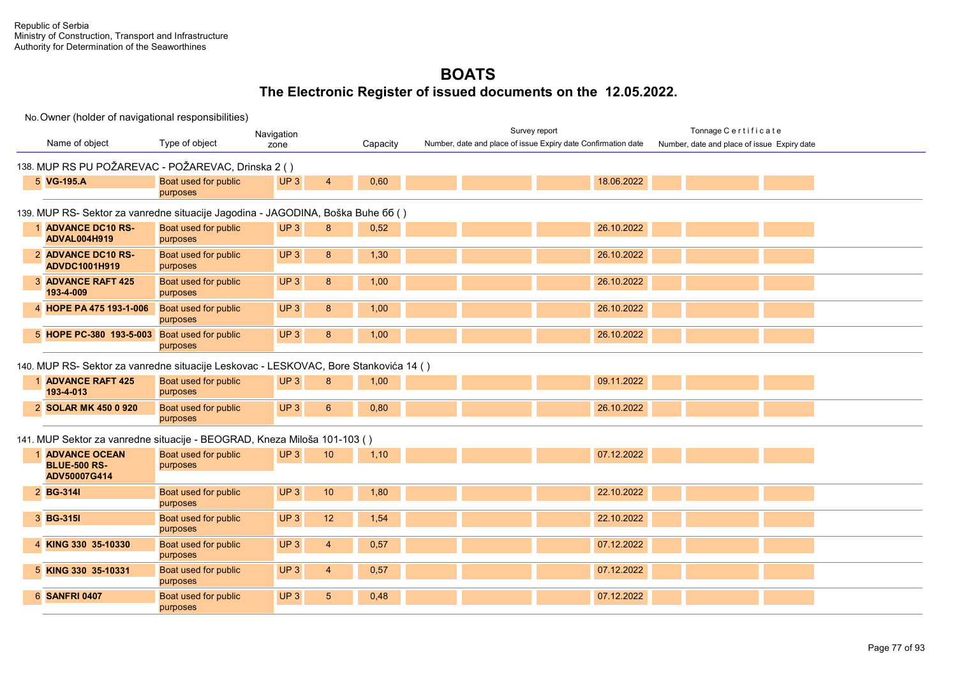|                                                                                      |                                  | Navigation                        |          | Survey report                                                 | Tonnage Certificate                         |
|--------------------------------------------------------------------------------------|----------------------------------|-----------------------------------|----------|---------------------------------------------------------------|---------------------------------------------|
| Name of object                                                                       | Type of object                   | zone                              | Capacity | Number, date and place of issue Expiry date Confirmation date | Number, date and place of issue Expiry date |
| 138. MUP RS PU POŽAREVAC - POŽAREVAC, Drinska 2 ()                                   |                                  |                                   |          |                                                               |                                             |
| 5 VG-195.A                                                                           | Boat used for public<br>purposes | UP3<br>$\overline{4}$             | 0,60     | 18.06.2022                                                    |                                             |
| 139. MUP RS- Sektor za vanredne situacije Jagodina - JAGODINA, Boška Buhe 66 ()      |                                  |                                   |          |                                                               |                                             |
| 1 ADVANCE DC10 RS-<br><b>ADVAL004H919</b>                                            | Boat used for public<br>purposes | UP <sub>3</sub><br>8              | 0,52     | 26.10.2022                                                    |                                             |
| 2 ADVANCE DC10 RS-<br>ADVDC1001H919                                                  | Boat used for public<br>purposes | UP3<br>8                          | 1,30     | 26.10.2022                                                    |                                             |
| <b>3 ADVANCE RAFT 425</b><br>193-4-009                                               | Boat used for public<br>purposes | UP <sub>3</sub><br>8              | 1,00     | 26.10.2022                                                    |                                             |
| 4 HOPE PA 475 193-1-006                                                              | Boat used for public<br>purposes | UP <sub>3</sub><br>8              | 1,00     | 26.10.2022                                                    |                                             |
| 5 HOPE PC-380 193-5-003 Boat used for public                                         | purposes                         | UP <sub>3</sub><br>8              | 1,00     | 26.10.2022                                                    |                                             |
| 140. MUP RS- Sektor za vanredne situacije Leskovac - LESKOVAC, Bore Stankovića 14 () |                                  |                                   |          |                                                               |                                             |
| 1 ADVANCE RAFT 425<br>193-4-013                                                      | Boat used for public<br>purposes | UP <sub>3</sub><br>8              | 1,00     | 09.11.2022                                                    |                                             |
| 2 SOLAR MK 450 0 920                                                                 | Boat used for public<br>purposes | UP3<br>6 <sup>1</sup>             | 0,80     | 26.10.2022                                                    |                                             |
| 141. MUP Sektor za vanredne situacije - BEOGRAD, Kneza Miloša 101-103 ()             |                                  |                                   |          |                                                               |                                             |
| <b>ADVANCE OCEAN</b><br><b>BLUE-500 RS-</b>                                          | Boat used for public<br>purposes | UP3<br>10                         | 1,10     | 07.12.2022                                                    |                                             |
| ADV50007G414                                                                         |                                  |                                   |          |                                                               |                                             |
| 2 BG-314I                                                                            | Boat used for public<br>purposes | UP <sub>3</sub><br>10             | 1,80     | 22.10.2022                                                    |                                             |
| 3 BG-315I                                                                            | Boat used for public<br>purposes | UP <sub>3</sub><br>12             | 1,54     | 22.10.2022                                                    |                                             |
| 4 KING 330 35-10330                                                                  | Boat used for public<br>purposes | UP <sub>3</sub><br>$\overline{4}$ | 0,57     | 07.12.2022                                                    |                                             |
| 5 KING 330 35-10331                                                                  | Boat used for public<br>purposes | UP <sub>3</sub><br>$\overline{4}$ | 0,57     | 07.12.2022                                                    |                                             |
| <b>6 SANFRI 0407</b>                                                                 | Boat used for public<br>purposes | UP3<br>5 <sup>5</sup>             | 0,48     | 07.12.2022                                                    |                                             |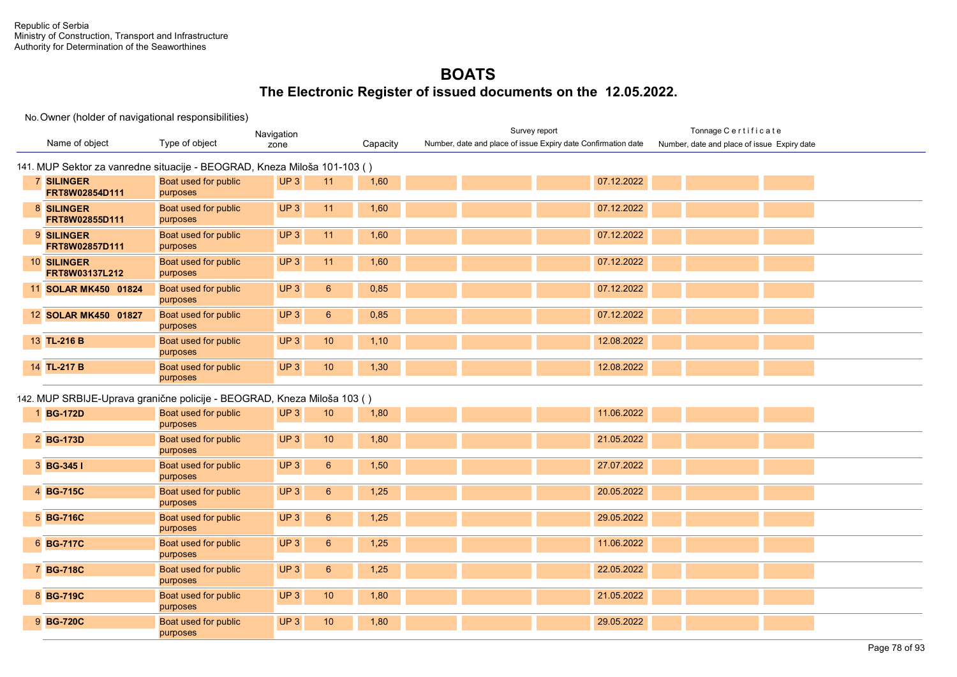|                                                                          |                                  | Navigation                        |          | Survey report                                                 | Tonnage Certificate                         |
|--------------------------------------------------------------------------|----------------------------------|-----------------------------------|----------|---------------------------------------------------------------|---------------------------------------------|
| Name of object                                                           | Type of object                   | zone                              | Capacity | Number, date and place of issue Expiry date Confirmation date | Number, date and place of issue Expiry date |
| 141. MUP Sektor za vanredne situacije - BEOGRAD, Kneza Miloša 101-103 () |                                  |                                   |          |                                                               |                                             |
| <b>7 SILINGER</b><br>FRT8W02854D111                                      | Boat used for public<br>purposes | UP3<br>11                         | 1,60     | 07.12.2022                                                    |                                             |
| 8 SILINGER<br>FRT8W02855D111                                             | Boat used for public<br>purposes | UP <sub>3</sub><br>11             | 1,60     | 07.12.2022                                                    |                                             |
| 9 SILINGER<br>FRT8W02857D111                                             | Boat used for public<br>purposes | UP <sub>3</sub><br>11             | 1,60     | 07.12.2022                                                    |                                             |
| 10 SILINGER<br>FRT8W03137L212                                            | Boat used for public<br>purposes | UP3<br>11                         | 1,60     | 07.12.2022                                                    |                                             |
| 11 SOLAR MK450 01824                                                     | Boat used for public<br>purposes | UP3<br>$6\phantom{1}$             | 0,85     | 07.12.2022                                                    |                                             |
| 12 SOLAR MK450 01827                                                     | Boat used for public<br>purposes | UP3<br>$6\phantom{.}6$            | 0,85     | 07.12.2022                                                    |                                             |
| 13 TL-216 B                                                              | Boat used for public<br>purposes | UP <sub>3</sub><br>10             | 1,10     | 12.08.2022                                                    |                                             |
| 14 TL-217 B                                                              | Boat used for public<br>purposes | UP <sub>3</sub><br>10             | 1,30     | 12.08.2022                                                    |                                             |
| 142. MUP SRBIJE-Uprava granične policije - BEOGRAD, Kneza Miloša 103 ()  |                                  |                                   |          |                                                               |                                             |
| 1 BG-172D                                                                | Boat used for public<br>purposes | UP <sub>3</sub><br>10             | 1,80     | 11.06.2022                                                    |                                             |
| 2 BG-173D                                                                | Boat used for public<br>purposes | UP3<br>10                         | 1,80     | 21.05.2022                                                    |                                             |
| 3 BG-345 I                                                               | Boat used for public<br>purposes | UP3<br>$6\phantom{1}$             | 1,50     | 27.07.2022                                                    |                                             |
| 4 BG-715C                                                                | Boat used for public<br>purposes | UP3<br>$6\phantom{1}$             | 1,25     | 20.05.2022                                                    |                                             |
| 5 BG-716C                                                                | Boat used for public<br>purposes | UP <sub>3</sub><br>$6\phantom{1}$ | 1,25     | 29.05.2022                                                    |                                             |
| 6 BG-717C                                                                | Boat used for public<br>purposes | UP3<br>$6\phantom{.}6$            | 1,25     | 11.06.2022                                                    |                                             |
| 7 BG-718C                                                                | Boat used for public<br>purposes | UP3<br>$6\overline{6}$            | 1,25     | 22.05.2022                                                    |                                             |
| 8 BG-719C                                                                | Boat used for public<br>purposes | UP3<br>10                         | 1,80     | 21.05.2022                                                    |                                             |
| 9 BG-720C                                                                | Boat used for public<br>purposes | UP <sub>3</sub><br>10             | 1,80     | 29.05.2022                                                    |                                             |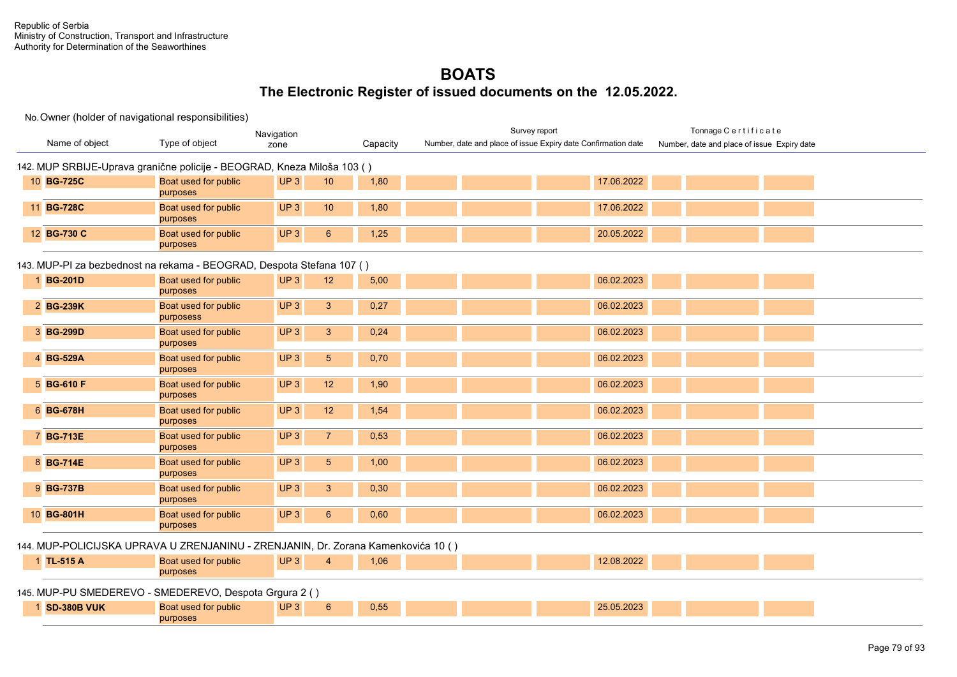#### No. Owner (holder of navigational responsibilities)

purposes

|                                                                                   |                                  | Navigation                         |          | Survey report                                                 | Tonnage Certificate                         |
|-----------------------------------------------------------------------------------|----------------------------------|------------------------------------|----------|---------------------------------------------------------------|---------------------------------------------|
| Name of object                                                                    | Type of object                   | zone                               | Capacity | Number, date and place of issue Expiry date Confirmation date | Number, date and place of issue Expiry date |
|                                                                                   |                                  |                                    |          |                                                               |                                             |
| 142. MUP SRBIJE-Uprava granične policije - BEOGRAD, Kneza Miloša 103 ()           |                                  |                                    |          |                                                               |                                             |
| 10 BG-725C                                                                        | Boat used for public             | UP3<br>10                          | 1,80     | 17.06.2022                                                    |                                             |
|                                                                                   | purposes                         |                                    |          |                                                               |                                             |
| 11 BG-728C                                                                        | Boat used for public<br>purposes | UP <sub>3</sub><br>10 <sup>°</sup> | 1,80     | 17.06.2022                                                    |                                             |
| 12 BG-730 C                                                                       | Boat used for public<br>purposes | UP3<br>$6\phantom{1}$              | 1,25     | 20.05.2022                                                    |                                             |
| 143. MUP-PI za bezbednost na rekama - BEOGRAD, Despota Stefana 107 ()             |                                  |                                    |          |                                                               |                                             |
| 1 BG-201D                                                                         | Boat used for public             | UP3<br>12                          | 5,00     | 06.02.2023                                                    |                                             |
|                                                                                   | purposes                         |                                    |          |                                                               |                                             |
| 2 BG-239K                                                                         | Boat used for public             | $\mathbf{3}$<br>UP3                | 0,27     | 06.02.2023                                                    |                                             |
|                                                                                   | purposess                        |                                    |          |                                                               |                                             |
| 3 BG-299D                                                                         | Boat used for public             | UP3<br>$\mathbf{3}$                | 0,24     | 06.02.2023                                                    |                                             |
|                                                                                   | purposes                         |                                    |          |                                                               |                                             |
| 4 BG-529A                                                                         | Boat used for public<br>purposes | $\sqrt{5}$<br>UP3                  | 0,70     | 06.02.2023                                                    |                                             |
| 5 BG-610 F                                                                        | Boat used for public<br>purposes | UP3<br>12                          | 1,90     | 06.02.2023                                                    |                                             |
| 6 BG-678H                                                                         | Boat used for public             | UP3<br>12                          | 1,54     | 06.02.2023                                                    |                                             |
|                                                                                   | purposes                         |                                    |          |                                                               |                                             |
| 7 BG-713E                                                                         | Boat used for public             | UP3<br>$\overline{7}$              | 0,53     | 06.02.2023                                                    |                                             |
|                                                                                   | purposes                         |                                    |          |                                                               |                                             |
| 8 BG-714E                                                                         | Boat used for public<br>purposes | UP3<br>$\sqrt{5}$                  | 1,00     | 06.02.2023                                                    |                                             |
| 9 BG-737B                                                                         | Boat used for public             | UP3<br>$\mathbf{3}$                | 0,30     | 06.02.2023                                                    |                                             |
|                                                                                   | purposes                         |                                    |          |                                                               |                                             |
| 10 BG-801H                                                                        | Boat used for public<br>purposes | UP3<br>$6\phantom{1}6$             | 0,60     | 06.02.2023                                                    |                                             |
| 144. MUP-POLICIJSKA UPRAVA U ZRENJANINU - ZRENJANIN, Dr. Zorana Kamenkovića 10 () |                                  |                                    |          |                                                               |                                             |
| 1 TL-515 A                                                                        | Boat used for public             | UP3<br>$\overline{4}$              | 1,06     | 12.08.2022                                                    |                                             |
|                                                                                   | purposes                         |                                    |          |                                                               |                                             |
| 145. MUP-PU SMEDEREVO - SMEDEREVO, Despota Grgura 2 ()                            |                                  |                                    |          |                                                               |                                             |
| 1 SD-380B VUK                                                                     | Boat used for public             | UP3<br>$6\phantom{1}6$             | 0,55     | 25.05.2023                                                    |                                             |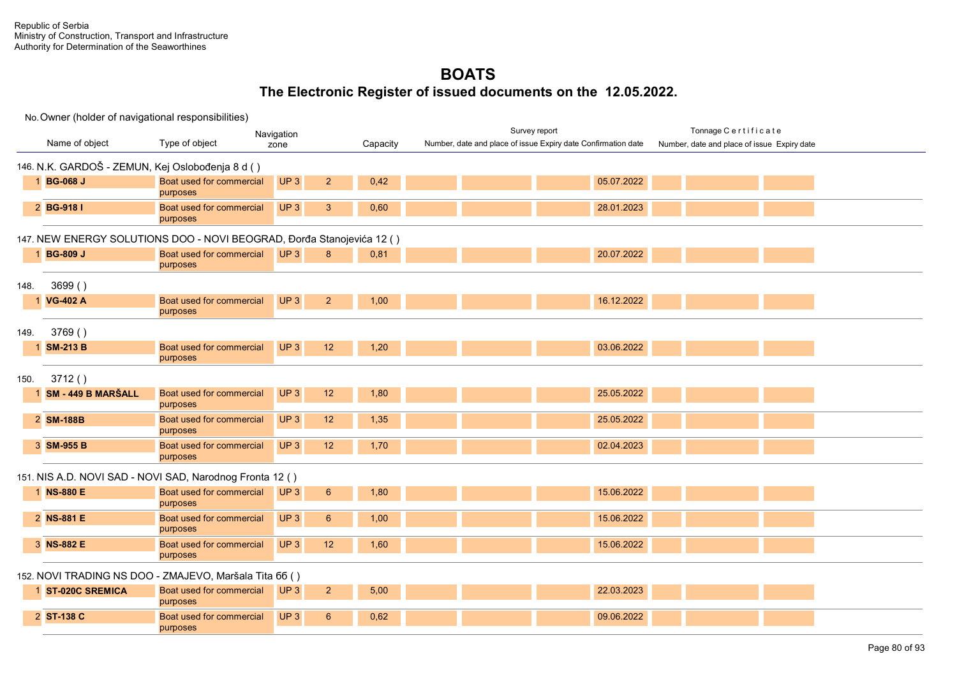| Navigation   |                                                  |                                                                       |                                   |          | Survey report                                                 | Tonnage Certificate                         |
|--------------|--------------------------------------------------|-----------------------------------------------------------------------|-----------------------------------|----------|---------------------------------------------------------------|---------------------------------------------|
|              | Name of object                                   | Type of object                                                        | zone                              | Capacity | Number, date and place of issue Expiry date Confirmation date | Number, date and place of issue Expiry date |
|              | 146. N.K. GARDOŠ - ZEMUN, Kej Oslobođenja 8 d () |                                                                       |                                   |          |                                                               |                                             |
|              | 1 BG-068 J                                       | Boat used for commercial<br>purposes                                  | UP3<br>$\overline{2}$             | 0,42     | 05.07.2022                                                    |                                             |
|              | 2 BG-918 I                                       | Boat used for commercial<br>purposes                                  | UP3<br>3                          | 0,60     | 28.01.2023                                                    |                                             |
|              |                                                  | 147. NEW ENERGY SOLUTIONS DOO - NOVI BEOGRAD, Đorđa Stanojevića 12 () |                                   |          |                                                               |                                             |
|              | 1 BG-809 J                                       | Boat used for commercial<br>purposes                                  | UP <sub>3</sub><br>8              | 0,81     | 20.07.2022                                                    |                                             |
| 148.         | 3699()                                           |                                                                       |                                   |          |                                                               |                                             |
| $\mathbf{1}$ | <b>VG-402 A</b>                                  | Boat used for commercial<br>purposes                                  | UP <sub>3</sub><br>$\overline{2}$ | 1,00     | 16.12.2022                                                    |                                             |
| 149.         | 3769()                                           |                                                                       |                                   |          |                                                               |                                             |
|              | 1 SM-213 B                                       | Boat used for commercial<br>purposes                                  | UP <sub>3</sub><br>12             | 1,20     | 03.06.2022                                                    |                                             |
| 150.         | 3712()                                           |                                                                       |                                   |          |                                                               |                                             |
|              | 1 SM - 449 B MARŠALL                             | Boat used for commercial<br>purposes                                  | UP3<br>12                         | 1,80     | 25.05.2022                                                    |                                             |
|              | 2 SM-188B                                        | Boat used for commercial<br>purposes                                  | UP3<br>12                         | 1,35     | 25.05.2022                                                    |                                             |
|              | 3 SM-955 B                                       | Boat used for commercial<br>purposes                                  | UP3<br>12                         | 1,70     | 02.04.2023                                                    |                                             |
|              |                                                  | 151. NIS A.D. NOVI SAD - NOVI SAD, Narodnog Fronta 12 ()              |                                   |          |                                                               |                                             |
|              | 1 NS-880 E                                       | Boat used for commercial<br>purposes                                  | UP <sub>3</sub><br>$6\phantom{1}$ | 1,80     | 15.06.2022                                                    |                                             |
|              | 2 NS-881 E                                       | Boat used for commercial<br>purposes                                  | UP3<br>$6\phantom{1}$             | 1,00     | 15.06.2022                                                    |                                             |
|              | 3 NS-882 E                                       | Boat used for commercial<br>purposes                                  | UP3<br>12                         | 1,60     | 15.06.2022                                                    |                                             |
|              |                                                  | 152. NOVI TRADING NS DOO - ZMAJEVO, Maršala Tita 66 ()                |                                   |          |                                                               |                                             |
|              | 1 ST-020C SREMICA                                | Boat used for commercial<br>purposes                                  | UP <sub>3</sub><br>2 <sup>2</sup> | 5,00     | 22.03.2023                                                    |                                             |
|              | 2 ST-138 C                                       | Boat used for commercial<br>purposes                                  | UP <sub>3</sub><br>6              | 0,62     | 09.06.2022                                                    |                                             |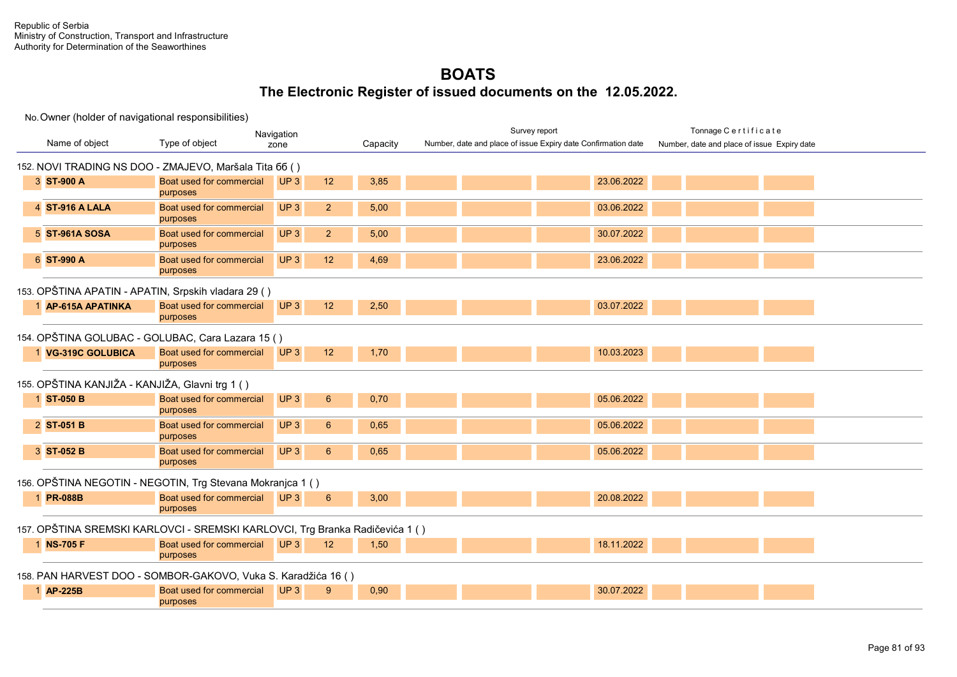|                                                                              |                                      | Navigation      |                 |          | Survey report                                                 | Tonnage Certificate                         |
|------------------------------------------------------------------------------|--------------------------------------|-----------------|-----------------|----------|---------------------------------------------------------------|---------------------------------------------|
| Name of object                                                               | Type of object                       | zone            |                 | Capacity | Number, date and place of issue Expiry date Confirmation date | Number, date and place of issue Expiry date |
| 152. NOVI TRADING NS DOO - ZMAJEVO, Maršala Tita 66 ()                       |                                      |                 |                 |          |                                                               |                                             |
| 3 ST-900 A                                                                   | Boat used for commercial<br>purposes | UP3             | 12              | 3,85     |                                                               | 23.06.2022                                  |
| 4 ST-916 A LALA                                                              | Boat used for commercial<br>purposes | UP <sub>3</sub> | $\overline{2}$  | 5,00     |                                                               | 03.06.2022                                  |
| 5 ST-961A SOSA                                                               | Boat used for commercial<br>purposes | UP3             | $\overline{2}$  | 5,00     |                                                               | 30.07.2022                                  |
| 6 ST-990 A                                                                   | Boat used for commercial<br>purposes | UP3             | 12              | 4,69     |                                                               | 23.06.2022                                  |
| 153. OPŠTINA APATIN - APATIN, Srpskih vladara 29 ()                          |                                      |                 |                 |          |                                                               |                                             |
| 1 AP-615A APATINKA                                                           | Boat used for commercial<br>purposes | UP3             | 12              | 2,50     |                                                               | 03.07.2022                                  |
| 154. OPŠTINA GOLUBAC - GOLUBAC, Cara Lazara 15 ()                            |                                      |                 |                 |          |                                                               |                                             |
| 1 VG-319C GOLUBICA                                                           | Boat used for commercial<br>purposes | UP3             | 12              | 1,70     |                                                               | 10.03.2023                                  |
| 155. OPŠTINA KANJIŽA - KANJIŽA, Glavni trg 1 ( )                             |                                      |                 |                 |          |                                                               |                                             |
| 1 ST-050 B                                                                   | Boat used for commercial<br>purposes | UP3             | $6\overline{6}$ | 0,70     |                                                               | 05.06.2022                                  |
| 2 ST-051 B                                                                   | Boat used for commercial<br>purposes | UP3             | $6\overline{6}$ | 0.65     |                                                               | 05.06.2022                                  |
| 3 ST-052 B                                                                   | Boat used for commercial<br>purposes | UP3             | $6\phantom{1}$  | 0.65     |                                                               | 05.06.2022                                  |
| 156. OPŠTINA NEGOTIN - NEGOTIN, Trg Stevana Mokranjca 1 ()                   |                                      |                 |                 |          |                                                               |                                             |
| 1 PR-088B                                                                    | Boat used for commercial<br>purposes | UP3             | $6\phantom{1}6$ | 3,00     |                                                               | 20.08.2022                                  |
| 157. OPŠTINA SREMSKI KARLOVCI - SREMSKI KARLOVCI, Trg Branka Radičevića 1 () |                                      |                 |                 |          |                                                               |                                             |
| 1 NS-705 F                                                                   | Boat used for commercial<br>purposes | UP3             | 12              | 1,50     |                                                               | 18.11.2022                                  |
| 158. PAN HARVEST DOO - SOMBOR-GAKOVO, Vuka S. Karadžića 16 ()                |                                      |                 |                 |          |                                                               |                                             |
| 1 AP-225B                                                                    | Boat used for commercial<br>purposes | UP <sub>3</sub> | 9               | 0,90     |                                                               | 30.07.2022                                  |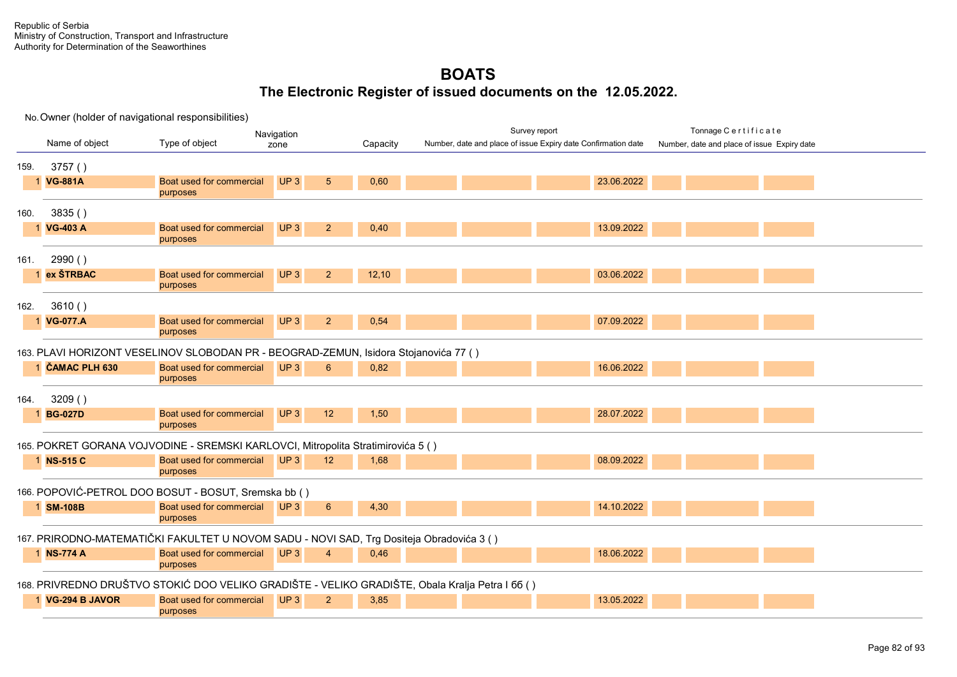No. Owner (holder of navigational responsibilities) Name of object Type of object **Capacity Capacity** Survey report Tonnage C e r t i f i c a t e Number, date and place of issue Expiry date Navigation Number, date and place of issue Expiry date Confirmation date 159. 3757 ( ) 1 **VG-881A** Boat used for commercial purposes  $\mathsf{UP}\,3$  5 0,60 2022 23.06.2022 160. 3835 ( ) 1 **VG-403 A** Boat used for commercial purposes UP 3 2 0,40 13.09.2022 13.09.2022 161. 2990 ( ) 1 **ex ŠTRBAC** Boat used for commercial purposes UP 3 2 12,10 03.06.2022 162. 3610 ( ) 1 **VG-077.A** Boat used for commercial purposes UP 3 2 0,54 07.09.2022 163. PLAVI HORIZONT VESELINOV SLOBODAN PR - BEOGRAD-ZEMUN, Isidora Stojanovića 77 ( ) 1 **ČAMAC PLH 630** Boat used for commercial purposes UP 3 6 0,82 16.06.2022 16.06.2022 164. 3209 ( ) 1 **BG-027D** Boat used for commercial purposes UP 3 28.07.2022 **1.50 2.08.07.2022** 165. POKRET GORANA VOJVODINE - SREMSKI KARLOVCI, Mitropolita Stratimirovića 5 ( ) 1 **NS-515 C** Boat used for commercial purposes UP 3 **12 1,68 08.09.2022** 166. POPOVIĆ-PETROL DOO BOSUT - BOSUT, Sremska bb ( ) 1 **SM-108B** Boat used for commercial purposes **UP 3 6 4.30 14.10.2022** 167. PRIRODNO-MATEMATIČKI FAKULTET U NOVOM SADU - NOVI SAD, Trg Dositeja Obradovića 3 ( ) 1 **NS-774 A** Boat used for commercial purposes UP 3 4 0,46 18.06.2022 18.06.2022 168. PRIVREDNO DRUŠTVO STOKIĆ DOO VELIKO GRADIŠTE - VELIKO GRADIŠTE, Obala Kralja Petra I бб ( ) 1 **VG-294 B JAVOR** Boat used for commercial purposes **UP 3 2 3,85 13.05.2022**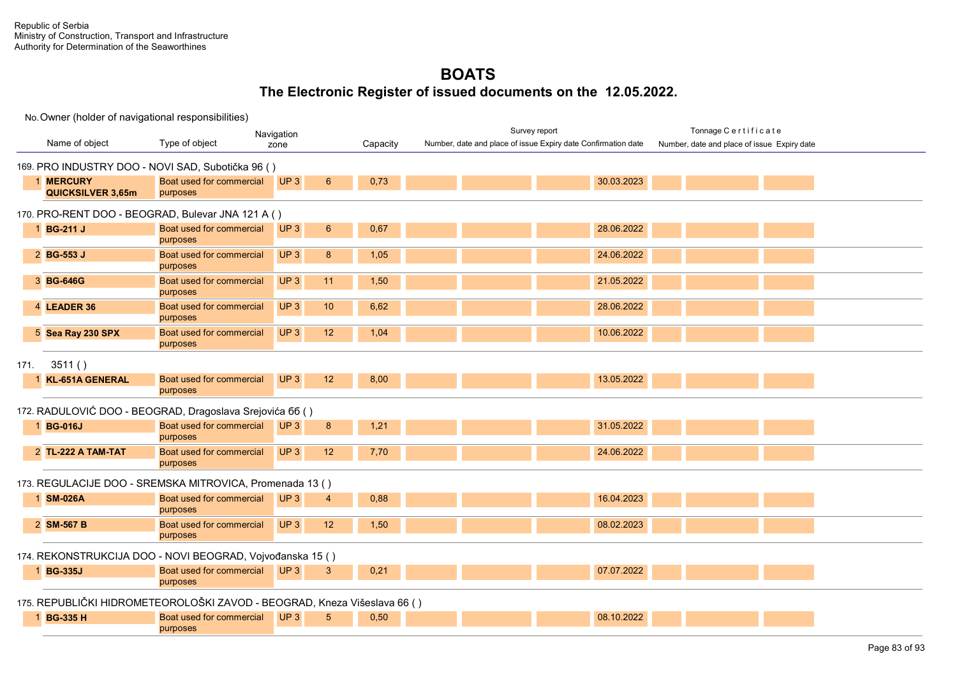|                                                                          |                                      | Navigation                         |          | Survey report                                                 | Tonnage Certificate                         |  |
|--------------------------------------------------------------------------|--------------------------------------|------------------------------------|----------|---------------------------------------------------------------|---------------------------------------------|--|
| Name of object                                                           | Type of object                       | zone                               | Capacity | Number, date and place of issue Expiry date Confirmation date | Number, date and place of issue Expiry date |  |
| 169. PRO INDUSTRY DOO - NOVI SAD, Subotička 96 ()                        |                                      |                                    |          |                                                               |                                             |  |
| 1 MERCURY<br><b>QUICKSILVER 3,65m</b>                                    | Boat used for commercial<br>purposes | UP3<br>6                           | 0,73     | 30.03.2023                                                    |                                             |  |
| 170. PRO-RENT DOO - BEOGRAD, Bulevar JNA 121 A ()                        |                                      |                                    |          |                                                               |                                             |  |
| 1 BG-211 J                                                               | Boat used for commercial<br>purposes | UP3<br>$6^{\circ}$                 | 0,67     | 28.06.2022                                                    |                                             |  |
| 2 BG-553 J                                                               | Boat used for commercial<br>purposes | UP3<br>8                           | 1,05     | 24.06.2022                                                    |                                             |  |
| 3 BG-646G                                                                | Boat used for commercial<br>purposes | UP <sub>3</sub><br>11              | 1,50     | 21.05.2022                                                    |                                             |  |
| 4 LEADER 36                                                              | Boat used for commercial<br>purposes | UP <sub>3</sub><br>10              | 6,62     | 28.06.2022                                                    |                                             |  |
| 5 Sea Ray 230 SPX                                                        | Boat used for commercial<br>purposes | UP <sub>3</sub><br>12 <sup>2</sup> | 1,04     | 10.06.2022                                                    |                                             |  |
| 3511()<br>171.                                                           |                                      |                                    |          |                                                               |                                             |  |
| 1 KL-651A GENERAL                                                        | Boat used for commercial<br>purposes | UP <sub>3</sub><br>12 <sup>2</sup> | 8,00     | 13.05.2022                                                    |                                             |  |
| 172. RADULOVIĆ DOO - BEOGRAD, Dragoslava Srejovića 66 ()                 |                                      |                                    |          |                                                               |                                             |  |
| 1 BG-016J                                                                | Boat used for commercial<br>purposes | UP <sub>3</sub><br>8               | 1,21     | 31.05.2022                                                    |                                             |  |
| 2 TL-222 A TAM-TAT                                                       | Boat used for commercial<br>purposes | UP3<br>12                          | 7,70     | 24.06.2022                                                    |                                             |  |
| 173. REGULACIJE DOO - SREMSKA MITROVICA, Promenada 13 ()                 |                                      |                                    |          |                                                               |                                             |  |
| 1 SM-026A                                                                | Boat used for commercial<br>purposes | UP3<br>$\overline{4}$              | 0,88     | 16.04.2023                                                    |                                             |  |
| 2 SM-567 B                                                               | Boat used for commercial<br>purposes | UP3<br>12                          | 1,50     | 08.02.2023                                                    |                                             |  |
| 174. REKONSTRUKCIJA DOO - NOVI BEOGRAD, Vojvođanska 15 ()                |                                      |                                    |          |                                                               |                                             |  |
| 1 BG-335J                                                                | Boat used for commercial<br>purposes | UP3<br>$\mathbf{3}$                | 0,21     | 07.07.2022                                                    |                                             |  |
| 175. REPUBLIČKI HIDROMETEOROLOŠKI ZAVOD - BEOGRAD, Kneza Višeslava 66 () |                                      |                                    |          |                                                               |                                             |  |
| 1 BG-335 H                                                               | Boat used for commercial<br>purposes | UP <sub>3</sub><br>$5^{\circ}$     | 0,50     | 08.10.2022                                                    |                                             |  |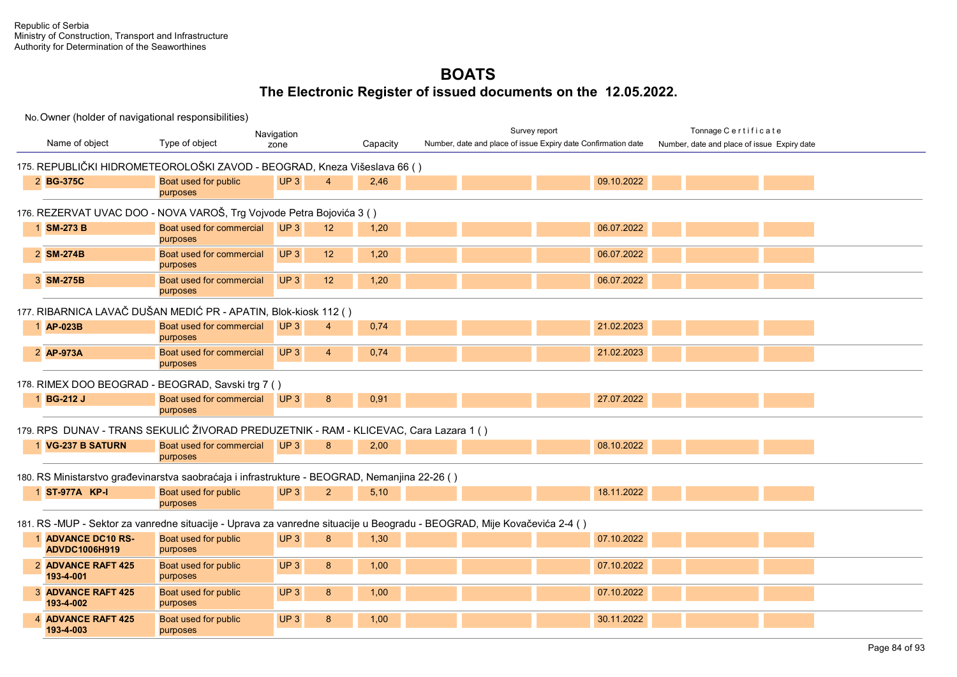| Navigation                                 |                                                                                                                         |                 |                 |          |  | Survey report |                                                               | Tonnage Certificate                         |  |
|--------------------------------------------|-------------------------------------------------------------------------------------------------------------------------|-----------------|-----------------|----------|--|---------------|---------------------------------------------------------------|---------------------------------------------|--|
| Name of object                             | Type of object                                                                                                          | zone            |                 | Capacity |  |               | Number, date and place of issue Expiry date Confirmation date | Number, date and place of issue Expiry date |  |
|                                            | 175. REPUBLIČKI HIDROMETEOROLOŠKI ZAVOD - BEOGRAD, Kneza Višeslava 66 ()                                                |                 |                 |          |  |               |                                                               |                                             |  |
| 2 BG-375C                                  | Boat used for public<br>purposes                                                                                        | UP <sub>3</sub> | $\overline{4}$  | 2,46     |  |               | 09.10.2022                                                    |                                             |  |
|                                            | 176. REZERVAT UVAC DOO - NOVA VAROŠ, Trg Vojvode Petra Bojovića 3 ()                                                    |                 |                 |          |  |               |                                                               |                                             |  |
| 1 SM-273 B                                 | Boat used for commercial<br>purposes                                                                                    | UP3             | 12 <sup>2</sup> | 1,20     |  |               | 06.07.2022                                                    |                                             |  |
| 2 SM-274B                                  | Boat used for commercial<br>purposes                                                                                    | UP3             | 12              | 1,20     |  |               | 06.07.2022                                                    |                                             |  |
| 3 SM-275B                                  | Boat used for commercial<br>purposes                                                                                    | UP <sub>3</sub> | 12 <sup>2</sup> | 1,20     |  |               | 06.07.2022                                                    |                                             |  |
|                                            | 177. RIBARNICA LAVAČ DUŠAN MEDIĆ PR - APATIN, Blok-kiosk 112 ()                                                         |                 |                 |          |  |               |                                                               |                                             |  |
| 1 AP-023B                                  | Boat used for commercial<br>purposes                                                                                    | UP3             | 4               | 0,74     |  |               | 21.02.2023                                                    |                                             |  |
| 2 AP-973A                                  | Boat used for commercial<br>purposes                                                                                    | UP <sub>3</sub> | $\overline{4}$  | 0,74     |  |               | 21.02.2023                                                    |                                             |  |
|                                            | 178. RIMEX DOO BEOGRAD - BEOGRAD, Savski trg 7 ()                                                                       |                 |                 |          |  |               |                                                               |                                             |  |
| 1 BG-212 J                                 | Boat used for commercial<br>purposes                                                                                    | UP3             | 8               | 0,91     |  |               | 27.07.2022                                                    |                                             |  |
|                                            | 179. RPS DUNAV - TRANS SEKULIĆ ŽIVORAD PREDUZETNIK - RAM - KLICEVAC, Cara Lazara 1 ()                                   |                 |                 |          |  |               |                                                               |                                             |  |
| 1 VG-237 B SATURN                          | Boat used for commercial<br>purposes                                                                                    | UP <sub>3</sub> | 8               | 2,00     |  |               | 08.10.2022                                                    |                                             |  |
|                                            | 180. RS Ministarstvo građevinarstva saobraćaja i infrastrukture - BEOGRAD, Nemanjina 22-26 ()                           |                 |                 |          |  |               |                                                               |                                             |  |
| 1 ST-977A KP-I                             | Boat used for public<br>purposes                                                                                        | UP <sub>3</sub> | $\overline{2}$  | 5,10     |  |               | 18.11.2022                                                    |                                             |  |
|                                            | 181. RS -MUP - Sektor za vanredne situacije - Uprava za vanredne situacije u Beogradu - BEOGRAD, Mije Kovačevića 2-4 () |                 |                 |          |  |               |                                                               |                                             |  |
| 1 ADVANCE DC10 RS-<br><b>ADVDC1006H919</b> | Boat used for public<br>purposes                                                                                        | UP3             | 8               | 1,30     |  |               | 07.10.2022                                                    |                                             |  |
| 2 ADVANCE RAFT 425<br>193-4-001            | Boat used for public<br>purposes                                                                                        | UP <sub>3</sub> | 8               | 1,00     |  |               | 07.10.2022                                                    |                                             |  |
| 3 ADVANCE RAFT 425<br>193-4-002            | Boat used for public<br>purposes                                                                                        | UP <sub>3</sub> | 8               | 1,00     |  |               | 07.10.2022                                                    |                                             |  |
| 4 ADVANCE RAFT 425<br>193-4-003            | Boat used for public<br>purposes                                                                                        | UP <sub>3</sub> | 8               | 1,00     |  |               | 30.11.2022                                                    |                                             |  |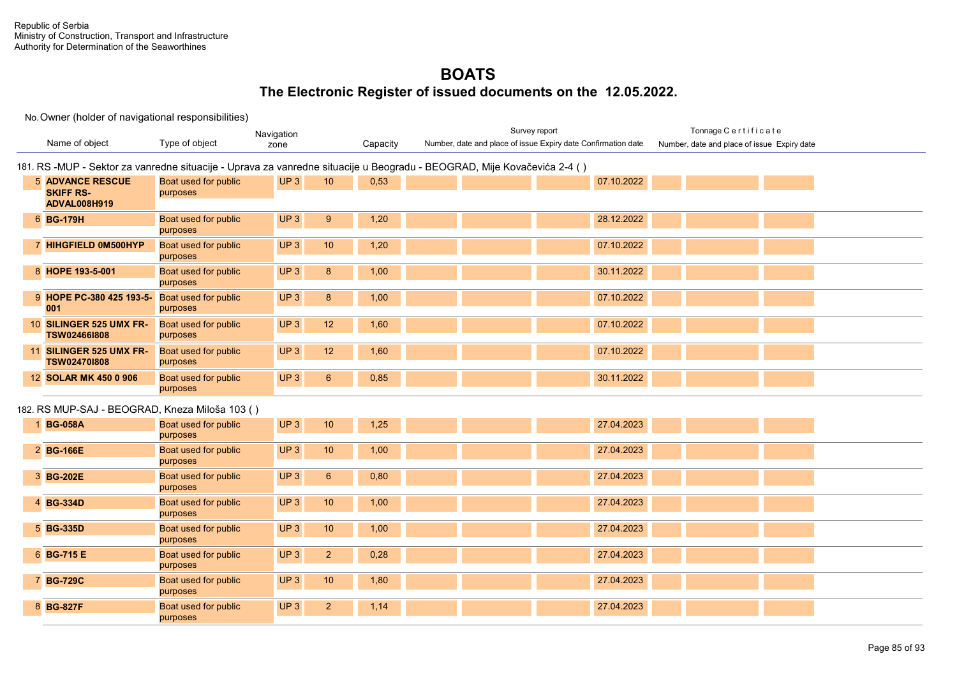|                                                                    |                                  | Navigation                        |          | Survey report                                                                                                           | Tonnage Certificate                         |
|--------------------------------------------------------------------|----------------------------------|-----------------------------------|----------|-------------------------------------------------------------------------------------------------------------------------|---------------------------------------------|
| Name of object                                                     | Type of object                   | zone                              | Capacity | Number, date and place of issue Expiry date Confirmation date                                                           | Number, date and place of issue Expiry date |
|                                                                    |                                  |                                   |          | 181. RS -MUP - Sektor za vanredne situacije - Uprava za vanredne situacije u Beogradu - BEOGRAD, Mije Kovačevića 2-4 () |                                             |
| <b>5 ADVANCE RESCUE</b><br><b>SKIFF RS-</b><br><b>ADVAL008H919</b> | Boat used for public<br>purposes | UP3<br>10                         | 0,53     | 07.10.2022                                                                                                              |                                             |
| 6 BG-179H                                                          | Boat used for public<br>purposes | UP <sub>3</sub><br>9              | 1,20     | 28.12.2022                                                                                                              |                                             |
| 7 HIHGFIELD 0M500HYP                                               | Boat used for public<br>purposes | UP <sub>3</sub><br>10             | 1,20     | 07.10.2022                                                                                                              |                                             |
| 8 HOPE 193-5-001                                                   | Boat used for public<br>purposes | UP <sub>3</sub><br>8              | 1,00     | 30.11.2022                                                                                                              |                                             |
| 9 HOPE PC-380 425 193-5- Boat used for public<br>001               | purposes                         | UP <sub>3</sub><br>8              | 1,00     | 07.10.2022                                                                                                              |                                             |
| 10 SILINGER 525 UMX FR-<br><b>TSW024661808</b>                     | Boat used for public<br>purposes | UP <sub>3</sub><br>12             | 1,60     | 07.10.2022                                                                                                              |                                             |
| 11 SILINGER 525 UMX FR-<br><b>TSW024701808</b>                     | Boat used for public<br>purposes | UP <sub>3</sub><br>12             | 1,60     | 07.10.2022                                                                                                              |                                             |
| 12 SOLAR MK 450 0 906                                              | Boat used for public<br>purposes | UP <sub>3</sub><br>$6\phantom{1}$ | 0,85     | 30.11.2022                                                                                                              |                                             |
| 182. RS MUP-SAJ - BEOGRAD, Kneza Miloša 103 ()                     |                                  |                                   |          |                                                                                                                         |                                             |
| 1 BG-058A                                                          | Boat used for public<br>purposes | UP <sub>3</sub><br>10             | 1,25     | 27.04.2023                                                                                                              |                                             |
| 2 BG-166E                                                          | Boat used for public<br>purposes | UP <sub>3</sub><br>10             | 1,00     | 27.04.2023                                                                                                              |                                             |
| 3 BG-202E                                                          | Boat used for public<br>purposes | UP3<br>$6\phantom{1}$             | 0,80     | 27.04.2023                                                                                                              |                                             |
| 4 BG-334D                                                          | Boat used for public<br>purposes | UP <sub>3</sub><br>10             | 1,00     | 27.04.2023                                                                                                              |                                             |
| 5 BG-335D                                                          | Boat used for public<br>purposes | UP <sub>3</sub><br>10             | 1,00     | 27.04.2023                                                                                                              |                                             |
| 6 BG-715 E                                                         | Boat used for public<br>purposes | UP3<br>$\overline{2}$             | 0,28     | 27.04.2023                                                                                                              |                                             |
| 7 BG-729C                                                          | Boat used for public<br>purposes | UP3<br>10                         | 1,80     | 27.04.2023                                                                                                              |                                             |
| 8 BG-827F                                                          | Boat used for public<br>purposes | UP <sub>3</sub><br>2 <sup>2</sup> | 1,14     | 27.04.2023                                                                                                              |                                             |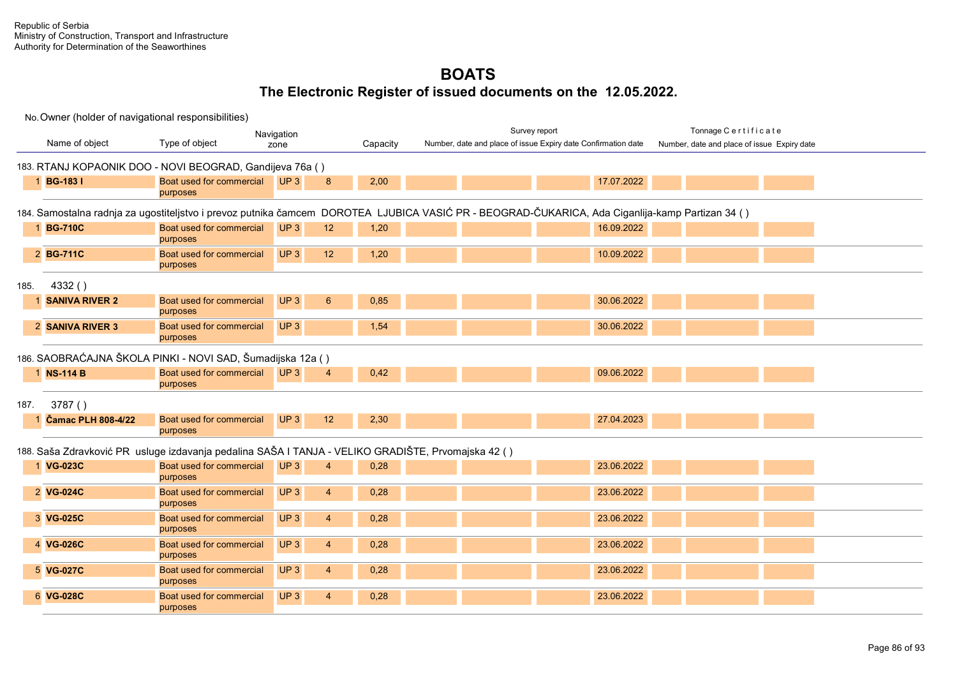|      | No. Owner (holder of navigational responsibilities) |                                                                                                     |                                             |          |                                                                                                                                                  |            |                                             |  |
|------|-----------------------------------------------------|-----------------------------------------------------------------------------------------------------|---------------------------------------------|----------|--------------------------------------------------------------------------------------------------------------------------------------------------|------------|---------------------------------------------|--|
|      |                                                     |                                                                                                     | Navigation                                  |          | Survey report                                                                                                                                    |            | Tonnage Certificate                         |  |
|      | Name of object                                      | Type of object                                                                                      | zone                                        | Capacity | Number, date and place of issue Expiry date Confirmation date                                                                                    |            | Number, date and place of issue Expiry date |  |
|      |                                                     | 183. RTANJ KOPAONIK DOO - NOVI BEOGRAD, Gandijeva 76a ()                                            |                                             |          |                                                                                                                                                  |            |                                             |  |
|      | 1 BG-183 I                                          | Boat used for commercial<br>purposes                                                                | UP <sub>3</sub><br>8                        | 2,00     |                                                                                                                                                  | 17.07.2022 |                                             |  |
|      |                                                     |                                                                                                     |                                             |          | 184. Samostalna radnja za ugostiteljstvo i prevoz putnika čamcem DOROTEA LJUBICA VASIĆ PR - BEOGRAD-ČUKARICA, Ada Ciganlija-kamp Partizan 34 ( ) |            |                                             |  |
|      | 1 BG-710C                                           | Boat used for commercial<br>purposes                                                                | UP3<br>12                                   | 1,20     |                                                                                                                                                  | 16.09.2022 |                                             |  |
|      | 2 BG-711C                                           | Boat used for commercial<br>purposes                                                                | UP <sub>3</sub><br>12                       | 1,20     |                                                                                                                                                  | 10.09.2022 |                                             |  |
| 185. | 4332()                                              |                                                                                                     |                                             |          |                                                                                                                                                  |            |                                             |  |
|      | <b>SANIVA RIVER 2</b>                               | Boat used for commercial<br>purposes                                                                | UP3<br>$6\phantom{1}6$                      | 0,85     |                                                                                                                                                  | 30.06.2022 |                                             |  |
|      | 2 SANIVA RIVER 3                                    | Boat used for commercial<br>purposes                                                                | UP3                                         | 1,54     |                                                                                                                                                  | 30.06.2022 |                                             |  |
|      |                                                     | 186. SAOBRAĆAJNA ŠKOLA PINKI - NOVI SAD, Šumadijska 12a ()                                          |                                             |          |                                                                                                                                                  |            |                                             |  |
|      | 1 NS-114 B                                          | Boat used for commercial<br>purposes                                                                | UP3<br>$\overline{4}$                       | 0,42     |                                                                                                                                                  | 09.06.2022 |                                             |  |
| 187. | 3787()                                              |                                                                                                     |                                             |          |                                                                                                                                                  |            |                                             |  |
|      | <b>Čamac PLH 808-4/22</b>                           | Boat used for commercial<br>purposes                                                                | UP <sub>3</sub><br>12                       | 2,30     |                                                                                                                                                  | 27.04.2023 |                                             |  |
|      |                                                     | 188. Saša Zdravković PR usluge izdavanja pedalina SAŠA I TANJA - VELIKO GRADIŠTE, Prvomajska 42 ( ) |                                             |          |                                                                                                                                                  |            |                                             |  |
|      | 1 VG-023C                                           | Boat used for commercial<br>purposes                                                                | UP <sub>3</sub><br>$\boldsymbol{\varDelta}$ | 0,28     |                                                                                                                                                  | 23.06.2022 |                                             |  |
|      | 2 VG-024C                                           | Boat used for commercial<br>purposes                                                                | UP3<br>$\overline{4}$                       | 0,28     |                                                                                                                                                  | 23.06.2022 |                                             |  |
|      | 3 VG-025C                                           | Boat used for commercial<br>purposes                                                                | UP3<br>$\overline{4}$                       | 0,28     |                                                                                                                                                  | 23.06.2022 |                                             |  |
|      | 4 VG-026C                                           | Boat used for commercial<br>purposes                                                                | UP3<br>$\overline{4}$                       | 0,28     |                                                                                                                                                  | 23.06.2022 |                                             |  |
|      | 5 VG-027C                                           | Boat used for commercial<br>purposes                                                                | UP3<br>$\overline{4}$                       | 0,28     |                                                                                                                                                  | 23.06.2022 |                                             |  |
|      | 6 VG-028C                                           | Boat used for commercial<br>purposes                                                                | UP3<br>$\overline{4}$                       | 0,28     |                                                                                                                                                  | 23.06.2022 |                                             |  |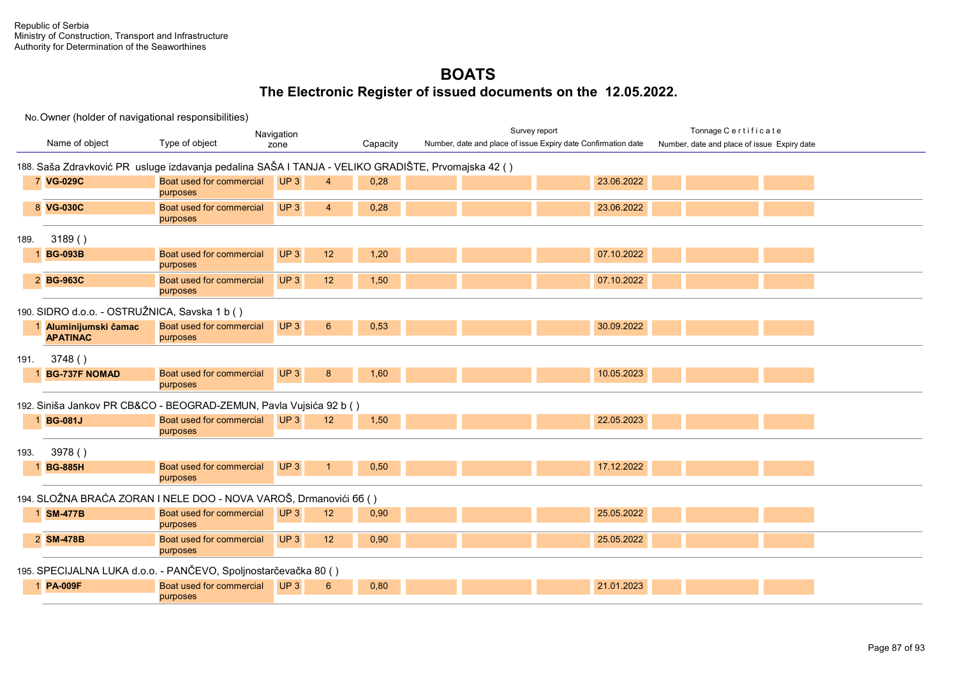|      | Navigation                                                                                         |                                                                    |                 |                       |          |  | Survey report |                                                               |  | Tonnage Certificate                         |  |  |  |
|------|----------------------------------------------------------------------------------------------------|--------------------------------------------------------------------|-----------------|-----------------------|----------|--|---------------|---------------------------------------------------------------|--|---------------------------------------------|--|--|--|
|      | Name of object                                                                                     | Type of object                                                     | zone            |                       | Capacity |  |               | Number, date and place of issue Expiry date Confirmation date |  | Number, date and place of issue Expiry date |  |  |  |
|      | 188. Saša Zdravković PR usluge izdavanja pedalina SAŠA I TANJA - VELIKO GRADIŠTE, Prvomajska 42 () |                                                                    |                 |                       |          |  |               |                                                               |  |                                             |  |  |  |
|      |                                                                                                    |                                                                    |                 |                       |          |  |               |                                                               |  |                                             |  |  |  |
|      | 7 VG-029C                                                                                          | Boat used for commercial<br>purposes                               | UP <sub>3</sub> | $\boldsymbol{\Delta}$ | 0,28     |  |               | 23.06.2022                                                    |  |                                             |  |  |  |
|      |                                                                                                    |                                                                    |                 |                       |          |  |               |                                                               |  |                                             |  |  |  |
|      | 8 VG-030C                                                                                          | Boat used for commercial<br>purposes                               | UP3             | $\overline{4}$        | 0,28     |  |               | 23.06.2022                                                    |  |                                             |  |  |  |
| 189. | 3189()                                                                                             |                                                                    |                 |                       |          |  |               |                                                               |  |                                             |  |  |  |
|      | 1 BG-093B                                                                                          | Boat used for commercial                                           | UP <sub>3</sub> | 12                    | 1,20     |  |               | 07.10.2022                                                    |  |                                             |  |  |  |
|      |                                                                                                    | purposes                                                           |                 |                       |          |  |               |                                                               |  |                                             |  |  |  |
|      | 2 BG-963C                                                                                          | Boat used for commercial<br>purposes                               | UP3             | 12                    | 1,50     |  |               | 07.10.2022                                                    |  |                                             |  |  |  |
|      | 190. SIDRO d.o.o. - OSTRUŽNICA, Savska 1 b ()                                                      |                                                                    |                 |                       |          |  |               |                                                               |  |                                             |  |  |  |
|      | 1 Aluminijumski čamac                                                                              | Boat used for commercial                                           | UP3             | $6\phantom{1}6$       | 0,53     |  |               | 30.09.2022                                                    |  |                                             |  |  |  |
|      | <b>APATINAC</b>                                                                                    | purposes                                                           |                 |                       |          |  |               |                                                               |  |                                             |  |  |  |
| 191. | 3748()                                                                                             |                                                                    |                 |                       |          |  |               |                                                               |  |                                             |  |  |  |
|      | <b>BG-737F NOMAD</b>                                                                               | Boat used for commercial                                           | UP3             | 8                     | 1,60     |  |               | 10.05.2023                                                    |  |                                             |  |  |  |
|      |                                                                                                    | purposes                                                           |                 |                       |          |  |               |                                                               |  |                                             |  |  |  |
|      |                                                                                                    | 192. Siniša Jankov PR CB&CO - BEOGRAD-ZEMUN, Pavla Vujsića 92 b () |                 |                       |          |  |               |                                                               |  |                                             |  |  |  |
|      | 1 BG-081J                                                                                          | Boat used for commercial                                           | UP <sub>3</sub> | 12 <sup>2</sup>       | 1,50     |  |               | 22.05.2023                                                    |  |                                             |  |  |  |
|      |                                                                                                    | purposes                                                           |                 |                       |          |  |               |                                                               |  |                                             |  |  |  |
| 193. | 3978()                                                                                             |                                                                    |                 |                       |          |  |               |                                                               |  |                                             |  |  |  |
|      | <b>BG-885H</b>                                                                                     | Boat used for commercial                                           | UP <sub>3</sub> |                       | 0,50     |  |               | 17.12.2022                                                    |  |                                             |  |  |  |
|      |                                                                                                    | purposes                                                           |                 |                       |          |  |               |                                                               |  |                                             |  |  |  |
|      |                                                                                                    | 194. SLOŽNA BRAĆA ZORAN I NELE DOO - NOVA VAROŠ, Drmanovići 66 ()  |                 |                       |          |  |               |                                                               |  |                                             |  |  |  |
|      | 1 SM-477B                                                                                          | Boat used for commercial                                           | UP <sub>3</sub> | 12                    | 0,90     |  |               | 25.05.2022                                                    |  |                                             |  |  |  |
|      |                                                                                                    | purposes                                                           |                 |                       |          |  |               |                                                               |  |                                             |  |  |  |
|      | 2 SM-478B                                                                                          | Boat used for commercial                                           | UP3             | 12                    | 0,90     |  |               | 25.05.2022                                                    |  |                                             |  |  |  |
|      |                                                                                                    | purposes                                                           |                 |                       |          |  |               |                                                               |  |                                             |  |  |  |
|      |                                                                                                    | 195. SPECIJALNA LUKA d.o.o. - PANČEVO, Spoljnostarčevačka 80 ()    |                 |                       |          |  |               |                                                               |  |                                             |  |  |  |
|      | 1 PA-009F                                                                                          | Boat used for commercial                                           | UP <sub>3</sub> | $6\overline{6}$       | 0,80     |  |               | 21.01.2023                                                    |  |                                             |  |  |  |
|      |                                                                                                    | purposes                                                           |                 |                       |          |  |               |                                                               |  |                                             |  |  |  |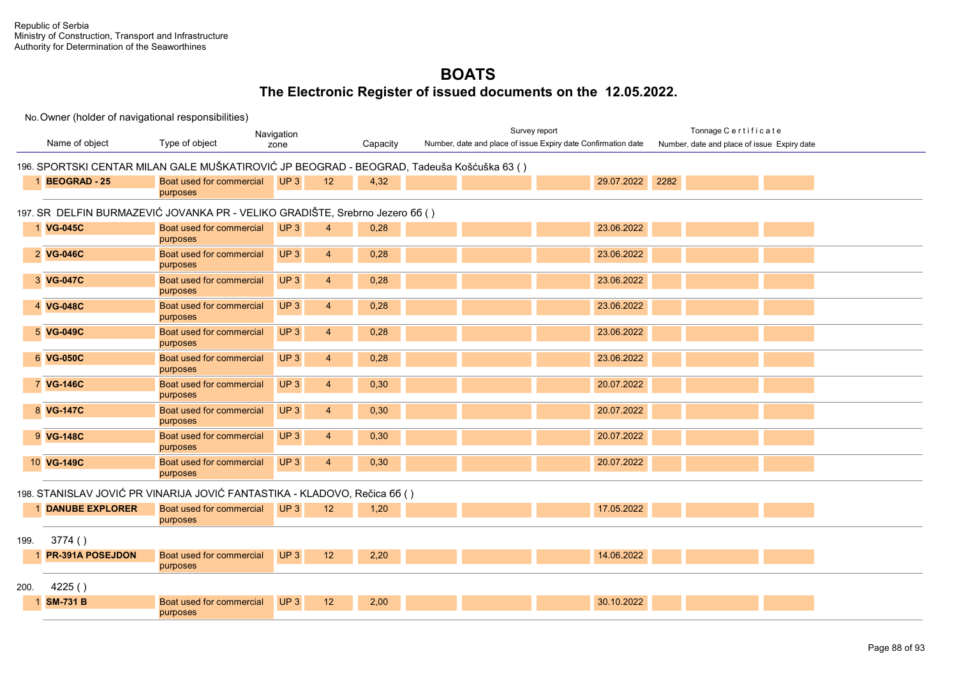|      | Navigation              |                                                                              |                                   |          |                                                                                            | Survey report                                                 | Tonnage Certificate                         |  |
|------|-------------------------|------------------------------------------------------------------------------|-----------------------------------|----------|--------------------------------------------------------------------------------------------|---------------------------------------------------------------|---------------------------------------------|--|
|      | Name of object          | Type of object                                                               | zone                              | Capacity |                                                                                            | Number, date and place of issue Expiry date Confirmation date | Number, date and place of issue Expiry date |  |
|      |                         |                                                                              |                                   |          | 196. SPORTSKI CENTAR MILAN GALE MUŠKATIROVIĆ JP BEOGRAD - BEOGRAD, Tadeuša Košćuška 63 ( ) |                                                               |                                             |  |
|      | <b>BEOGRAD-25</b>       | Boat used for commercial<br>purposes                                         | UP3<br>12                         | 4,32     |                                                                                            | 29.07.2022                                                    | 2282                                        |  |
|      |                         | 197. SR DELFIN BURMAZEVIĆ JOVANKA PR - VELIKO GRADIŠTE, Srebrno Jezero 66 () |                                   |          |                                                                                            |                                                               |                                             |  |
|      | 1 VG-045C               | Boat used for commercial<br>purposes                                         | UP <sub>3</sub><br>$\overline{4}$ | 0,28     |                                                                                            | 23.06.2022                                                    |                                             |  |
|      | 2 VG-046C               | Boat used for commercial<br>purposes                                         | UP3<br>$\overline{4}$             | 0,28     |                                                                                            | 23.06.2022                                                    |                                             |  |
|      | 3 VG-047C               | Boat used for commercial<br>purposes                                         | UP3<br>$\overline{4}$             | 0,28     |                                                                                            | 23.06.2022                                                    |                                             |  |
|      | 4 VG-048C               | Boat used for commercial<br>purposes                                         | UP3<br>$\overline{4}$             | 0,28     |                                                                                            | 23.06.2022                                                    |                                             |  |
|      | 5 VG-049C               | Boat used for commercial<br>purposes                                         | UP3<br>$\overline{4}$             | 0,28     |                                                                                            | 23.06.2022                                                    |                                             |  |
|      | 6 VG-050C               | Boat used for commercial<br>purposes                                         | UP3<br>$\overline{4}$             | 0,28     |                                                                                            | 23.06.2022                                                    |                                             |  |
|      | 7 VG-146C               | Boat used for commercial<br>purposes                                         | UP3<br>$\overline{4}$             | 0,30     |                                                                                            | 20.07.2022                                                    |                                             |  |
|      | 8 VG-147C               | Boat used for commercial<br>purposes                                         | UP3<br>4                          | 0,30     |                                                                                            | 20.07.2022                                                    |                                             |  |
|      | 9 VG-148C               | Boat used for commercial<br>purposes                                         | UP3<br>$\overline{4}$             | 0,30     |                                                                                            | 20.07.2022                                                    |                                             |  |
|      | 10 VG-149C              | Boat used for commercial<br>purposes                                         | UP3<br>$\overline{4}$             | 0,30     |                                                                                            | 20.07.2022                                                    |                                             |  |
|      |                         | 198. STANISLAV JOVIĆ PR VINARIJA JOVIĆ FANTASTIKA - KLADOVO, Rečica 66 ()    |                                   |          |                                                                                            |                                                               |                                             |  |
|      | <b>DANUBE EXPLORER</b>  | Boat used for commercial<br>purposes                                         | UP3<br>12                         | 1,20     |                                                                                            | 17.05.2022                                                    |                                             |  |
| 199. | 3774()                  |                                                                              |                                   |          |                                                                                            |                                                               |                                             |  |
|      | <b>PR-391A POSEJDON</b> | Boat used for commercial<br>purposes                                         | UP <sub>3</sub><br>12             | 2,20     |                                                                                            | 14.06.2022                                                    |                                             |  |
| 200. | 4225()                  |                                                                              |                                   |          |                                                                                            |                                                               |                                             |  |
|      | <b>SM-731 B</b>         | Boat used for commercial<br>purposes                                         | UP3<br>12                         | 2,00     |                                                                                            | 30.10.2022                                                    |                                             |  |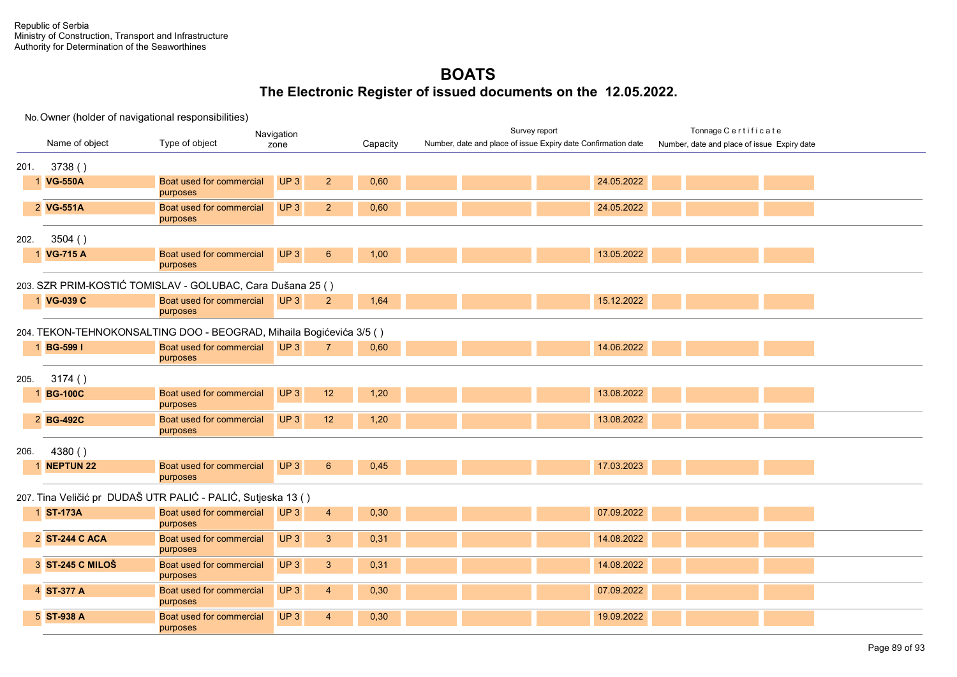| Navigation |                  |                                                                     |                                   |          | Survey report                                                 | Tonnage Certificate                         |
|------------|------------------|---------------------------------------------------------------------|-----------------------------------|----------|---------------------------------------------------------------|---------------------------------------------|
|            | Name of object   | Type of object                                                      | zone                              | Capacity | Number, date and place of issue Expiry date Confirmation date | Number, date and place of issue Expiry date |
| 201.       | 3738()           |                                                                     |                                   |          |                                                               |                                             |
|            | 1 VG-550A        | Boat used for commercial<br>purposes                                | UP3<br>2 <sup>2</sup>             | 0,60     | 24.05.2022                                                    |                                             |
|            | 2 VG-551A        | Boat used for commercial<br>purposes                                | UP3<br>2 <sup>2</sup>             | 0,60     | 24.05.2022                                                    |                                             |
| 202.       | 3504()           |                                                                     |                                   |          |                                                               |                                             |
|            | 1 VG-715 A       | Boat used for commercial<br>purposes                                | UP <sub>3</sub><br>6              | 1,00     | 13.05.2022                                                    |                                             |
|            |                  | 203. SZR PRIM-KOSTIĆ TOMISLAV - GOLUBAC, Cara Dušana 25 ()          |                                   |          |                                                               |                                             |
|            | 1 VG-039 C       | Boat used for commercial<br>purposes                                | UP3<br>$\overline{2}$             | 1,64     | 15.12.2022                                                    |                                             |
|            |                  | 204. TEKON-TEHNOKONSALTING DOO - BEOGRAD, Mihaila Bogićevića 3/5 () |                                   |          |                                                               |                                             |
|            | 1 BG-599 I       | Boat used for commercial<br>purposes                                | UP <sub>3</sub><br>$\overline{7}$ | 0,60     | 14.06.2022                                                    |                                             |
| 205.       | 3174()           |                                                                     |                                   |          |                                                               |                                             |
|            | 1 BG-100C        | Boat used for commercial<br>purposes                                | UP <sub>3</sub><br>12             | 1,20     | 13.08.2022                                                    |                                             |
|            | 2 BG-492C        | Boat used for commercial<br>purposes                                | UP3<br>12                         | 1,20     | 13.08.2022                                                    |                                             |
| 206.       | 4380()           |                                                                     |                                   |          |                                                               |                                             |
|            | <b>NEPTUN 22</b> | Boat used for commercial<br>purposes                                | UP <sub>3</sub><br>$6^{\circ}$    | 0,45     | 17.03.2023                                                    |                                             |
|            |                  | 207. Tina Veličić pr DUDAŠ UTR PALIĆ - PALIĆ, Sutjeska 13 ()        |                                   |          |                                                               |                                             |
|            | 1 ST-173A        | Boat used for commercial<br>purposes                                | UP <sub>3</sub><br>$\overline{4}$ | 0,30     | 07.09.2022                                                    |                                             |
|            | 2 ST-244 C ACA   | Boat used for commercial<br>purposes                                | UP3<br>3 <sup>5</sup>             | 0,31     | 14.08.2022                                                    |                                             |
|            | 3 ST-245 C MILOŠ | Boat used for commercial<br>purposes                                | UP3<br>3 <sup>2</sup>             | 0,31     | 14.08.2022                                                    |                                             |
|            | 4 ST-377 A       | Boat used for commercial<br>purposes                                | UP3<br>$\overline{4}$             | 0,30     | 07.09.2022                                                    |                                             |
|            | 5 ST-938 A       | Boat used for commercial<br>purposes                                | UP3<br>$\overline{4}$             | 0,30     | 19.09.2022                                                    |                                             |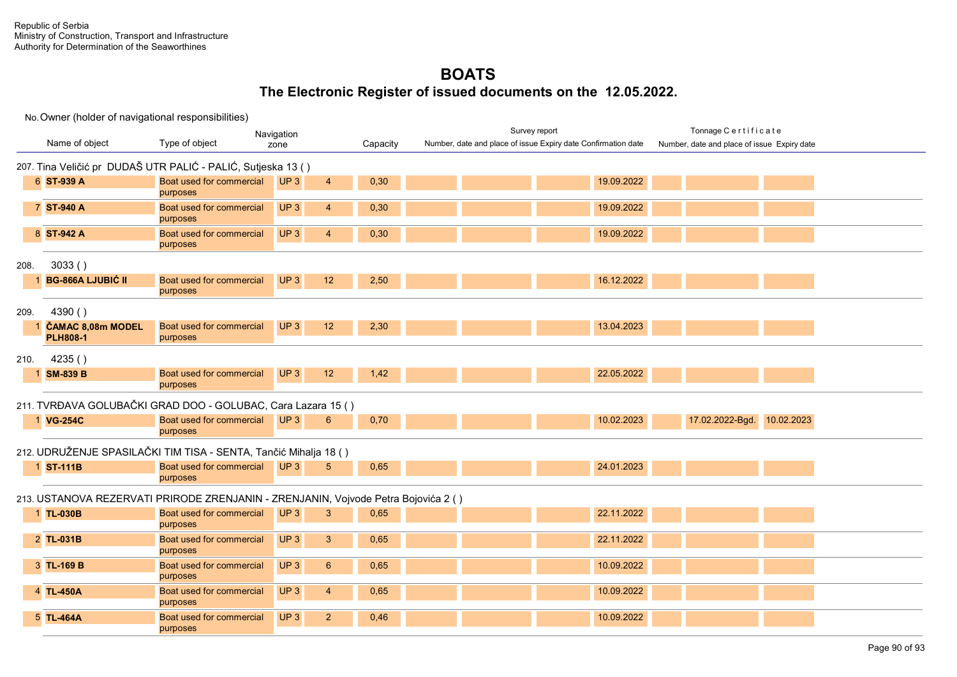| Navigation |                                                                                    |                                           |                 |                |          | Survey report                                                 |  |            |  | Tonnage Certificate                         |  |
|------------|------------------------------------------------------------------------------------|-------------------------------------------|-----------------|----------------|----------|---------------------------------------------------------------|--|------------|--|---------------------------------------------|--|
|            | Name of object                                                                     | Type of object                            | zone            |                | Capacity | Number, date and place of issue Expiry date Confirmation date |  |            |  | Number, date and place of issue Expiry date |  |
|            | 207. Tina Veličić pr DUDAŠ UTR PALIĆ - PALIĆ, Sutjeska 13 ()                       |                                           |                 |                |          |                                                               |  |            |  |                                             |  |
|            | 6 ST-939 A                                                                         | Boat used for commercial<br>purposes      | UP3             | $\overline{4}$ | 0,30     |                                                               |  | 19.09.2022 |  |                                             |  |
|            | 7 ST-940 A                                                                         | Boat used for commercial<br>purposes      | UP3             | $\overline{4}$ | 0,30     |                                                               |  | 19.09.2022 |  |                                             |  |
|            | 8 ST-942 A                                                                         | Boat used for commercial<br>purposes      | UP3             | $\overline{4}$ | 0,30     |                                                               |  | 19.09.2022 |  |                                             |  |
| 208.       | 3033()                                                                             |                                           |                 |                |          |                                                               |  |            |  |                                             |  |
|            | <b>BG-866A LJUBIĆ II</b>                                                           | Boat used for commercial<br>purposes      | UP3             | 12             | 2,50     |                                                               |  | 16.12.2022 |  |                                             |  |
| 209.       | 4390 ()                                                                            |                                           |                 |                |          |                                                               |  |            |  |                                             |  |
|            | 1 ČAMAC 8,08m MODEL<br><b>PLH808-1</b>                                             | Boat used for commercial<br>purposes      | UP <sub>3</sub> | 12             | 2,30     |                                                               |  | 13.04.2023 |  |                                             |  |
| 210.       | 4235()                                                                             |                                           |                 |                |          |                                                               |  |            |  |                                             |  |
|            | <b>SM-839 B</b>                                                                    | Boat used for commercial<br>purposes      | UP3             | 12             | 1,42     |                                                               |  | 22.05.2022 |  |                                             |  |
|            | 211. TVRĐAVA GOLUBAČKI GRAD DOO - GOLUBAC, Cara Lazara 15 ()                       |                                           |                 |                |          |                                                               |  |            |  |                                             |  |
|            | 1 VG-254C                                                                          | Boat used for commercial UP 3<br>purposes |                 | 6              | 0,70     |                                                               |  | 10.02.2023 |  | 17.02.2022-Bgd. 10.02.2023                  |  |
|            | 212. UDRUŽENJE SPASILAČKI TIM TISA - SENTA, Tančić Mihalja 18 ()                   |                                           |                 |                |          |                                                               |  |            |  |                                             |  |
|            | 1 ST-111B                                                                          | Boat used for commercial<br>purposes      | UP3             | 5              | 0,65     |                                                               |  | 24.01.2023 |  |                                             |  |
|            | 213. USTANOVA REZERVATI PRIRODE ZRENJANIN - ZRENJANIN, Vojvode Petra Bojovića 2 () |                                           |                 |                |          |                                                               |  |            |  |                                             |  |
|            | 1 TL-030B                                                                          | Boat used for commercial<br>purposes      | UP3             | 3              | 0,65     |                                                               |  | 22.11.2022 |  |                                             |  |
|            | 2 TL-031B                                                                          | Boat used for commercial<br>purposes      | UP <sub>3</sub> | $\mathbf{3}$   | 0,65     |                                                               |  | 22.11.2022 |  |                                             |  |
|            | 3 TL-169 B                                                                         | Boat used for commercial<br>purposes      | UP <sub>3</sub> | $6^{\circ}$    | 0.65     |                                                               |  | 10.09.2022 |  |                                             |  |
|            | 4 TL-450A                                                                          | Boat used for commercial<br>purposes      | UP <sub>3</sub> | $\overline{4}$ | 0,65     |                                                               |  | 10.09.2022 |  |                                             |  |
|            | 5 TL-464A                                                                          | Boat used for commercial<br>purposes      | UP <sub>3</sub> | $\overline{2}$ | 0,46     |                                                               |  | 10.09.2022 |  |                                             |  |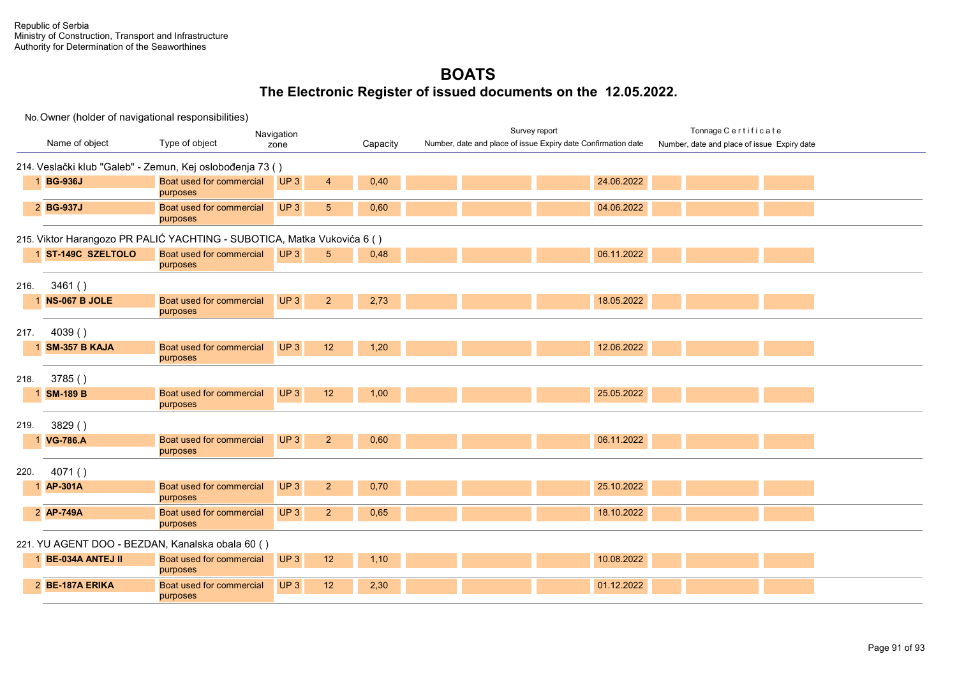| Navigation |                         |                                                                         |                 |                 |          | Survey report |  |                                                               |            | Tonnage Certificate |                                             |  |  |
|------------|-------------------------|-------------------------------------------------------------------------|-----------------|-----------------|----------|---------------|--|---------------------------------------------------------------|------------|---------------------|---------------------------------------------|--|--|
|            | Name of object          | Type of object                                                          | zone            |                 | Capacity |               |  | Number, date and place of issue Expiry date Confirmation date |            |                     | Number, date and place of issue Expiry date |  |  |
|            |                         | 214. Veslački klub "Galeb" - Zemun, Kej oslobođenja 73 ()               |                 |                 |          |               |  |                                                               |            |                     |                                             |  |  |
|            | 1 BG-936J               | Boat used for commercial<br>purposes                                    | UP3             | $\overline{4}$  | 0,40     |               |  |                                                               | 24.06.2022 |                     |                                             |  |  |
|            | 2 BG-937J               | Boat used for commercial<br>purposes                                    | UP3             | $5\phantom{.0}$ | 0,60     |               |  |                                                               | 04.06.2022 |                     |                                             |  |  |
|            |                         | 215. Viktor Harangozo PR PALIĆ YACHTING - SUBOTICA, Matka Vukovića 6 () |                 |                 |          |               |  |                                                               |            |                     |                                             |  |  |
|            | ST-149C SZELTOLO        | Boat used for commercial<br>purposes                                    | UP3             | 5 <sup>5</sup>  | 0,48     |               |  |                                                               | 06.11.2022 |                     |                                             |  |  |
| 216.       | 3461()                  |                                                                         |                 |                 |          |               |  |                                                               |            |                     |                                             |  |  |
|            | NS-067 B JOLE           | Boat used for commercial<br>purposes                                    | UP <sub>3</sub> | $\overline{2}$  | 2,73     |               |  |                                                               | 18.05.2022 |                     |                                             |  |  |
| 217.       | 4039()                  |                                                                         |                 |                 |          |               |  |                                                               |            |                     |                                             |  |  |
|            | <b>SM-357 B KAJA</b>    | Boat used for commercial<br>purposes                                    | UP3             | 12              | 1,20     |               |  |                                                               | 12.06.2022 |                     |                                             |  |  |
| 218.       | 3785()                  |                                                                         |                 |                 |          |               |  |                                                               |            |                     |                                             |  |  |
|            | <b>SM-189 B</b>         | Boat used for commercial<br>purposes                                    | UP3             | 12              | 1,00     |               |  |                                                               | 25.05.2022 |                     |                                             |  |  |
| 219.       | 3829()                  |                                                                         |                 |                 |          |               |  |                                                               |            |                     |                                             |  |  |
|            | <b>VG-786.A</b>         | Boat used for commercial<br>purposes                                    | UP <sub>3</sub> | 2 <sup>2</sup>  | 0,60     |               |  |                                                               | 06.11.2022 |                     |                                             |  |  |
| 220.       | 4071()                  |                                                                         |                 |                 |          |               |  |                                                               |            |                     |                                             |  |  |
|            | <b>AP-301A</b>          | Boat used for commercial<br>purposes                                    | UP <sub>3</sub> | $\overline{2}$  | 0,70     |               |  |                                                               | 25.10.2022 |                     |                                             |  |  |
|            | 2 AP-749A               | Boat used for commercial<br>purposes                                    | UP3             | $\overline{2}$  | 0.65     |               |  |                                                               | 18.10.2022 |                     |                                             |  |  |
|            |                         | 221. YU AGENT DOO - BEZDAN, Kanalska obala 60 ()                        |                 |                 |          |               |  |                                                               |            |                     |                                             |  |  |
|            | <b>BE-034A ANTEJ II</b> | Boat used for commercial<br>purposes                                    | UP3             | 12              | 1,10     |               |  |                                                               | 10.08.2022 |                     |                                             |  |  |
|            | 2 BE-187A ERIKA         | Boat used for commercial<br>purposes                                    | UP <sub>3</sub> | 12              | 2,30     |               |  |                                                               | 01.12.2022 |                     |                                             |  |  |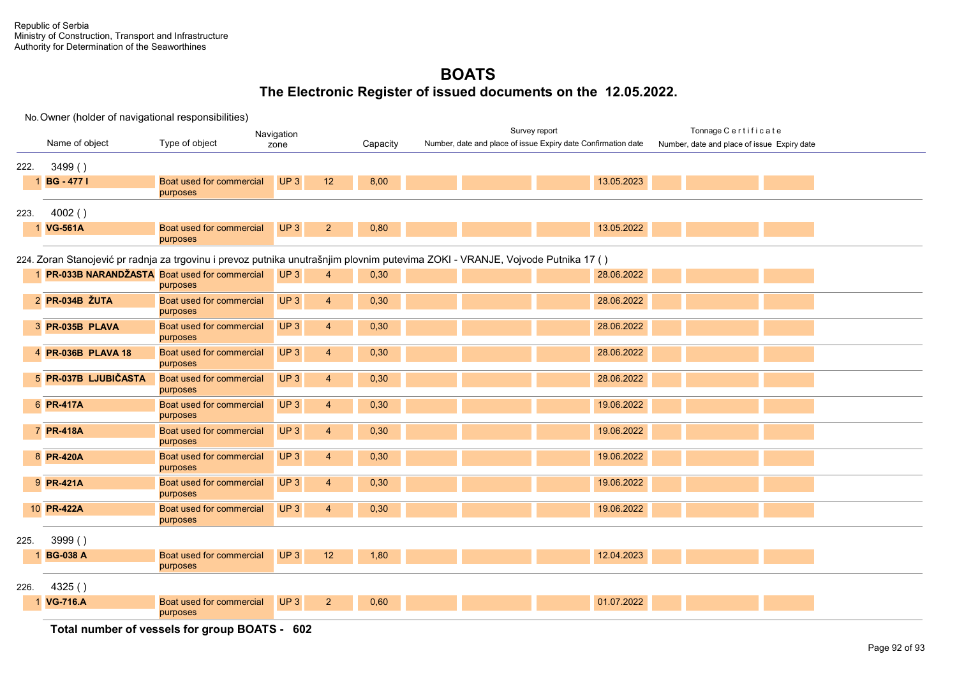No. Owner (holder of navigational responsibilities)

|      | Navigation                                                                                                                     |                                      |                                   |          | Survey report                                                 |            | Tonnage Certificate                         |  |  |  |  |  |  |  |
|------|--------------------------------------------------------------------------------------------------------------------------------|--------------------------------------|-----------------------------------|----------|---------------------------------------------------------------|------------|---------------------------------------------|--|--|--|--|--|--|--|
|      | Name of object                                                                                                                 | Type of object                       | zone                              | Capacity | Number, date and place of issue Expiry date Confirmation date |            | Number, date and place of issue Expiry date |  |  |  |  |  |  |  |
| 222. | 3499()                                                                                                                         |                                      |                                   |          |                                                               |            |                                             |  |  |  |  |  |  |  |
|      | 1 BG - 477 I                                                                                                                   | Boat used for commercial<br>purposes | UP <sub>3</sub><br>12             | 8,00     |                                                               | 13.05.2023 |                                             |  |  |  |  |  |  |  |
| 223. | 4002()                                                                                                                         |                                      |                                   |          |                                                               |            |                                             |  |  |  |  |  |  |  |
|      | 1 VG-561A                                                                                                                      | Boat used for commercial<br>purposes | UP3<br>2 <sup>2</sup>             | 0,80     |                                                               | 13.05.2022 |                                             |  |  |  |  |  |  |  |
|      | 224. Zoran Stanojević pr radnja za trgovinu i prevoz putnika unutrašnjim plovnim putevima ZOKI - VRANJE, Vojvode Putnika 17 () |                                      |                                   |          |                                                               |            |                                             |  |  |  |  |  |  |  |
|      | 1 PR-033B NARANDŽASTA Boat used for commercial                                                                                 | purposes                             | UP3<br>$\overline{4}$             | 0,30     |                                                               | 28.06.2022 |                                             |  |  |  |  |  |  |  |
|      | 2 PR-034B ŽUTA                                                                                                                 | Boat used for commercial<br>purposes | UP <sub>3</sub><br>$\overline{4}$ | 0,30     |                                                               | 28.06.2022 |                                             |  |  |  |  |  |  |  |
|      | 3 PR-035B PLAVA                                                                                                                | Boat used for commercial<br>purposes | UP <sub>3</sub><br>$\overline{4}$ | 0,30     |                                                               | 28.06.2022 |                                             |  |  |  |  |  |  |  |
|      | 4 PR-036B PLAVA 18                                                                                                             | Boat used for commercial<br>purposes | UP <sub>3</sub><br>$\overline{4}$ | 0,30     |                                                               | 28.06.2022 |                                             |  |  |  |  |  |  |  |
|      | 5 PR-037B LJUBIČASTA                                                                                                           | Boat used for commercial<br>purposes | UP <sub>3</sub><br>$\overline{4}$ | 0,30     |                                                               | 28.06.2022 |                                             |  |  |  |  |  |  |  |
|      | 6 PR-417A                                                                                                                      | Boat used for commercial<br>purposes | UP3<br>$\overline{4}$             | 0,30     |                                                               | 19.06.2022 |                                             |  |  |  |  |  |  |  |
|      | 7 PR-418A                                                                                                                      | Boat used for commercial<br>purposes | UP3<br>$\overline{4}$             | 0,30     |                                                               | 19.06.2022 |                                             |  |  |  |  |  |  |  |
|      | 8 PR-420A                                                                                                                      | Boat used for commercial<br>purposes | UP3<br>$\overline{4}$             | 0,30     |                                                               | 19.06.2022 |                                             |  |  |  |  |  |  |  |
|      | 9 PR-421A                                                                                                                      | Boat used for commercial<br>purposes | UP <sub>3</sub><br>$\overline{4}$ | 0,30     |                                                               | 19.06.2022 |                                             |  |  |  |  |  |  |  |
|      | 10 PR-422A                                                                                                                     | Boat used for commercial<br>purposes | UP <sub>3</sub><br>$\overline{4}$ | 0,30     |                                                               | 19.06.2022 |                                             |  |  |  |  |  |  |  |
| 225. | 3999()                                                                                                                         |                                      |                                   |          |                                                               |            |                                             |  |  |  |  |  |  |  |
| 1    | <b>BG-038 A</b>                                                                                                                | Boat used for commercial<br>purposes | UP3<br>12                         | 1,80     |                                                               | 12.04.2023 |                                             |  |  |  |  |  |  |  |
| 226. | 4325()                                                                                                                         |                                      |                                   |          |                                                               |            |                                             |  |  |  |  |  |  |  |
|      | <b>VG-716.A</b>                                                                                                                | Boat used for commercial<br>purposes | UP3<br>2 <sup>2</sup>             | 0,60     |                                                               | 01.07.2022 |                                             |  |  |  |  |  |  |  |

**Total number of vessels for group BOATS - 602**